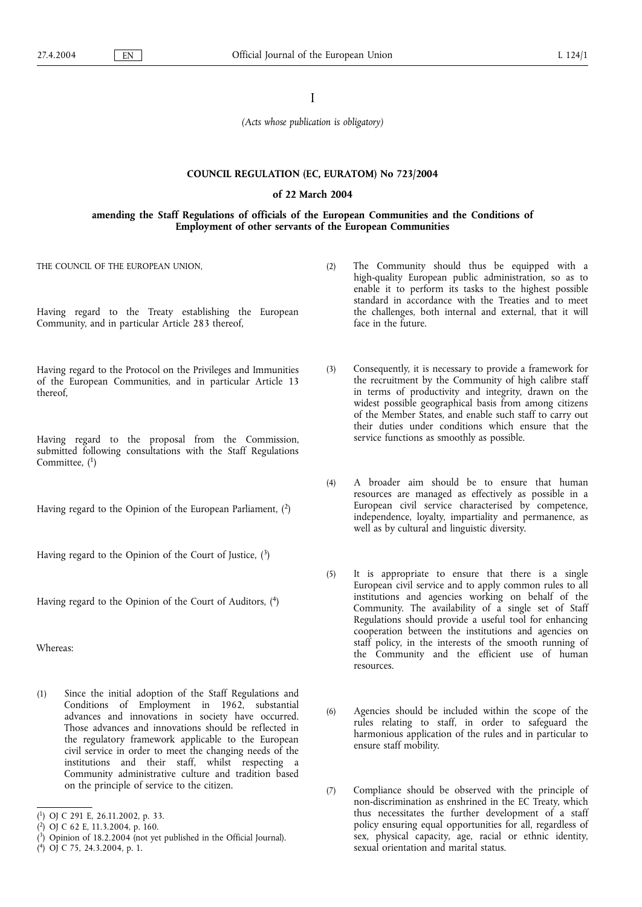I

*(Acts whose publication is obligatory)*

# **COUNCIL REGULATION (EC, EURATOM) No 723/2004**

# **of 22 March 2004**

# **amending the Staff Regulations of officials of the European Communities and the Conditions of Employment of other servants of the European Communities**

THE COUNCIL OF THE EUROPEAN UNION,

- Having regard to the Treaty establishing the European Community, and in particular Article 283 thereof,
- Having regard to the Protocol on the Privileges and Immunities of the European Communities, and in particular Article 13 thereof,
- Having regard to the proposal from the Commission, submitted following consultations with the Staff Regulations Committee,  $(1)$
- Having regard to the Opinion of the European Parliament,  $(2)$

Having regard to the Opinion of the Court of Justice,  $(3)$ 

Having regard to the Opinion of the Court of Auditors, (4)

Whereas:

(1) Since the initial adoption of the Staff Regulations and Conditions of Employment in 1962, substantial advances and innovations in society have occurred. Those advances and innovations should be reflected in the regulatory framework applicable to the European civil service in order to meet the changing needs of the institutions and their staff, whilst respecting a Community administrative culture and tradition based on the principle of service to the citizen.

( 4) OJ C 75, 24.3.2004, p. 1.

- (2) The Community should thus be equipped with a high-quality European public administration, so as to enable it to perform its tasks to the highest possible standard in accordance with the Treaties and to meet the challenges, both internal and external, that it will face in the future.
	- (3) Consequently, it is necessary to provide a framework for the recruitment by the Community of high calibre staff in terms of productivity and integrity, drawn on the widest possible geographical basis from among citizens of the Member States, and enable such staff to carry out their duties under conditions which ensure that the service functions as smoothly as possible.
	- (4) A broader aim should be to ensure that human resources are managed as effectively as possible in a European civil service characterised by competence, independence, loyalty, impartiality and permanence, as well as by cultural and linguistic diversity.
	- (5) It is appropriate to ensure that there is a single European civil service and to apply common rules to all institutions and agencies working on behalf of the Community. The availability of a single set of Staff Regulations should provide a useful tool for enhancing cooperation between the institutions and agencies on staff policy, in the interests of the smooth running of the Community and the efficient use of human resources.
	- (6) Agencies should be included within the scope of the rules relating to staff, in order to safeguard the harmonious application of the rules and in particular to ensure staff mobility.
	- (7) Compliance should be observed with the principle of non-discrimination as enshrined in the EC Treaty, which thus necessitates the further development of a staff policy ensuring equal opportunities for all, regardless of sex, physical capacity, age, racial or ethnic identity, sexual orientation and marital status.

<sup>(</sup> 1) OJ C 291 E, 26.11.2002, p. 33.

<sup>(</sup> 2) OJ C 62 E, 11.3.2004, p. 160.

<sup>(</sup> 3) Opinion of 18.2.2004 (not yet published in the Official Journal).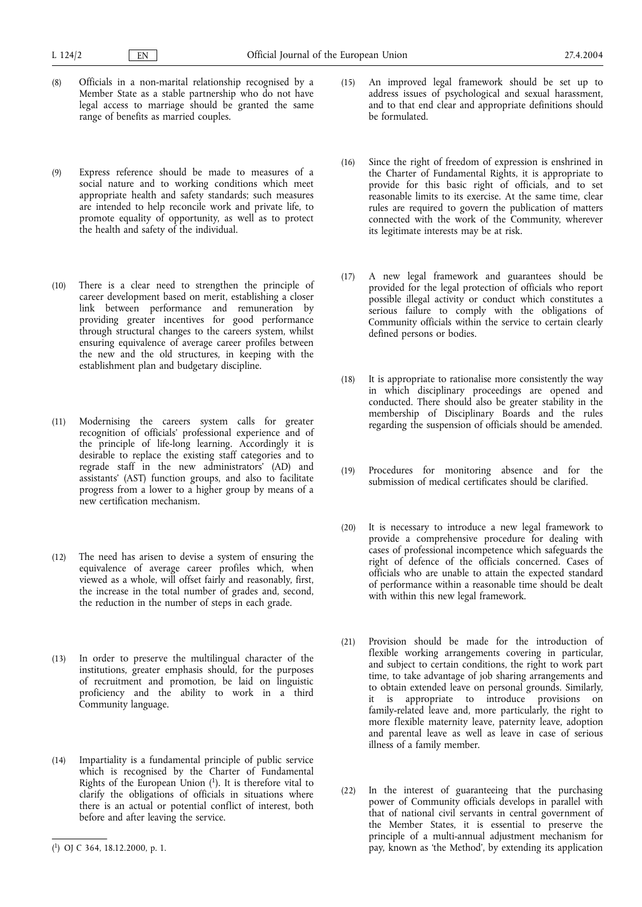- (8) Officials in a non-marital relationship recognised by a Member State as a stable partnership who do not have legal access to marriage should be granted the same range of benefits as married couples.
- (9) Express reference should be made to measures of a social nature and to working conditions which meet appropriate health and safety standards; such measures are intended to help reconcile work and private life, to promote equality of opportunity, as well as to protect the health and safety of the individual.
- (10) There is a clear need to strengthen the principle of career development based on merit, establishing a closer link between performance and remuneration by providing greater incentives for good performance through structural changes to the careers system, whilst ensuring equivalence of average career profiles between the new and the old structures, in keeping with the establishment plan and budgetary discipline.
- (11) Modernising the careers system calls for greater recognition of officials' professional experience and of the principle of life-long learning. Accordingly it is desirable to replace the existing staff categories and to regrade staff in the new administrators' (AD) and assistants' (AST) function groups, and also to facilitate progress from a lower to a higher group by means of a new certification mechanism.
- (12) The need has arisen to devise a system of ensuring the equivalence of average career profiles which, when viewed as a whole, will offset fairly and reasonably, first, the increase in the total number of grades and, second, the reduction in the number of steps in each grade.
- (13) In order to preserve the multilingual character of the institutions, greater emphasis should, for the purposes of recruitment and promotion, be laid on linguistic proficiency and the ability to work in a third Community language.
- (14) Impartiality is a fundamental principle of public service which is recognised by the Charter of Fundamental Rights of the European Union  $(1)$ . It is therefore vital to clarify the obligations of officials in situations where there is an actual or potential conflict of interest, both before and after leaving the service.
- (15) An improved legal framework should be set up to address issues of psychological and sexual harassment, and to that end clear and appropriate definitions should be formulated.
- (16) Since the right of freedom of expression is enshrined in the Charter of Fundamental Rights, it is appropriate to provide for this basic right of officials, and to set reasonable limits to its exercise. At the same time, clear rules are required to govern the publication of matters connected with the work of the Community, wherever its legitimate interests may be at risk.
- (17) A new legal framework and guarantees should be provided for the legal protection of officials who report possible illegal activity or conduct which constitutes a serious failure to comply with the obligations of Community officials within the service to certain clearly defined persons or bodies.
- (18) It is appropriate to rationalise more consistently the way in which disciplinary proceedings are opened and conducted. There should also be greater stability in the membership of Disciplinary Boards and the rules regarding the suspension of officials should be amended.
- (19) Procedures for monitoring absence and for the submission of medical certificates should be clarified.
- (20) It is necessary to introduce a new legal framework to provide a comprehensive procedure for dealing with cases of professional incompetence which safeguards the right of defence of the officials concerned. Cases of officials who are unable to attain the expected standard of performance within a reasonable time should be dealt with within this new legal framework.
- (21) Provision should be made for the introduction of flexible working arrangements covering in particular, and subject to certain conditions, the right to work part time, to take advantage of job sharing arrangements and to obtain extended leave on personal grounds. Similarly, it is appropriate to introduce provisions on family-related leave and, more particularly, the right to more flexible maternity leave, paternity leave, adoption and parental leave as well as leave in case of serious illness of a family member.
- (22) In the interest of guaranteeing that the purchasing power of Community officials develops in parallel with that of national civil servants in central government of the Member States, it is essential to preserve the principle of a multi-annual adjustment mechanism for ( $^{1}$ ) OJ C 364, 18.12.2000, p. 1.  $^{1}$  DJ C 364, 18.12.2000, p. 1.  $^{1}$  DJ C 364, 18.12.2000, p. 1.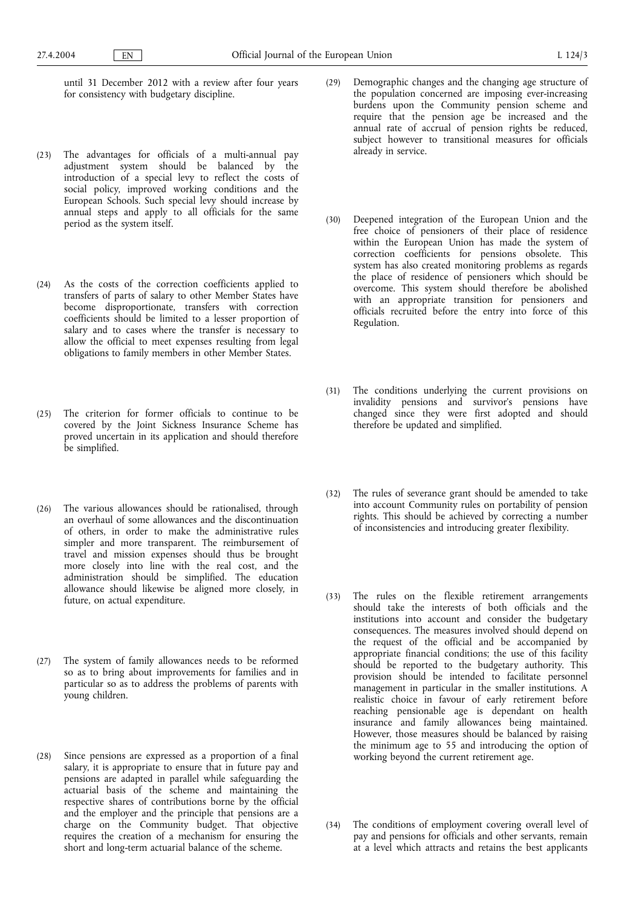until 31 December 2012 with a review after four years for consistency with budgetary discipline.

- (23) The advantages for officials of a multi-annual pay adjustment system should be balanced by the introduction of a special levy to reflect the costs of social policy, improved working conditions and the European Schools. Such special levy should increase by annual steps and apply to all officials for the same period as the system itself.
- (24) As the costs of the correction coefficients applied to transfers of parts of salary to other Member States have become disproportionate, transfers with correction coefficients should be limited to a lesser proportion of salary and to cases where the transfer is necessary to allow the official to meet expenses resulting from legal obligations to family members in other Member States.
- (25) The criterion for former officials to continue to be covered by the Joint Sickness Insurance Scheme has proved uncertain in its application and should therefore be simplified.
- (26) The various allowances should be rationalised, through an overhaul of some allowances and the discontinuation of others, in order to make the administrative rules simpler and more transparent. The reimbursement of travel and mission expenses should thus be brought more closely into line with the real cost, and the administration should be simplified. The education allowance should likewise be aligned more closely, in future, on actual expenditure.
- (27) The system of family allowances needs to be reformed so as to bring about improvements for families and in particular so as to address the problems of parents with young children.
- (28) Since pensions are expressed as a proportion of a final salary, it is appropriate to ensure that in future pay and pensions are adapted in parallel while safeguarding the actuarial basis of the scheme and maintaining the respective shares of contributions borne by the official and the employer and the principle that pensions are a charge on the Community budget. That objective requires the creation of a mechanism for ensuring the short and long-term actuarial balance of the scheme.
- (29) Demographic changes and the changing age structure of the population concerned are imposing ever-increasing burdens upon the Community pension scheme and require that the pension age be increased and the annual rate of accrual of pension rights be reduced, subject however to transitional measures for officials already in service.
- (30) Deepened integration of the European Union and the free choice of pensioners of their place of residence within the European Union has made the system of correction coefficients for pensions obsolete. This system has also created monitoring problems as regards the place of residence of pensioners which should be overcome. This system should therefore be abolished with an appropriate transition for pensioners and officials recruited before the entry into force of this Regulation.
- (31) The conditions underlying the current provisions on invalidity pensions and survivor's pensions have changed since they were first adopted and should therefore be updated and simplified.
- (32) The rules of severance grant should be amended to take into account Community rules on portability of pension rights. This should be achieved by correcting a number of inconsistencies and introducing greater flexibility.
- (33) The rules on the flexible retirement arrangements should take the interests of both officials and the institutions into account and consider the budgetary consequences. The measures involved should depend on the request of the official and be accompanied by appropriate financial conditions; the use of this facility should be reported to the budgetary authority. This provision should be intended to facilitate personnel management in particular in the smaller institutions. A realistic choice in favour of early retirement before reaching pensionable age is dependant on health insurance and family allowances being maintained. However, those measures should be balanced by raising the minimum age to 55 and introducing the option of working beyond the current retirement age.
- (34) The conditions of employment covering overall level of pay and pensions for officials and other servants, remain at a level which attracts and retains the best applicants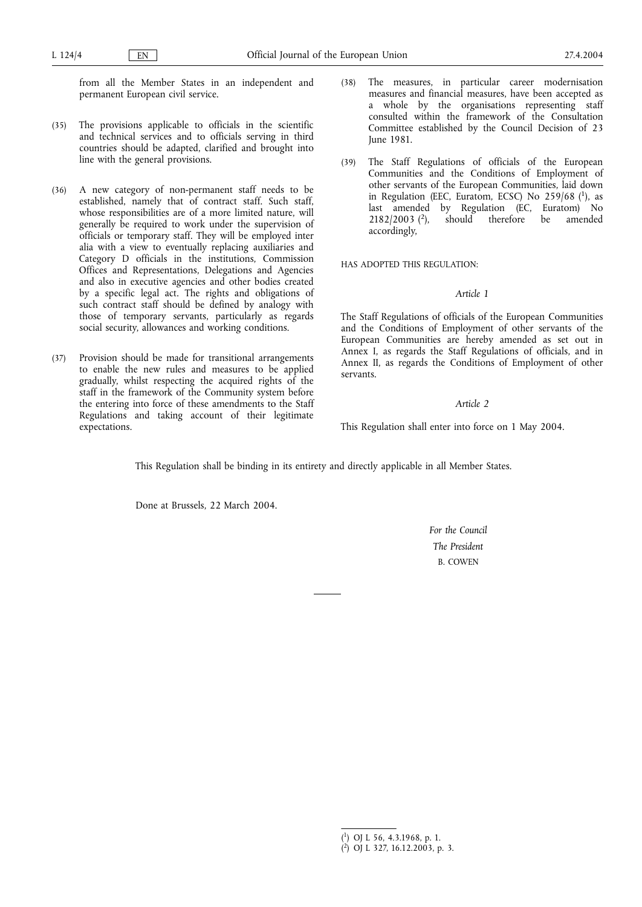from all the Member States in an independent and permanent European civil service.

- (35) The provisions applicable to officials in the scientific and technical services and to officials serving in third countries should be adapted, clarified and brought into line with the general provisions.
- (36) A new category of non-permanent staff needs to be established, namely that of contract staff. Such staff, whose responsibilities are of a more limited nature, will generally be required to work under the supervision of officials or temporary staff. They will be employed inter alia with a view to eventually replacing auxiliaries and Category D officials in the institutions, Commission Offices and Representations, Delegations and Agencies and also in executive agencies and other bodies created by a specific legal act. The rights and obligations of such contract staff should be defined by analogy with those of temporary servants, particularly as regards social security, allowances and working conditions.
- (37) Provision should be made for transitional arrangements to enable the new rules and measures to be applied gradually, whilst respecting the acquired rights of the staff in the framework of the Community system before the entering into force of these amendments to the Staff Regulations and taking account of their legitimate expectations.
- (38) The measures, in particular career modernisation measures and financial measures, have been accepted as a whole by the organisations representing staff consulted within the framework of the Consultation Committee established by the Council Decision of 23 June 1981.
- (39) The Staff Regulations of officials of the European Communities and the Conditions of Employment of other servants of the European Communities, laid down in Regulation (EEC, Euratom, ECSC) No  $259/68$  (1), as last amended by Regulation (EC, Euratom) No  $2182/2003$  (<sup>2</sup>), should therefore be amended accordingly,

HAS ADOPTED THIS REGULATION:

# *Article 1*

The Staff Regulations of officials of the European Communities and the Conditions of Employment of other servants of the European Communities are hereby amended as set out in Annex I, as regards the Staff Regulations of officials, and in Annex II, as regards the Conditions of Employment of other servants.

### *Article 2*

This Regulation shall enter into force on 1 May 2004.

This Regulation shall be binding in its entirety and directly applicable in all Member States.

Done at Brussels, 22 March 2004.

*For the Council The President* B. COWEN

<sup>(</sup> 1) OJ L 56, 4.3.1968, p. 1.

<sup>(</sup> 2) OJ L 327, 16.12.2003, p. 3.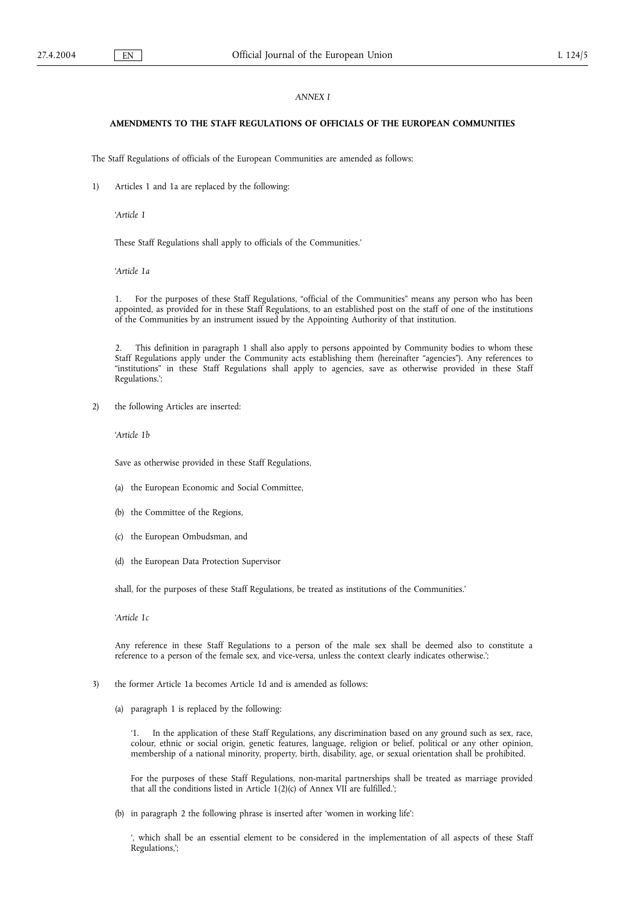### *ANNEX I*

### **AMENDMENTS TO THE STAFF REGULATIONS OF OFFICIALS OF THE EUROPEAN COMMUNITIES**

The Staff Regulations of officials of the European Communities are amended as follows:

1) Articles 1 and 1a are replaced by the following:

'*Article 1*

These Staff Regulations shall apply to officials of the Communities.'

'*Article 1a*

1. For the purposes of these Staff Regulations, "official of the Communities" means any person who has been appointed, as provided for in these Staff Regulations, to an established post on the staff of one of the institutions of the Communities by an instrument issued by the Appointing Authority of that institution.

2. This definition in paragraph 1 shall also apply to persons appointed by Community bodies to whom these Staff Regulations apply under the Community acts establishing them (hereinafter "agencies"). Any references to "institutions" in these Staff Regulations shall apply to agencies, save as otherwise provided in these Staff Regulations.';

2) the following Articles are inserted:

'*Article 1b*

Save as otherwise provided in these Staff Regulations,

- (a) the European Economic and Social Committee,
- (b) the Committee of the Regions,
- (c) the European Ombudsman, and
- (d) the European Data Protection Supervisor

shall, for the purposes of these Staff Regulations, be treated as institutions of the Communities.'

'*Article 1c*

Any reference in these Staff Regulations to a person of the male sex shall be deemed also to constitute a reference to a person of the female sex, and vice-versa, unless the context clearly indicates otherwise.';

- 3) the former Article 1a becomes Article 1d and is amended as follows:
	- (a) paragraph 1 is replaced by the following:

'1. In the application of these Staff Regulations, any discrimination based on any ground such as sex, race, colour, ethnic or social origin, genetic features, language, religion or belief, political or any other opinion, membership of a national minority, property, birth, disability, age, or sexual orientation shall be prohibited.

For the purposes of these Staff Regulations, non-marital partnerships shall be treated as marriage provided that all the conditions listed in Article 1(2)(c) of Annex VII are fulfilled.';

(b) in paragraph 2 the following phrase is inserted after 'women in working life':

', which shall be an essential element to be considered in the implementation of all aspects of these Staff Regulations,';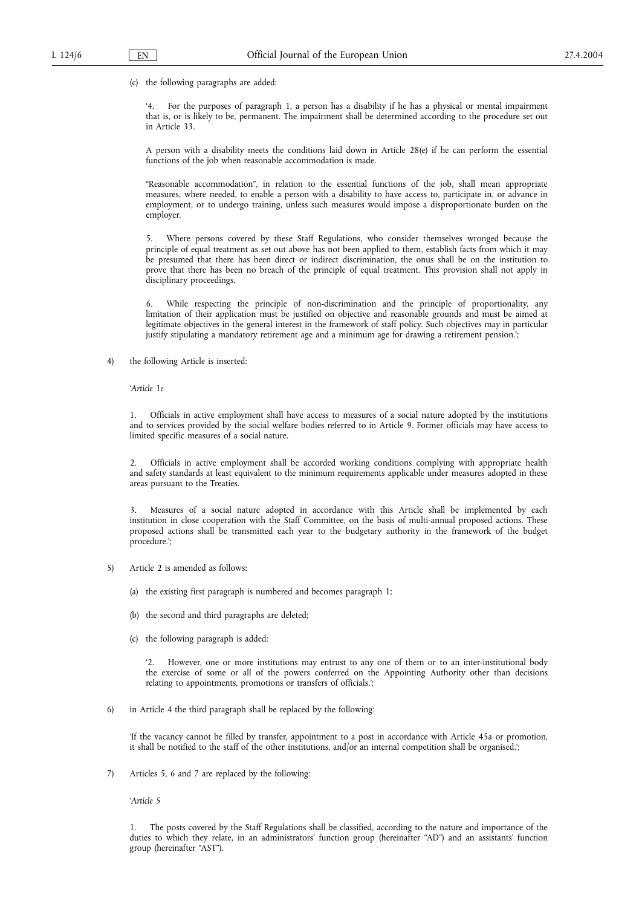(c) the following paragraphs are added:

'4. For the purposes of paragraph 1, a person has a disability if he has a physical or mental impairment that is, or is likely to be, permanent. The impairment shall be determined according to the procedure set out in Article 33.

A person with a disability meets the conditions laid down in Article 28(e) if he can perform the essential functions of the job when reasonable accommodation is made.

"Reasonable accommodation", in relation to the essential functions of the job, shall mean appropriate measures, where needed, to enable a person with a disability to have access to, participate in, or advance in employment, or to undergo training, unless such measures would impose a disproportionate burden on the employer.

5. Where persons covered by these Staff Regulations, who consider themselves wronged because the principle of equal treatment as set out above has not been applied to them, establish facts from which it may be presumed that there has been direct or indirect discrimination, the onus shall be on the institution to prove that there has been no breach of the principle of equal treatment. This provision shall not apply in disciplinary proceedings.

6. While respecting the principle of non-discrimination and the principle of proportionality, any limitation of their application must be justified on objective and reasonable grounds and must be aimed at legitimate objectives in the general interest in the framework of staff policy. Such objectives may in particular justify stipulating a mandatory retirement age and a minimum age for drawing a retirement pension.';

4) the following Article is inserted:

'*Article 1e*

1. Officials in active employment shall have access to measures of a social nature adopted by the institutions and to services provided by the social welfare bodies referred to in Article 9. Former officials may have access to limited specific measures of a social nature.

2. Officials in active employment shall be accorded working conditions complying with appropriate health and safety standards at least equivalent to the minimum requirements applicable under measures adopted in these areas pursuant to the Treaties.

Measures of a social nature adopted in accordance with this Article shall be implemented by each institution in close cooperation with the Staff Committee, on the basis of multi-annual proposed actions. These proposed actions shall be transmitted each year to the budgetary authority in the framework of the budget procedure.';

- 5) Article 2 is amended as follows:
	- (a) the existing first paragraph is numbered and becomes paragraph 1;
	- (b) the second and third paragraphs are deleted;
	- (c) the following paragraph is added:

'2. However, one or more institutions may entrust to any one of them or to an inter-institutional body the exercise of some or all of the powers conferred on the Appointing Authority other than decisions relating to appointments, promotions or transfers of officials.';

6) in Article 4 the third paragraph shall be replaced by the following:

'If the vacancy cannot be filled by transfer, appointment to a post in accordance with Article 45a or promotion, it shall be notified to the staff of the other institutions, and/or an internal competition shall be organised.';

7) Articles 5, 6 and 7 are replaced by the following:

'*Article 5*

1. The posts covered by the Staff Regulations shall be classified, according to the nature and importance of the duties to which they relate, in an administrators' function group (hereinafter "AD") and an assistants' function group (hereinafter "AST").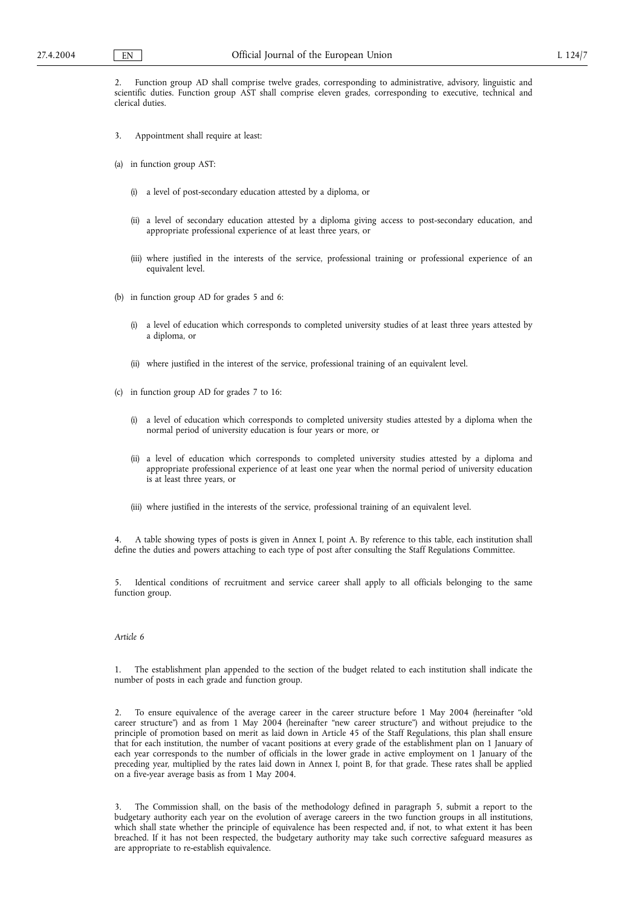2. Function group AD shall comprise twelve grades, corresponding to administrative, advisory, linguistic and scientific duties. Function group AST shall comprise eleven grades, corresponding to executive, technical and clerical duties.

- 3. Appointment shall require at least:
- (a) in function group AST:
	- (i) a level of post-secondary education attested by a diploma, or
	- (ii) a level of secondary education attested by a diploma giving access to post-secondary education, and appropriate professional experience of at least three years, or
	- (iii) where justified in the interests of the service, professional training or professional experience of an equivalent level.
- (b) in function group AD for grades 5 and 6:
	- (i) a level of education which corresponds to completed university studies of at least three years attested by a diploma, or
	- (ii) where justified in the interest of the service, professional training of an equivalent level.
- (c) in function group AD for grades 7 to 16:
	- (i) a level of education which corresponds to completed university studies attested by a diploma when the normal period of university education is four years or more, or
	- (ii) a level of education which corresponds to completed university studies attested by a diploma and appropriate professional experience of at least one year when the normal period of university education is at least three years, or
	- (iii) where justified in the interests of the service, professional training of an equivalent level.

4. A table showing types of posts is given in Annex I, point A. By reference to this table, each institution shall define the duties and powers attaching to each type of post after consulting the Staff Regulations Committee.

5. Identical conditions of recruitment and service career shall apply to all officials belonging to the same function group.

### *Article 6*

1. The establishment plan appended to the section of the budget related to each institution shall indicate the number of posts in each grade and function group.

2. To ensure equivalence of the average career in the career structure before 1 May 2004 (hereinafter "old career structure") and as from 1 May 2004 (hereinafter "new career structure") and without prejudice to the principle of promotion based on merit as laid down in Article 45 of the Staff Regulations, this plan shall ensure that for each institution, the number of vacant positions at every grade of the establishment plan on 1 January of each year corresponds to the number of officials in the lower grade in active employment on 1 January of the preceding year, multiplied by the rates laid down in Annex I, point B, for that grade. These rates shall be applied on a five-year average basis as from 1 May 2004.

3. The Commission shall, on the basis of the methodology defined in paragraph 5, submit a report to the budgetary authority each year on the evolution of average careers in the two function groups in all institutions, which shall state whether the principle of equivalence has been respected and, if not, to what extent it has been breached. If it has not been respected, the budgetary authority may take such corrective safeguard measures as are appropriate to re-establish equivalence.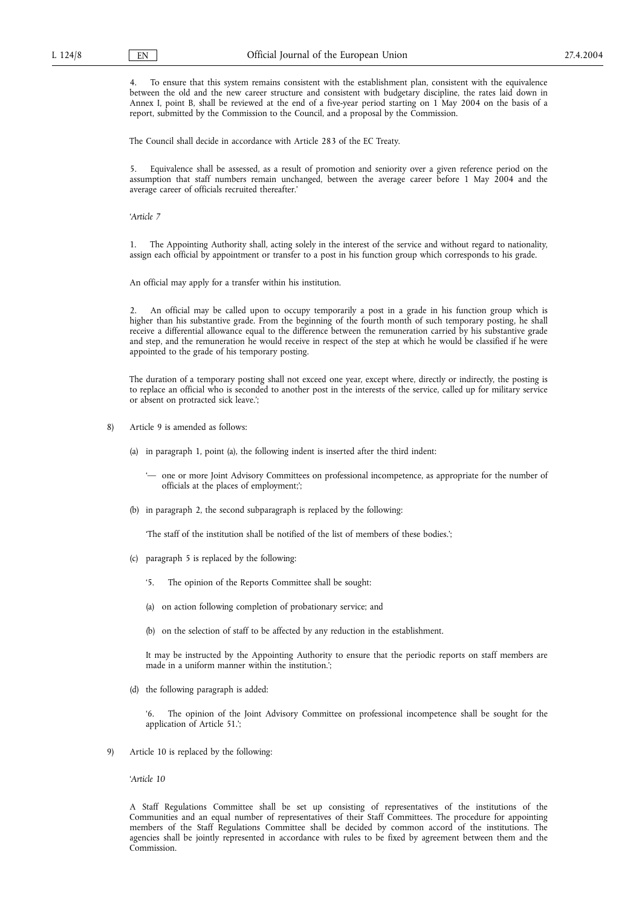4. To ensure that this system remains consistent with the establishment plan, consistent with the equivalence between the old and the new career structure and consistent with budgetary discipline, the rates laid down in Annex I, point B, shall be reviewed at the end of a five-year period starting on 1 May 2004 on the basis of a report, submitted by the Commission to the Council, and a proposal by the Commission.

The Council shall decide in accordance with Article 283 of the EC Treaty.

5. Equivalence shall be assessed, as a result of promotion and seniority over a given reference period on the assumption that staff numbers remain unchanged, between the average career before 1 May 2004 and the average career of officials recruited thereafter.'

'*Article 7*

1. The Appointing Authority shall, acting solely in the interest of the service and without regard to nationality, assign each official by appointment or transfer to a post in his function group which corresponds to his grade.

An official may apply for a transfer within his institution.

2. An official may be called upon to occupy temporarily a post in a grade in his function group which is higher than his substantive grade. From the beginning of the fourth month of such temporary posting, he shall receive a differential allowance equal to the difference between the remuneration carried by his substantive grade and step, and the remuneration he would receive in respect of the step at which he would be classified if he were appointed to the grade of his temporary posting.

The duration of a temporary posting shall not exceed one year, except where, directly or indirectly, the posting is to replace an official who is seconded to another post in the interests of the service, called up for military service or absent on protracted sick leave.';

- 8) Article 9 is amended as follows:
	- (a) in paragraph 1, point (a), the following indent is inserted after the third indent:

'— one or more Joint Advisory Committees on professional incompetence, as appropriate for the number of officials at the places of employment;';

(b) in paragraph 2, the second subparagraph is replaced by the following:

'The staff of the institution shall be notified of the list of members of these bodies.';

- (c) paragraph 5 is replaced by the following:
	- '5. The opinion of the Reports Committee shall be sought:
	- (a) on action following completion of probationary service; and
	- (b) on the selection of staff to be affected by any reduction in the establishment.

It may be instructed by the Appointing Authority to ensure that the periodic reports on staff members are made in a uniform manner within the institution.';

(d) the following paragraph is added:

'6. The opinion of the Joint Advisory Committee on professional incompetence shall be sought for the application of Article 51.';

9) Article 10 is replaced by the following:

'*Article 10*

A Staff Regulations Committee shall be set up consisting of representatives of the institutions of the Communities and an equal number of representatives of their Staff Committees. The procedure for appointing members of the Staff Regulations Committee shall be decided by common accord of the institutions. The agencies shall be jointly represented in accordance with rules to be fixed by agreement between them and the Commission.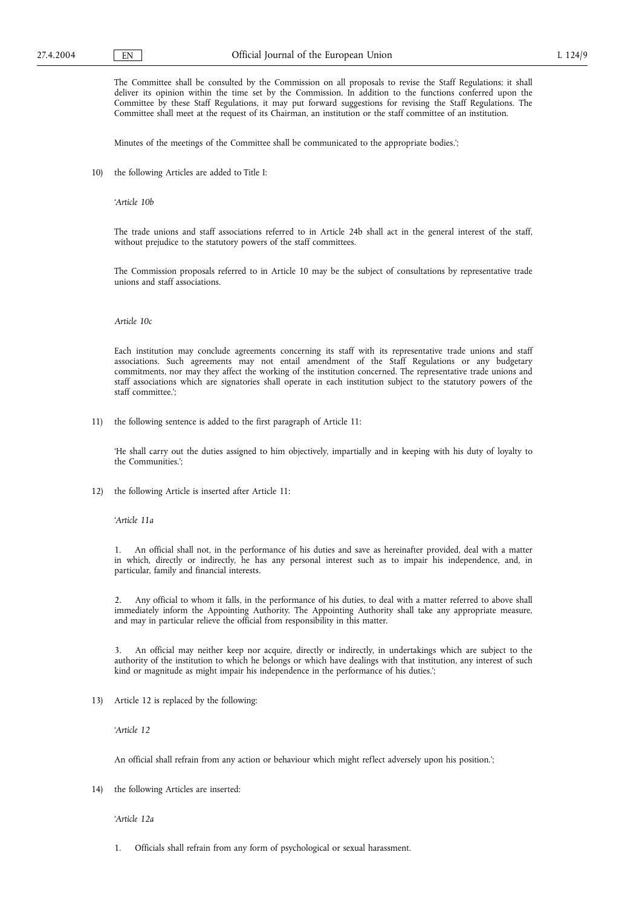Minutes of the meetings of the Committee shall be communicated to the appropriate bodies.';

10) the following Articles are added to Title I:

'*Article 10b*

The trade unions and staff associations referred to in Article 24b shall act in the general interest of the staff, without prejudice to the statutory powers of the staff committees.

The Commission proposals referred to in Article 10 may be the subject of consultations by representative trade unions and staff associations.

# *Article 10c*

Each institution may conclude agreements concerning its staff with its representative trade unions and staff associations. Such agreements may not entail amendment of the Staff Regulations or any budgetary commitments, nor may they affect the working of the institution concerned. The representative trade unions and staff associations which are signatories shall operate in each institution subject to the statutory powers of the staff committee.';

11) the following sentence is added to the first paragraph of Article 11:

'He shall carry out the duties assigned to him objectively, impartially and in keeping with his duty of loyalty to the Communities.';

12) the following Article is inserted after Article 11:

'*Article 11a*

1. An official shall not, in the performance of his duties and save as hereinafter provided, deal with a matter in which, directly or indirectly, he has any personal interest such as to impair his independence, and, in particular, family and financial interests.

2. Any official to whom it falls, in the performance of his duties, to deal with a matter referred to above shall immediately inform the Appointing Authority. The Appointing Authority shall take any appropriate measure, and may in particular relieve the official from responsibility in this matter.

3. An official may neither keep nor acquire, directly or indirectly, in undertakings which are subject to the authority of the institution to which he belongs or which have dealings with that institution, any interest of such kind or magnitude as might impair his independence in the performance of his duties.';

13) Article 12 is replaced by the following:

'*Article 12*

An official shall refrain from any action or behaviour which might reflect adversely upon his position.';

14) the following Articles are inserted:

'*Article 12a*

1. Officials shall refrain from any form of psychological or sexual harassment.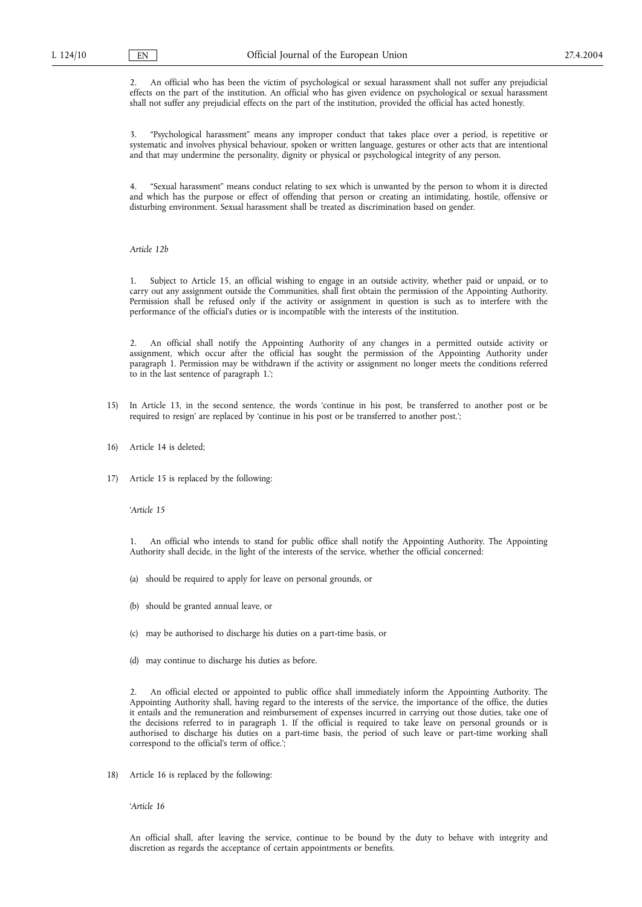2. An official who has been the victim of psychological or sexual harassment shall not suffer any prejudicial effects on the part of the institution. An official who has given evidence on psychological or sexual harassment shall not suffer any prejudicial effects on the part of the institution, provided the official has acted honestly.

3. "Psychological harassment" means any improper conduct that takes place over a period, is repetitive or systematic and involves physical behaviour, spoken or written language, gestures or other acts that are intentional and that may undermine the personality, dignity or physical or psychological integrity of any person.

4. "Sexual harassment" means conduct relating to sex which is unwanted by the person to whom it is directed and which has the purpose or effect of offending that person or creating an intimidating, hostile, offensive or disturbing environment. Sexual harassment shall be treated as discrimination based on gender.

### *Article 12b*

1. Subject to Article 15, an official wishing to engage in an outside activity, whether paid or unpaid, or to carry out any assignment outside the Communities, shall first obtain the permission of the Appointing Authority. Permission shall be refused only if the activity or assignment in question is such as to interfere with the performance of the official's duties or is incompatible with the interests of the institution.

2. An official shall notify the Appointing Authority of any changes in a permitted outside activity or assignment, which occur after the official has sought the permission of the Appointing Authority under paragraph 1. Permission may be withdrawn if the activity or assignment no longer meets the conditions referred to in the last sentence of paragraph 1.';

- 15) In Article 13, in the second sentence, the words 'continue in his post, be transferred to another post or be required to resign' are replaced by 'continue in his post or be transferred to another post.';
- 16) Article 14 is deleted;
- 17) Article 15 is replaced by the following:

#### '*Article 15*

1. An official who intends to stand for public office shall notify the Appointing Authority. The Appointing Authority shall decide, in the light of the interests of the service, whether the official concerned:

- (a) should be required to apply for leave on personal grounds, or
- (b) should be granted annual leave, or
- (c) may be authorised to discharge his duties on a part-time basis, or
- (d) may continue to discharge his duties as before.

2. An official elected or appointed to public office shall immediately inform the Appointing Authority. The Appointing Authority shall, having regard to the interests of the service, the importance of the office, the duties it entails and the remuneration and reimbursement of expenses incurred in carrying out those duties, take one of the decisions referred to in paragraph 1. If the official is required to take leave on personal grounds or is authorised to discharge his duties on a part-time basis, the period of such leave or part-time working shall correspond to the official's term of office.';

18) Article 16 is replaced by the following:

'*Article 16*

An official shall, after leaving the service, continue to be bound by the duty to behave with integrity and discretion as regards the acceptance of certain appointments or benefits.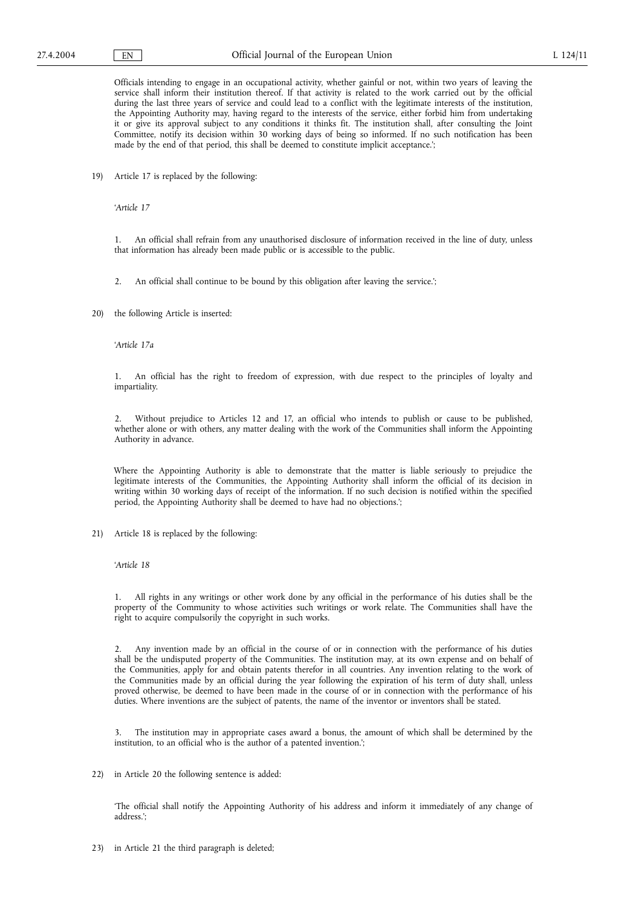Officials intending to engage in an occupational activity, whether gainful or not, within two years of leaving the service shall inform their institution thereof. If that activity is related to the work carried out by the official during the last three years of service and could lead to a conflict with the legitimate interests of the institution, the Appointing Authority may, having regard to the interests of the service, either forbid him from undertaking it or give its approval subject to any conditions it thinks fit. The institution shall, after consulting the Joint Committee, notify its decision within 30 working days of being so informed. If no such notification has been made by the end of that period, this shall be deemed to constitute implicit acceptance.';

19) Article 17 is replaced by the following:

'*Article 17*

1. An official shall refrain from any unauthorised disclosure of information received in the line of duty, unless that information has already been made public or is accessible to the public.

2. An official shall continue to be bound by this obligation after leaving the service.';

20) the following Article is inserted:

'*Article 17a*

1. An official has the right to freedom of expression, with due respect to the principles of loyalty and impartiality.

2. Without prejudice to Articles 12 and 17, an official who intends to publish or cause to be published, whether alone or with others, any matter dealing with the work of the Communities shall inform the Appointing Authority in advance.

Where the Appointing Authority is able to demonstrate that the matter is liable seriously to prejudice the legitimate interests of the Communities, the Appointing Authority shall inform the official of its decision in writing within 30 working days of receipt of the information. If no such decision is notified within the specified period, the Appointing Authority shall be deemed to have had no objections.';

21) Article 18 is replaced by the following:

'*Article 18*

1. All rights in any writings or other work done by any official in the performance of his duties shall be the property of the Community to whose activities such writings or work relate. The Communities shall have the right to acquire compulsorily the copyright in such works.

2. Any invention made by an official in the course of or in connection with the performance of his duties shall be the undisputed property of the Communities. The institution may, at its own expense and on behalf of the Communities, apply for and obtain patents therefor in all countries. Any invention relating to the work of the Communities made by an official during the year following the expiration of his term of duty shall, unless proved otherwise, be deemed to have been made in the course of or in connection with the performance of his duties. Where inventions are the subject of patents, the name of the inventor or inventors shall be stated.

3. The institution may in appropriate cases award a bonus, the amount of which shall be determined by the institution, to an official who is the author of a patented invention.';

22) in Article 20 the following sentence is added:

'The official shall notify the Appointing Authority of his address and inform it immediately of any change of address.';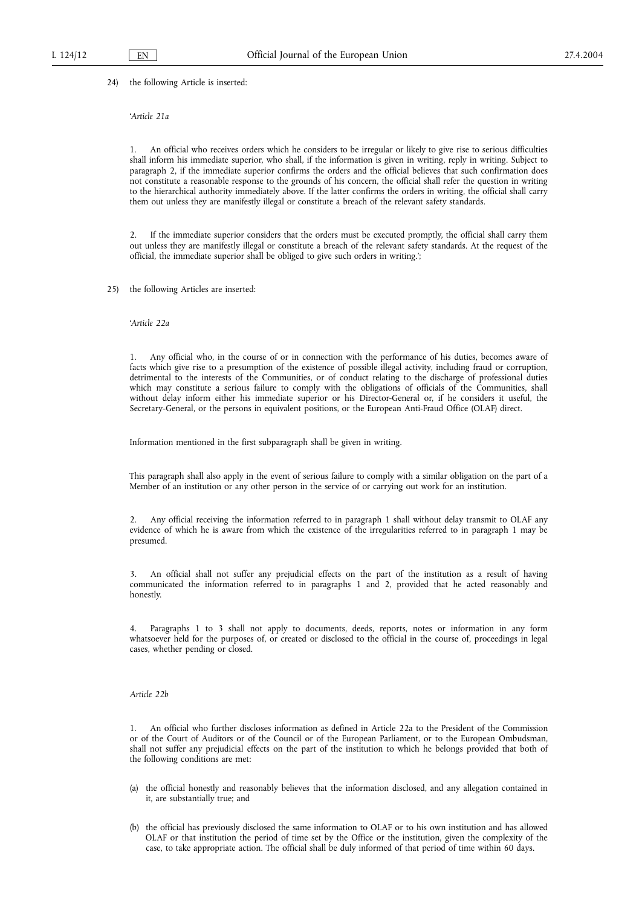24) the following Article is inserted:

#### '*Article 21a*

1. An official who receives orders which he considers to be irregular or likely to give rise to serious difficulties shall inform his immediate superior, who shall, if the information is given in writing, reply in writing. Subject to paragraph 2, if the immediate superior confirms the orders and the official believes that such confirmation does not constitute a reasonable response to the grounds of his concern, the official shall refer the question in writing to the hierarchical authority immediately above. If the latter confirms the orders in writing, the official shall carry them out unless they are manifestly illegal or constitute a breach of the relevant safety standards.

2. If the immediate superior considers that the orders must be executed promptly, the official shall carry them out unless they are manifestly illegal or constitute a breach of the relevant safety standards. At the request of the official, the immediate superior shall be obliged to give such orders in writing.';

25) the following Articles are inserted:

'*Article 22a*

1. Any official who, in the course of or in connection with the performance of his duties, becomes aware of facts which give rise to a presumption of the existence of possible illegal activity, including fraud or corruption, detrimental to the interests of the Communities, or of conduct relating to the discharge of professional duties which may constitute a serious failure to comply with the obligations of officials of the Communities, shall without delay inform either his immediate superior or his Director-General or, if he considers it useful, the Secretary-General, or the persons in equivalent positions, or the European Anti-Fraud Office (OLAF) direct.

Information mentioned in the first subparagraph shall be given in writing.

This paragraph shall also apply in the event of serious failure to comply with a similar obligation on the part of a Member of an institution or any other person in the service of or carrying out work for an institution.

2. Any official receiving the information referred to in paragraph 1 shall without delay transmit to OLAF any evidence of which he is aware from which the existence of the irregularities referred to in paragraph 1 may be presumed.

3. An official shall not suffer any prejudicial effects on the part of the institution as a result of having communicated the information referred to in paragraphs 1 and 2, provided that he acted reasonably and honestly.

4. Paragraphs 1 to 3 shall not apply to documents, deeds, reports, notes or information in any form whatsoever held for the purposes of, or created or disclosed to the official in the course of, proceedings in legal cases, whether pending or closed.

#### *Article 22b*

1. An official who further discloses information as defined in Article 22a to the President of the Commission or of the Court of Auditors or of the Council or of the European Parliament, or to the European Ombudsman, shall not suffer any prejudicial effects on the part of the institution to which he belongs provided that both of the following conditions are met:

- (a) the official honestly and reasonably believes that the information disclosed, and any allegation contained in it, are substantially true; and
- (b) the official has previously disclosed the same information to OLAF or to his own institution and has allowed OLAF or that institution the period of time set by the Office or the institution, given the complexity of the case, to take appropriate action. The official shall be duly informed of that period of time within 60 days.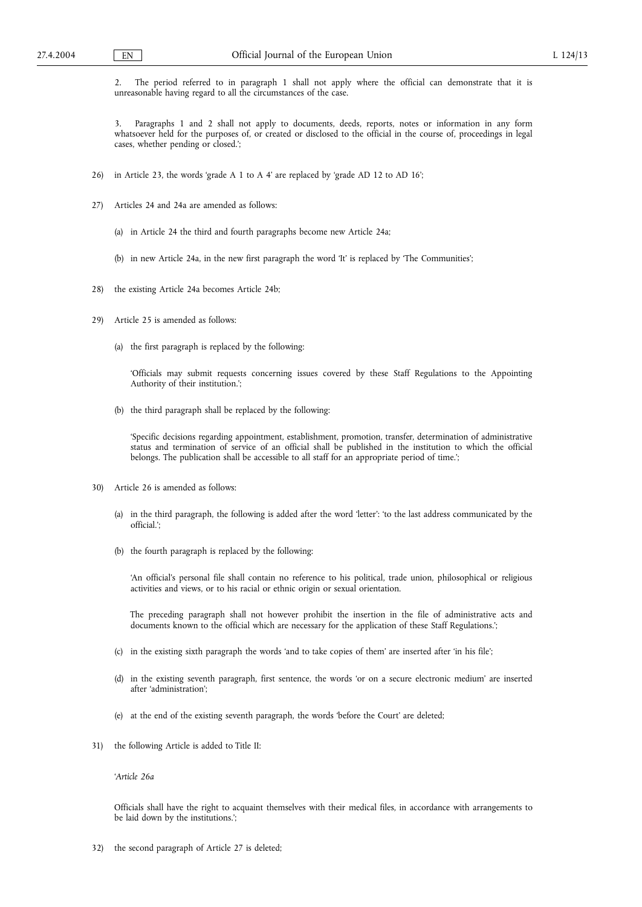2. The period referred to in paragraph 1 shall not apply where the official can demonstrate that it is unreasonable having regard to all the circumstances of the case.

3. Paragraphs 1 and 2 shall not apply to documents, deeds, reports, notes or information in any form whatsoever held for the purposes of, or created or disclosed to the official in the course of, proceedings in legal cases, whether pending or closed.';

- 26) in Article 23, the words 'grade A 1 to A 4' are replaced by 'grade AD 12 to AD 16';
- 27) Articles 24 and 24a are amended as follows:
	- (a) in Article 24 the third and fourth paragraphs become new Article 24a;
	- (b) in new Article 24a, in the new first paragraph the word 'It' is replaced by 'The Communities';
- 28) the existing Article 24a becomes Article 24b;
- 29) Article 25 is amended as follows:
	- (a) the first paragraph is replaced by the following:

'Officials may submit requests concerning issues covered by these Staff Regulations to the Appointing Authority of their institution.';

(b) the third paragraph shall be replaced by the following:

'Specific decisions regarding appointment, establishment, promotion, transfer, determination of administrative status and termination of service of an official shall be published in the institution to which the official belongs. The publication shall be accessible to all staff for an appropriate period of time.';

- 30) Article 26 is amended as follows:
	- (a) in the third paragraph, the following is added after the word 'letter': 'to the last address communicated by the official.';
	- (b) the fourth paragraph is replaced by the following:

'An official's personal file shall contain no reference to his political, trade union, philosophical or religious activities and views, or to his racial or ethnic origin or sexual orientation.

The preceding paragraph shall not however prohibit the insertion in the file of administrative acts and documents known to the official which are necessary for the application of these Staff Regulations.';

- (c) in the existing sixth paragraph the words 'and to take copies of them' are inserted after 'in his file';
- (d) in the existing seventh paragraph, first sentence, the words 'or on a secure electronic medium' are inserted after 'administration';
- (e) at the end of the existing seventh paragraph, the words 'before the Court' are deleted;
- 31) the following Article is added to Title II:

'*Article 26a*

Officials shall have the right to acquaint themselves with their medical files, in accordance with arrangements to be laid down by the institutions.';

32) the second paragraph of Article 27 is deleted;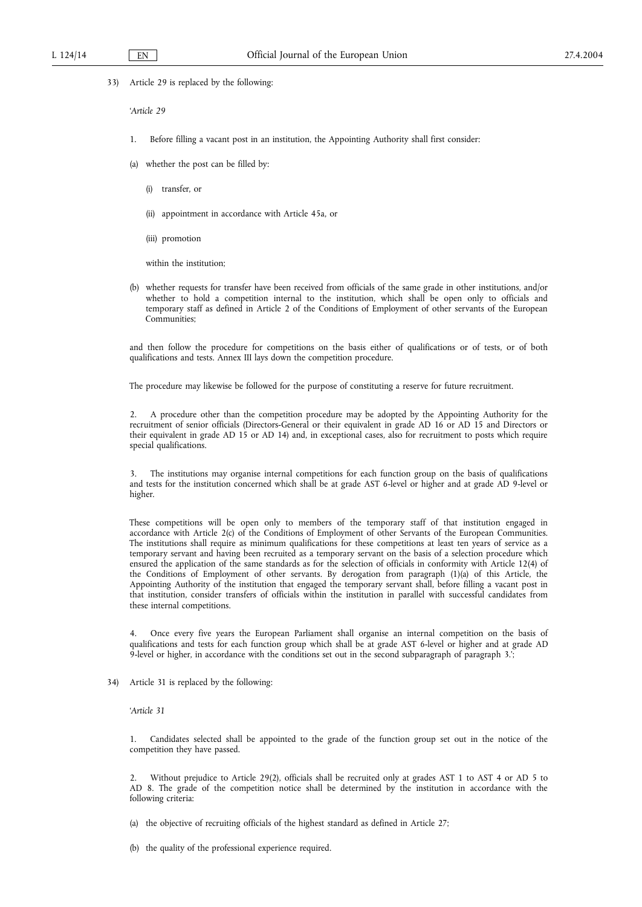33) Article 29 is replaced by the following:

'*Article 29*

- 1. Before filling a vacant post in an institution, the Appointing Authority shall first consider:
- (a) whether the post can be filled by:
	- (i) transfer, or
	- (ii) appointment in accordance with Article 45a, or
	- (iii) promotion

within the institution;

(b) whether requests for transfer have been received from officials of the same grade in other institutions, and/or whether to hold a competition internal to the institution, which shall be open only to officials and temporary staff as defined in Article 2 of the Conditions of Employment of other servants of the European Communities;

and then follow the procedure for competitions on the basis either of qualifications or of tests, or of both qualifications and tests. Annex III lays down the competition procedure.

The procedure may likewise be followed for the purpose of constituting a reserve for future recruitment.

2. A procedure other than the competition procedure may be adopted by the Appointing Authority for the recruitment of senior officials (Directors-General or their equivalent in grade AD 16 or AD 15 and Directors or their equivalent in grade AD 15 or AD 14) and, in exceptional cases, also for recruitment to posts which require special qualifications.

3. The institutions may organise internal competitions for each function group on the basis of qualifications and tests for the institution concerned which shall be at grade AST 6-level or higher and at grade AD 9-level or higher.

These competitions will be open only to members of the temporary staff of that institution engaged in accordance with Article 2(c) of the Conditions of Employment of other Servants of the European Communities. The institutions shall require as minimum qualifications for these competitions at least ten years of service as a temporary servant and having been recruited as a temporary servant on the basis of a selection procedure which ensured the application of the same standards as for the selection of officials in conformity with Article 12(4) of the Conditions of Employment of other servants. By derogation from paragraph (1)(a) of this Article, the Appointing Authority of the institution that engaged the temporary servant shall, before filling a vacant post in that institution, consider transfers of officials within the institution in parallel with successful candidates from these internal competitions.

4. Once every five years the European Parliament shall organise an internal competition on the basis of qualifications and tests for each function group which shall be at grade AST 6-level or higher and at grade AD 9-level or higher, in accordance with the conditions set out in the second subparagraph of paragraph 3.';

34) Article 31 is replaced by the following:

'*Article 31*

1. Candidates selected shall be appointed to the grade of the function group set out in the notice of the competition they have passed.

2. Without prejudice to Article 29(2), officials shall be recruited only at grades AST 1 to AST 4 or AD 5 to AD 8. The grade of the competition notice shall be determined by the institution in accordance with the following criteria:

- (a) the objective of recruiting officials of the highest standard as defined in Article 27;
- (b) the quality of the professional experience required.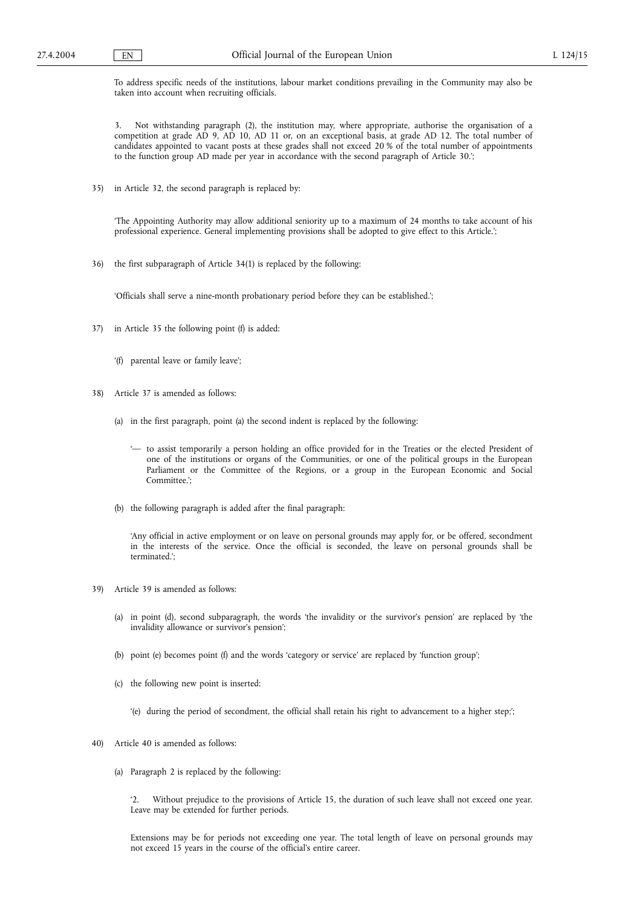To address specific needs of the institutions, labour market conditions prevailing in the Community may also be taken into account when recruiting officials.

3. Not withstanding paragraph (2), the institution may, where appropriate, authorise the organisation of a competition at grade AD 9, AD 10, AD 11 or, on an exceptional basis, at grade AD 12. The total number of candidates appointed to vacant posts at these grades shall not exceed 20 % of the total number of appointments to the function group AD made per year in accordance with the second paragraph of Article 30.';

35) in Article 32, the second paragraph is replaced by:

'The Appointing Authority may allow additional seniority up to a maximum of 24 months to take account of his professional experience. General implementing provisions shall be adopted to give effect to this Article.';

36) the first subparagraph of Article 34(1) is replaced by the following:

'Officials shall serve a nine-month probationary period before they can be established.';

- 37) in Article 35 the following point (f) is added:
	- '(f) parental leave or family leave';
- 38) Article 37 is amended as follows:
	- (a) in the first paragraph, point (a) the second indent is replaced by the following:
		- '— to assist temporarily a person holding an office provided for in the Treaties or the elected President of one of the institutions or organs of the Communities, or one of the political groups in the European Parliament or the Committee of the Regions, or a group in the European Economic and Social Committee.';
	- (b) the following paragraph is added after the final paragraph:

'Any official in active employment or on leave on personal grounds may apply for, or be offered, secondment in the interests of the service. Once the official is seconded, the leave on personal grounds shall be terminated.';

- 39) Article 39 is amended as follows:
	- (a) in point (d), second subparagraph, the words 'the invalidity or the survivor's pension' are replaced by 'the invalidity allowance or survivor's pension';
	- (b) point (e) becomes point (f) and the words 'category or service' are replaced by 'function group';
	- (c) the following new point is inserted:
		- '(e) during the period of secondment, the official shall retain his right to advancement to a higher step;';
- 40) Article 40 is amended as follows:
	- (a) Paragraph 2 is replaced by the following:

'2. Without prejudice to the provisions of Article 15, the duration of such leave shall not exceed one year. Leave may be extended for further periods.

Extensions may be for periods not exceeding one year. The total length of leave on personal grounds may not exceed 15 years in the course of the official's entire career.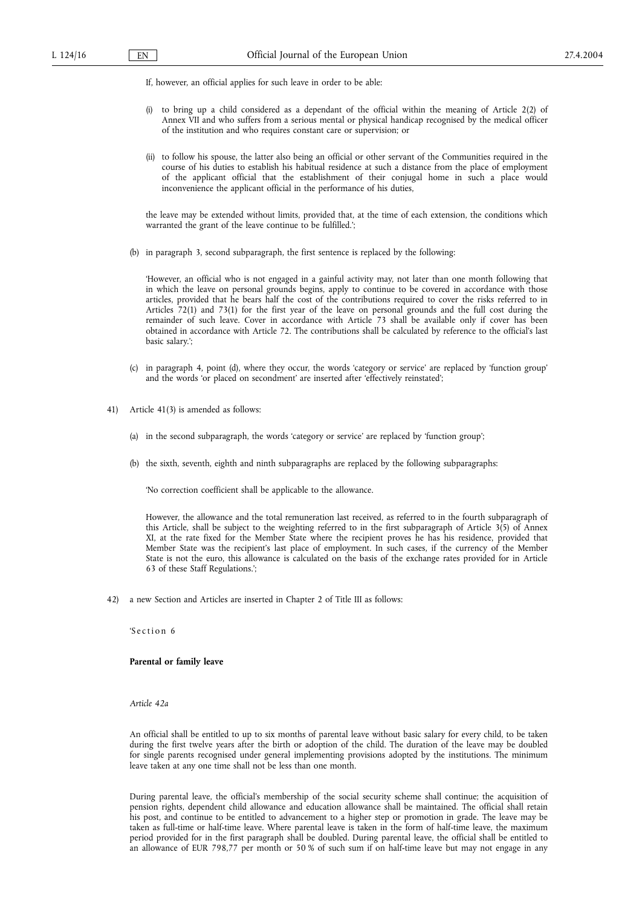If, however, an official applies for such leave in order to be able:

- (i) to bring up a child considered as a dependant of the official within the meaning of Article 2(2) of Annex VII and who suffers from a serious mental or physical handicap recognised by the medical officer of the institution and who requires constant care or supervision; or
- (ii) to follow his spouse, the latter also being an official or other servant of the Communities required in the course of his duties to establish his habitual residence at such a distance from the place of employment of the applicant official that the establishment of their conjugal home in such a place would inconvenience the applicant official in the performance of his duties,

the leave may be extended without limits, provided that, at the time of each extension, the conditions which warranted the grant of the leave continue to be fulfilled.';

(b) in paragraph 3, second subparagraph, the first sentence is replaced by the following:

'However, an official who is not engaged in a gainful activity may, not later than one month following that in which the leave on personal grounds begins, apply to continue to be covered in accordance with those articles, provided that he bears half the cost of the contributions required to cover the risks referred to in Articles 72(1) and 73(1) for the first year of the leave on personal grounds and the full cost during the remainder of such leave. Cover in accordance with Article 73 shall be available only if cover has been obtained in accordance with Article 72. The contributions shall be calculated by reference to the official's last basic salary.';

- (c) in paragraph 4, point (d), where they occur, the words 'category or service' are replaced by 'function group' and the words 'or placed on secondment' are inserted after 'effectively reinstated';
- 41) Article 41(3) is amended as follows:
	- (a) in the second subparagraph, the words 'category or service' are replaced by 'function group';
	- (b) the sixth, seventh, eighth and ninth subparagraphs are replaced by the following subparagraphs:

'No correction coefficient shall be applicable to the allowance.

However, the allowance and the total remuneration last received, as referred to in the fourth subparagraph of this Article, shall be subject to the weighting referred to in the first subparagraph of Article 3(5) of Annex XI, at the rate fixed for the Member State where the recipient proves he has his residence, provided that Member State was the recipient's last place of employment. In such cases, if the currency of the Member State is not the euro, this allowance is calculated on the basis of the exchange rates provided for in Article 63 of these Staff Regulations.';

42) a new Section and Articles are inserted in Chapter 2 of Title III as follows:

'S ection 6

### **Parental or family leave**

*Article 42a*

An official shall be entitled to up to six months of parental leave without basic salary for every child, to be taken during the first twelve years after the birth or adoption of the child. The duration of the leave may be doubled for single parents recognised under general implementing provisions adopted by the institutions. The minimum leave taken at any one time shall not be less than one month.

During parental leave, the official's membership of the social security scheme shall continue; the acquisition of pension rights, dependent child allowance and education allowance shall be maintained. The official shall retain his post, and continue to be entitled to advancement to a higher step or promotion in grade. The leave may be taken as full-time or half-time leave. Where parental leave is taken in the form of half-time leave, the maximum period provided for in the first paragraph shall be doubled. During parental leave, the official shall be entitled to an allowance of EUR 798,77 per month or 50 % of such sum if on half-time leave but may not engage in any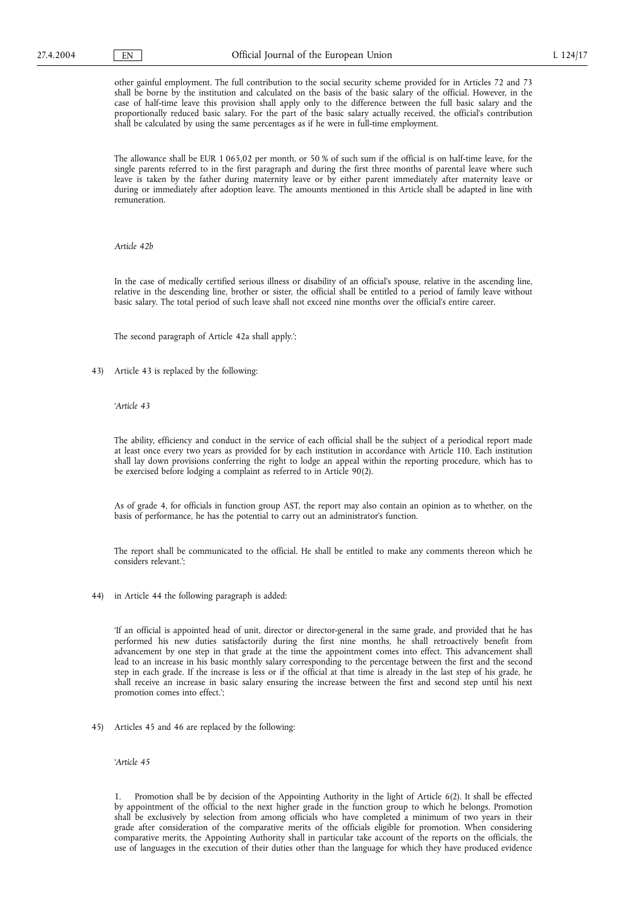other gainful employment. The full contribution to the social security scheme provided for in Articles 72 and 73 shall be borne by the institution and calculated on the basis of the basic salary of the official. However, in the case of half-time leave this provision shall apply only to the difference between the full basic salary and the proportionally reduced basic salary. For the part of the basic salary actually received, the official's contribution shall be calculated by using the same percentages as if he were in full-time employment.

The allowance shall be EUR 1 065,02 per month, or 50 % of such sum if the official is on half-time leave, for the single parents referred to in the first paragraph and during the first three months of parental leave where such leave is taken by the father during maternity leave or by either parent immediately after maternity leave or during or immediately after adoption leave. The amounts mentioned in this Article shall be adapted in line with remuneration.

*Article 42b*

In the case of medically certified serious illness or disability of an official's spouse, relative in the ascending line, relative in the descending line, brother or sister, the official shall be entitled to a period of family leave without basic salary. The total period of such leave shall not exceed nine months over the official's entire career.

The second paragraph of Article 42a shall apply.';

43) Article 43 is replaced by the following:

# '*Article 43*

The ability, efficiency and conduct in the service of each official shall be the subject of a periodical report made at least once every two years as provided for by each institution in accordance with Article 110. Each institution shall lay down provisions conferring the right to lodge an appeal within the reporting procedure, which has to be exercised before lodging a complaint as referred to in Article 90(2).

As of grade 4, for officials in function group AST, the report may also contain an opinion as to whether, on the basis of performance, he has the potential to carry out an administrator's function.

The report shall be communicated to the official. He shall be entitled to make any comments thereon which he considers relevant.';

44) in Article 44 the following paragraph is added:

'If an official is appointed head of unit, director or director-general in the same grade, and provided that he has performed his new duties satisfactorily during the first nine months, he shall retroactively benefit from advancement by one step in that grade at the time the appointment comes into effect. This advancement shall lead to an increase in his basic monthly salary corresponding to the percentage between the first and the second step in each grade. If the increase is less or if the official at that time is already in the last step of his grade, he shall receive an increase in basic salary ensuring the increase between the first and second step until his next promotion comes into effect.';

45) Articles 45 and 46 are replaced by the following:

'*Article 45*

1. Promotion shall be by decision of the Appointing Authority in the light of Article 6(2). It shall be effected by appointment of the official to the next higher grade in the function group to which he belongs. Promotion shall be exclusively by selection from among officials who have completed a minimum of two years in their grade after consideration of the comparative merits of the officials eligible for promotion. When considering comparative merits, the Appointing Authority shall in particular take account of the reports on the officials, the use of languages in the execution of their duties other than the language for which they have produced evidence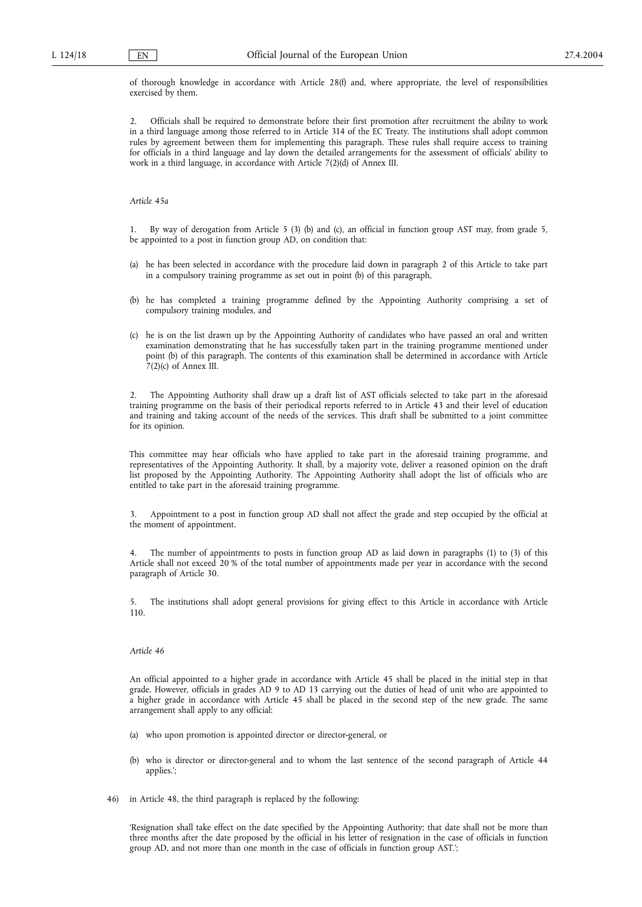of thorough knowledge in accordance with Article 28(f) and, where appropriate, the level of responsibilities exercised by them.

2. Officials shall be required to demonstrate before their first promotion after recruitment the ability to work in a third language among those referred to in Article 314 of the EC Treaty. The institutions shall adopt common rules by agreement between them for implementing this paragraph. These rules shall require access to training for officials in a third language and lay down the detailed arrangements for the assessment of officials' ability to work in a third language, in accordance with Article 7(2)(d) of Annex III.

*Article 45a*

1. By way of derogation from Article 5 (3) (b) and (c), an official in function group AST may, from grade 5, be appointed to a post in function group AD, on condition that:

- (a) he has been selected in accordance with the procedure laid down in paragraph 2 of this Article to take part in a compulsory training programme as set out in point (b) of this paragraph,
- (b) he has completed a training programme defined by the Appointing Authority comprising a set of compulsory training modules, and
- (c) he is on the list drawn up by the Appointing Authority of candidates who have passed an oral and written examination demonstrating that he has successfully taken part in the training programme mentioned under point (b) of this paragraph. The contents of this examination shall be determined in accordance with Article  $7(2)(c)$  of Annex III.

2. The Appointing Authority shall draw up a draft list of AST officials selected to take part in the aforesaid training programme on the basis of their periodical reports referred to in Article 43 and their level of education and training and taking account of the needs of the services. This draft shall be submitted to a joint committee for its opinion.

This committee may hear officials who have applied to take part in the aforesaid training programme, and representatives of the Appointing Authority. It shall, by a majority vote, deliver a reasoned opinion on the draft list proposed by the Appointing Authority. The Appointing Authority shall adopt the list of officials who are entitled to take part in the aforesaid training programme.

3. Appointment to a post in function group AD shall not affect the grade and step occupied by the official at the moment of appointment.

The number of appointments to posts in function group AD as laid down in paragraphs (1) to (3) of this Article shall not exceed 20 % of the total number of appointments made per year in accordance with the second paragraph of Article 30.

5. The institutions shall adopt general provisions for giving effect to this Article in accordance with Article 110.

#### *Article 46*

An official appointed to a higher grade in accordance with Article 45 shall be placed in the initial step in that grade. However, officials in grades AD 9 to AD 13 carrying out the duties of head of unit who are appointed to a higher grade in accordance with Article 45 shall be placed in the second step of the new grade. The same arrangement shall apply to any official:

- (a) who upon promotion is appointed director or director-general, or
- (b) who is director or director-general and to whom the last sentence of the second paragraph of Article 44 applies.';
- 46) in Article 48, the third paragraph is replaced by the following:

'Resignation shall take effect on the date specified by the Appointing Authority; that date shall not be more than three months after the date proposed by the official in his letter of resignation in the case of officials in function group AD, and not more than one month in the case of officials in function group AST.';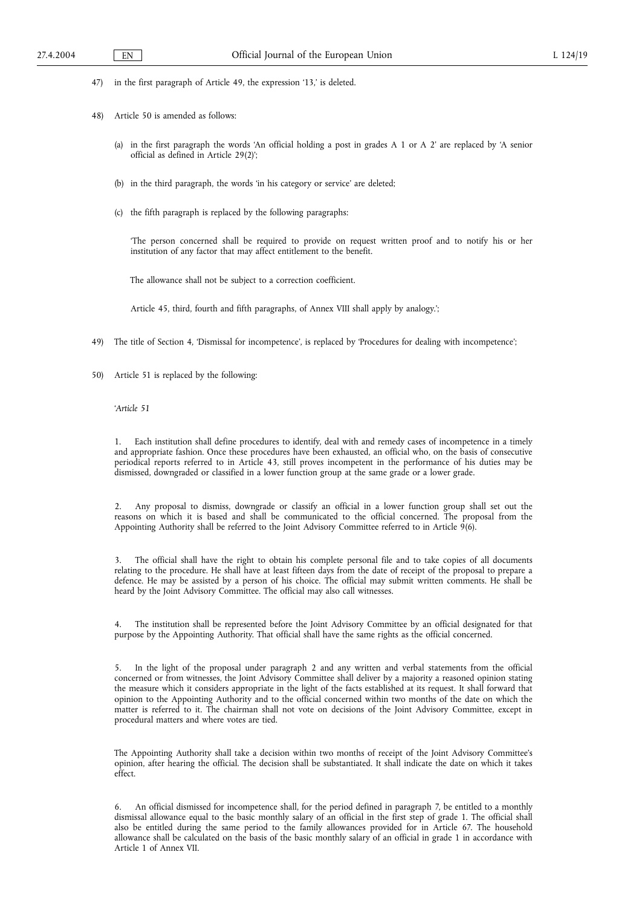- 47) in the first paragraph of Article 49, the expression '13,' is deleted.
- 48) Article 50 is amended as follows:
	- (a) in the first paragraph the words 'An official holding a post in grades A 1 or A 2' are replaced by 'A senior official as defined in Article 29(2)';
	- (b) in the third paragraph, the words 'in his category or service' are deleted;
	- (c) the fifth paragraph is replaced by the following paragraphs:

'The person concerned shall be required to provide on request written proof and to notify his or her institution of any factor that may affect entitlement to the benefit.

The allowance shall not be subject to a correction coefficient.

Article 45, third, fourth and fifth paragraphs, of Annex VIII shall apply by analogy.';

- 49) The title of Section 4, 'Dismissal for incompetence', is replaced by 'Procedures for dealing with incompetence';
- 50) Article 51 is replaced by the following:

# '*Article 51*

1. Each institution shall define procedures to identify, deal with and remedy cases of incompetence in a timely and appropriate fashion. Once these procedures have been exhausted, an official who, on the basis of consecutive periodical reports referred to in Article 43, still proves incompetent in the performance of his duties may be dismissed, downgraded or classified in a lower function group at the same grade or a lower grade.

2. Any proposal to dismiss, downgrade or classify an official in a lower function group shall set out the reasons on which it is based and shall be communicated to the official concerned. The proposal from the Appointing Authority shall be referred to the Joint Advisory Committee referred to in Article  $9(6)$ .

3. The official shall have the right to obtain his complete personal file and to take copies of all documents relating to the procedure. He shall have at least fifteen days from the date of receipt of the proposal to prepare a defence. He may be assisted by a person of his choice. The official may submit written comments. He shall be heard by the Joint Advisory Committee. The official may also call witnesses.

4. The institution shall be represented before the Joint Advisory Committee by an official designated for that purpose by the Appointing Authority. That official shall have the same rights as the official concerned.

5. In the light of the proposal under paragraph 2 and any written and verbal statements from the official concerned or from witnesses, the Joint Advisory Committee shall deliver by a majority a reasoned opinion stating the measure which it considers appropriate in the light of the facts established at its request. It shall forward that opinion to the Appointing Authority and to the official concerned within two months of the date on which the matter is referred to it. The chairman shall not vote on decisions of the Joint Advisory Committee, except in procedural matters and where votes are tied.

The Appointing Authority shall take a decision within two months of receipt of the Joint Advisory Committee's opinion, after hearing the official. The decision shall be substantiated. It shall indicate the date on which it takes effect.

6. An official dismissed for incompetence shall, for the period defined in paragraph 7, be entitled to a monthly dismissal allowance equal to the basic monthly salary of an official in the first step of grade 1. The official shall also be entitled during the same period to the family allowances provided for in Article 67. The household allowance shall be calculated on the basis of the basic monthly salary of an official in grade 1 in accordance with Article 1 of Annex VII.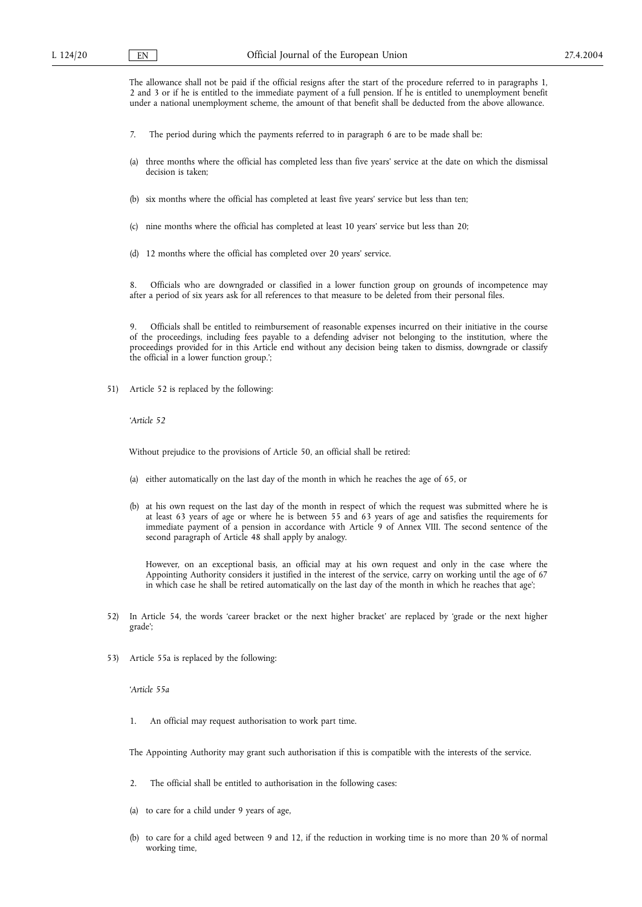The allowance shall not be paid if the official resigns after the start of the procedure referred to in paragraphs 1, 2 and 3 or if he is entitled to the immediate payment of a full pension. If he is entitled to unemployment benefit under a national unemployment scheme, the amount of that benefit shall be deducted from the above allowance.

- 7. The period during which the payments referred to in paragraph 6 are to be made shall be:
- (a) three months where the official has completed less than five years' service at the date on which the dismissal decision is taken;
- (b) six months where the official has completed at least five years' service but less than ten;
- (c) nine months where the official has completed at least 10 years' service but less than 20;
- (d) 12 months where the official has completed over 20 years' service.

8. Officials who are downgraded or classified in a lower function group on grounds of incompetence may after a period of six years ask for all references to that measure to be deleted from their personal files.

9. Officials shall be entitled to reimbursement of reasonable expenses incurred on their initiative in the course of the proceedings, including fees payable to a defending adviser not belonging to the institution, where the proceedings provided for in this Article end without any decision being taken to dismiss, downgrade or classify the official in a lower function group.';

51) Article 52 is replaced by the following:

'*Article 52*

Without prejudice to the provisions of Article 50, an official shall be retired:

- (a) either automatically on the last day of the month in which he reaches the age of 65, or
- (b) at his own request on the last day of the month in respect of which the request was submitted where he is at least 63 years of age or where he is between 55 and 63 years of age and satisfies the requirements for immediate payment of a pension in accordance with Article 9 of Annex VIII. The second sentence of the second paragraph of Article 48 shall apply by analogy.

However, on an exceptional basis, an official may at his own request and only in the case where the Appointing Authority considers it justified in the interest of the service, carry on working until the age of 67 in which case he shall be retired automatically on the last day of the month in which he reaches that age';

- 52) In Article 54, the words 'career bracket or the next higher bracket' are replaced by 'grade or the next higher grade';
- 53) Article 55a is replaced by the following:

'*Article 55a*

1. An official may request authorisation to work part time.

The Appointing Authority may grant such authorisation if this is compatible with the interests of the service.

- 2. The official shall be entitled to authorisation in the following cases:
- (a) to care for a child under 9 years of age,
- (b) to care for a child aged between 9 and 12, if the reduction in working time is no more than 20 % of normal working time,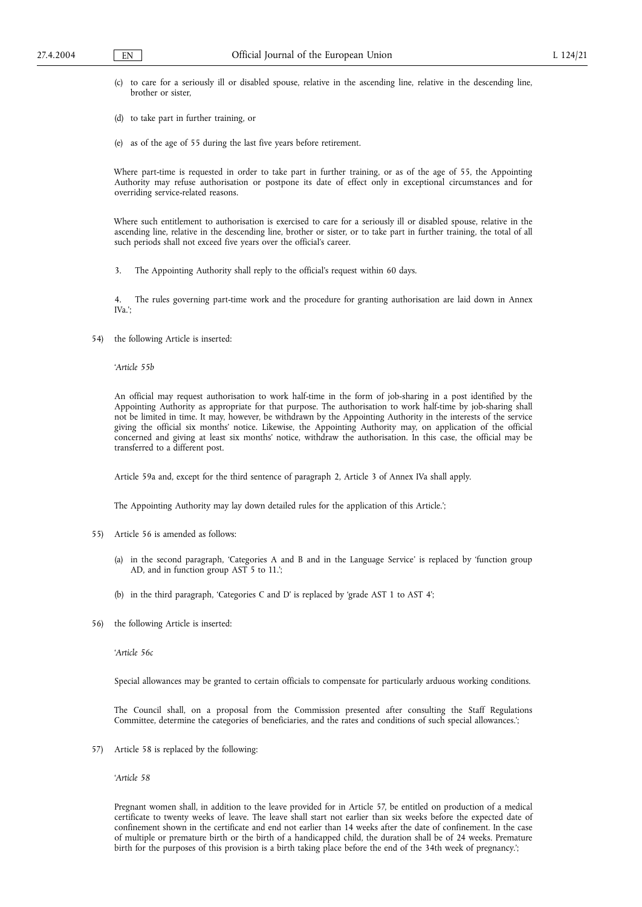- (c) to care for a seriously ill or disabled spouse, relative in the ascending line, relative in the descending line, brother or sister,
- (d) to take part in further training, or
- (e) as of the age of 55 during the last five years before retirement.

Where part-time is requested in order to take part in further training, or as of the age of 55, the Appointing Authority may refuse authorisation or postpone its date of effect only in exceptional circumstances and for overriding service-related reasons.

Where such entitlement to authorisation is exercised to care for a seriously ill or disabled spouse, relative in the ascending line, relative in the descending line, brother or sister, or to take part in further training, the total of all such periods shall not exceed five years over the official's career.

3. The Appointing Authority shall reply to the official's request within 60 days.

4. The rules governing part-time work and the procedure for granting authorisation are laid down in Annex IVa.';

54) the following Article is inserted:

'*Article 55b*

An official may request authorisation to work half-time in the form of job-sharing in a post identified by the Appointing Authority as appropriate for that purpose. The authorisation to work half-time by job-sharing shall not be limited in time. It may, however, be withdrawn by the Appointing Authority in the interests of the service giving the official six months' notice. Likewise, the Appointing Authority may, on application of the official concerned and giving at least six months' notice, withdraw the authorisation. In this case, the official may be transferred to a different post.

Article 59a and, except for the third sentence of paragraph 2, Article 3 of Annex IVa shall apply.

The Appointing Authority may lay down detailed rules for the application of this Article.';

- 55) Article 56 is amended as follows:
	- (a) in the second paragraph, 'Categories A and B and in the Language Service' is replaced by 'function group AD, and in function group AST 5 to 11.';
	- (b) in the third paragraph, 'Categories C and D' is replaced by 'grade AST 1 to AST 4';
- 56) the following Article is inserted:

'*Article 56c*

Special allowances may be granted to certain officials to compensate for particularly arduous working conditions.

The Council shall, on a proposal from the Commission presented after consulting the Staff Regulations Committee, determine the categories of beneficiaries, and the rates and conditions of such special allowances.';

57) Article 58 is replaced by the following:

'*Article 58*

Pregnant women shall, in addition to the leave provided for in Article 57, be entitled on production of a medical certificate to twenty weeks of leave. The leave shall start not earlier than six weeks before the expected date of confinement shown in the certificate and end not earlier than 14 weeks after the date of confinement. In the case of multiple or premature birth or the birth of a handicapped child, the duration shall be of 24 weeks. Premature birth for the purposes of this provision is a birth taking place before the end of the 34th week of pregnancy.';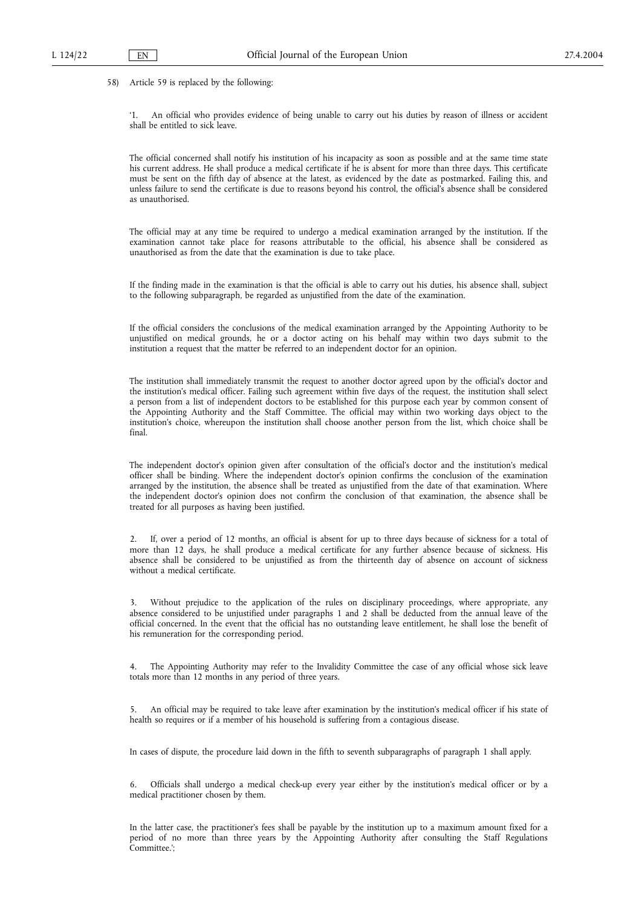58) Article 59 is replaced by the following:

'1. An official who provides evidence of being unable to carry out his duties by reason of illness or accident shall be entitled to sick leave.

The official concerned shall notify his institution of his incapacity as soon as possible and at the same time state his current address. He shall produce a medical certificate if he is absent for more than three days. This certificate must be sent on the fifth day of absence at the latest, as evidenced by the date as postmarked. Failing this, and unless failure to send the certificate is due to reasons beyond his control, the official's absence shall be considered as unauthorised.

The official may at any time be required to undergo a medical examination arranged by the institution. If the examination cannot take place for reasons attributable to the official, his absence shall be considered as unauthorised as from the date that the examination is due to take place.

If the finding made in the examination is that the official is able to carry out his duties, his absence shall, subject to the following subparagraph, be regarded as unjustified from the date of the examination.

If the official considers the conclusions of the medical examination arranged by the Appointing Authority to be unjustified on medical grounds, he or a doctor acting on his behalf may within two days submit to the institution a request that the matter be referred to an independent doctor for an opinion.

The institution shall immediately transmit the request to another doctor agreed upon by the official's doctor and the institution's medical officer. Failing such agreement within five days of the request, the institution shall select a person from a list of independent doctors to be established for this purpose each year by common consent of the Appointing Authority and the Staff Committee. The official may within two working days object to the institution's choice, whereupon the institution shall choose another person from the list, which choice shall be final.

The independent doctor's opinion given after consultation of the official's doctor and the institution's medical officer shall be binding. Where the independent doctor's opinion confirms the conclusion of the examination arranged by the institution, the absence shall be treated as unjustified from the date of that examination. Where the independent doctor's opinion does not confirm the conclusion of that examination, the absence shall be treated for all purposes as having been justified.

2. If, over a period of 12 months, an official is absent for up to three days because of sickness for a total of more than 12 days, he shall produce a medical certificate for any further absence because of sickness. His absence shall be considered to be unjustified as from the thirteenth day of absence on account of sickness without a medical certificate.

3. Without prejudice to the application of the rules on disciplinary proceedings, where appropriate, any absence considered to be unjustified under paragraphs 1 and 2 shall be deducted from the annual leave of the official concerned. In the event that the official has no outstanding leave entitlement, he shall lose the benefit of his remuneration for the corresponding period.

4. The Appointing Authority may refer to the Invalidity Committee the case of any official whose sick leave totals more than 12 months in any period of three years.

5. An official may be required to take leave after examination by the institution's medical officer if his state of health so requires or if a member of his household is suffering from a contagious disease.

In cases of dispute, the procedure laid down in the fifth to seventh subparagraphs of paragraph 1 shall apply.

6. Officials shall undergo a medical check-up every year either by the institution's medical officer or by a medical practitioner chosen by them.

In the latter case, the practitioner's fees shall be payable by the institution up to a maximum amount fixed for a period of no more than three years by the Appointing Authority after consulting the Staff Regulations Committee.';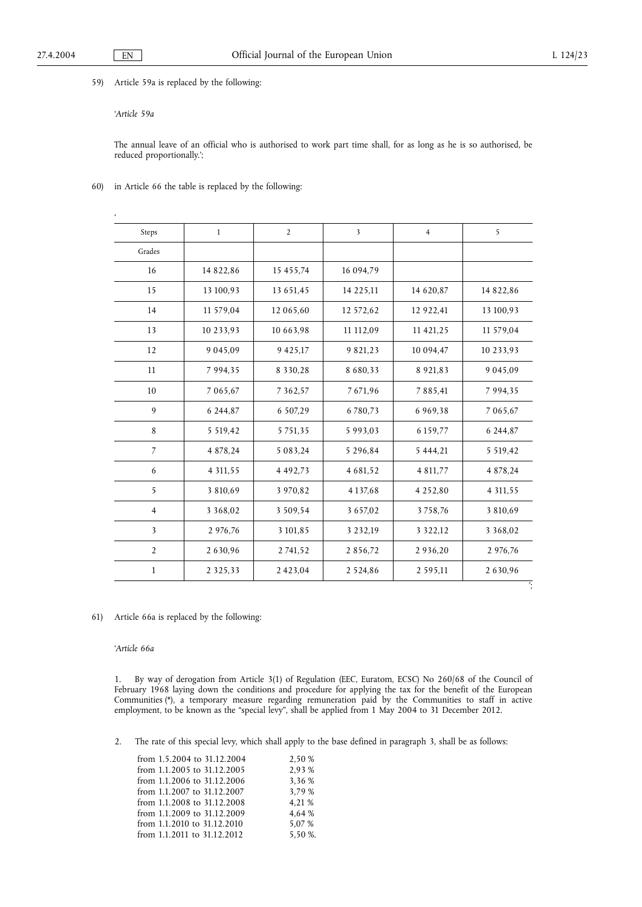59) Article 59a is replaced by the following:

# '*Article 59a*

 $\ddot{\phantom{1}}$ 

The annual leave of an official who is authorised to work part time shall, for as long as he is so authorised, be reduced proportionally.';

60) in Article 66 the table is replaced by the following:

| Steps          | $\mathbf{1}$  | $\overline{2}$ | $\overline{\mathbf{3}}$ | $\overline{4}$ | 5             |
|----------------|---------------|----------------|-------------------------|----------------|---------------|
| Grades         |               |                |                         |                |               |
| 16             | 14 822,86     | 15 455,74      | 16 094,79               |                |               |
| 15             | 13 100,93     | 13 651,45      | 14 225,11               | 14 620,87      | 14 822,86     |
| 14             | 11 579,04     | 12 065,60      | 12 572,62               | 12 922,41      | 13 100,93     |
| 13             | 10 233,93     | 10 663,98      | 11 112,09               | 11 421,25      | 11 579,04     |
| 12             | 9 045,09      | 9 4 2 5 , 1 7  | 9 821,23                | 10 094,47      | 10 233,93     |
| 11             | 7 9 9 4 , 3 5 | 8 3 3 0 , 2 8  | 8 6 8 0 , 3 3           | 8 9 21, 83     | 9 0 4 5 .09   |
| 10             | 7 065,67      | 7 3 6 2, 5 7   | 7671,96                 | 7 8 8 5 , 4 1  | 7 9 9 4 , 3 5 |
| 9              | 6 244,87      | 6 507,29       | 6780,73                 | 6 9 6 9, 38    | 7 065,67      |
| 8              | 5 5 19,42     | 5 7 5 1 , 3 5  | 5 9 9 3 . 0 3           | 6 159,77       | 6 244,87      |
| $\overline{7}$ | 4 878,24      | 5 083,24       | 5 296,84                | 5 4 4 4 , 2 1  | 5 5 19,42     |
| 6              | 4 3 1 1 , 5 5 | 4 4 9 2 , 7 3  | 4 681,52                | 4 811,77       | 4 878,24      |
| 5              | 3 810,69      | 3 970,82       | 4 1 3 7, 6 8            | 4 2 5 2,80     | 4 3 1 1 , 5 5 |
| $\overline{4}$ | 3 3 6 8 , 0 2 | 3 509,54       | 3 6 5 7,02              | 3758,76        | 3 810,69      |
| 3              | 2 976,76      | 3 101,85       | 3 2 3 2, 19             | 3 3 2 2 , 1 2  | 3 3 6 8 , 0 2 |
| $\overline{2}$ | 2 630,96      | 2 741,52       | 2856,72                 | 2 9 3 6, 20    | 2 976,76      |
| $\mathbf{1}$   | 2 3 2 5 , 3 3 | 2423,04        | 2 5 2 4 , 8 6           | 2 5 9 5 , 1 1  | 2 630,96      |

61) Article 66a is replaced by the following:

'*Article 66a*

1. By way of derogation from Article 3(1) of Regulation (EEC, Euratom, ECSC) No 260/68 of the Council of February 1968 laying down the conditions and procedure for applying the tax for the benefit of the European Communities (\*), a temporary measure regarding remuneration paid by the Communities to staff in active employment, to be known as the "special levy", shall be applied from 1 May 2004 to 31 December 2012.

2. The rate of this special levy, which shall apply to the base defined in paragraph 3, shall be as follows:

| from 1.5.2004 to 31.12.2004 | 2.50 %  |
|-----------------------------|---------|
| from 1.1.2005 to 31.12.2005 | 2.93 %  |
| from 1.1.2006 to 31.12.2006 | 3.36 %  |
| from 1.1.2007 to 31.12.2007 | 3.79 %  |
| from 1.1.2008 to 31.12.2008 | 4,21 %  |
| from 1.1.2009 to 31.12.2009 | 4.64 %  |
| from 1.1.2010 to 31.12.2010 | 5,07 %  |
| from 1.1.2011 to 31.12.2012 | 5.50 %. |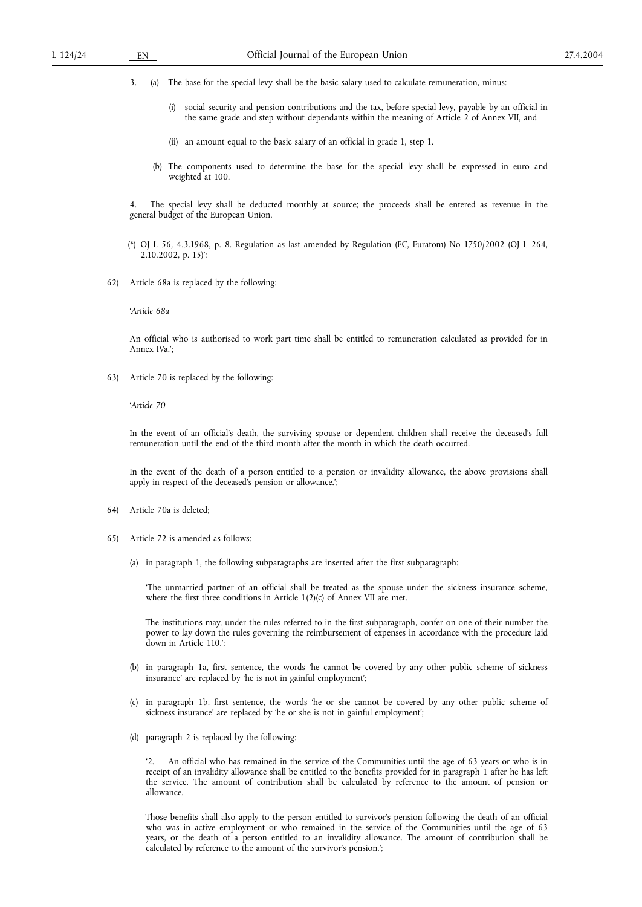3. (a) The base for the special levy shall be the basic salary used to calculate remuneration, minus:

- (i) social security and pension contributions and the tax, before special levy, payable by an official in the same grade and step without dependants within the meaning of Article 2 of Annex VII, and
- (ii) an amount equal to the basic salary of an official in grade 1, step 1.
- (b) The components used to determine the base for the special levy shall be expressed in euro and weighted at 100.

4. The special levy shall be deducted monthly at source; the proceeds shall be entered as revenue in the general budget of the European Union.

(\*) OJ L 56, 4.3.1968, p. 8. Regulation as last amended by Regulation (EC, Euratom) No 1750/2002 (OJ L 264, 2.10.2002, p. 15)';

62) Article 68a is replaced by the following:

'*Article 68a*

An official who is authorised to work part time shall be entitled to remuneration calculated as provided for in Annex IVa.';

63) Article 70 is replaced by the following:

'*Article 70*

In the event of an official's death, the surviving spouse or dependent children shall receive the deceased's full remuneration until the end of the third month after the month in which the death occurred.

In the event of the death of a person entitled to a pension or invalidity allowance, the above provisions shall apply in respect of the deceased's pension or allowance.';

- 64) Article 70a is deleted;
- 65) Article 72 is amended as follows:
	- (a) in paragraph 1, the following subparagraphs are inserted after the first subparagraph:

'The unmarried partner of an official shall be treated as the spouse under the sickness insurance scheme, where the first three conditions in Article 1(2)(c) of Annex VII are met.

The institutions may, under the rules referred to in the first subparagraph, confer on one of their number the power to lay down the rules governing the reimbursement of expenses in accordance with the procedure laid down in Article 110.';

- (b) in paragraph 1a, first sentence, the words 'he cannot be covered by any other public scheme of sickness insurance' are replaced by 'he is not in gainful employment';
- (c) in paragraph 1b, first sentence, the words 'he or she cannot be covered by any other public scheme of sickness insurance' are replaced by 'he or she is not in gainful employment';
- (d) paragraph 2 is replaced by the following:

An official who has remained in the service of the Communities until the age of 63 years or who is in receipt of an invalidity allowance shall be entitled to the benefits provided for in paragraph 1 after he has left the service. The amount of contribution shall be calculated by reference to the amount of pension or allowance.

Those benefits shall also apply to the person entitled to survivor's pension following the death of an official who was in active employment or who remained in the service of the Communities until the age of 63 years, or the death of a person entitled to an invalidity allowance. The amount of contribution shall be calculated by reference to the amount of the survivor's pension.';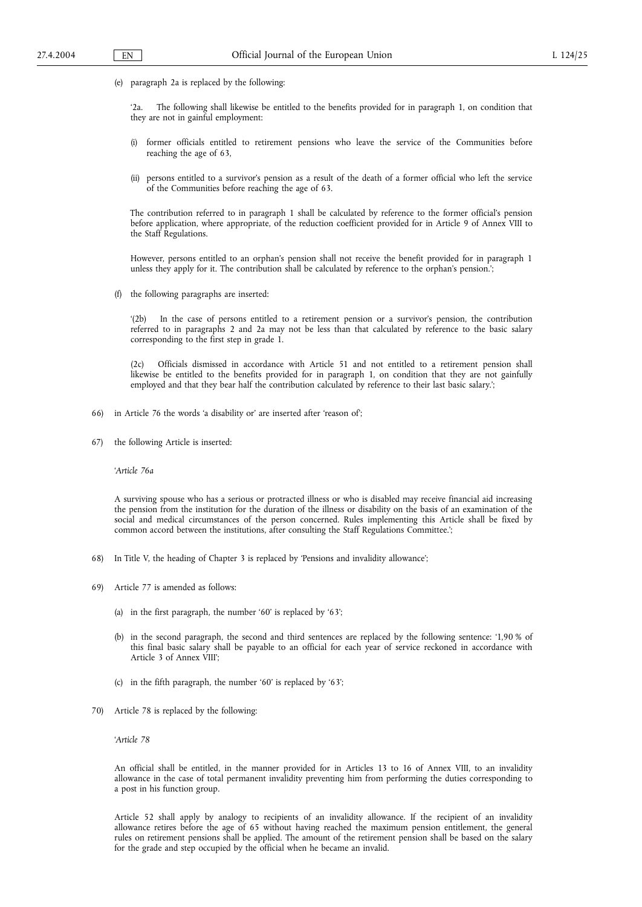(e) paragraph 2a is replaced by the following:

'2a. The following shall likewise be entitled to the benefits provided for in paragraph 1, on condition that they are not in gainful employment:

- (i) former officials entitled to retirement pensions who leave the service of the Communities before reaching the age of 63,
- (ii) persons entitled to a survivor's pension as a result of the death of a former official who left the service of the Communities before reaching the age of 63.

The contribution referred to in paragraph 1 shall be calculated by reference to the former official's pension before application, where appropriate, of the reduction coefficient provided for in Article 9 of Annex VIII to the Staff Regulations.

However, persons entitled to an orphan's pension shall not receive the benefit provided for in paragraph 1 unless they apply for it. The contribution shall be calculated by reference to the orphan's pension.';

(f) the following paragraphs are inserted:

'(2b) In the case of persons entitled to a retirement pension or a survivor's pension, the contribution referred to in paragraphs 2 and 2a may not be less than that calculated by reference to the basic salary corresponding to the first step in grade 1.

(2c) Officials dismissed in accordance with Article 51 and not entitled to a retirement pension shall likewise be entitled to the benefits provided for in paragraph 1, on condition that they are not gainfully employed and that they bear half the contribution calculated by reference to their last basic salary.';

- 66) in Article 76 the words 'a disability or' are inserted after 'reason of';
- 67) the following Article is inserted:

'*Article 76a*

A surviving spouse who has a serious or protracted illness or who is disabled may receive financial aid increasing the pension from the institution for the duration of the illness or disability on the basis of an examination of the social and medical circumstances of the person concerned. Rules implementing this Article shall be fixed by common accord between the institutions, after consulting the Staff Regulations Committee.';

- 68) In Title V, the heading of Chapter 3 is replaced by 'Pensions and invalidity allowance';
- 69) Article 77 is amended as follows:
	- (a) in the first paragraph, the number '60' is replaced by '63';
	- (b) in the second paragraph, the second and third sentences are replaced by the following sentence: '1,90 % of this final basic salary shall be payable to an official for each year of service reckoned in accordance with Article 3 of Annex VIII';
	- (c) in the fifth paragraph, the number '60' is replaced by '63';
- 70) Article 78 is replaced by the following:

'*Article 78*

An official shall be entitled, in the manner provided for in Articles 13 to 16 of Annex VIII, to an invalidity allowance in the case of total permanent invalidity preventing him from performing the duties corresponding to a post in his function group.

Article 52 shall apply by analogy to recipients of an invalidity allowance. If the recipient of an invalidity allowance retires before the age of 65 without having reached the maximum pension entitlement, the general rules on retirement pensions shall be applied. The amount of the retirement pension shall be based on the salary for the grade and step occupied by the official when he became an invalid.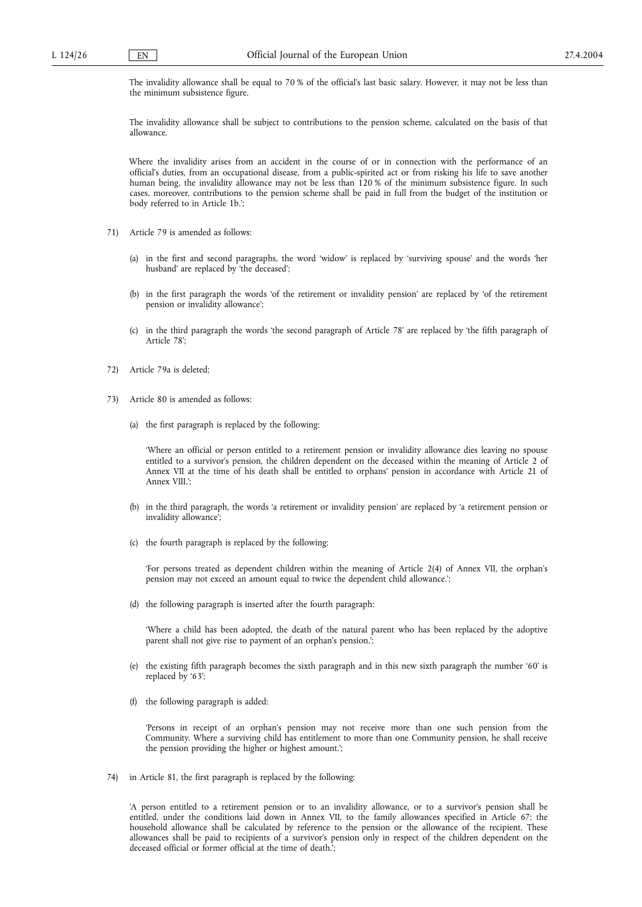The invalidity allowance shall be equal to 70 % of the official's last basic salary. However, it may not be less than the minimum subsistence figure.

The invalidity allowance shall be subject to contributions to the pension scheme, calculated on the basis of that allowance.

Where the invalidity arises from an accident in the course of or in connection with the performance of an official's duties, from an occupational disease, from a public-spirited act or from risking his life to save another human being, the invalidity allowance may not be less than 120 % of the minimum subsistence figure. In such cases, moreover, contributions to the pension scheme shall be paid in full from the budget of the institution or body referred to in Article 1b.';

- 71) Article 79 is amended as follows:
	- (a) in the first and second paragraphs, the word 'widow' is replaced by 'surviving spouse' and the words 'her husband' are replaced by 'the deceased';
	- (b) in the first paragraph the words 'of the retirement or invalidity pension' are replaced by 'of the retirement pension or invalidity allowance';
	- (c) in the third paragraph the words 'the second paragraph of Article 78' are replaced by 'the fifth paragraph of Article 78';
- 72) Article 79a is deleted;
- 73) Article 80 is amended as follows:
	- (a) the first paragraph is replaced by the following:

'Where an official or person entitled to a retirement pension or invalidity allowance dies leaving no spouse entitled to a survivor's pension, the children dependent on the deceased within the meaning of Article 2 of Annex VII at the time of his death shall be entitled to orphans' pension in accordance with Article 21 of Annex VIII.';

- (b) in the third paragraph, the words 'a retirement or invalidity pension' are replaced by 'a retirement pension or invalidity allowance';
- (c) the fourth paragraph is replaced by the following:

'For persons treated as dependent children within the meaning of Article 2(4) of Annex VII, the orphan's pension may not exceed an amount equal to twice the dependent child allowance.';

(d) the following paragraph is inserted after the fourth paragraph:

'Where a child has been adopted, the death of the natural parent who has been replaced by the adoptive parent shall not give rise to payment of an orphan's pension.';

- (e) the existing fifth paragraph becomes the sixth paragraph and in this new sixth paragraph the number '60' is replaced by '63';
- (f) the following paragraph is added:

'Persons in receipt of an orphan's pension may not receive more than one such pension from the Community. Where a surviving child has entitlement to more than one Community pension, he shall receive the pension providing the higher or highest amount.';

74) in Article 81, the first paragraph is replaced by the following:

'A person entitled to a retirement pension or to an invalidity allowance, or to a survivor's pension shall be entitled, under the conditions laid down in Annex VII, to the family allowances specified in Article 67; the household allowance shall be calculated by reference to the pension or the allowance of the recipient. These allowances shall be paid to recipients of a survivor's pension only in respect of the children dependent on the deceased official or former official at the time of death.';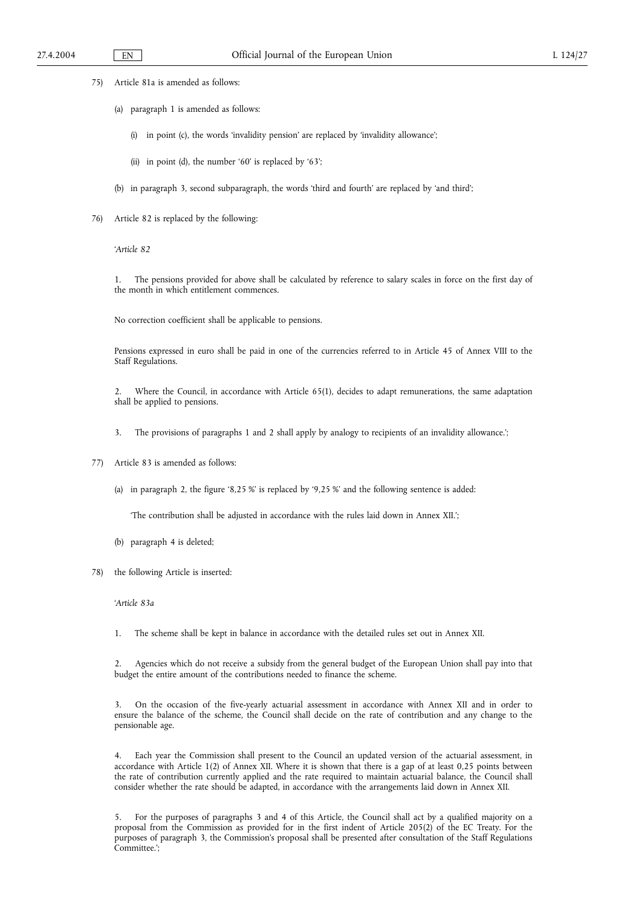- 75) Article 81a is amended as follows:
	- (a) paragraph 1 is amended as follows:
		- (i) in point (c), the words 'invalidity pension' are replaced by 'invalidity allowance';
		- (ii) in point (d), the number '60' is replaced by '63';
	- (b) in paragraph 3, second subparagraph, the words 'third and fourth' are replaced by 'and third';
- 76) Article 82 is replaced by the following:

'*Article 82*

1. The pensions provided for above shall be calculated by reference to salary scales in force on the first day of the month in which entitlement commences.

No correction coefficient shall be applicable to pensions.

Pensions expressed in euro shall be paid in one of the currencies referred to in Article 45 of Annex VIII to the Staff Regulations.

2. Where the Council, in accordance with Article 65(1), decides to adapt remunerations, the same adaptation shall be applied to pensions.

- 3. The provisions of paragraphs 1 and 2 shall apply by analogy to recipients of an invalidity allowance.';
- 77) Article 83 is amended as follows:
	- (a) in paragraph 2, the figure '8,25 %' is replaced by '9,25 %' and the following sentence is added:

'The contribution shall be adjusted in accordance with the rules laid down in Annex XII.';

- (b) paragraph 4 is deleted;
- 78) the following Article is inserted:

'*Article 83a*

1. The scheme shall be kept in balance in accordance with the detailed rules set out in Annex XII.

2. Agencies which do not receive a subsidy from the general budget of the European Union shall pay into that budget the entire amount of the contributions needed to finance the scheme.

3. On the occasion of the five-yearly actuarial assessment in accordance with Annex XII and in order to ensure the balance of the scheme, the Council shall decide on the rate of contribution and any change to the pensionable age.

4. Each year the Commission shall present to the Council an updated version of the actuarial assessment, in accordance with Article 1(2) of Annex XII. Where it is shown that there is a gap of at least 0,25 points between the rate of contribution currently applied and the rate required to maintain actuarial balance, the Council shall consider whether the rate should be adapted, in accordance with the arrangements laid down in Annex XII.

5. For the purposes of paragraphs 3 and 4 of this Article, the Council shall act by a qualified majority on a proposal from the Commission as provided for in the first indent of Article 205(2) of the EC Treaty. For the purposes of paragraph 3, the Commission's proposal shall be presented after consultation of the Staff Regulations Committee.';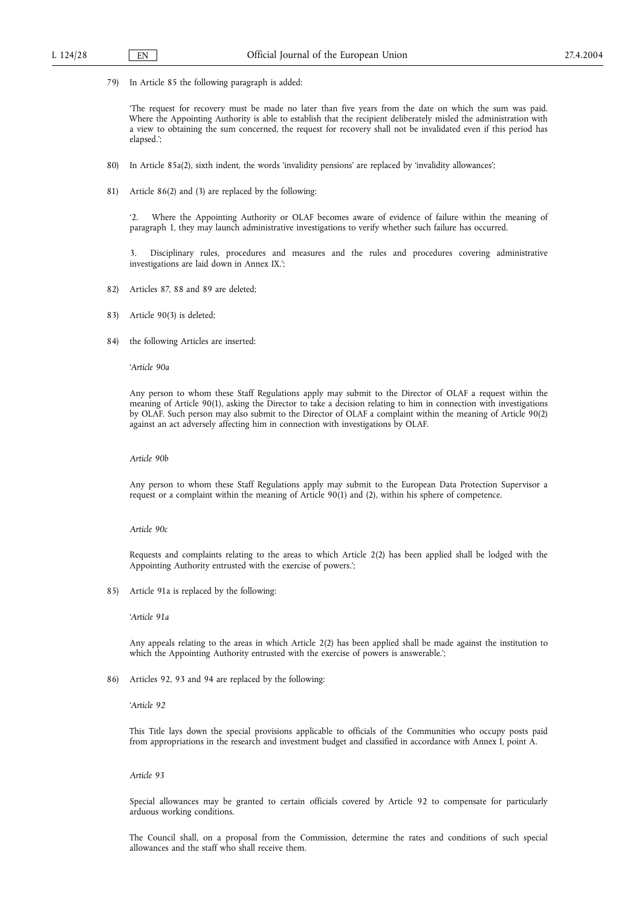79) In Article 85 the following paragraph is added:

'The request for recovery must be made no later than five years from the date on which the sum was paid. Where the Appointing Authority is able to establish that the recipient deliberately misled the administration with a view to obtaining the sum concerned, the request for recovery shall not be invalidated even if this period has elapsed.';

- 80) In Article 85a(2), sixth indent, the words 'invalidity pensions' are replaced by 'invalidity allowances';
- 81) Article 86(2) and (3) are replaced by the following:

'2. Where the Appointing Authority or OLAF becomes aware of evidence of failure within the meaning of paragraph 1, they may launch administrative investigations to verify whether such failure has occurred.

3. Disciplinary rules, procedures and measures and the rules and procedures covering administrative investigations are laid down in Annex IX.';

- 82) Articles 87, 88 and 89 are deleted;
- 83) Article 90(3) is deleted;
- 84) the following Articles are inserted:

#### '*Article 90a*

Any person to whom these Staff Regulations apply may submit to the Director of OLAF a request within the meaning of Article 90(1), asking the Director to take a decision relating to him in connection with investigations by OLAF. Such person may also submit to the Director of OLAF a complaint within the meaning of Article 90(2) against an act adversely affecting him in connection with investigations by OLAF.

*Article 90b*

Any person to whom these Staff Regulations apply may submit to the European Data Protection Supervisor a request or a complaint within the meaning of Article 90(1) and (2), within his sphere of competence.

#### *Article 90c*

Requests and complaints relating to the areas to which Article 2(2) has been applied shall be lodged with the Appointing Authority entrusted with the exercise of powers.';

85) Article 91a is replaced by the following:

'*Article 91a*

Any appeals relating to the areas in which Article 2(2) has been applied shall be made against the institution to which the Appointing Authority entrusted with the exercise of powers is answerable.';

86) Articles 92, 93 and 94 are replaced by the following:

'*Article 92*

This Title lays down the special provisions applicable to officials of the Communities who occupy posts paid from appropriations in the research and investment budget and classified in accordance with Annex I, point A.

#### *Article 93*

Special allowances may be granted to certain officials covered by Article 92 to compensate for particularly arduous working conditions.

The Council shall, on a proposal from the Commission, determine the rates and conditions of such special allowances and the staff who shall receive them.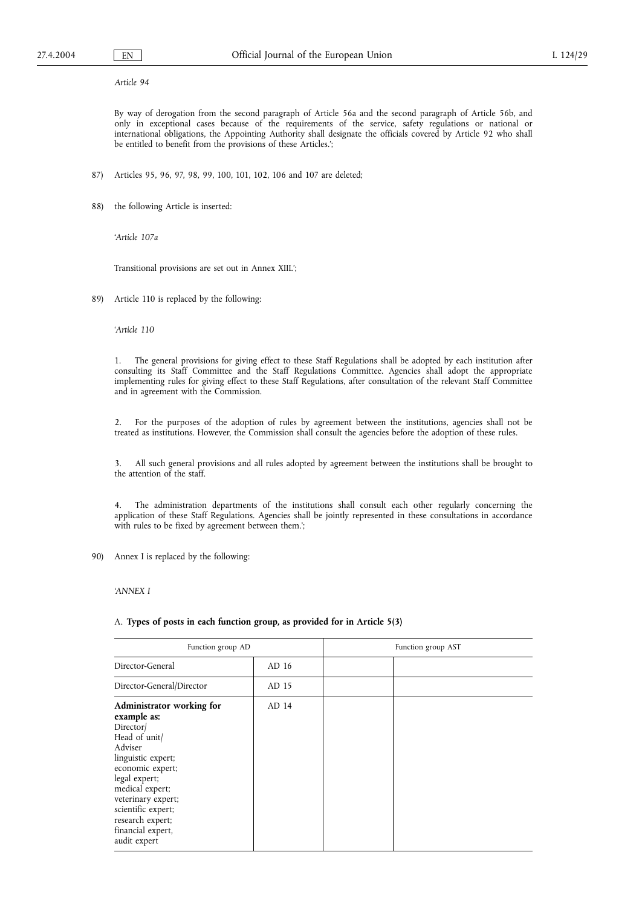# *Article 94*

By way of derogation from the second paragraph of Article 56a and the second paragraph of Article 56b, and only in exceptional cases because of the requirements of the service, safety regulations or national or international obligations, the Appointing Authority shall designate the officials covered by Article 92 who shall be entitled to benefit from the provisions of these Articles.';

- 87) Articles 95, 96, 97, 98, 99, 100, 101, 102, 106 and 107 are deleted;
- 88) the following Article is inserted:

'*Article 107a*

Transitional provisions are set out in Annex XIII.';

89) Article 110 is replaced by the following:

'*Article 110*

1. The general provisions for giving effect to these Staff Regulations shall be adopted by each institution after consulting its Staff Committee and the Staff Regulations Committee. Agencies shall adopt the appropriate implementing rules for giving effect to these Staff Regulations, after consultation of the relevant Staff Committee and in agreement with the Commission.

2. For the purposes of the adoption of rules by agreement between the institutions, agencies shall not be treated as institutions. However, the Commission shall consult the agencies before the adoption of these rules.

3. All such general provisions and all rules adopted by agreement between the institutions shall be brought to the attention of the staff.

4. The administration departments of the institutions shall consult each other regularly concerning the application of these Staff Regulations. Agencies shall be jointly represented in these consultations in accordance with rules to be fixed by agreement between them.';

90) Annex I is replaced by the following:

*'ANNEX I*

### A. **Types of posts in each function group, as provided for in Article 5(3)**

| Function group AD                                                                                                                                                                                                                                                   |       | Function group AST |  |
|---------------------------------------------------------------------------------------------------------------------------------------------------------------------------------------------------------------------------------------------------------------------|-------|--------------------|--|
| Director-General                                                                                                                                                                                                                                                    | AD 16 |                    |  |
| Director-General/Director                                                                                                                                                                                                                                           | AD 15 |                    |  |
| Administrator working for<br>example as:<br>Director<br>Head of unit/<br>Adviser<br>linguistic expert;<br>economic expert;<br>legal expert;<br>medical expert;<br>veterinary expert;<br>scientific expert;<br>research expert;<br>financial expert,<br>audit expert | AD 14 |                    |  |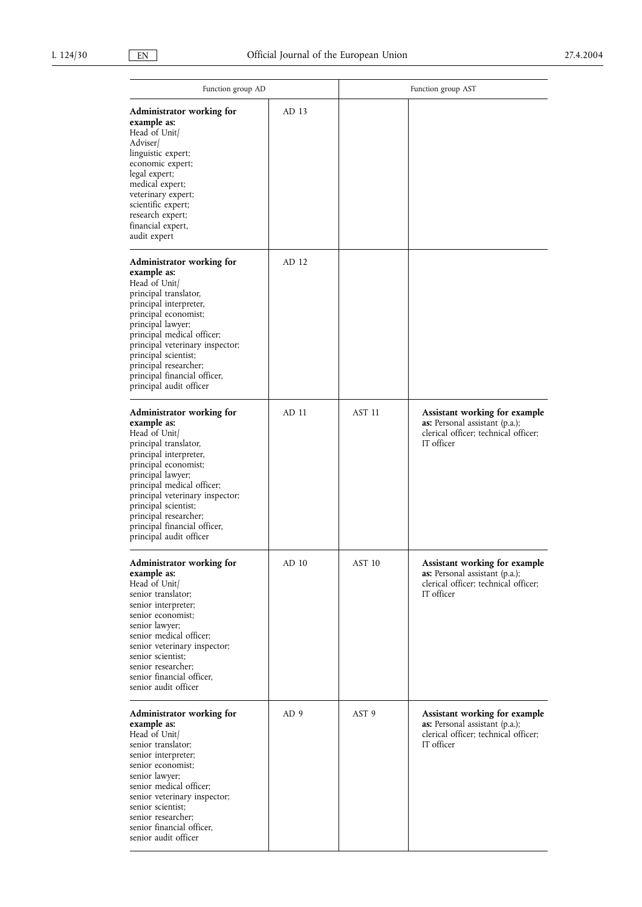| Function group AD                                                                                                                                                                                                                                                                                                                      |                 | Function group AST |                                                                                                                                     |  |
|----------------------------------------------------------------------------------------------------------------------------------------------------------------------------------------------------------------------------------------------------------------------------------------------------------------------------------------|-----------------|--------------------|-------------------------------------------------------------------------------------------------------------------------------------|--|
| Administrator working for<br>example as:<br>Head of Unit/<br>Adviser/<br>linguistic expert;<br>economic expert;<br>legal expert;<br>medical expert;<br>veterinary expert;<br>scientific expert;<br>research expert;<br>financial expert,<br>audit expert                                                                               | AD 13           |                    |                                                                                                                                     |  |
| Administrator working for<br>example as:<br>Head of Unit/<br>principal translator,<br>principal interpreter,<br>principal economist;<br>principal lawyer;<br>principal medical officer;<br>principal veterinary inspector;<br>principal scientist;<br>principal researcher;<br>principal financial officer,<br>principal audit officer | AD 12           |                    |                                                                                                                                     |  |
| Administrator working for<br>example as:<br>Head of Unit/<br>principal translator,<br>principal interpreter,<br>principal economist;<br>principal lawyer;<br>principal medical officer;<br>principal veterinary inspector;<br>principal scientist;<br>principal researcher;<br>principal financial officer,<br>principal audit officer | AD 11           | AST <sub>11</sub>  | <b>Assistant working for example</b><br><b>as:</b> Personal assistant (p.a.);<br>clerical officer; technical officer;<br>IT officer |  |
| Administrator working for<br>example as:<br>Head of Unit/<br>senior translator;<br>senior interpreter;<br>senior economist:<br>senior lawyer;<br>senior medical officer;<br>senior veterinary inspector;<br>senior scientist;<br>senior researcher;<br>senior financial officer,<br>senior audit officer                               | AD 10           | AST 10             | Assistant working for example<br>as: Personal assistant (p.a.);<br>clerical officer; technical officer;<br>IT officer               |  |
| Administrator working for<br>example as:<br>Head of Unit/<br>senior translator;<br>senior interpreter;<br>senior economist;<br>senior lawyer;<br>senior medical officer;<br>senior veterinary inspector;<br>senior scientist;<br>senior researcher;<br>senior financial officer,<br>senior audit officer                               | AD <sub>9</sub> | AST <sub>9</sub>   | Assistant working for example<br><b>as:</b> Personal assistant (p.a.);<br>clerical officer; technical officer;<br>IT officer        |  |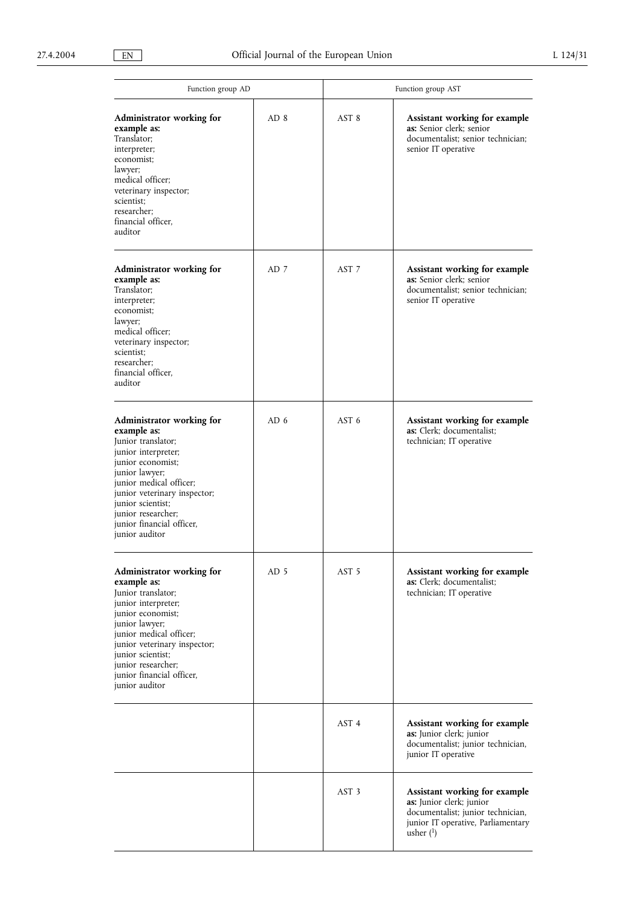| Function group AD                                                                                                                                                                                                                                                                 |      | Function group AST |                                                                                                                                                     |  |
|-----------------------------------------------------------------------------------------------------------------------------------------------------------------------------------------------------------------------------------------------------------------------------------|------|--------------------|-----------------------------------------------------------------------------------------------------------------------------------------------------|--|
| Administrator working for<br>example as:<br>Translator;<br>interpreter;<br>economist;<br>lawyer;<br>medical officer;<br>veterinary inspector;<br>scientist;<br>researcher:<br>financial officer,<br>auditor                                                                       | AD 8 | AST 8              | Assistant working for example<br><b>as:</b> Senior clerk; senior<br>documentalist; senior technician;<br>senior IT operative                        |  |
| Administrator working for<br>example as:<br>Translator;<br>interpreter;<br>economist;<br>lawyer:<br>medical officer:<br>veterinary inspector;<br>scientist;<br>researcher;<br>financial officer,<br>auditor                                                                       | AD 7 | AST <sub>7</sub>   | Assistant working for example<br><b>as:</b> Senior clerk; senior<br>documentalist; senior technician;<br>senior IT operative                        |  |
| Administrator working for<br>example as:<br>Junior translator;<br>junior interpreter;<br>junior economist;<br>junior lawyer;<br>junior medical officer;<br>junior veterinary inspector;<br>junior scientist:<br>junior researcher;<br>junior financial officer,<br>junior auditor | AD 6 | AST <sub>6</sub>   | <b>Assistant working for example</b><br>as: Clerk; documentalist;<br>technician; IT operative                                                       |  |
| Administrator working for<br>example as:<br>Junior translator;<br>junior interpreter;<br>junior economist;<br>junior lawyer;<br>junior medical officer;<br>junior veterinary inspector;<br>junior scientist;<br>junior researcher;<br>junior financial officer,<br>junior auditor | AD 5 | AST <sub>5</sub>   | Assistant working for example<br>as: Clerk; documentalist;<br>technician; IT operative                                                              |  |
|                                                                                                                                                                                                                                                                                   |      | AST <sub>4</sub>   | Assistant working for example<br>as: Junior clerk; junior<br>documentalist; junior technician,<br>junior IT operative                               |  |
|                                                                                                                                                                                                                                                                                   |      | AST <sub>3</sub>   | Assistant working for example<br>as: Junior clerk; junior<br>documentalist; junior technician,<br>junior IT operative, Parliamentary<br>usher $(1)$ |  |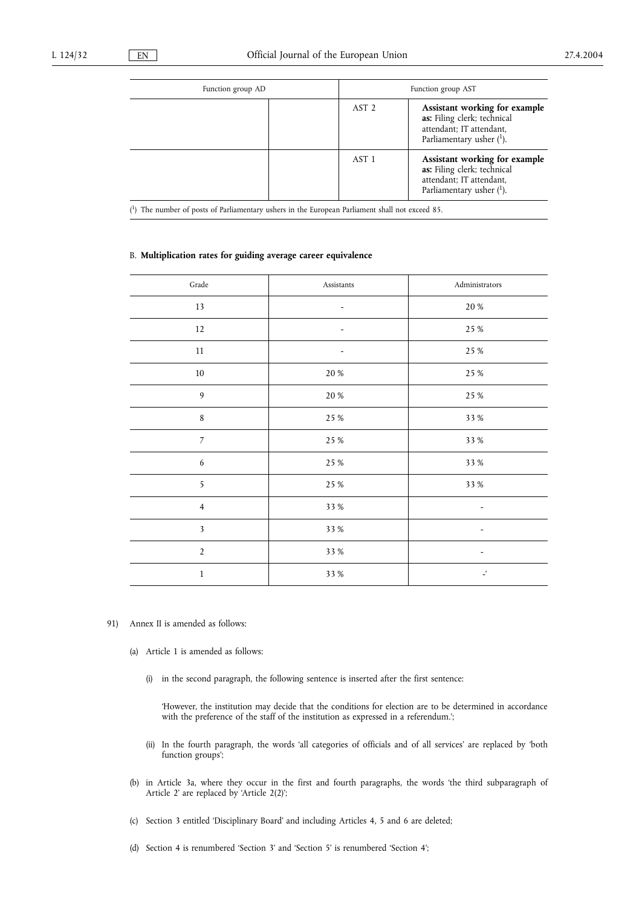| Function group AD |                  | Function group AST                                                                                                      |
|-------------------|------------------|-------------------------------------------------------------------------------------------------------------------------|
|                   | AST <sub>2</sub> | Assistant working for example<br>as: Filing clerk; technical<br>attendant; IT attendant,<br>Parliamentary usher $(1)$ . |
|                   | AST 1            | Assistant working for example<br>as: Filing clerk; technical<br>attendant; IT attendant,<br>Parliamentary usher $(1)$ . |

( 1) The number of posts of Parliamentary ushers in the European Parliament shall not exceed 85.

# B. **Multiplication rates for guiding average career equivalence**

| $\operatorname{Grade}$  | Assistants | Administrators           |
|-------------------------|------------|--------------------------|
| 13                      | ۰          | $20\,\%$                 |
| 12                      |            | 25 %                     |
| $11\,$                  |            | 25 %                     |
| $10\,$                  | $20\,\%$   | 25 %                     |
| 9                       | $20\,\%$   | 25 %                     |
| $\,8\,$                 | 25 %       | 33 %                     |
| $\overline{7}$          | 25 %       | 33 %                     |
| 6                       | 25 %       | 33 %                     |
| 5                       | 25 %       | 33 %                     |
| $\overline{4}$          | 33 %       |                          |
| $\overline{\mathbf{3}}$ | 33 %       |                          |
| $\overline{2}$          | 33 %       | $\overline{\phantom{a}}$ |
| $\mathbf{1}$            | 33 %       | $\overline{\phantom{a}}$ |
|                         |            |                          |

- 91) Annex II is amended as follows:
	- (a) Article 1 is amended as follows:
		- (i) in the second paragraph, the following sentence is inserted after the first sentence:

'However, the institution may decide that the conditions for election are to be determined in accordance with the preference of the staff of the institution as expressed in a referendum.';

- (ii) In the fourth paragraph, the words 'all categories of officials and of all services' are replaced by 'both function groups';
- (b) in Article 3a, where they occur in the first and fourth paragraphs, the words 'the third subparagraph of Article 2' are replaced by 'Article 2(2)';
- (c) Section 3 entitled 'Disciplinary Board' and including Articles 4, 5 and 6 are deleted;
- (d) Section 4 is renumbered 'Section 3' and 'Section 5' is renumbered 'Section 4';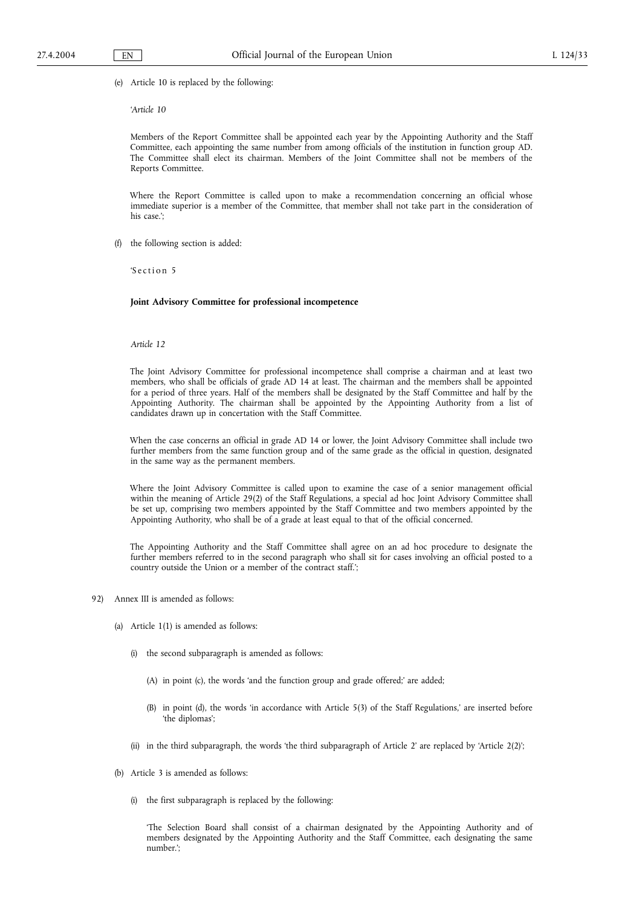(e) Article 10 is replaced by the following:

'*Article 10*

Members of the Report Committee shall be appointed each year by the Appointing Authority and the Staff Committee, each appointing the same number from among officials of the institution in function group AD. The Committee shall elect its chairman. Members of the Joint Committee shall not be members of the Reports Committee.

Where the Report Committee is called upon to make a recommendation concerning an official whose immediate superior is a member of the Committee, that member shall not take part in the consideration of his case.';

(f) the following section is added:

'S ection<sub>5</sub>

**Joint Advisory Committee for professional incompetence**

### *Article 12*

The Joint Advisory Committee for professional incompetence shall comprise a chairman and at least two members, who shall be officials of grade AD 14 at least. The chairman and the members shall be appointed for a period of three years. Half of the members shall be designated by the Staff Committee and half by the Appointing Authority. The chairman shall be appointed by the Appointing Authority from a list of candidates drawn up in concertation with the Staff Committee.

When the case concerns an official in grade AD 14 or lower, the Joint Advisory Committee shall include two further members from the same function group and of the same grade as the official in question, designated in the same way as the permanent members.

Where the Joint Advisory Committee is called upon to examine the case of a senior management official within the meaning of Article 29(2) of the Staff Regulations, a special ad hoc Joint Advisory Committee shall be set up, comprising two members appointed by the Staff Committee and two members appointed by the Appointing Authority, who shall be of a grade at least equal to that of the official concerned.

The Appointing Authority and the Staff Committee shall agree on an ad hoc procedure to designate the further members referred to in the second paragraph who shall sit for cases involving an official posted to a country outside the Union or a member of the contract staff.';

- 92) Annex III is amended as follows:
	- (a) Article 1(1) is amended as follows:
		- (i) the second subparagraph is amended as follows:
			- (A) in point (c), the words 'and the function group and grade offered;' are added;
			- (B) in point (d), the words 'in accordance with Article 5(3) of the Staff Regulations,' are inserted before 'the diplomas';
		- (ii) in the third subparagraph, the words 'the third subparagraph of Article 2' are replaced by 'Article 2(2)';
	- (b) Article 3 is amended as follows:
		- (i) the first subparagraph is replaced by the following:

'The Selection Board shall consist of a chairman designated by the Appointing Authority and of members designated by the Appointing Authority and the Staff Committee, each designating the same number.';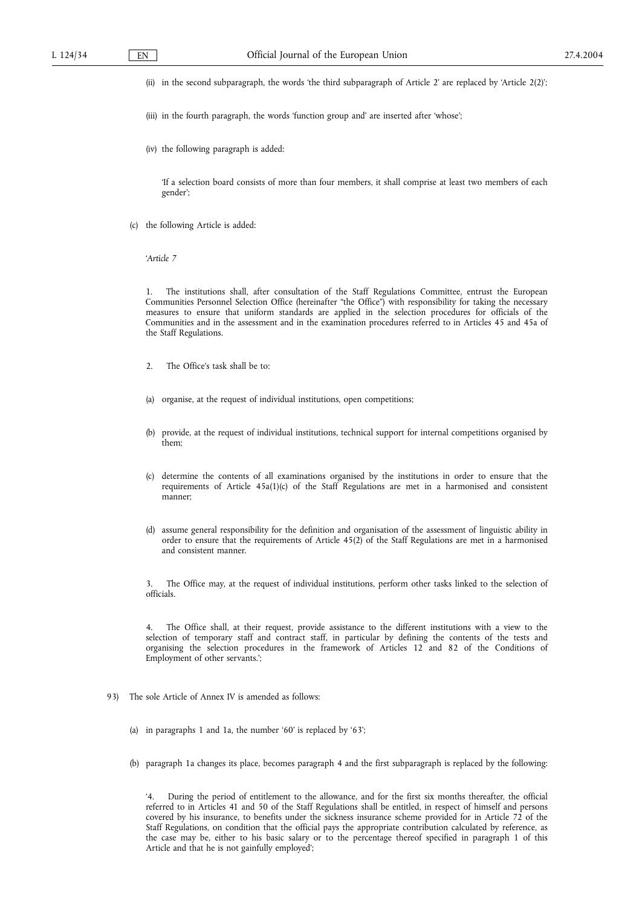(ii) in the second subparagraph, the words 'the third subparagraph of Article 2' are replaced by 'Article 2(2)';

- (iii) in the fourth paragraph, the words 'function group and' are inserted after 'whose';
- (iv) the following paragraph is added:

'If a selection board consists of more than four members, it shall comprise at least two members of each gender';

(c) the following Article is added:

'*Article 7*

1. The institutions shall, after consultation of the Staff Regulations Committee, entrust the European Communities Personnel Selection Office (hereinafter "the Office") with responsibility for taking the necessary measures to ensure that uniform standards are applied in the selection procedures for officials of the Communities and in the assessment and in the examination procedures referred to in Articles 45 and 45a of the Staff Regulations.

- 2. The Office's task shall be to:
- (a) organise, at the request of individual institutions, open competitions;
- (b) provide, at the request of individual institutions, technical support for internal competitions organised by them;
- (c) determine the contents of all examinations organised by the institutions in order to ensure that the requirements of Article 45a(1)(c) of the Staff Regulations are met in a harmonised and consistent manner;
- (d) assume general responsibility for the definition and organisation of the assessment of linguistic ability in order to ensure that the requirements of Article 45(2) of the Staff Regulations are met in a harmonised and consistent manner.

3. The Office may, at the request of individual institutions, perform other tasks linked to the selection of officials.

The Office shall, at their request, provide assistance to the different institutions with a view to the selection of temporary staff and contract staff, in particular by defining the contents of the tests and organising the selection procedures in the framework of Articles 12 and 82 of the Conditions of Employment of other servants.';

- 93) The sole Article of Annex IV is amended as follows:
	- (a) in paragraphs 1 and 1a, the number '60' is replaced by '63';
	- (b) paragraph 1a changes its place, becomes paragraph 4 and the first subparagraph is replaced by the following:

During the period of entitlement to the allowance, and for the first six months thereafter, the official referred to in Articles 41 and 50 of the Staff Regulations shall be entitled, in respect of himself and persons covered by his insurance, to benefits under the sickness insurance scheme provided for in Article 72 of the Staff Regulations, on condition that the official pays the appropriate contribution calculated by reference, as the case may be, either to his basic salary or to the percentage thereof specified in paragraph 1 of this Article and that he is not gainfully employed';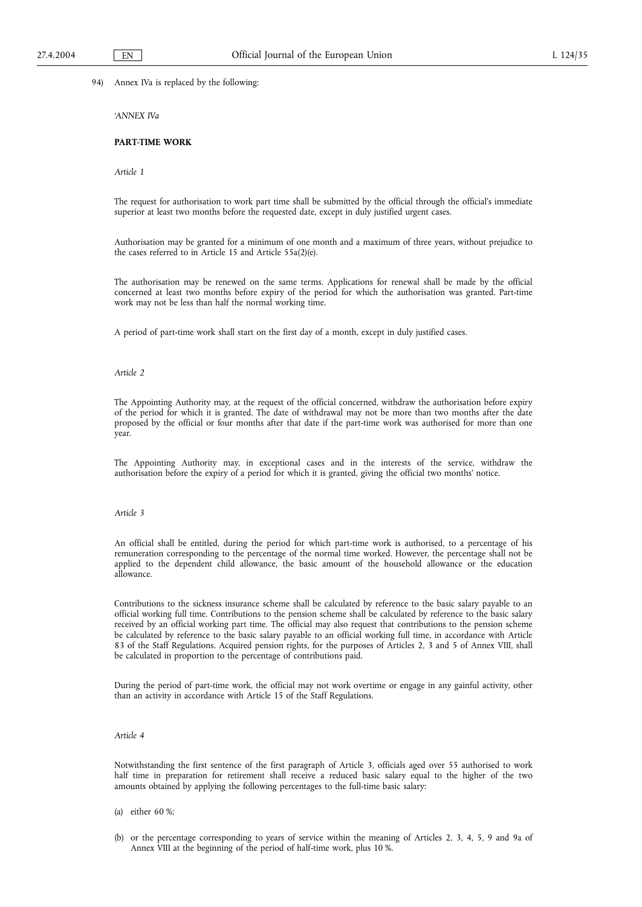94) Annex IVa is replaced by the following:

*'ANNEX IVa*

# **PART-TIME WORK**

*Article 1*

The request for authorisation to work part time shall be submitted by the official through the official's immediate superior at least two months before the requested date, except in duly justified urgent cases.

Authorisation may be granted for a minimum of one month and a maximum of three years, without prejudice to the cases referred to in Article 15 and Article 55a(2)(e).

The authorisation may be renewed on the same terms. Applications for renewal shall be made by the official concerned at least two months before expiry of the period for which the authorisation was granted. Part-time work may not be less than half the normal working time.

A period of part-time work shall start on the first day of a month, except in duly justified cases.

### *Article 2*

The Appointing Authority may, at the request of the official concerned, withdraw the authorisation before expiry of the period for which it is granted. The date of withdrawal may not be more than two months after the date proposed by the official or four months after that date if the part-time work was authorised for more than one year.

The Appointing Authority may, in exceptional cases and in the interests of the service, withdraw the authorisation before the expiry of a period for which it is granted, giving the official two months' notice.

#### *Article 3*

An official shall be entitled, during the period for which part-time work is authorised, to a percentage of his remuneration corresponding to the percentage of the normal time worked. However, the percentage shall not be applied to the dependent child allowance, the basic amount of the household allowance or the education allowance.

Contributions to the sickness insurance scheme shall be calculated by reference to the basic salary payable to an official working full time. Contributions to the pension scheme shall be calculated by reference to the basic salary received by an official working part time. The official may also request that contributions to the pension scheme be calculated by reference to the basic salary payable to an official working full time, in accordance with Article 83 of the Staff Regulations. Acquired pension rights, for the purposes of Articles 2, 3 and 5 of Annex VIII, shall be calculated in proportion to the percentage of contributions paid.

During the period of part-time work, the official may not work overtime or engage in any gainful activity, other than an activity in accordance with Article 15 of the Staff Regulations.

# *Article 4*

Notwithstanding the first sentence of the first paragraph of Article 3, officials aged over 55 authorised to work half time in preparation for retirement shall receive a reduced basic salary equal to the higher of the two amounts obtained by applying the following percentages to the full-time basic salary:

- (a) either 60 %;
- (b) or the percentage corresponding to years of service within the meaning of Articles 2, 3, 4, 5, 9 and 9a of Annex VIII at the beginning of the period of half-time work, plus 10 %.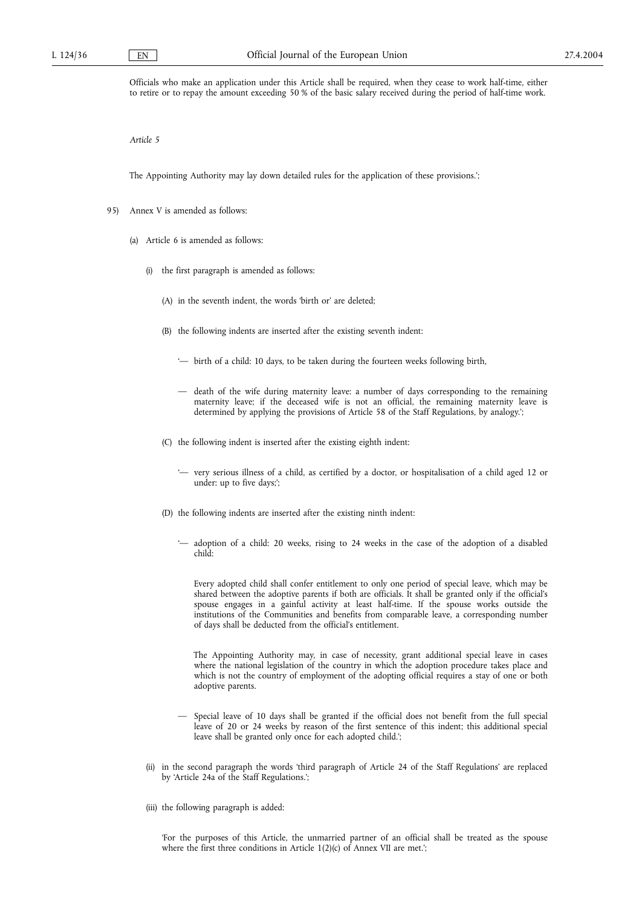Officials who make an application under this Article shall be required, when they cease to work half-time, either to retire or to repay the amount exceeding 50 % of the basic salary received during the period of half-time work.

*Article 5*

The Appointing Authority may lay down detailed rules for the application of these provisions.';

- 95) Annex V is amended as follows:
	- (a) Article 6 is amended as follows:
		- (i) the first paragraph is amended as follows:
			- (A) in the seventh indent, the words 'birth or' are deleted;
			- (B) the following indents are inserted after the existing seventh indent:
				- '— birth of a child: 10 days, to be taken during the fourteen weeks following birth,
				- death of the wife during maternity leave: a number of days corresponding to the remaining maternity leave; if the deceased wife is not an official, the remaining maternity leave is determined by applying the provisions of Article 58 of the Staff Regulations, by analogy.';
			- (C) the following indent is inserted after the existing eighth indent:
				- '— very serious illness of a child, as certified by a doctor, or hospitalisation of a child aged 12 or under: up to five days;';
			- (D) the following indents are inserted after the existing ninth indent:
				- '— adoption of a child: 20 weeks, rising to 24 weeks in the case of the adoption of a disabled child:

Every adopted child shall confer entitlement to only one period of special leave, which may be shared between the adoptive parents if both are officials. It shall be granted only if the official's spouse engages in a gainful activity at least half-time. If the spouse works outside the institutions of the Communities and benefits from comparable leave, a corresponding number of days shall be deducted from the official's entitlement.

The Appointing Authority may, in case of necessity, grant additional special leave in cases where the national legislation of the country in which the adoption procedure takes place and which is not the country of employment of the adopting official requires a stay of one or both adoptive parents.

- Special leave of 10 days shall be granted if the official does not benefit from the full special leave of 20 or 24 weeks by reason of the first sentence of this indent; this additional special leave shall be granted only once for each adopted child.';
- (ii) in the second paragraph the words 'third paragraph of Article 24 of the Staff Regulations' are replaced by 'Article 24a of the Staff Regulations.';
- (iii) the following paragraph is added:

'For the purposes of this Article, the unmarried partner of an official shall be treated as the spouse where the first three conditions in Article 1(2)(c) of Annex VII are met.';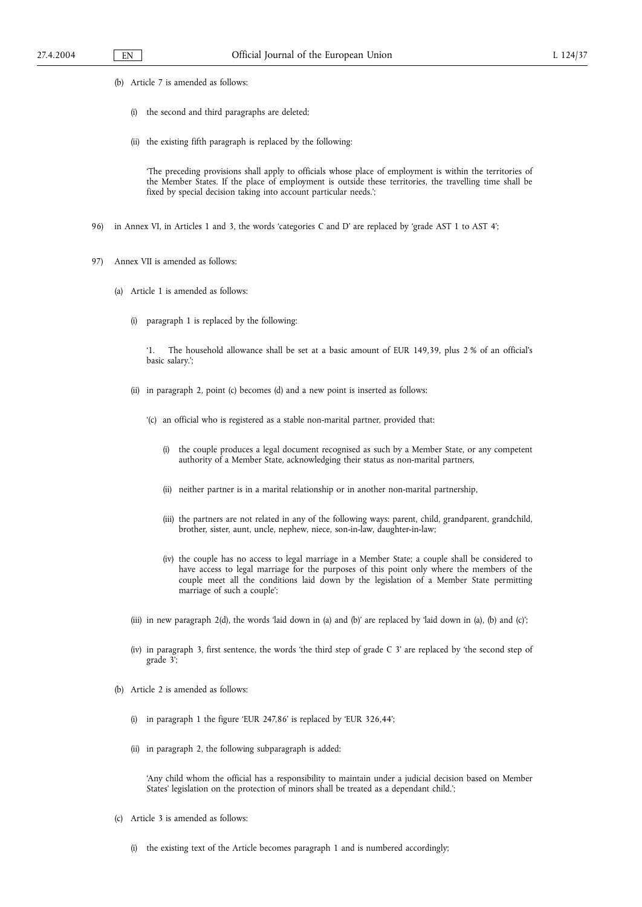- (b) Article 7 is amended as follows:
	- (i) the second and third paragraphs are deleted;
	- (ii) the existing fifth paragraph is replaced by the following:

'The preceding provisions shall apply to officials whose place of employment is within the territories of the Member States. If the place of employment is outside these territories, the travelling time shall be fixed by special decision taking into account particular needs.';

- 96) in Annex VI, in Articles 1 and 3, the words 'categories C and D' are replaced by 'grade AST 1 to AST 4';
- 97) Annex VII is amended as follows:
	- (a) Article 1 is amended as follows:
		- (i) paragraph 1 is replaced by the following:

'1. The household allowance shall be set at a basic amount of EUR 149,39, plus 2 % of an official's basic salary.';

- (ii) in paragraph 2, point (c) becomes (d) and a new point is inserted as follows:
	- '(c) an official who is registered as a stable non-marital partner, provided that:
		- (i) the couple produces a legal document recognised as such by a Member State, or any competent authority of a Member State, acknowledging their status as non-marital partners,
		- (ii) neither partner is in a marital relationship or in another non-marital partnership,
		- (iii) the partners are not related in any of the following ways: parent, child, grandparent, grandchild, brother, sister, aunt, uncle, nephew, niece, son-in-law, daughter-in-law;
		- (iv) the couple has no access to legal marriage in a Member State; a couple shall be considered to have access to legal marriage for the purposes of this point only where the members of the couple meet all the conditions laid down by the legislation of a Member State permitting marriage of such a couple';
- (iii) in new paragraph 2(d), the words 'laid down in (a) and (b)' are replaced by 'laid down in (a), (b) and (c)';
- (iv) in paragraph 3, first sentence, the words 'the third step of grade C 3' are replaced by 'the second step of grade 3';
- (b) Article 2 is amended as follows:
	- (i) in paragraph 1 the figure 'EUR 247,86' is replaced by 'EUR 326,44';
	- (ii) in paragraph 2, the following subparagraph is added:

'Any child whom the official has a responsibility to maintain under a judicial decision based on Member States' legislation on the protection of minors shall be treated as a dependant child.';

- (c) Article 3 is amended as follows:
	- (i) the existing text of the Article becomes paragraph 1 and is numbered accordingly;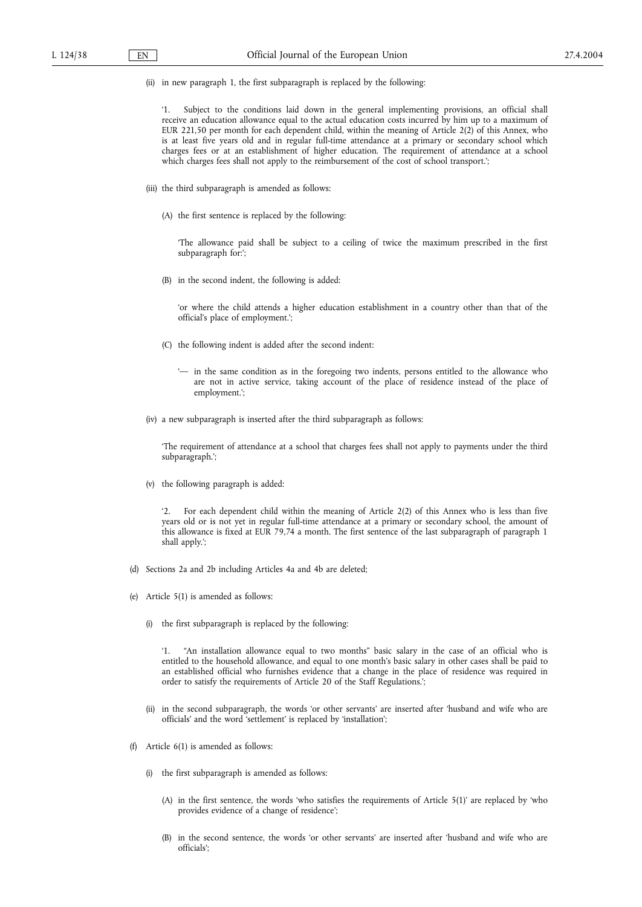(ii) in new paragraph 1, the first subparagraph is replaced by the following:

'1. Subject to the conditions laid down in the general implementing provisions, an official shall receive an education allowance equal to the actual education costs incurred by him up to a maximum of EUR 221,50 per month for each dependent child, within the meaning of Article 2(2) of this Annex, who is at least five years old and in regular full-time attendance at a primary or secondary school which charges fees or at an establishment of higher education. The requirement of attendance at a school which charges fees shall not apply to the reimbursement of the cost of school transport.';

- (iii) the third subparagraph is amended as follows:
	- (A) the first sentence is replaced by the following:

'The allowance paid shall be subject to a ceiling of twice the maximum prescribed in the first subparagraph for:';

(B) in the second indent, the following is added:

'or where the child attends a higher education establishment in a country other than that of the official's place of employment.';

- (C) the following indent is added after the second indent:
	- '— in the same condition as in the foregoing two indents, persons entitled to the allowance who are not in active service, taking account of the place of residence instead of the place of employment.';
- (iv) a new subparagraph is inserted after the third subparagraph as follows:

'The requirement of attendance at a school that charges fees shall not apply to payments under the third subparagraph.';

(v) the following paragraph is added:

For each dependent child within the meaning of Article 2(2) of this Annex who is less than five years old or is not yet in regular full-time attendance at a primary or secondary school, the amount of this allowance is fixed at EUR 79,74 a month. The first sentence of the last subparagraph of paragraph 1 shall apply.';

- (d) Sections 2a and 2b including Articles 4a and 4b are deleted;
- (e) Article 5(1) is amended as follows:
	- (i) the first subparagraph is replaced by the following:

"An installation allowance equal to two months" basic salary in the case of an official who is entitled to the household allowance, and equal to one month's basic salary in other cases shall be paid to an established official who furnishes evidence that a change in the place of residence was required in order to satisfy the requirements of Article 20 of the Staff Regulations.';

- (ii) in the second subparagraph, the words 'or other servants' are inserted after 'husband and wife who are officials' and the word 'settlement' is replaced by 'installation';
- (f) Article 6(1) is amended as follows:
	- (i) the first subparagraph is amended as follows:
		- (A) in the first sentence, the words 'who satisfies the requirements of Article 5(1)' are replaced by 'who provides evidence of a change of residence';
		- (B) in the second sentence, the words 'or other servants' are inserted after 'husband and wife who are officials';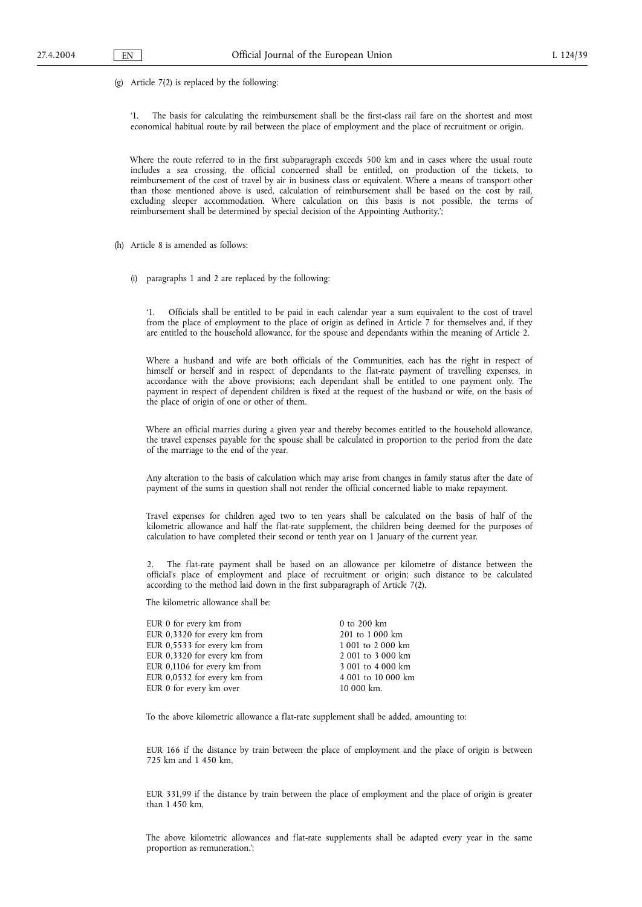(g) Article 7(2) is replaced by the following:

'1. The basis for calculating the reimbursement shall be the first-class rail fare on the shortest and most economical habitual route by rail between the place of employment and the place of recruitment or origin.

Where the route referred to in the first subparagraph exceeds 500 km and in cases where the usual route includes a sea crossing, the official concerned shall be entitled, on production of the tickets, to reimbursement of the cost of travel by air in business class or equivalent. Where a means of transport other than those mentioned above is used, calculation of reimbursement shall be based on the cost by rail, excluding sleeper accommodation. Where calculation on this basis is not possible, the terms of reimbursement shall be determined by special decision of the Appointing Authority.';

- (h) Article 8 is amended as follows:
	- (i) paragraphs 1 and 2 are replaced by the following:

'1. Officials shall be entitled to be paid in each calendar year a sum equivalent to the cost of travel from the place of employment to the place of origin as defined in Article 7 for themselves and, if they are entitled to the household allowance, for the spouse and dependants within the meaning of Article 2.

Where a husband and wife are both officials of the Communities, each has the right in respect of himself or herself and in respect of dependants to the flat-rate payment of travelling expenses, in accordance with the above provisions; each dependant shall be entitled to one payment only. The payment in respect of dependent children is fixed at the request of the husband or wife, on the basis of the place of origin of one or other of them.

Where an official marries during a given year and thereby becomes entitled to the household allowance, the travel expenses payable for the spouse shall be calculated in proportion to the period from the date of the marriage to the end of the year.

Any alteration to the basis of calculation which may arise from changes in family status after the date of payment of the sums in question shall not render the official concerned liable to make repayment.

Travel expenses for children aged two to ten years shall be calculated on the basis of half of the kilometric allowance and half the flat-rate supplement, the children being deemed for the purposes of calculation to have completed their second or tenth year on 1 January of the current year.

2. The flat-rate payment shall be based on an allowance per kilometre of distance between the official's place of employment and place of recruitment or origin; such distance to be calculated according to the method laid down in the first subparagraph of Article 7(2).

The kilometric allowance shall be:

| EUR 0 for every km from      | 0 to 200 km        |
|------------------------------|--------------------|
| EUR 0,3320 for every km from | 201 to 1 000 km    |
| EUR 0,5533 for every km from | 1 001 to 2 000 km  |
| EUR 0,3320 for every km from | 2 001 to 3 000 km  |
| EUR 0,1106 for every km from | 3 001 to 4 000 km  |
| EUR 0,0532 for every km from | 4 001 to 10 000 km |
| EUR 0 for every km over      | 10 000 km.         |

To the above kilometric allowance a flat-rate supplement shall be added, amounting to:

EUR 166 if the distance by train between the place of employment and the place of origin is between 725 km and 1 450 km,

EUR 331,99 if the distance by train between the place of employment and the place of origin is greater than 1 450 km,

The above kilometric allowances and flat-rate supplements shall be adapted every year in the same proportion as remuneration.';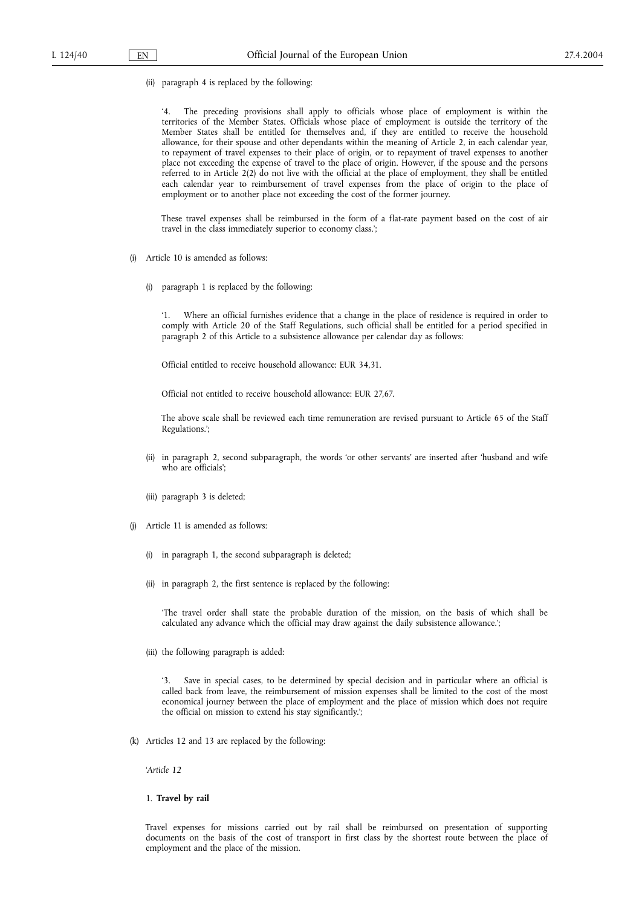(ii) paragraph 4 is replaced by the following:

'4. The preceding provisions shall apply to officials whose place of employment is within the territories of the Member States. Officials whose place of employment is outside the territory of the Member States shall be entitled for themselves and, if they are entitled to receive the household allowance, for their spouse and other dependants within the meaning of Article 2, in each calendar year, to repayment of travel expenses to their place of origin, or to repayment of travel expenses to another place not exceeding the expense of travel to the place of origin. However, if the spouse and the persons referred to in Article 2(2) do not live with the official at the place of employment, they shall be entitled each calendar year to reimbursement of travel expenses from the place of origin to the place of employment or to another place not exceeding the cost of the former journey.

These travel expenses shall be reimbursed in the form of a flat-rate payment based on the cost of air travel in the class immediately superior to economy class.';

- (i) Article 10 is amended as follows:
	- (i) paragraph 1 is replaced by the following:

'1. Where an official furnishes evidence that a change in the place of residence is required in order to comply with Article 20 of the Staff Regulations, such official shall be entitled for a period specified in paragraph 2 of this Article to a subsistence allowance per calendar day as follows:

Official entitled to receive household allowance: EUR 34,31.

Official not entitled to receive household allowance: EUR 27,67.

The above scale shall be reviewed each time remuneration are revised pursuant to Article 65 of the Staff Regulations.';

- (ii) in paragraph 2, second subparagraph, the words 'or other servants' are inserted after 'husband and wife who are officials';
- (iii) paragraph 3 is deleted;
- (j) Article 11 is amended as follows:
	- (i) in paragraph 1, the second subparagraph is deleted;
	- (ii) in paragraph 2, the first sentence is replaced by the following:

'The travel order shall state the probable duration of the mission, on the basis of which shall be calculated any advance which the official may draw against the daily subsistence allowance.';

(iii) the following paragraph is added:

'3. Save in special cases, to be determined by special decision and in particular where an official is called back from leave, the reimbursement of mission expenses shall be limited to the cost of the most economical journey between the place of employment and the place of mission which does not require the official on mission to extend his stay significantly.';

(k) Articles 12 and 13 are replaced by the following:

'*Article 12*

## 1. **Travel by rail**

Travel expenses for missions carried out by rail shall be reimbursed on presentation of supporting documents on the basis of the cost of transport in first class by the shortest route between the place of employment and the place of the mission.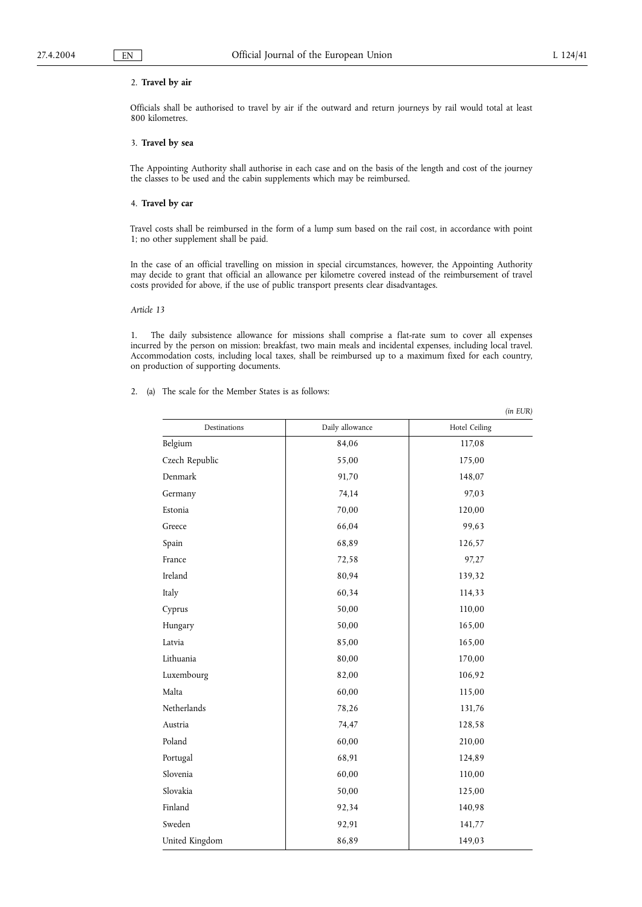*(in EUR)*

## 2. **Travel by air**

Officials shall be authorised to travel by air if the outward and return journeys by rail would total at least 800 kilometres.

## 3. **Travel by sea**

The Appointing Authority shall authorise in each case and on the basis of the length and cost of the journey the classes to be used and the cabin supplements which may be reimbursed.

### 4. **Travel by car**

Travel costs shall be reimbursed in the form of a lump sum based on the rail cost, in accordance with point 1; no other supplement shall be paid.

In the case of an official travelling on mission in special circumstances, however, the Appointing Authority may decide to grant that official an allowance per kilometre covered instead of the reimbursement of travel costs provided for above, if the use of public transport presents clear disadvantages.

#### *Article 13*

1. The daily subsistence allowance for missions shall comprise a flat-rate sum to cover all expenses incurred by the person on mission: breakfast, two main meals and incidental expenses, including local travel. Accommodation costs, including local taxes, shall be reimbursed up to a maximum fixed for each country, on production of supporting documents.

2. (a) The scale for the Member States is as follows:

Destinations Daily allowance Hotel Ceiling Belgium 84,06 117,08 Czech Republic 175,00 Denmark 148,07 Germany 97,03 Estonia 70,00 120,00 Greece 99,63 Spain 126,57 France 97,27 Ireland 80,94 139,32 Italy 60,34 114,33 Cyprus 50,00 110,00 Hungary 165,00 165,00 Latvia 165,00 165,00 165,00 Lithuania 80,00 170,00 Luxembourg 106,92 Malta 115,00 **115,00** Netherlands 78,26 131,76 Austria 128,58 Poland 210,00 210,00 Portugal 124,89 Slovenia 110,00 60,00 110,00 Slovakia 50,00 125,00 Finland 92,34 140,98 Sweden 141,77 United Kingdom 86,89 149,03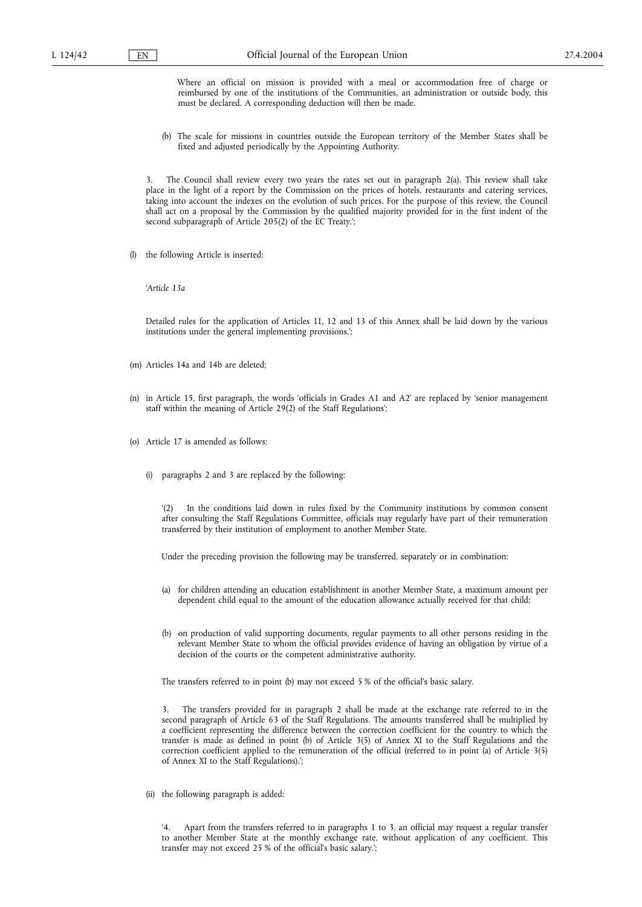Where an official on mission is provided with a meal or accommodation free of charge or reimbursed by one of the institutions of the Communities, an administration or outside body, this must be declared. A corresponding deduction will then be made.

(b) The scale for missions in countries outside the European territory of the Member States shall be fixed and adjusted periodically by the Appointing Authority.

The Council shall review every two years the rates set out in paragraph 2(a). This review shall take place in the light of a report by the Commission on the prices of hotels, restaurants and catering services, taking into account the indexes on the evolution of such prices. For the purpose of this review, the Council shall act on a proposal by the Commission by the qualified majority provided for in the first indent of the second subparagraph of Article 205(2) of the EC Treaty.';

(l) the following Article is inserted:

'*Article 13a*

Detailed rules for the application of Articles 11, 12 and 13 of this Annex shall be laid down by the various institutions under the general implementing provisions.';

(m) Articles 14a and 14b are deleted;

- (n) in Article 15, first paragraph, the words 'officials in Grades A1 and A2' are replaced by 'senior management staff within the meaning of Article 29(2) of the Staff Regulations';
- (o) Article 17 is amended as follows:
	- (i) paragraphs 2 and 3 are replaced by the following:

In the conditions laid down in rules fixed by the Community institutions by common consent after consulting the Staff Regulations Committee, officials may regularly have part of their remuneration transferred by their institution of employment to another Member State.

Under the preceding provision the following may be transferred, separately or in combination:

- (a) for children attending an education establishment in another Member State, a maximum amount per dependent child equal to the amount of the education allowance actually received for that child;
- (b) on production of valid supporting documents, regular payments to all other persons residing in the relevant Member State to whom the official provides evidence of having an obligation by virtue of a decision of the courts or the competent administrative authority.

The transfers referred to in point (b) may not exceed 5 % of the official's basic salary.

3. The transfers provided for in paragraph 2 shall be made at the exchange rate referred to in the second paragraph of Article 63 of the Staff Regulations. The amounts transferred shall be multiplied by a coefficient representing the difference between the correction coefficient for the country to which the transfer is made as defined in point (b) of Article 3(5) of Annex XI to the Staff Regulations and the correction coefficient applied to the remuneration of the official (referred to in point (a) of Article 3(5) of Annex XI to the Staff Regulations).';

(ii) the following paragraph is added:

Apart from the transfers referred to in paragraphs 1 to 3, an official may request a regular transfer to another Member State at the monthly exchange rate, without application of any coefficient. This transfer may not exceed 25 % of the official's basic salary.';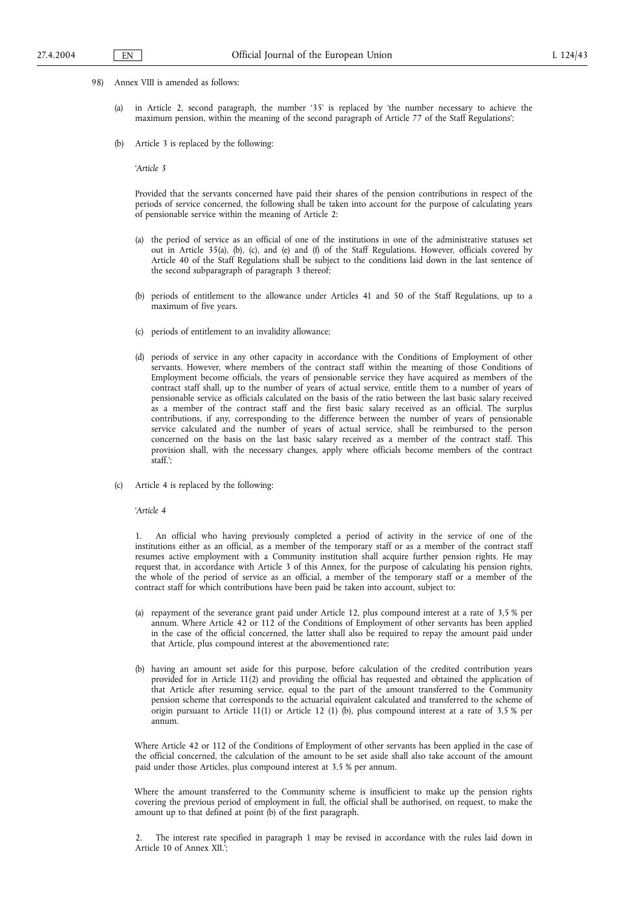- 98) Annex VIII is amended as follows:
	- in Article 2, second paragraph, the number '35' is replaced by 'the number necessary to achieve the maximum pension, within the meaning of the second paragraph of Article 77 of the Staff Regulations';
	- (b) Article 3 is replaced by the following:

'*Article 3*

Provided that the servants concerned have paid their shares of the pension contributions in respect of the periods of service concerned, the following shall be taken into account for the purpose of calculating years of pensionable service within the meaning of Article 2:

- (a) the period of service as an official of one of the institutions in one of the administrative statuses set out in Article 35(a), (b), (c), and (e) and (f) of the Staff Regulations. However, officials covered by Article 40 of the Staff Regulations shall be subject to the conditions laid down in the last sentence of the second subparagraph of paragraph 3 thereof;
- (b) periods of entitlement to the allowance under Articles 41 and 50 of the Staff Regulations, up to a maximum of five years.
- (c) periods of entitlement to an invalidity allowance;
- (d) periods of service in any other capacity in accordance with the Conditions of Employment of other servants. However, where members of the contract staff within the meaning of those Conditions of Employment become officials, the years of pensionable service they have acquired as members of the contract staff shall, up to the number of years of actual service, entitle them to a number of years of pensionable service as officials calculated on the basis of the ratio between the last basic salary received as a member of the contract staff and the first basic salary received as an official. The surplus contributions, if any, corresponding to the difference between the number of years of pensionable service calculated and the number of years of actual service, shall be reimbursed to the person concerned on the basis on the last basic salary received as a member of the contract staff. This provision shall, with the necessary changes, apply where officials become members of the contract staff.';
- (c) Article 4 is replaced by the following:

'*Article 4*

1. An official who having previously completed a period of activity in the service of one of the institutions either as an official, as a member of the temporary staff or as a member of the contract staff resumes active employment with a Community institution shall acquire further pension rights. He may request that, in accordance with Article 3 of this Annex, for the purpose of calculating his pension rights, the whole of the period of service as an official, a member of the temporary staff or a member of the contract staff for which contributions have been paid be taken into account, subject to:

- (a) repayment of the severance grant paid under Article 12, plus compound interest at a rate of 3,5 % per annum. Where Article 42 or 112 of the Conditions of Employment of other servants has been applied in the case of the official concerned, the latter shall also be required to repay the amount paid under that Article, plus compound interest at the abovementioned rate;
- (b) having an amount set aside for this purpose, before calculation of the credited contribution years provided for in Article 11(2) and providing the official has requested and obtained the application of that Article after resuming service, equal to the part of the amount transferred to the Community pension scheme that corresponds to the actuarial equivalent calculated and transferred to the scheme of origin pursuant to Article 11(1) or Article 12 (1) (b), plus compound interest at a rate of 3,5 % per annum.

Where Article 42 or 112 of the Conditions of Employment of other servants has been applied in the case of the official concerned, the calculation of the amount to be set aside shall also take account of the amount paid under those Articles, plus compound interest at 3,5 % per annum.

Where the amount transferred to the Community scheme is insufficient to make up the pension rights covering the previous period of employment in full, the official shall be authorised, on request, to make the amount up to that defined at point (b) of the first paragraph.

2. The interest rate specified in paragraph 1 may be revised in accordance with the rules laid down in Article 10 of Annex XII.';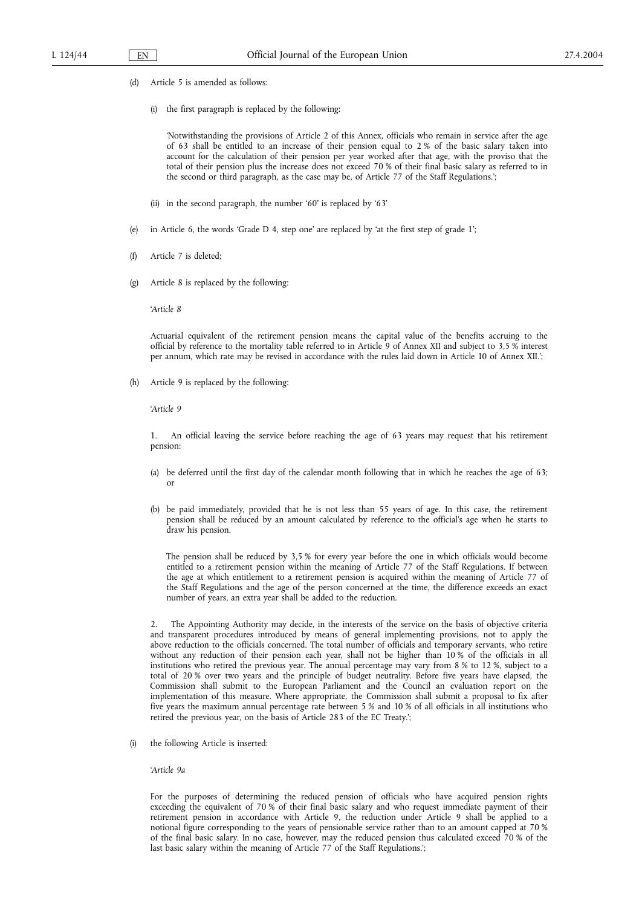- (d) Article 5 is amended as follows:
	- (i) the first paragraph is replaced by the following:

'Notwithstanding the provisions of Article 2 of this Annex, officials who remain in service after the age of 63 shall be entitled to an increase of their pension equal to 2 % of the basic salary taken into account for the calculation of their pension per year worked after that age, with the proviso that the total of their pension plus the increase does not exceed 70 % of their final basic salary as referred to in the second or third paragraph, as the case may be, of Article 77 of the Staff Regulations.';

- (ii) in the second paragraph, the number '60' is replaced by '63'
- (e) in Article 6, the words 'Grade D 4, step one' are replaced by 'at the first step of grade 1';
- (f) Article 7 is deleted;
- (g) Article 8 is replaced by the following:

'*Article 8*

Actuarial equivalent of the retirement pension means the capital value of the benefits accruing to the official by reference to the mortality table referred to in Article 9 of Annex XII and subject to 3,5 % interest per annum, which rate may be revised in accordance with the rules laid down in Article 10 of Annex XII.';

(h) Article 9 is replaced by the following:

'*Article 9*

1. An official leaving the service before reaching the age of 63 years may request that his retirement pension:

- (a) be deferred until the first day of the calendar month following that in which he reaches the age of 63; or
- (b) be paid immediately, provided that he is not less than 55 years of age. In this case, the retirement pension shall be reduced by an amount calculated by reference to the official's age when he starts to draw his pension.

The pension shall be reduced by 3,5 % for every year before the one in which officials would become entitled to a retirement pension within the meaning of Article 77 of the Staff Regulations. If between the age at which entitlement to a retirement pension is acquired within the meaning of Article 77 of the Staff Regulations and the age of the person concerned at the time, the difference exceeds an exact number of years, an extra year shall be added to the reduction.

2. The Appointing Authority may decide, in the interests of the service on the basis of objective criteria and transparent procedures introduced by means of general implementing provisions, not to apply the above reduction to the officials concerned. The total number of officials and temporary servants, who retire without any reduction of their pension each year, shall not be higher than 10 % of the officials in all institutions who retired the previous year. The annual percentage may vary from 8 % to 12 %, subject to a total of 20 % over two years and the principle of budget neutrality. Before five years have elapsed, the Commission shall submit to the European Parliament and the Council an evaluation report on the implementation of this measure. Where appropriate, the Commission shall submit a proposal to fix after five years the maximum annual percentage rate between 5 % and 10 % of all officials in all institutions who retired the previous year, on the basis of Article 283 of the EC Treaty.';

(i) the following Article is inserted:

#### '*Article 9a*

For the purposes of determining the reduced pension of officials who have acquired pension rights exceeding the equivalent of 70 % of their final basic salary and who request immediate payment of their retirement pension in accordance with Article 9, the reduction under Article 9 shall be applied to a notional figure corresponding to the years of pensionable service rather than to an amount capped at 70 % of the final basic salary. In no case, however, may the reduced pension thus calculated exceed 70 % of the last basic salary within the meaning of Article 77 of the Staff Regulations.';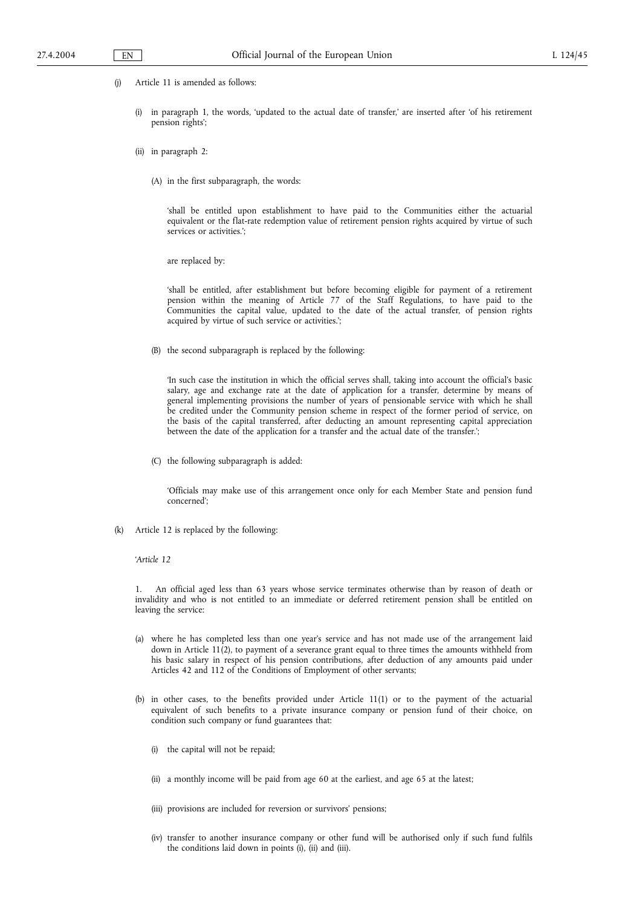- (j) Article 11 is amended as follows:
	- (i) in paragraph 1, the words, 'updated to the actual date of transfer,' are inserted after 'of his retirement pension rights';
	- (ii) in paragraph 2:
		- (A) in the first subparagraph, the words:

'shall be entitled upon establishment to have paid to the Communities either the actuarial equivalent or the flat-rate redemption value of retirement pension rights acquired by virtue of such services or activities.';

are replaced by:

'shall be entitled, after establishment but before becoming eligible for payment of a retirement pension within the meaning of Article 77 of the Staff Regulations, to have paid to the Communities the capital value, updated to the date of the actual transfer, of pension rights acquired by virtue of such service or activities.';

(B) the second subparagraph is replaced by the following:

'In such case the institution in which the official serves shall, taking into account the official's basic salary, age and exchange rate at the date of application for a transfer, determine by means of general implementing provisions the number of years of pensionable service with which he shall be credited under the Community pension scheme in respect of the former period of service, on the basis of the capital transferred, after deducting an amount representing capital appreciation between the date of the application for a transfer and the actual date of the transfer.';

(C) the following subparagraph is added:

'Officials may make use of this arrangement once only for each Member State and pension fund concerned';

(k) Article 12 is replaced by the following:

'*Article 12*

1. An official aged less than 63 years whose service terminates otherwise than by reason of death or invalidity and who is not entitled to an immediate or deferred retirement pension shall be entitled on leaving the service:

- (a) where he has completed less than one year's service and has not made use of the arrangement laid down in Article 11(2), to payment of a severance grant equal to three times the amounts withheld from his basic salary in respect of his pension contributions, after deduction of any amounts paid under Articles 42 and 112 of the Conditions of Employment of other servants;
- (b) in other cases, to the benefits provided under Article 11(1) or to the payment of the actuarial equivalent of such benefits to a private insurance company or pension fund of their choice, on condition such company or fund guarantees that:
	- (i) the capital will not be repaid;
	- (ii) a monthly income will be paid from age 60 at the earliest, and age 65 at the latest;
	- (iii) provisions are included for reversion or survivors' pensions;
	- (iv) transfer to another insurance company or other fund will be authorised only if such fund fulfils the conditions laid down in points (i), (ii) and (iii).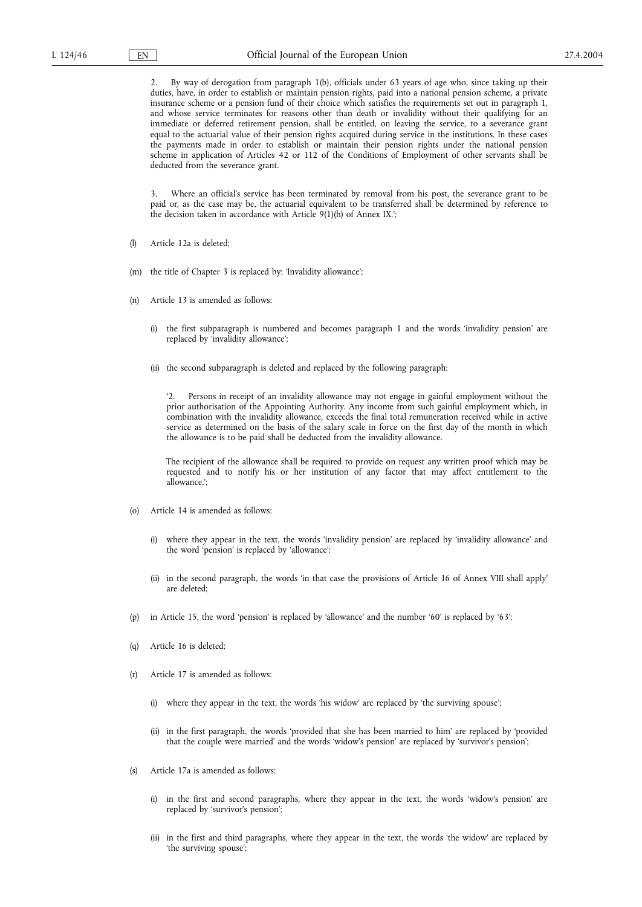By way of derogation from paragraph 1(b), officials under 63 years of age who, since taking up their duties, have, in order to establish or maintain pension rights, paid into a national pension scheme, a private insurance scheme or a pension fund of their choice which satisfies the requirements set out in paragraph 1, and whose service terminates for reasons other than death or invalidity without their qualifying for an immediate or deferred retirement pension, shall be entitled, on leaving the service, to a severance grant equal to the actuarial value of their pension rights acquired during service in the institutions. In these cases the payments made in order to establish or maintain their pension rights under the national pension scheme in application of Articles 42 or 112 of the Conditions of Employment of other servants shall be deducted from the severance grant.

3. Where an official's service has been terminated by removal from his post, the severance grant to be paid or, as the case may be, the actuarial equivalent to be transferred shall be determined by reference to the decision taken in accordance with Article 9(1)(h) of Annex IX.';

- (l) Article 12a is deleted;
- (m) the title of Chapter 3 is replaced by: 'Invalidity allowance';
- (n) Article 13 is amended as follows:
	- (i) the first subparagraph is numbered and becomes paragraph 1 and the words 'invalidity pension' are replaced by 'invalidity allowance';
	- (ii) the second subparagraph is deleted and replaced by the following paragraph:

'2. Persons in receipt of an invalidity allowance may not engage in gainful employment without the prior authorisation of the Appointing Authority. Any income from such gainful employment which, in combination with the invalidity allowance, exceeds the final total remuneration received while in active service as determined on the basis of the salary scale in force on the first day of the month in which the allowance is to be paid shall be deducted from the invalidity allowance.

The recipient of the allowance shall be required to provide on request any written proof which may be requested and to notify his or her institution of any factor that may affect entitlement to the allowance.';

- (o) Article 14 is amended as follows:
	- (i) where they appear in the text, the words 'invalidity pension' are replaced by 'invalidity allowance' and the word 'pension' is replaced by 'allowance';
	- (ii) in the second paragraph, the words 'in that case the provisions of Article 16 of Annex VIII shall apply' are deleted;
- (p) in Article 15, the word 'pension' is replaced by 'allowance' and the number '60' is replaced by '63';
- (q) Article 16 is deleted;
- (r) Article 17 is amended as follows:
	- (i) where they appear in the text, the words 'his widow' are replaced by 'the surviving spouse';
	- (ii) in the first paragraph, the words 'provided that she has been married to him' are replaced by 'provided that the couple were married' and the words 'widow's pension' are replaced by 'survivor's pension';
- (s) Article 17a is amended as follows:
	- (i) in the first and second paragraphs, where they appear in the text, the words 'widow's pension' are replaced by 'survivor's pension';
	- (ii) in the first and third paragraphs, where they appear in the text, the words 'the widow' are replaced by 'the surviving spouse';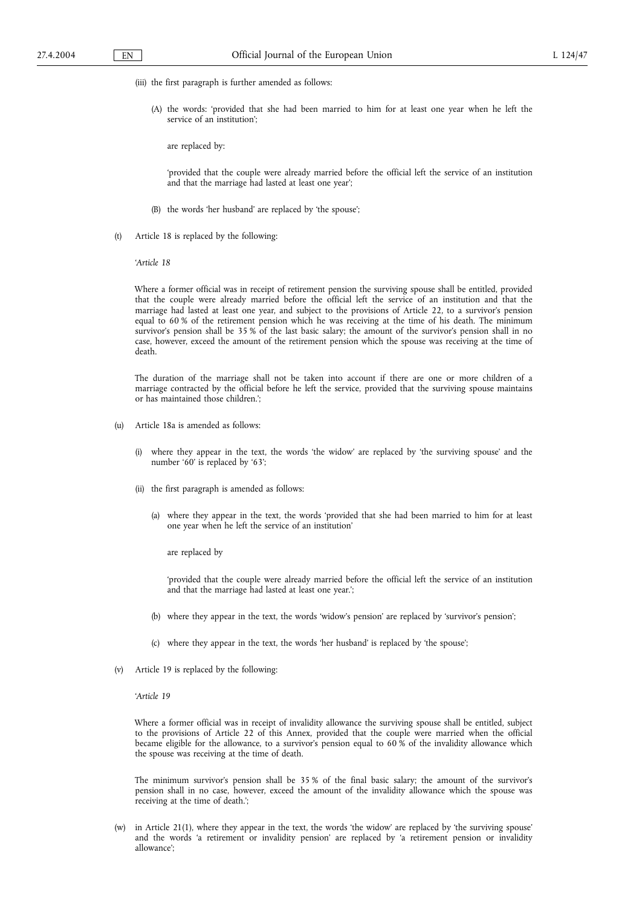- (iii) the first paragraph is further amended as follows:
	- (A) the words: 'provided that she had been married to him for at least one year when he left the service of an institution';

are replaced by:

'provided that the couple were already married before the official left the service of an institution and that the marriage had lasted at least one year';

- (B) the words 'her husband' are replaced by 'the spouse';
- (t) Article 18 is replaced by the following:

'*Article 18*

Where a former official was in receipt of retirement pension the surviving spouse shall be entitled, provided that the couple were already married before the official left the service of an institution and that the marriage had lasted at least one year, and subject to the provisions of Article 22, to a survivor's pension equal to 60 % of the retirement pension which he was receiving at the time of his death. The minimum survivor's pension shall be 35 % of the last basic salary; the amount of the survivor's pension shall in no case, however, exceed the amount of the retirement pension which the spouse was receiving at the time of death.

The duration of the marriage shall not be taken into account if there are one or more children of a marriage contracted by the official before he left the service, provided that the surviving spouse maintains or has maintained those children.';

- (u) Article 18a is amended as follows:
	- (i) where they appear in the text, the words 'the widow' are replaced by 'the surviving spouse' and the number '60' is replaced by '63';
	- (ii) the first paragraph is amended as follows:
		- (a) where they appear in the text, the words 'provided that she had been married to him for at least one year when he left the service of an institution'

are replaced by

'provided that the couple were already married before the official left the service of an institution and that the marriage had lasted at least one year.';

- (b) where they appear in the text, the words 'widow's pension' are replaced by 'survivor's pension';
- (c) where they appear in the text, the words 'her husband' is replaced by 'the spouse';
- (v) Article 19 is replaced by the following:
	- '*Article 19*

Where a former official was in receipt of invalidity allowance the surviving spouse shall be entitled, subject to the provisions of Article 22 of this Annex, provided that the couple were married when the official became eligible for the allowance, to a survivor's pension equal to 60 % of the invalidity allowance which the spouse was receiving at the time of death.

The minimum survivor's pension shall be 35 % of the final basic salary; the amount of the survivor's pension shall in no case, however, exceed the amount of the invalidity allowance which the spouse was receiving at the time of death.';

(w) in Article 21(1), where they appear in the text, the words 'the widow' are replaced by 'the surviving spouse' and the words 'a retirement or invalidity pension' are replaced by 'a retirement pension or invalidity allowance';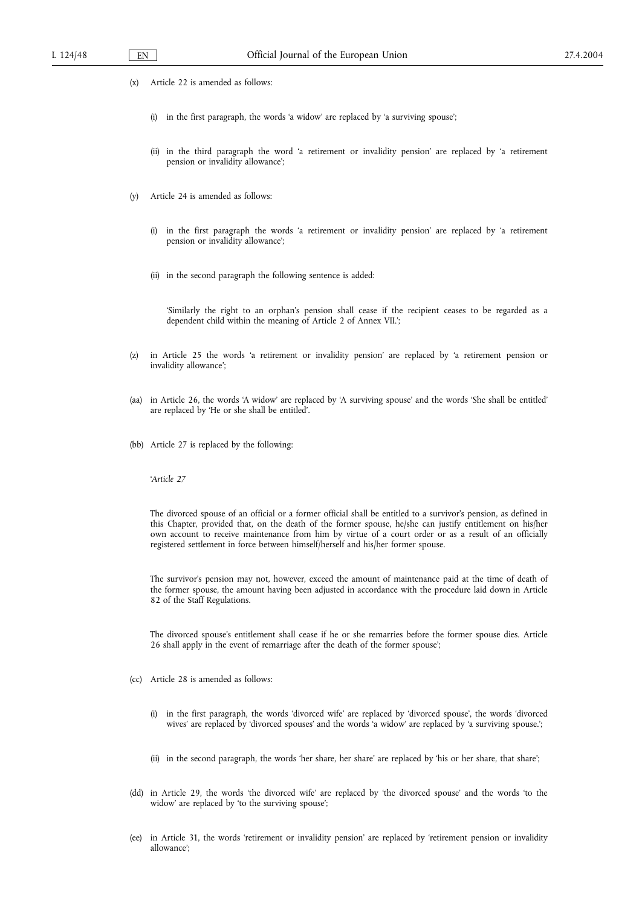- (x) Article 22 is amended as follows:
	- (i) in the first paragraph, the words 'a widow' are replaced by 'a surviving spouse';
	- (ii) in the third paragraph the word 'a retirement or invalidity pension' are replaced by 'a retirement pension or invalidity allowance';
- (y) Article 24 is amended as follows:
	- (i) in the first paragraph the words 'a retirement or invalidity pension' are replaced by 'a retirement pension or invalidity allowance';
	- (ii) in the second paragraph the following sentence is added:

'Similarly the right to an orphan's pension shall cease if the recipient ceases to be regarded as a dependent child within the meaning of Article 2 of Annex VII.';

- (z) in Article 25 the words 'a retirement or invalidity pension' are replaced by 'a retirement pension or invalidity allowance';
- (aa) in Article 26, the words 'A widow' are replaced by 'A surviving spouse' and the words 'She shall be entitled' are replaced by 'He or she shall be entitled'.
- (bb) Article 27 is replaced by the following:

'*Article 27*

The divorced spouse of an official or a former official shall be entitled to a survivor's pension, as defined in this Chapter, provided that, on the death of the former spouse, he/she can justify entitlement on his/her own account to receive maintenance from him by virtue of a court order or as a result of an officially registered settlement in force between himself/herself and his/her former spouse.

The survivor's pension may not, however, exceed the amount of maintenance paid at the time of death of the former spouse, the amount having been adjusted in accordance with the procedure laid down in Article 82 of the Staff Regulations.

The divorced spouse's entitlement shall cease if he or she remarries before the former spouse dies. Article 26 shall apply in the event of remarriage after the death of the former spouse';

- (cc) Article 28 is amended as follows:
	- (i) in the first paragraph, the words 'divorced wife' are replaced by 'divorced spouse', the words 'divorced wives' are replaced by 'divorced spouses' and the words 'a widow' are replaced by 'a surviving spouse.';
	- (ii) in the second paragraph, the words 'her share, her share' are replaced by 'his or her share, that share';
- (dd) in Article 29, the words 'the divorced wife' are replaced by 'the divorced spouse' and the words 'to the widow' are replaced by 'to the surviving spouse';
- (ee) in Article 31, the words 'retirement or invalidity pension' are replaced by 'retirement pension or invalidity allowance';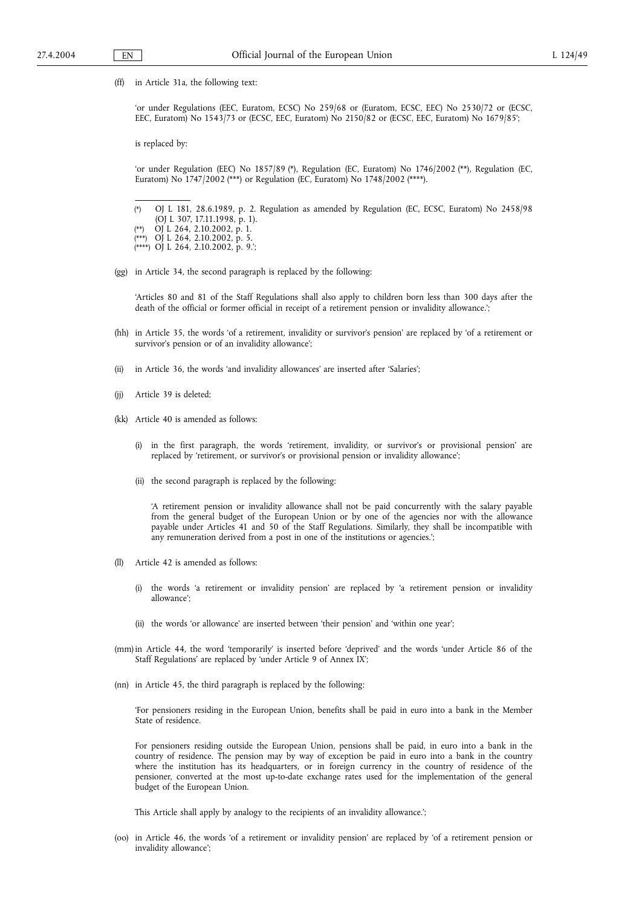(ff) in Article 31a, the following text:

'or under Regulations (EEC, Euratom, ECSC) No 259/68 or (Euratom, ECSC, EEC) No 2530/72 or (ECSC, EEC, Euratom) No 1543/73 or (ECSC, EEC, Euratom) No 2150/82 or (ECSC, EEC, Euratom) No 1679/85';

is replaced by:

'or under Regulation (EEC) No 1857/89 (\*), Regulation (EC, Euratom) No 1746/2002 (\*\*), Regulation (EC, Euratom) No 1747/2002 (\*\*\*) or Regulation (EC, Euratom) No 1748/2002 (\*\*\*\*).

(\*) OJ L 181, 28.6.1989, p. 2. Regulation as amended by Regulation (EC, ECSC, Euratom) No 2458/98

- (OJ L 307, 17.11.1998, p. 1).
- (\*\*) OJ L 264, 2.10.2002, p. 1.<br>(\*\*\*) OJ L 264, 2.10.2002, p. 5.
- $\overrightarrow{O}$ J L 264, 2.10.2002, p. 5. (\*\*\*\*) OJ L 264, 2.10.2002, p. 9.';
- (gg) in Article 34, the second paragraph is replaced by the following:

'Articles 80 and 81 of the Staff Regulations shall also apply to children born less than 300 days after the death of the official or former official in receipt of a retirement pension or invalidity allowance.';

- (hh) in Article 35, the words 'of a retirement, invalidity or survivor's pension' are replaced by 'of a retirement or survivor's pension or of an invalidity allowance';
- (ii) in Article 36, the words 'and invalidity allowances' are inserted after 'Salaries';
- (jj) Article 39 is deleted;
- (kk) Article 40 is amended as follows:
	- (i) in the first paragraph, the words 'retirement, invalidity, or survivor's or provisional pension' are replaced by 'retirement, or survivor's or provisional pension or invalidity allowance';
	- (ii) the second paragraph is replaced by the following:

'A retirement pension or invalidity allowance shall not be paid concurrently with the salary payable from the general budget of the European Union or by one of the agencies nor with the allowance payable under Articles 41 and 50 of the Staff Regulations. Similarly, they shall be incompatible with any remuneration derived from a post in one of the institutions or agencies.';

- (ll) Article 42 is amended as follows:
	- (i) the words 'a retirement or invalidity pension' are replaced by 'a retirement pension or invalidity allowance';
	- (ii) the words 'or allowance' are inserted between 'their pension' and 'within one year';
- (mm) in Article 44, the word 'temporarily' is inserted before 'deprived' and the words 'under Article 86 of the Staff Regulations' are replaced by 'under Article 9 of Annex IX';
- (nn) in Article 45, the third paragraph is replaced by the following:

'For pensioners residing in the European Union, benefits shall be paid in euro into a bank in the Member State of residence.

For pensioners residing outside the European Union, pensions shall be paid, in euro into a bank in the country of residence. The pension may by way of exception be paid in euro into a bank in the country where the institution has its headquarters, or in foreign currency in the country of residence of the pensioner, converted at the most up-to-date exchange rates used for the implementation of the general budget of the European Union.

This Article shall apply by analogy to the recipients of an invalidity allowance.';

(oo) in Article 46, the words 'of a retirement or invalidity pension' are replaced by 'of a retirement pension or invalidity allowance';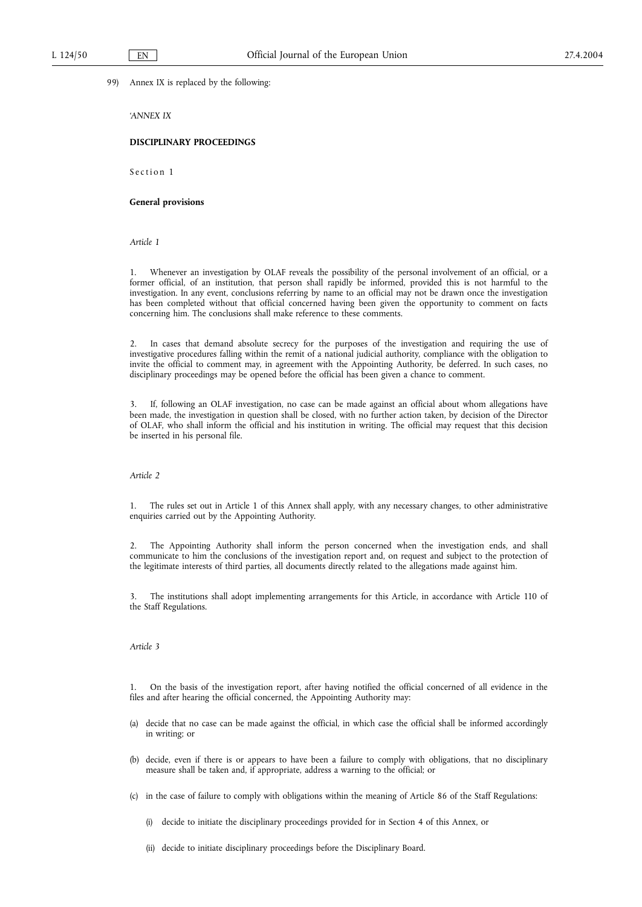### 99) Annex IX is replaced by the following:

*'ANNEX IX*

#### **DISCIPLINARY PROCEEDINGS**

Section 1

### **General provisions**

*Article 1*

1. Whenever an investigation by OLAF reveals the possibility of the personal involvement of an official, or a former official, of an institution, that person shall rapidly be informed, provided this is not harmful to the investigation. In any event, conclusions referring by name to an official may not be drawn once the investigation has been completed without that official concerned having been given the opportunity to comment on facts concerning him. The conclusions shall make reference to these comments.

2. In cases that demand absolute secrecy for the purposes of the investigation and requiring the use of investigative procedures falling within the remit of a national judicial authority, compliance with the obligation to invite the official to comment may, in agreement with the Appointing Authority, be deferred. In such cases, no disciplinary proceedings may be opened before the official has been given a chance to comment.

If, following an OLAF investigation, no case can be made against an official about whom allegations have been made, the investigation in question shall be closed, with no further action taken, by decision of the Director of OLAF, who shall inform the official and his institution in writing. The official may request that this decision be inserted in his personal file.

## *Article 2*

1. The rules set out in Article 1 of this Annex shall apply, with any necessary changes, to other administrative enquiries carried out by the Appointing Authority.

2. The Appointing Authority shall inform the person concerned when the investigation ends, and shall communicate to him the conclusions of the investigation report and, on request and subject to the protection of the legitimate interests of third parties, all documents directly related to the allegations made against him.

3. The institutions shall adopt implementing arrangements for this Article, in accordance with Article 110 of the Staff Regulations.

### *Article 3*

1. On the basis of the investigation report, after having notified the official concerned of all evidence in the files and after hearing the official concerned, the Appointing Authority may:

- (a) decide that no case can be made against the official, in which case the official shall be informed accordingly in writing; or
- (b) decide, even if there is or appears to have been a failure to comply with obligations, that no disciplinary measure shall be taken and, if appropriate, address a warning to the official; or
- (c) in the case of failure to comply with obligations within the meaning of Article 86 of the Staff Regulations:
	- (i) decide to initiate the disciplinary proceedings provided for in Section 4 of this Annex, or
	- (ii) decide to initiate disciplinary proceedings before the Disciplinary Board.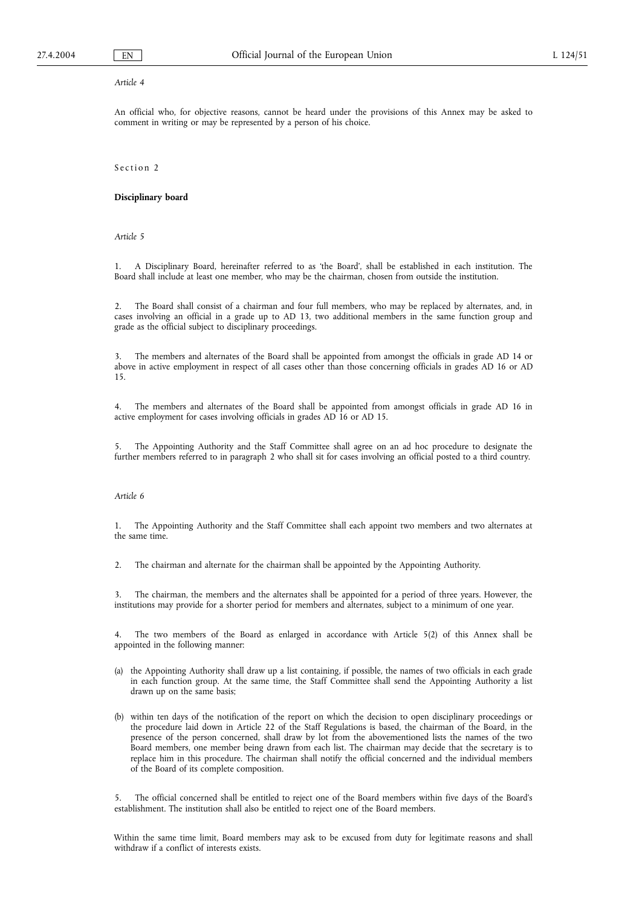#### *Article 4*

An official who, for objective reasons, cannot be heard under the provisions of this Annex may be asked to comment in writing or may be represented by a person of his choice.

Section 2

## **Disciplinary board**

*Article 5*

1. A Disciplinary Board, hereinafter referred to as 'the Board', shall be established in each institution. The Board shall include at least one member, who may be the chairman, chosen from outside the institution.

2. The Board shall consist of a chairman and four full members, who may be replaced by alternates, and, in cases involving an official in a grade up to AD 13, two additional members in the same function group and grade as the official subject to disciplinary proceedings.

3. The members and alternates of the Board shall be appointed from amongst the officials in grade AD 14 or above in active employment in respect of all cases other than those concerning officials in grades AD 16 or AD 15.

4. The members and alternates of the Board shall be appointed from amongst officials in grade AD 16 in active employment for cases involving officials in grades AD 16 or AD 15.

The Appointing Authority and the Staff Committee shall agree on an ad hoc procedure to designate the further members referred to in paragraph 2 who shall sit for cases involving an official posted to a third country.

#### *Article 6*

1. The Appointing Authority and the Staff Committee shall each appoint two members and two alternates at the same time.

2. The chairman and alternate for the chairman shall be appointed by the Appointing Authority.

3. The chairman, the members and the alternates shall be appointed for a period of three years. However, the institutions may provide for a shorter period for members and alternates, subject to a minimum of one year.

4. The two members of the Board as enlarged in accordance with Article 5(2) of this Annex shall be appointed in the following manner:

- (a) the Appointing Authority shall draw up a list containing, if possible, the names of two officials in each grade in each function group. At the same time, the Staff Committee shall send the Appointing Authority a list drawn up on the same basis;
- (b) within ten days of the notification of the report on which the decision to open disciplinary proceedings or the procedure laid down in Article 22 of the Staff Regulations is based, the chairman of the Board, in the presence of the person concerned, shall draw by lot from the abovementioned lists the names of the two Board members, one member being drawn from each list. The chairman may decide that the secretary is to replace him in this procedure. The chairman shall notify the official concerned and the individual members of the Board of its complete composition.

5. The official concerned shall be entitled to reject one of the Board members within five days of the Board's establishment. The institution shall also be entitled to reject one of the Board members.

Within the same time limit, Board members may ask to be excused from duty for legitimate reasons and shall withdraw if a conflict of interests exists.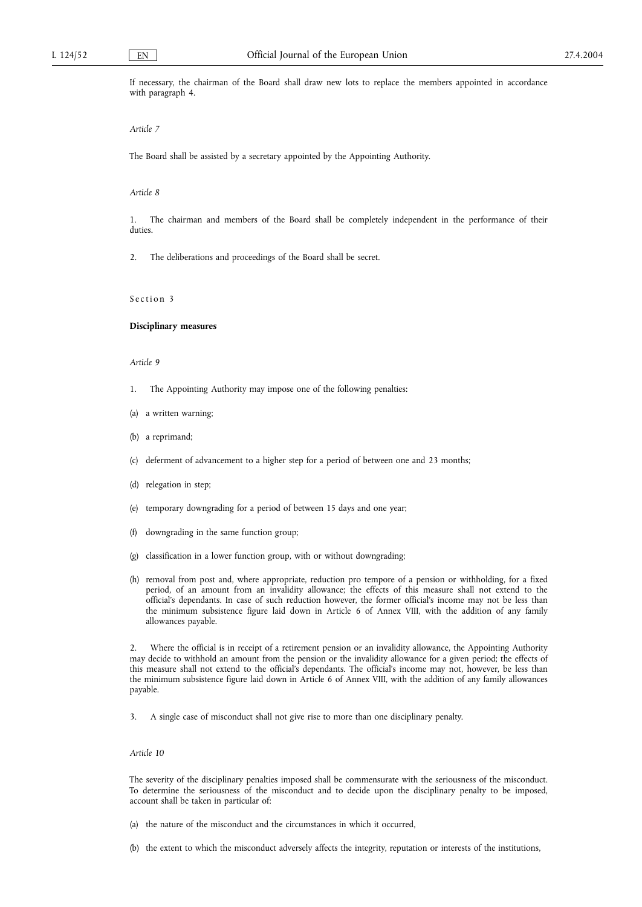If necessary, the chairman of the Board shall draw new lots to replace the members appointed in accordance with paragraph 4.

#### *Article 7*

The Board shall be assisted by a secretary appointed by the Appointing Authority.

#### *Article 8*

1. The chairman and members of the Board shall be completely independent in the performance of their duties.

2. The deliberations and proceedings of the Board shall be secret.

## Section 3

#### **Disciplinary measures**

#### *Article 9*

- 1. The Appointing Authority may impose one of the following penalties:
- (a) a written warning;
- (b) a reprimand;
- (c) deferment of advancement to a higher step for a period of between one and 23 months;
- (d) relegation in step;
- (e) temporary downgrading for a period of between 15 days and one year;
- (f) downgrading in the same function group;
- (g) classification in a lower function group, with or without downgrading;
- (h) removal from post and, where appropriate, reduction pro tempore of a pension or withholding, for a fixed period, of an amount from an invalidity allowance; the effects of this measure shall not extend to the official's dependants. In case of such reduction however, the former official's income may not be less than the minimum subsistence figure laid down in Article 6 of Annex VIII, with the addition of any family allowances payable.

2. Where the official is in receipt of a retirement pension or an invalidity allowance, the Appointing Authority may decide to withhold an amount from the pension or the invalidity allowance for a given period; the effects of this measure shall not extend to the official's dependants. The official's income may not, however, be less than the minimum subsistence figure laid down in Article 6 of Annex VIII, with the addition of any family allowances payable.

3. A single case of misconduct shall not give rise to more than one disciplinary penalty.

### *Article 10*

The severity of the disciplinary penalties imposed shall be commensurate with the seriousness of the misconduct. To determine the seriousness of the misconduct and to decide upon the disciplinary penalty to be imposed, account shall be taken in particular of:

- (a) the nature of the misconduct and the circumstances in which it occurred,
- (b) the extent to which the misconduct adversely affects the integrity, reputation or interests of the institutions,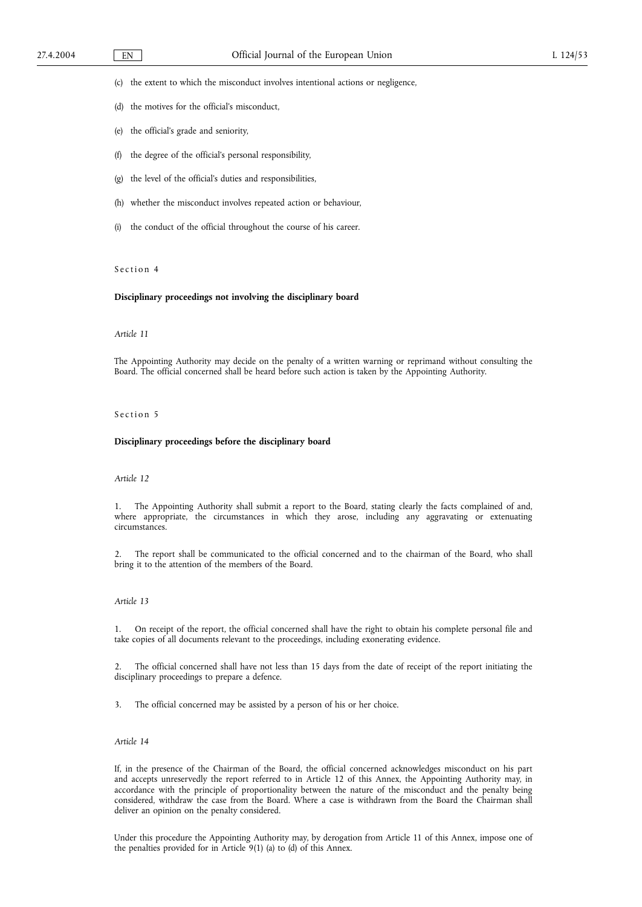(c) the extent to which the misconduct involves intentional actions or negligence,

- (d) the motives for the official's misconduct,
- (e) the official's grade and seniority,
- (f) the degree of the official's personal responsibility,
- (g) the level of the official's duties and responsibilities,
- (h) whether the misconduct involves repeated action or behaviour,
- (i) the conduct of the official throughout the course of his career.

## Section 4

### **Disciplinary proceedings not involving the disciplinary board**

#### *Article 11*

The Appointing Authority may decide on the penalty of a written warning or reprimand without consulting the Board. The official concerned shall be heard before such action is taken by the Appointing Authority.

#### Section 5

### **Disciplinary proceedings before the disciplinary board**

### *Article 12*

1. The Appointing Authority shall submit a report to the Board, stating clearly the facts complained of and, where appropriate, the circumstances in which they arose, including any aggravating or extenuating circumstances.

2. The report shall be communicated to the official concerned and to the chairman of the Board, who shall bring it to the attention of the members of the Board.

#### *Article 13*

1. On receipt of the report, the official concerned shall have the right to obtain his complete personal file and take copies of all documents relevant to the proceedings, including exonerating evidence.

2. The official concerned shall have not less than 15 days from the date of receipt of the report initiating the disciplinary proceedings to prepare a defence.

3. The official concerned may be assisted by a person of his or her choice.

### *Article 14*

If, in the presence of the Chairman of the Board, the official concerned acknowledges misconduct on his part and accepts unreservedly the report referred to in Article 12 of this Annex, the Appointing Authority may, in accordance with the principle of proportionality between the nature of the misconduct and the penalty being considered, withdraw the case from the Board. Where a case is withdrawn from the Board the Chairman shall deliver an opinion on the penalty considered.

Under this procedure the Appointing Authority may, by derogation from Article 11 of this Annex, impose one of the penalties provided for in Article 9(1) (a) to (d) of this Annex.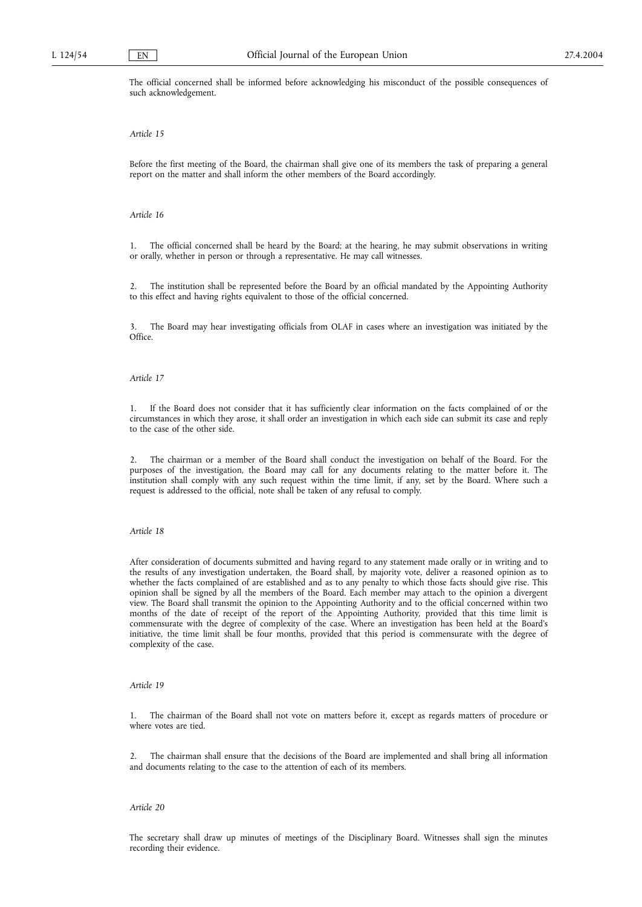The official concerned shall be informed before acknowledging his misconduct of the possible consequences of such acknowledgement.

#### *Article 15*

Before the first meeting of the Board, the chairman shall give one of its members the task of preparing a general report on the matter and shall inform the other members of the Board accordingly.

#### *Article 16*

1. The official concerned shall be heard by the Board; at the hearing, he may submit observations in writing or orally, whether in person or through a representative. He may call witnesses.

2. The institution shall be represented before the Board by an official mandated by the Appointing Authority to this effect and having rights equivalent to those of the official concerned.

3. The Board may hear investigating officials from OLAF in cases where an investigation was initiated by the Office.

#### *Article 17*

1. If the Board does not consider that it has sufficiently clear information on the facts complained of or the circumstances in which they arose, it shall order an investigation in which each side can submit its case and reply to the case of the other side.

2. The chairman or a member of the Board shall conduct the investigation on behalf of the Board. For the purposes of the investigation, the Board may call for any documents relating to the matter before it. The institution shall comply with any such request within the time limit, if any, set by the Board. Where such a request is addressed to the official, note shall be taken of any refusal to comply.

#### *Article 18*

After consideration of documents submitted and having regard to any statement made orally or in writing and to the results of any investigation undertaken, the Board shall, by majority vote, deliver a reasoned opinion as to whether the facts complained of are established and as to any penalty to which those facts should give rise. This opinion shall be signed by all the members of the Board. Each member may attach to the opinion a divergent view. The Board shall transmit the opinion to the Appointing Authority and to the official concerned within two months of the date of receipt of the report of the Appointing Authority, provided that this time limit is commensurate with the degree of complexity of the case. Where an investigation has been held at the Board's initiative, the time limit shall be four months, provided that this period is commensurate with the degree of complexity of the case.

### *Article 19*

1. The chairman of the Board shall not vote on matters before it, except as regards matters of procedure or where votes are tied.

2. The chairman shall ensure that the decisions of the Board are implemented and shall bring all information and documents relating to the case to the attention of each of its members.

### *Article 20*

The secretary shall draw up minutes of meetings of the Disciplinary Board. Witnesses shall sign the minutes recording their evidence.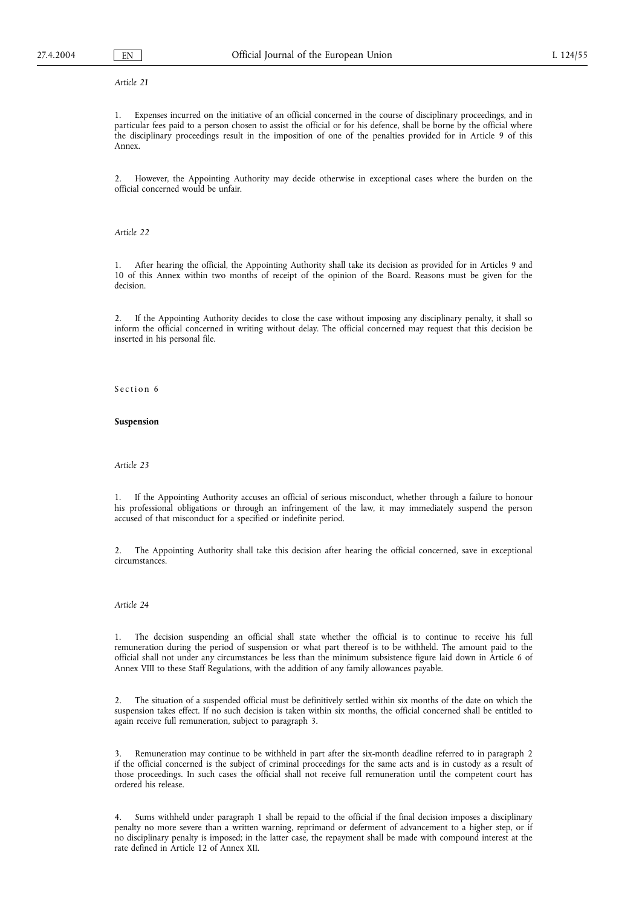### *Article 21*

1. Expenses incurred on the initiative of an official concerned in the course of disciplinary proceedings, and in particular fees paid to a person chosen to assist the official or for his defence, shall be borne by the official where the disciplinary proceedings result in the imposition of one of the penalties provided for in Article 9 of this Annex.

2. However, the Appointing Authority may decide otherwise in exceptional cases where the burden on the official concerned would be unfair.

*Article 22*

1. After hearing the official, the Appointing Authority shall take its decision as provided for in Articles 9 and 10 of this Annex within two months of receipt of the opinion of the Board. Reasons must be given for the decision.

2. If the Appointing Authority decides to close the case without imposing any disciplinary penalty, it shall so inform the official concerned in writing without delay. The official concerned may request that this decision be inserted in his personal file.

Section 6

#### **Suspension**

*Article 23*

1. If the Appointing Authority accuses an official of serious misconduct, whether through a failure to honour his professional obligations or through an infringement of the law, it may immediately suspend the person accused of that misconduct for a specified or indefinite period.

2. The Appointing Authority shall take this decision after hearing the official concerned, save in exceptional circumstances.

#### *Article 24*

1. The decision suspending an official shall state whether the official is to continue to receive his full remuneration during the period of suspension or what part thereof is to be withheld. The amount paid to the official shall not under any circumstances be less than the minimum subsistence figure laid down in Article 6 of Annex VIII to these Staff Regulations, with the addition of any family allowances payable.

2. The situation of a suspended official must be definitively settled within six months of the date on which the suspension takes effect. If no such decision is taken within six months, the official concerned shall be entitled to again receive full remuneration, subject to paragraph 3.

3. Remuneration may continue to be withheld in part after the six-month deadline referred to in paragraph 2 if the official concerned is the subject of criminal proceedings for the same acts and is in custody as a result of those proceedings. In such cases the official shall not receive full remuneration until the competent court has ordered his release.

4. Sums withheld under paragraph 1 shall be repaid to the official if the final decision imposes a disciplinary penalty no more severe than a written warning, reprimand or deferment of advancement to a higher step, or if no disciplinary penalty is imposed; in the latter case, the repayment shall be made with compound interest at the rate defined in Article 12 of Annex XII.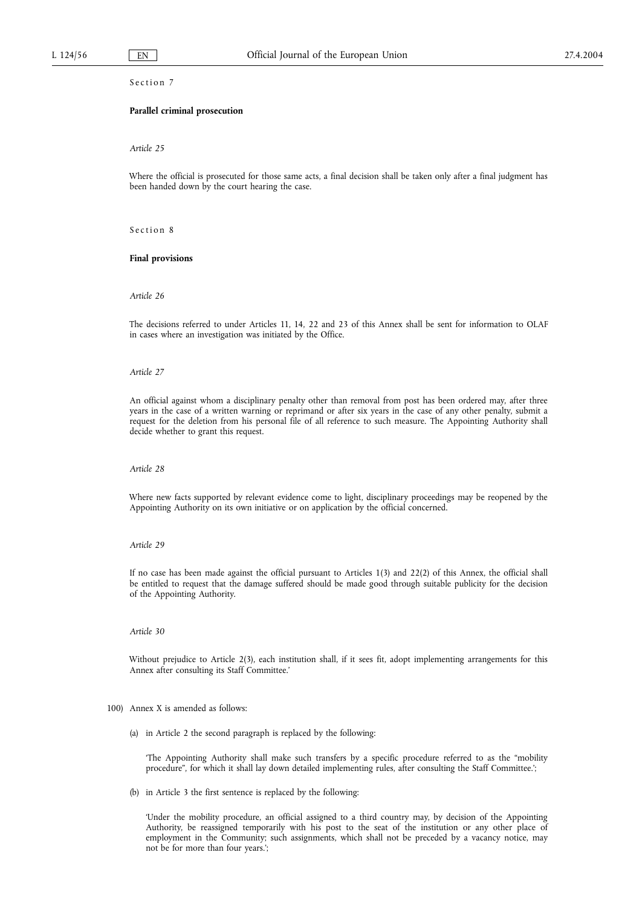## Section 7

### **Parallel criminal prosecution**

#### *Article 25*

Where the official is prosecuted for those same acts, a final decision shall be taken only after a final judgment has been handed down by the court hearing the case.

Section 8

#### **Final provisions**

#### *Article 26*

The decisions referred to under Articles 11, 14, 22 and 23 of this Annex shall be sent for information to OLAF in cases where an investigation was initiated by the Office.

#### *Article 27*

An official against whom a disciplinary penalty other than removal from post has been ordered may, after three years in the case of a written warning or reprimand or after six years in the case of any other penalty, submit a request for the deletion from his personal file of all reference to such measure. The Appointing Authority shall decide whether to grant this request.

#### *Article 28*

Where new facts supported by relevant evidence come to light, disciplinary proceedings may be reopened by the Appointing Authority on its own initiative or on application by the official concerned.

#### *Article 29*

If no case has been made against the official pursuant to Articles 1(3) and 22(2) of this Annex, the official shall be entitled to request that the damage suffered should be made good through suitable publicity for the decision of the Appointing Authority.

## *Article 30*

Without prejudice to Article 2(3), each institution shall, if it sees fit, adopt implementing arrangements for this Annex after consulting its Staff Committee.'

- 100) Annex X is amended as follows:
	- (a) in Article 2 the second paragraph is replaced by the following:

'The Appointing Authority shall make such transfers by a specific procedure referred to as the "mobility procedure", for which it shall lay down detailed implementing rules, after consulting the Staff Committee.';

(b) in Article 3 the first sentence is replaced by the following:

'Under the mobility procedure, an official assigned to a third country may, by decision of the Appointing Authority, be reassigned temporarily with his post to the seat of the institution or any other place of employment in the Community; such assignments, which shall not be preceded by a vacancy notice, may not be for more than four years.';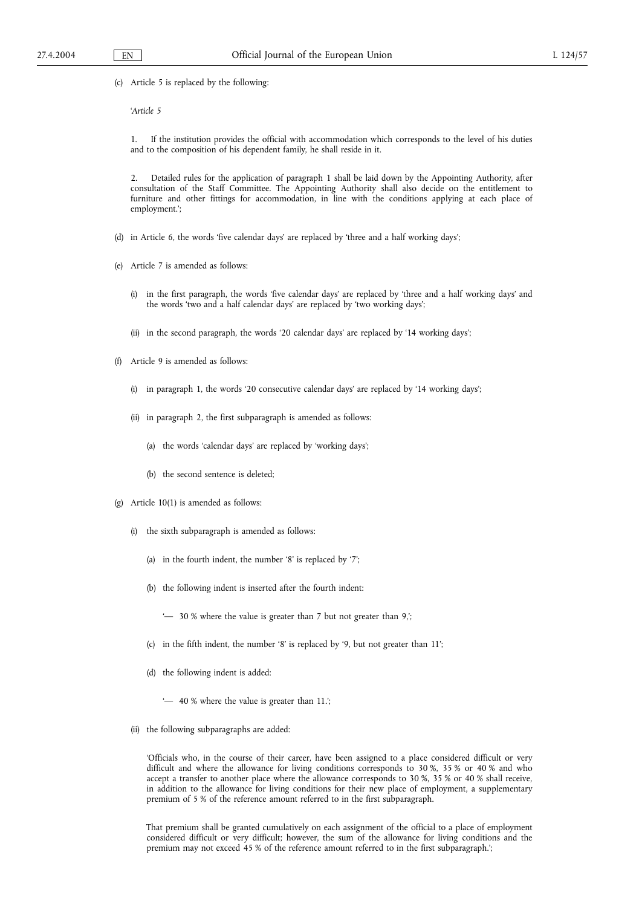(c) Article 5 is replaced by the following:

'*Article 5*

1. If the institution provides the official with accommodation which corresponds to the level of his duties and to the composition of his dependent family, he shall reside in it.

2. Detailed rules for the application of paragraph 1 shall be laid down by the Appointing Authority, after consultation of the Staff Committee. The Appointing Authority shall also decide on the entitlement to furniture and other fittings for accommodation, in line with the conditions applying at each place of employment.';

- (d) in Article 6, the words 'five calendar days' are replaced by 'three and a half working days';
- (e) Article 7 is amended as follows:
	- (i) in the first paragraph, the words 'five calendar days' are replaced by 'three and a half working days' and the words 'two and a half calendar days' are replaced by 'two working days';
	- (ii) in the second paragraph, the words '20 calendar days' are replaced by '14 working days';
- (f) Article 9 is amended as follows:
	- (i) in paragraph 1, the words '20 consecutive calendar days' are replaced by '14 working days';
	- (ii) in paragraph 2, the first subparagraph is amended as follows:
		- (a) the words 'calendar days' are replaced by 'working days';
		- (b) the second sentence is deleted;
- (g) Article 10(1) is amended as follows:
	- (i) the sixth subparagraph is amended as follows:
		- (a) in the fourth indent, the number '8' is replaced by '7';
		- (b) the following indent is inserted after the fourth indent:
			- '— 30 % where the value is greater than 7 but not greater than 9,';
		- (c) in the fifth indent, the number '8' is replaced by '9, but not greater than 11';
		- (d) the following indent is added:
			- '— 40 % where the value is greater than 11.';
	- (ii) the following subparagraphs are added:

'Officials who, in the course of their career, have been assigned to a place considered difficult or very difficult and where the allowance for living conditions corresponds to 30 %, 35 % or 40 % and who accept a transfer to another place where the allowance corresponds to 30 %, 35 % or 40 % shall receive, in addition to the allowance for living conditions for their new place of employment, a supplementary premium of 5 % of the reference amount referred to in the first subparagraph.

That premium shall be granted cumulatively on each assignment of the official to a place of employment considered difficult or very difficult; however, the sum of the allowance for living conditions and the premium may not exceed 45 % of the reference amount referred to in the first subparagraph.';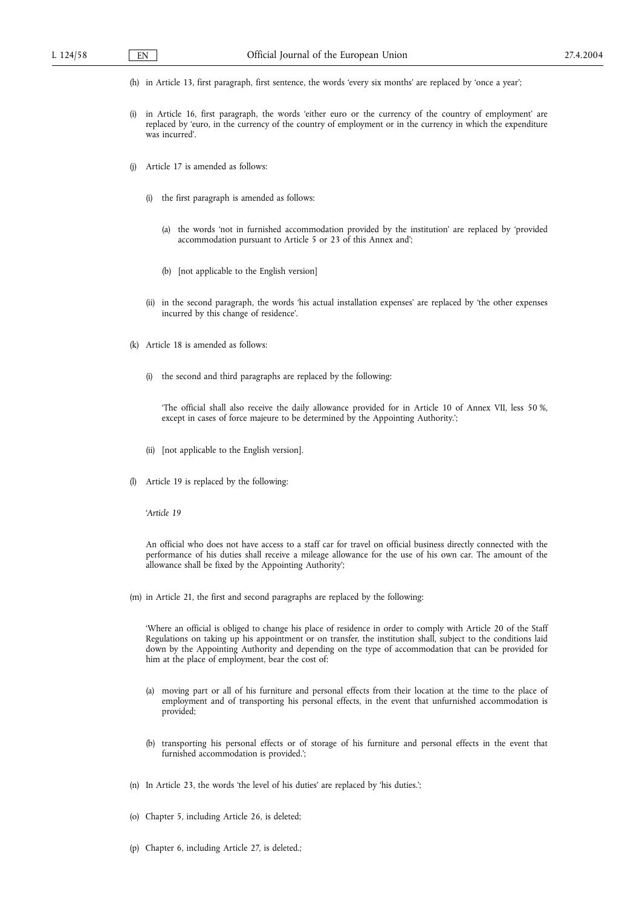- (h) in Article 13, first paragraph, first sentence, the words 'every six months' are replaced by 'once a year';
- (i) in Article 16, first paragraph, the words 'either euro or the currency of the country of employment' are replaced by 'euro, in the currency of the country of employment or in the currency in which the expenditure was incurred'.
- (j) Article 17 is amended as follows:
	- (i) the first paragraph is amended as follows:
		- (a) the words 'not in furnished accommodation provided by the institution' are replaced by 'provided accommodation pursuant to Article 5 or 23 of this Annex and';
		- (b) [not applicable to the English version]
	- (ii) in the second paragraph, the words 'his actual installation expenses' are replaced by 'the other expenses incurred by this change of residence'.
- (k) Article 18 is amended as follows:
	- (i) the second and third paragraphs are replaced by the following:

'The official shall also receive the daily allowance provided for in Article 10 of Annex VII, less 50 %, except in cases of force majeure to be determined by the Appointing Authority.';

- (ii) [not applicable to the English version].
- (l) Article 19 is replaced by the following:

'*Article 19*

An official who does not have access to a staff car for travel on official business directly connected with the performance of his duties shall receive a mileage allowance for the use of his own car. The amount of the allowance shall be fixed by the Appointing Authority';

(m) in Article 21, the first and second paragraphs are replaced by the following:

'Where an official is obliged to change his place of residence in order to comply with Article 20 of the Staff Regulations on taking up his appointment or on transfer, the institution shall, subject to the conditions laid down by the Appointing Authority and depending on the type of accommodation that can be provided for him at the place of employment, bear the cost of:

- (a) moving part or all of his furniture and personal effects from their location at the time to the place of employment and of transporting his personal effects, in the event that unfurnished accommodation is provided;
- (b) transporting his personal effects or of storage of his furniture and personal effects in the event that furnished accommodation is provided.';
- (n) In Article 23, the words 'the level of his duties' are replaced by 'his duties.';
- (o) Chapter 5, including Article 26, is deleted;
- (p) Chapter 6, including Article 27, is deleted.;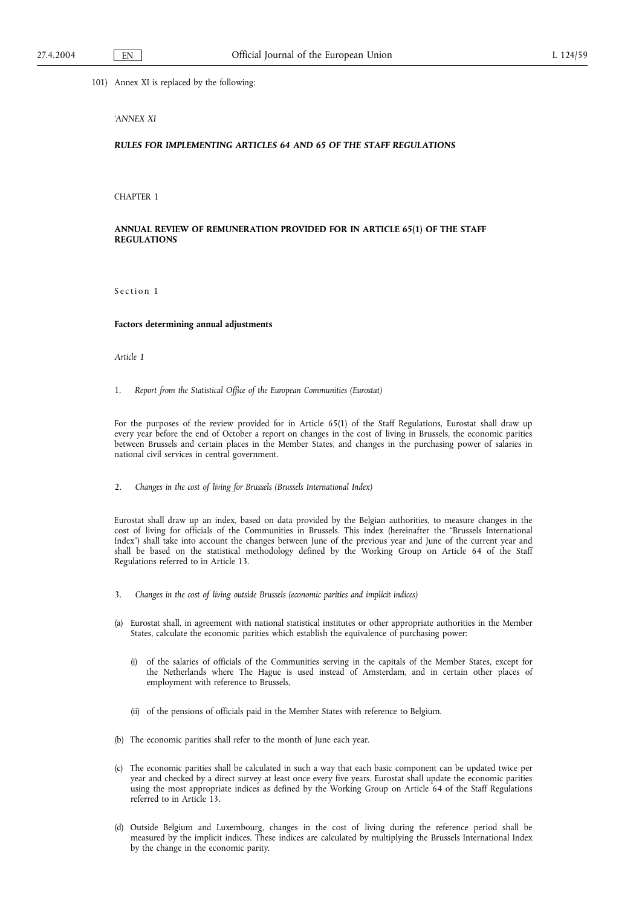101) Annex XI is replaced by the following:

### *'ANNEX XI*

## *RULES FOR IMPLEMENTING ARTICLES 64 AND 65 OF THE STAFF REGULATIONS*

CHAPTER 1

## **ANNUAL REVIEW OF REMUNERATION PROVIDED FOR IN ARTICLE 65(1) OF THE STAFF REGULATIONS**

Section 1

### **Factors determining annual adjustments**

*Article 1*

1. *Report from the Statistical Office of the European Communities (Eurostat)*

For the purposes of the review provided for in Article 65(1) of the Staff Regulations, Eurostat shall draw up every year before the end of October a report on changes in the cost of living in Brussels, the economic parities between Brussels and certain places in the Member States, and changes in the purchasing power of salaries in national civil services in central government.

2. *Changes in the cost of living for Brussels (Brussels International Index)*

Eurostat shall draw up an index, based on data provided by the Belgian authorities, to measure changes in the cost of living for officials of the Communities in Brussels. This index (hereinafter the "Brussels International Index") shall take into account the changes between June of the previous year and June of the current year and shall be based on the statistical methodology defined by the Working Group on Article 64 of the Staff Regulations referred to in Article 13.

- 3. *Changes in the cost of living outside Brussels (economic parities and implicit indices)*
- (a) Eurostat shall, in agreement with national statistical institutes or other appropriate authorities in the Member States, calculate the economic parities which establish the equivalence of purchasing power:
	- (i) of the salaries of officials of the Communities serving in the capitals of the Member States, except for the Netherlands where The Hague is used instead of Amsterdam, and in certain other places of employment with reference to Brussels,
	- (ii) of the pensions of officials paid in the Member States with reference to Belgium.
- (b) The economic parities shall refer to the month of June each year.
- (c) The economic parities shall be calculated in such a way that each basic component can be updated twice per year and checked by a direct survey at least once every five years. Eurostat shall update the economic parities using the most appropriate indices as defined by the Working Group on Article 64 of the Staff Regulations referred to in Article 13.
- (d) Outside Belgium and Luxembourg, changes in the cost of living during the reference period shall be measured by the implicit indices. These indices are calculated by multiplying the Brussels International Index by the change in the economic parity.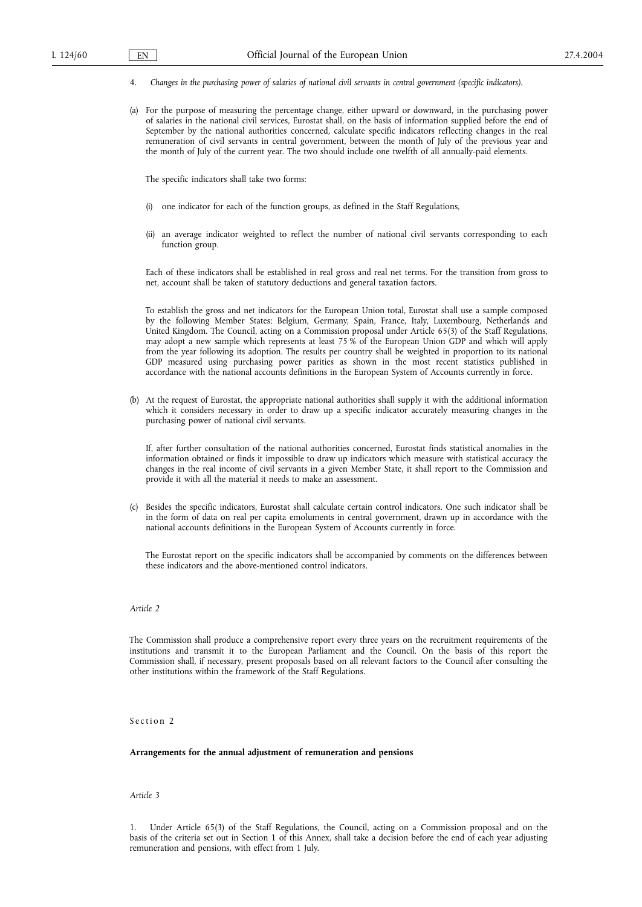- 4. *Changes in the purchasing power of salaries of national civil servants in central government (specific indicators).*
- (a) For the purpose of measuring the percentage change, either upward or downward, in the purchasing power of salaries in the national civil services, Eurostat shall, on the basis of information supplied before the end of September by the national authorities concerned, calculate specific indicators reflecting changes in the real remuneration of civil servants in central government, between the month of July of the previous year and the month of July of the current year. The two should include one twelfth of all annually-paid elements.

The specific indicators shall take two forms:

- (i) one indicator for each of the function groups, as defined in the Staff Regulations,
- (ii) an average indicator weighted to reflect the number of national civil servants corresponding to each function group.

Each of these indicators shall be established in real gross and real net terms. For the transition from gross to net, account shall be taken of statutory deductions and general taxation factors.

To establish the gross and net indicators for the European Union total, Eurostat shall use a sample composed by the following Member States: Belgium, Germany, Spain, France, Italy, Luxembourg, Netherlands and United Kingdom. The Council, acting on a Commission proposal under Article 65(3) of the Staff Regulations, may adopt a new sample which represents at least 75 % of the European Union GDP and which will apply from the year following its adoption. The results per country shall be weighted in proportion to its national GDP measured using purchasing power parities as shown in the most recent statistics published in accordance with the national accounts definitions in the European System of Accounts currently in force.

(b) At the request of Eurostat, the appropriate national authorities shall supply it with the additional information which it considers necessary in order to draw up a specific indicator accurately measuring changes in the purchasing power of national civil servants.

If, after further consultation of the national authorities concerned, Eurostat finds statistical anomalies in the information obtained or finds it impossible to draw up indicators which measure with statistical accuracy the changes in the real income of civil servants in a given Member State, it shall report to the Commission and provide it with all the material it needs to make an assessment.

(c) Besides the specific indicators, Eurostat shall calculate certain control indicators. One such indicator shall be in the form of data on real per capita emoluments in central government, drawn up in accordance with the national accounts definitions in the European System of Accounts currently in force.

The Eurostat report on the specific indicators shall be accompanied by comments on the differences between these indicators and the above-mentioned control indicators.

## *Article 2*

The Commission shall produce a comprehensive report every three years on the recruitment requirements of the institutions and transmit it to the European Parliament and the Council. On the basis of this report the Commission shall, if necessary, present proposals based on all relevant factors to the Council after consulting the other institutions within the framework of the Staff Regulations.

Section 2

#### **Arrangements for the annual adjustment of remuneration and pensions**

## *Article 3*

1. Under Article 65(3) of the Staff Regulations, the Council, acting on a Commission proposal and on the basis of the criteria set out in Section 1 of this Annex, shall take a decision before the end of each year adjusting remuneration and pensions, with effect from 1 July.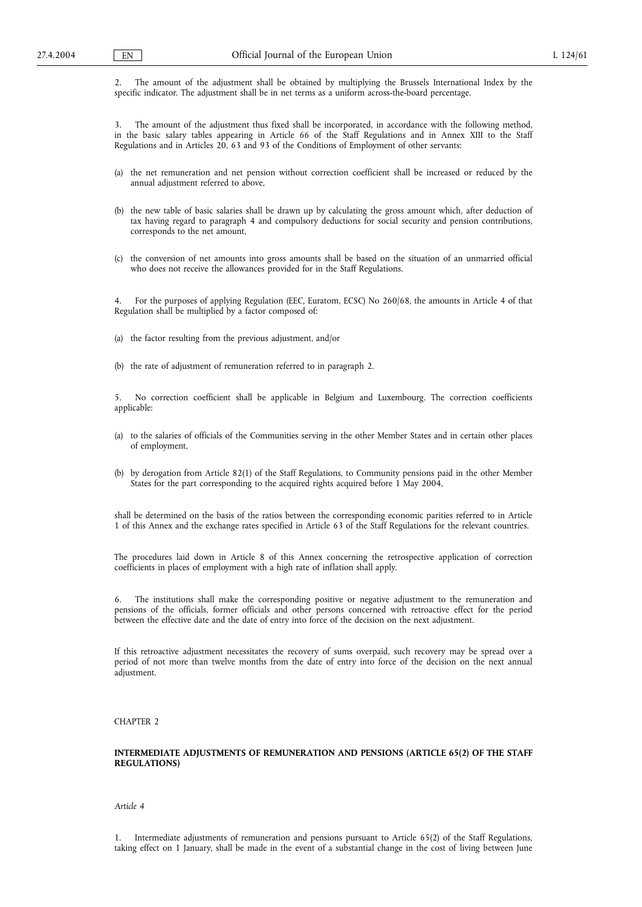2. The amount of the adjustment shall be obtained by multiplying the Brussels International Index by the specific indicator. The adjustment shall be in net terms as a uniform across-the-board percentage.

3. The amount of the adjustment thus fixed shall be incorporated, in accordance with the following method, in the basic salary tables appearing in Article 66 of the Staff Regulations and in Annex XIII to the Staff Regulations and in Articles 20, 63 and 93 of the Conditions of Employment of other servants:

- (a) the net remuneration and net pension without correction coefficient shall be increased or reduced by the annual adjustment referred to above,
- (b) the new table of basic salaries shall be drawn up by calculating the gross amount which, after deduction of tax having regard to paragraph 4 and compulsory deductions for social security and pension contributions, corresponds to the net amount,
- (c) the conversion of net amounts into gross amounts shall be based on the situation of an unmarried official who does not receive the allowances provided for in the Staff Regulations.

4. For the purposes of applying Regulation (EEC, Euratom, ECSC) No 260/68, the amounts in Article 4 of that Regulation shall be multiplied by a factor composed of:

(a) the factor resulting from the previous adjustment, and/or

(b) the rate of adjustment of remuneration referred to in paragraph 2.

5. No correction coefficient shall be applicable in Belgium and Luxembourg. The correction coefficients applicable:

- (a) to the salaries of officials of the Communities serving in the other Member States and in certain other places of employment,
- (b) by derogation from Article 82(1) of the Staff Regulations, to Community pensions paid in the other Member States for the part corresponding to the acquired rights acquired before 1 May 2004,

shall be determined on the basis of the ratios between the corresponding economic parities referred to in Article 1 of this Annex and the exchange rates specified in Article 63 of the Staff Regulations for the relevant countries.

The procedures laid down in Article 8 of this Annex concerning the retrospective application of correction coefficients in places of employment with a high rate of inflation shall apply.

6. The institutions shall make the corresponding positive or negative adjustment to the remuneration and pensions of the officials, former officials and other persons concerned with retroactive effect for the period between the effective date and the date of entry into force of the decision on the next adjustment.

If this retroactive adjustment necessitates the recovery of sums overpaid, such recovery may be spread over a period of not more than twelve months from the date of entry into force of the decision on the next annual adjustment.

CHAPTER 2

## **INTERMEDIATE ADJUSTMENTS OF REMUNERATION AND PENSIONS (ARTICLE 65(2) OF THE STAFF REGULATIONS)**

*Article 4*

1. Intermediate adjustments of remuneration and pensions pursuant to Article 65(2) of the Staff Regulations, taking effect on 1 January, shall be made in the event of a substantial change in the cost of living between June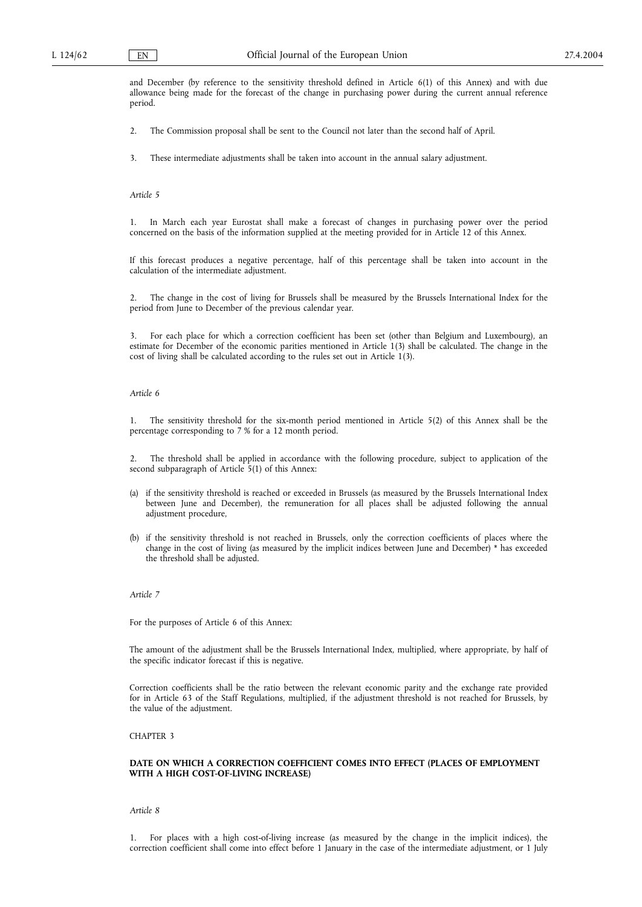and December (by reference to the sensitivity threshold defined in Article 6(1) of this Annex) and with due allowance being made for the forecast of the change in purchasing power during the current annual reference period.

2. The Commission proposal shall be sent to the Council not later than the second half of April.

3. These intermediate adjustments shall be taken into account in the annual salary adjustment.

*Article 5*

1. In March each year Eurostat shall make a forecast of changes in purchasing power over the period concerned on the basis of the information supplied at the meeting provided for in Article 12 of this Annex.

If this forecast produces a negative percentage, half of this percentage shall be taken into account in the calculation of the intermediate adjustment.

2. The change in the cost of living for Brussels shall be measured by the Brussels International Index for the period from June to December of the previous calendar year.

3. For each place for which a correction coefficient has been set (other than Belgium and Luxembourg), an estimate for December of the economic parities mentioned in Article 1(3) shall be calculated. The change in the cost of living shall be calculated according to the rules set out in Article 1(3).

### *Article 6*

1. The sensitivity threshold for the six-month period mentioned in Article 5(2) of this Annex shall be the percentage corresponding to 7 % for a 12 month period.

2. The threshold shall be applied in accordance with the following procedure, subject to application of the second subparagraph of Article 5(1) of this Annex:

- (a) if the sensitivity threshold is reached or exceeded in Brussels (as measured by the Brussels International Index between June and December), the remuneration for all places shall be adjusted following the annual adjustment procedure,
- (b) if the sensitivity threshold is not reached in Brussels, only the correction coefficients of places where the change in the cost of living (as measured by the implicit indices between June and December) \* has exceeded the threshold shall be adjusted.

#### *Article 7*

For the purposes of Article 6 of this Annex:

The amount of the adjustment shall be the Brussels International Index, multiplied, where appropriate, by half of the specific indicator forecast if this is negative.

Correction coefficients shall be the ratio between the relevant economic parity and the exchange rate provided for in Article 63 of the Staff Regulations, multiplied, if the adjustment threshold is not reached for Brussels, by the value of the adjustment.

## CHAPTER 3

### **DATE ON WHICH A CORRECTION COEFFICIENT COMES INTO EFFECT (PLACES OF EMPLOYMENT WITH A HIGH COST-OF-LIVING INCREASE)**

*Article 8*

1. For places with a high cost-of-living increase (as measured by the change in the implicit indices), the correction coefficient shall come into effect before 1 January in the case of the intermediate adjustment, or 1 July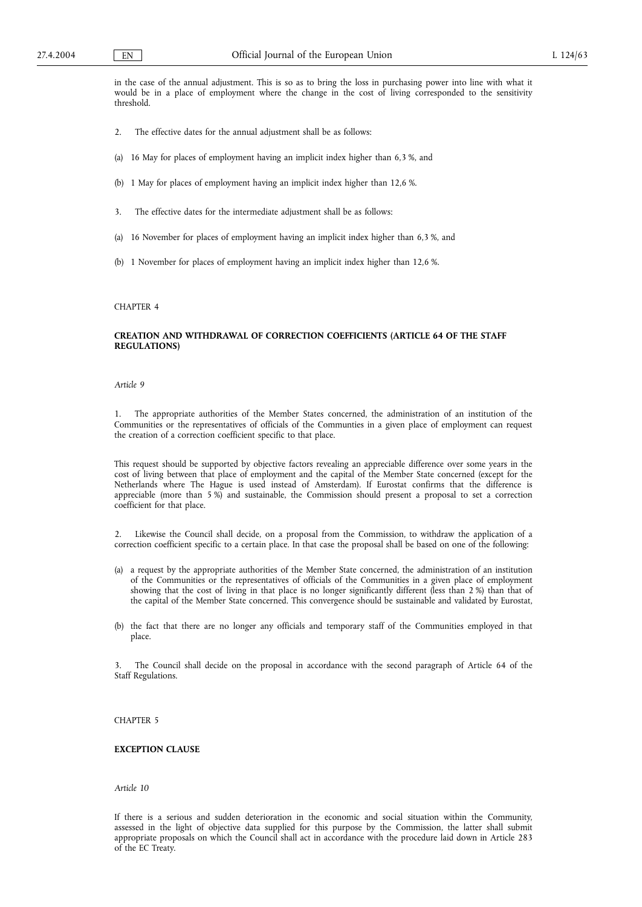in the case of the annual adjustment. This is so as to bring the loss in purchasing power into line with what it would be in a place of employment where the change in the cost of living corresponded to the sensitivity threshold.

- 2. The effective dates for the annual adjustment shall be as follows:
- (a) 16 May for places of employment having an implicit index higher than 6,3 %, and
- (b) 1 May for places of employment having an implicit index higher than 12,6 %.
- 3. The effective dates for the intermediate adjustment shall be as follows:
- (a) 16 November for places of employment having an implicit index higher than 6,3 %, and
- (b) 1 November for places of employment having an implicit index higher than 12,6 %.

#### CHAPTER 4

### **CREATION AND WITHDRAWAL OF CORRECTION COEFFICIENTS (ARTICLE 64 OF THE STAFF REGULATIONS)**

## *Article 9*

1. The appropriate authorities of the Member States concerned, the administration of an institution of the Communities or the representatives of officials of the Communties in a given place of employment can request the creation of a correction coefficient specific to that place.

This request should be supported by objective factors revealing an appreciable difference over some years in the cost of living between that place of employment and the capital of the Member State concerned (except for the Netherlands where The Hague is used instead of Amsterdam). If Eurostat confirms that the difference is appreciable (more than 5 %) and sustainable, the Commission should present a proposal to set a correction coefficient for that place.

2. Likewise the Council shall decide, on a proposal from the Commission, to withdraw the application of a correction coefficient specific to a certain place. In that case the proposal shall be based on one of the following:

- (a) a request by the appropriate authorities of the Member State concerned, the administration of an institution of the Communities or the representatives of officials of the Communities in a given place of employment showing that the cost of living in that place is no longer significantly different (less than 2 %) than that of the capital of the Member State concerned. This convergence should be sustainable and validated by Eurostat,
- (b) the fact that there are no longer any officials and temporary staff of the Communities employed in that place.

3. The Council shall decide on the proposal in accordance with the second paragraph of Article 64 of the Staff Regulations.

## CHAPTER 5

## **EXCEPTION CLAUSE**

*Article 10*

If there is a serious and sudden deterioration in the economic and social situation within the Community, assessed in the light of objective data supplied for this purpose by the Commission, the latter shall submit appropriate proposals on which the Council shall act in accordance with the procedure laid down in Article 283 of the EC Treaty.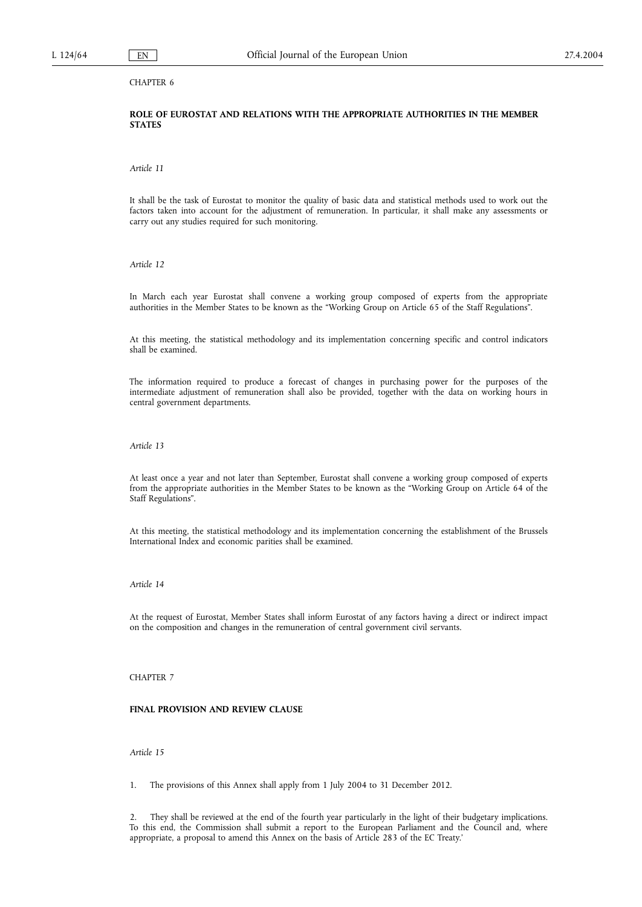## CHAPTER 6

## **ROLE OF EUROSTAT AND RELATIONS WITH THE APPROPRIATE AUTHORITIES IN THE MEMBER STATES**

*Article 11*

It shall be the task of Eurostat to monitor the quality of basic data and statistical methods used to work out the factors taken into account for the adjustment of remuneration. In particular, it shall make any assessments or carry out any studies required for such monitoring.

*Article 12*

In March each year Eurostat shall convene a working group composed of experts from the appropriate authorities in the Member States to be known as the "Working Group on Article 65 of the Staff Regulations".

At this meeting, the statistical methodology and its implementation concerning specific and control indicators shall be examined.

The information required to produce a forecast of changes in purchasing power for the purposes of the intermediate adjustment of remuneration shall also be provided, together with the data on working hours in central government departments.

*Article 13*

At least once a year and not later than September, Eurostat shall convene a working group composed of experts from the appropriate authorities in the Member States to be known as the "Working Group on Article 64 of the Staff Regulations".

At this meeting, the statistical methodology and its implementation concerning the establishment of the Brussels International Index and economic parities shall be examined.

## *Article 14*

At the request of Eurostat, Member States shall inform Eurostat of any factors having a direct or indirect impact on the composition and changes in the remuneration of central government civil servants.

### CHAPTER 7

### **FINAL PROVISION AND REVIEW CLAUSE**

*Article 15*

1. The provisions of this Annex shall apply from 1 July 2004 to 31 December 2012.

2. They shall be reviewed at the end of the fourth year particularly in the light of their budgetary implications. To this end, the Commission shall submit a report to the European Parliament and the Council and, where appropriate, a proposal to amend this Annex on the basis of Article 283 of the EC Treaty.'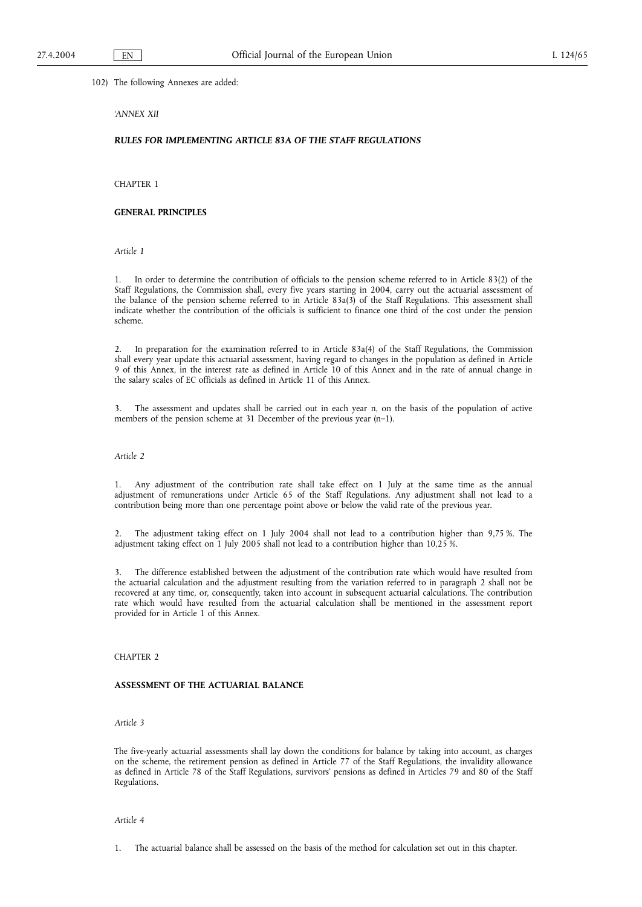102) The following Annexes are added:

## *'ANNEX XII*

## *RULES FOR IMPLEMENTING ARTICLE 83A OF THE STAFF REGULATIONS*

CHAPTER 1

## **GENERAL PRINCIPLES**

*Article 1*

1. In order to determine the contribution of officials to the pension scheme referred to in Article 83(2) of the Staff Regulations, the Commission shall, every five years starting in 2004, carry out the actuarial assessment of the balance of the pension scheme referred to in Article 83a(3) of the Staff Regulations. This assessment shall indicate whether the contribution of the officials is sufficient to finance one third of the cost under the pension scheme.

2. In preparation for the examination referred to in Article 83a(4) of the Staff Regulations, the Commission shall every year update this actuarial assessment, having regard to changes in the population as defined in Article 9 of this Annex, in the interest rate as defined in Article 10 of this Annex and in the rate of annual change in the salary scales of EC officials as defined in Article 11 of this Annex.

3. The assessment and updates shall be carried out in each year n, on the basis of the population of active members of the pension scheme at 31 December of the previous year (n–1).

## *Article 2*

1. Any adjustment of the contribution rate shall take effect on 1 July at the same time as the annual adjustment of remunerations under Article 65 of the Staff Regulations. Any adjustment shall not lead to a contribution being more than one percentage point above or below the valid rate of the previous year.

2. The adjustment taking effect on 1 July 2004 shall not lead to a contribution higher than 9,75 %. The adjustment taking effect on 1 July 2005 shall not lead to a contribution higher than 10,25 %.

3. The difference established between the adjustment of the contribution rate which would have resulted from the actuarial calculation and the adjustment resulting from the variation referred to in paragraph 2 shall not be recovered at any time, or, consequently, taken into account in subsequent actuarial calculations. The contribution rate which would have resulted from the actuarial calculation shall be mentioned in the assessment report provided for in Article 1 of this Annex.

### CHAPTER 2

### **ASSESSMENT OF THE ACTUARIAL BALANCE**

## *Article 3*

The five-yearly actuarial assessments shall lay down the conditions for balance by taking into account, as charges on the scheme, the retirement pension as defined in Article 77 of the Staff Regulations, the invalidity allowance as defined in Article 78 of the Staff Regulations, survivors' pensions as defined in Articles 79 and 80 of the Staff Regulations.

*Article 4*

1. The actuarial balance shall be assessed on the basis of the method for calculation set out in this chapter.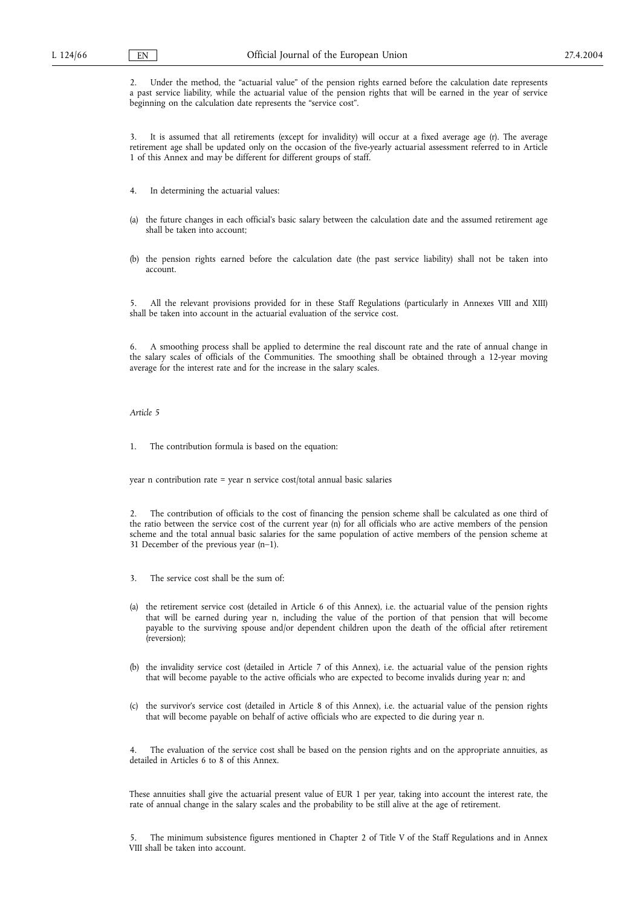2. Under the method, the "actuarial value" of the pension rights earned before the calculation date represents a past service liability, while the actuarial value of the pension rights that will be earned in the year of service beginning on the calculation date represents the "service cost".

3. It is assumed that all retirements (except for invalidity) will occur at a fixed average age (r). The average retirement age shall be updated only on the occasion of the five-yearly actuarial assessment referred to in Article 1 of this Annex and may be different for different groups of staff.

- 4. In determining the actuarial values:
- (a) the future changes in each official's basic salary between the calculation date and the assumed retirement age shall be taken into account;
- (b) the pension rights earned before the calculation date (the past service liability) shall not be taken into account.

5. All the relevant provisions provided for in these Staff Regulations (particularly in Annexes VIII and XIII) shall be taken into account in the actuarial evaluation of the service cost.

6. A smoothing process shall be applied to determine the real discount rate and the rate of annual change in the salary scales of officials of the Communities. The smoothing shall be obtained through a 12-year moving average for the interest rate and for the increase in the salary scales.

#### *Article 5*

1. The contribution formula is based on the equation:

year n contribution rate = year n service cost/total annual basic salaries

2. The contribution of officials to the cost of financing the pension scheme shall be calculated as one third of the ratio between the service cost of the current year (n) for all officials who are active members of the pension scheme and the total annual basic salaries for the same population of active members of the pension scheme at 31 December of the previous year (n–1).

- 3. The service cost shall be the sum of:
- (a) the retirement service cost (detailed in Article 6 of this Annex), i.e. the actuarial value of the pension rights that will be earned during year n, including the value of the portion of that pension that will become payable to the surviving spouse and/or dependent children upon the death of the official after retirement (reversion);
- (b) the invalidity service cost (detailed in Article 7 of this Annex), i.e. the actuarial value of the pension rights that will become payable to the active officials who are expected to become invalids during year n; and
- (c) the survivor's service cost (detailed in Article 8 of this Annex), i.e. the actuarial value of the pension rights that will become payable on behalf of active officials who are expected to die during year n.

The evaluation of the service cost shall be based on the pension rights and on the appropriate annuities, as detailed in Articles 6 to 8 of this Annex.

These annuities shall give the actuarial present value of EUR 1 per year, taking into account the interest rate, the rate of annual change in the salary scales and the probability to be still alive at the age of retirement.

The minimum subsistence figures mentioned in Chapter 2 of Title V of the Staff Regulations and in Annex VIII shall be taken into account.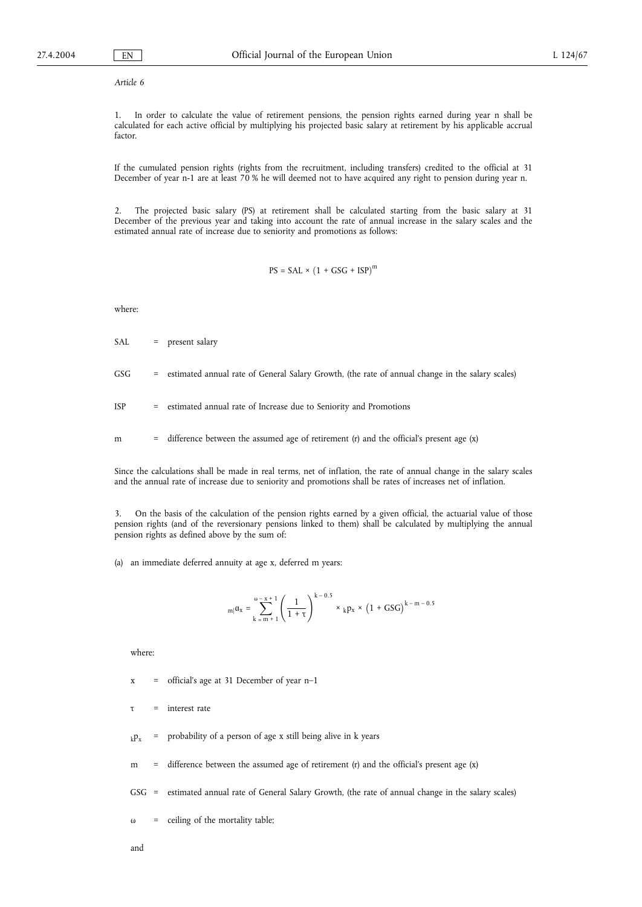*Article 6*

1. In order to calculate the value of retirement pensions, the pension rights earned during year n shall be calculated for each active official by multiplying his projected basic salary at retirement by his applicable accrual factor

If the cumulated pension rights (rights from the recruitment, including transfers) credited to the official at 31 December of year n-1 are at least 70 % he will deemed not to have acquired any right to pension during year n.

2. The projected basic salary (PS) at retirement shall be calculated starting from the basic salary at 31 December of the previous year and taking into account the rate of annual increase in the salary scales and the estimated annual rate of increase due to seniority and promotions as follows:

 $PS = SAL \times (1 + GSG + ISP)^{m}$ 

where:

- SAL = present salary
- GSG = estimated annual rate of General Salary Growth, (the rate of annual change in the salary scales)
- ISP = estimated annual rate of Increase due to Seniority and Promotions
- m = difference between the assumed age of retirement (r) and the official's present age (x)

Since the calculations shall be made in real terms, net of inflation, the rate of annual change in the salary scales and the annual rate of increase due to seniority and promotions shall be rates of increases net of inflation.

3. On the basis of the calculation of the pension rights earned by a given official, the actuarial value of those pension rights (and of the reversionary pensions linked to them) shall be calculated by multiplying the annual pension rights as defined above by the sum of:

(a) an immediate deferred annuity at age x, deferred m years:

$$
_{m|}\alpha_{x}=\sum\limits_{k\,=\,m\,+\,1}^{\omega\,-\,x\,+\,1}\left(\frac{1}{1+\tau}\right)^{k\,-\,0.5}\, \times\, {}_{k}p_{x}\,\times\,\left(1\,+\,GSG\right)^{k\,-\,m\,-\,0.5}
$$

where:

- $x =$  official's age at 31 December of year n-1
- τ = interest rate
- $k_{\text{F}}$  = probability of a person of age x still being alive in k years
- m = difference between the assumed age of retirement  $(r)$  and the official's present age  $(x)$
- GSG = estimated annual rate of General Salary Growth, (the rate of annual change in the salary scales)
- $ω =$  ceiling of the mortality table;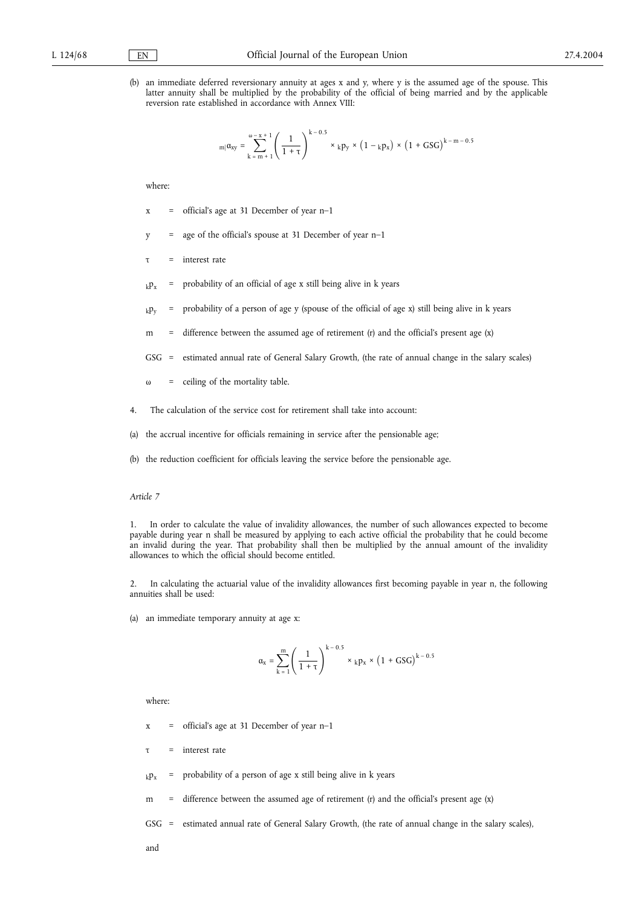(b) an immediate deferred reversionary annuity at ages x and y, where y is the assumed age of the spouse. This latter annuity shall be multiplied by the probability of the official of being married and by the applicable reversion rate established in accordance with Annex VIII:

$$
_{m|}a_{xy} = \sum_{k=m+1}^{\omega-x+1} \left( \frac{1}{1+\tau} \right)^{k-0.5} \times {}_{k}p_{y} \times (1-{}_{k}p_{x}) \times (1+GSG)^{k-m-0.5}
$$

where:

- x = official's age at 31 December of year n–1
- y = age of the official's spouse at 31 December of year n–1
- τ = interest rate
- $k_{k}$  = probability of an official of age x still being alive in k years
- $k_{\rm F}$  = probability of a person of age y (spouse of the official of age x) still being alive in k years
- m = difference between the assumed age of retirement  $(r)$  and the official's present age  $(x)$
- GSG = estimated annual rate of General Salary Growth, (the rate of annual change in the salary scales)
- ω = ceiling of the mortality table.
- 4. The calculation of the service cost for retirement shall take into account:
- (a) the accrual incentive for officials remaining in service after the pensionable age;
- (b) the reduction coefficient for officials leaving the service before the pensionable age.

## *Article 7*

1. In order to calculate the value of invalidity allowances, the number of such allowances expected to become payable during year n shall be measured by applying to each active official the probability that he could become an invalid during the year. That probability shall then be multiplied by the annual amount of the invalidity allowances to which the official should become entitled.

2. In calculating the actuarial value of the invalidity allowances first becoming payable in year n, the following annuities shall be used:

(a) an immediate temporary annuity at age x:

$$
\alpha_x = \sum_{k\;=\;1}^m \left(\frac{1}{1+\tau}\right)^{k\;-0.5} \; \times \;{}_kp_x \;\times\; \left(1\;+\;GSG\right)^{k\;-0.5}
$$

where:

- $x =$  official's age at 31 December of year n–1
- τ = interest rate
- $k_{k}$  = probability of a person of age x still being alive in k years
- m = difference between the assumed age of retirement (r) and the official's present age  $(x)$
- GSG = estimated annual rate of General Salary Growth, (the rate of annual change in the salary scales),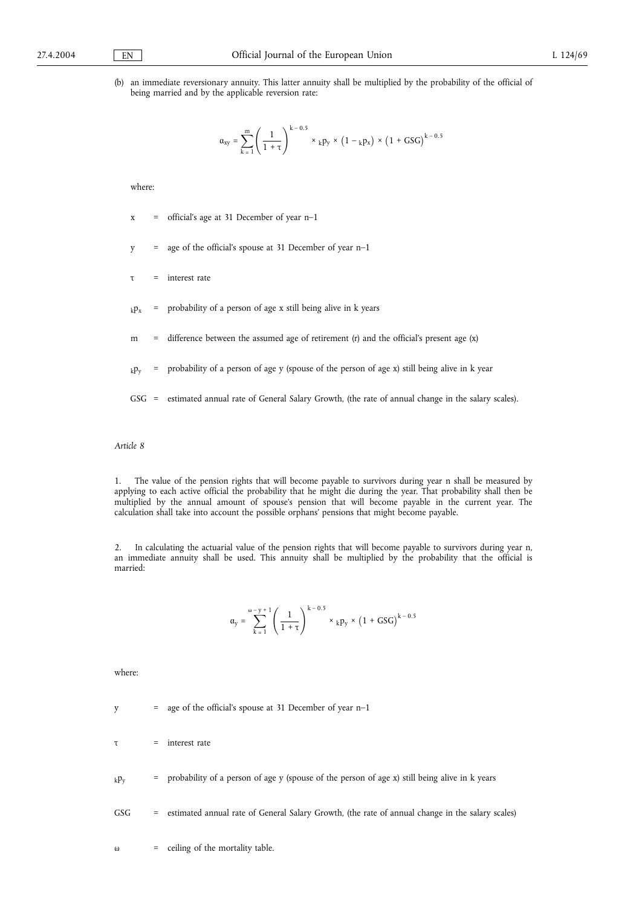(b) an immediate reversionary annuity. This latter annuity shall be multiplied by the probability of the official of being married and by the applicable reversion rate:

$$
\alpha_{xy}=\sum_{k=1}^m\left(\frac{1}{1+\tau}\right)^{k-0.5}\times \ _kp_y\times \left(1-\ _kp_x\right)\times \left(1+GSG\right)^{k-0.5}
$$

where:

- $x =$  official's age at 31 December of year n–1
- y = age of the official's spouse at 31 December of year n–1
- τ = interest rate
- $k_{k}$  = probability of a person of age x still being alive in k years
- m = difference between the assumed age of retirement (r) and the official's present age (x)
- $_k p_y$  = probability of a person of age y (spouse of the person of age x) still being alive in k year
- GSG = estimated annual rate of General Salary Growth, (the rate of annual change in the salary scales).

### *Article 8*

1. The value of the pension rights that will become payable to survivors during year n shall be measured by applying to each active official the probability that he might die during the year. That probability shall then be multiplied by the annual amount of spouse's pension that will become payable in the current year. The calculation shall take into account the possible orphans' pensions that might become payable.

2. In calculating the actuarial value of the pension rights that will become payable to survivors during year n, an immediate annuity shall be used. This annuity shall be multiplied by the probability that the official is married:

$$
\mathfrak{a}_y=\sum_{k=1}^{\omega-y+1}\left(\frac{1}{1+\tau}\right)^{k-0.5}\times \ _{k}p_y\times \left(1+\text{GSG}\right)^{k-0.5}
$$

where:

y = age of the official's spouse at 31 December of year n–1

 $\tau$  = interest rate

 $_k p_y$  = probability of a person of age y (spouse of the person of age x) still being alive in k years

GSG = estimated annual rate of General Salary Growth, (the rate of annual change in the salary scales)

ω = ceiling of the mortality table.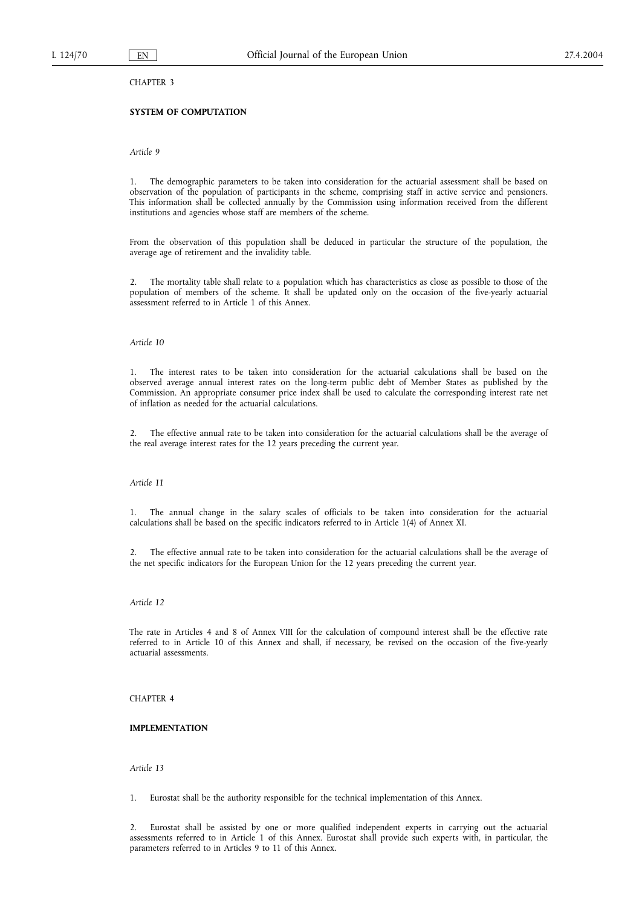CHAPTER 3

# **SYSTEM OF COMPUTATION**

*Article 9*

1. The demographic parameters to be taken into consideration for the actuarial assessment shall be based on observation of the population of participants in the scheme, comprising staff in active service and pensioners. This information shall be collected annually by the Commission using information received from the different institutions and agencies whose staff are members of the scheme.

From the observation of this population shall be deduced in particular the structure of the population, the average age of retirement and the invalidity table.

2. The mortality table shall relate to a population which has characteristics as close as possible to those of the population of members of the scheme. It shall be updated only on the occasion of the five-yearly actuarial assessment referred to in Article 1 of this Annex.

## *Article 10*

1. The interest rates to be taken into consideration for the actuarial calculations shall be based on the observed average annual interest rates on the long-term public debt of Member States as published by the Commission. An appropriate consumer price index shall be used to calculate the corresponding interest rate net of inflation as needed for the actuarial calculations.

2. The effective annual rate to be taken into consideration for the actuarial calculations shall be the average of the real average interest rates for the 12 years preceding the current year.

### *Article 11*

1. The annual change in the salary scales of officials to be taken into consideration for the actuarial calculations shall be based on the specific indicators referred to in Article 1(4) of Annex XI.

2. The effective annual rate to be taken into consideration for the actuarial calculations shall be the average of the net specific indicators for the European Union for the 12 years preceding the current year.

### *Article 12*

The rate in Articles 4 and 8 of Annex VIII for the calculation of compound interest shall be the effective rate referred to in Article 10 of this Annex and shall, if necessary, be revised on the occasion of the five-yearly actuarial assessments.

### CHAPTER 4

### **IMPLEMENTATION**

*Article 13*

1. Eurostat shall be the authority responsible for the technical implementation of this Annex.

2. Eurostat shall be assisted by one or more qualified independent experts in carrying out the actuarial assessments referred to in Article 1 of this Annex. Eurostat shall provide such experts with, in particular, the parameters referred to in Articles 9 to 11 of this Annex.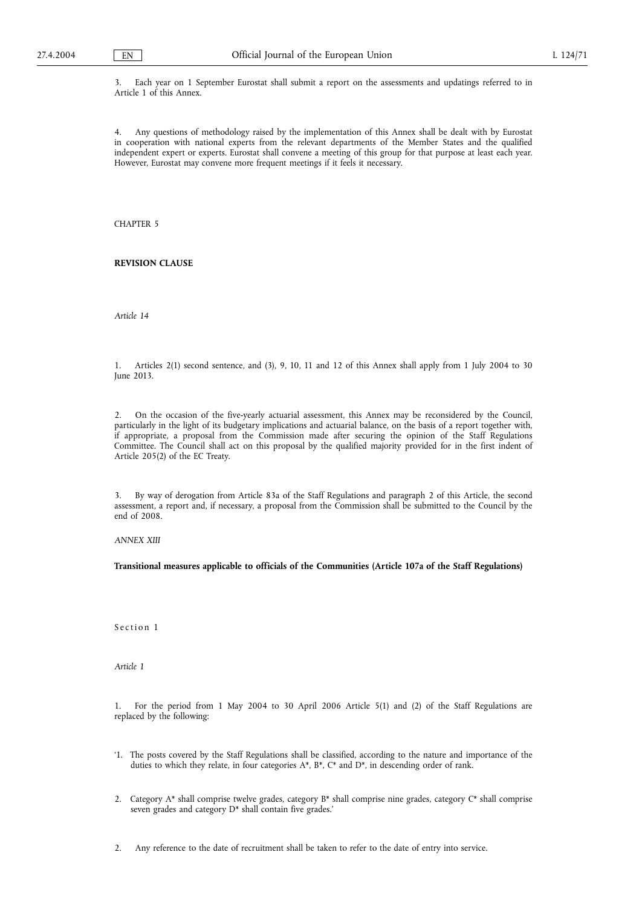3. Each year on 1 September Eurostat shall submit a report on the assessments and updatings referred to in Article 1 of this Annex.

4. Any questions of methodology raised by the implementation of this Annex shall be dealt with by Eurostat in cooperation with national experts from the relevant departments of the Member States and the qualified independent expert or experts. Eurostat shall convene a meeting of this group for that purpose at least each year. However, Eurostat may convene more frequent meetings if it feels it necessary.

CHAPTER 5

**REVISION CLAUSE**

*Article 14*

1. Articles 2(1) second sentence, and (3), 9, 10, 11 and 12 of this Annex shall apply from 1 July 2004 to 30 June 2013.

2. On the occasion of the five-yearly actuarial assessment, this Annex may be reconsidered by the Council, particularly in the light of its budgetary implications and actuarial balance, on the basis of a report together with, if appropriate, a proposal from the Commission made after securing the opinion of the Staff Regulations Committee. The Council shall act on this proposal by the qualified majority provided for in the first indent of Article 205(2) of the EC Treaty.

3. By way of derogation from Article 83a of the Staff Regulations and paragraph 2 of this Article, the second assessment, a report and, if necessary, a proposal from the Commission shall be submitted to the Council by the end of 2008.

*ANNEX XIII*

**Transitional measures applicable to officials of the Communities (Article 107a of the Staff Regulations)**

Section 1

*Article 1*

1. For the period from 1 May 2004 to 30 April 2006 Article 5(1) and (2) of the Staff Regulations are replaced by the following:

- '1. The posts covered by the Staff Regulations shall be classified, according to the nature and importance of the duties to which they relate, in four categories A\*, B\*, C\* and D\*, in descending order of rank.
- 2. Category A\* shall comprise twelve grades, category B\* shall comprise nine grades, category C\* shall comprise seven grades and category D\* shall contain five grades.'
- 2. Any reference to the date of recruitment shall be taken to refer to the date of entry into service.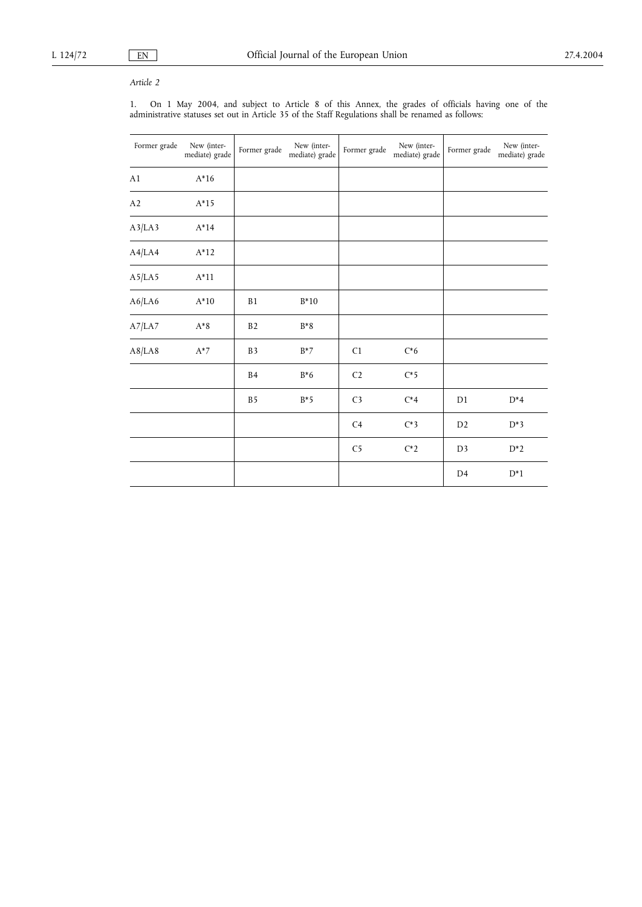# *Article 2*

1. On 1 May 2004, and subject to Article 8 of this Annex, the grades of officials having one of the administrative statuses set out in Article 35 of the Staff Regulations shall be renamed as follows:

| Former grade | New (inter-<br>mediate) grade | Former grade   | New (inter-<br>mediate) grade | Former grade   | New (inter-<br>mediate) grade | Former grade   | New (inter-<br>mediate) grade |
|--------------|-------------------------------|----------------|-------------------------------|----------------|-------------------------------|----------------|-------------------------------|
| A1           | $A*16$                        |                |                               |                |                               |                |                               |
| A2           | $A*15$                        |                |                               |                |                               |                |                               |
| A3/LA3       | $A*14$                        |                |                               |                |                               |                |                               |
| A4/LA4       | $A*12$                        |                |                               |                |                               |                |                               |
| A5/LA5       | $A*11$                        |                |                               |                |                               |                |                               |
| A6/LA6       | $A*10$                        | B1             | $B*10$                        |                |                               |                |                               |
| A7/LA7       | $A^*8$                        | B <sub>2</sub> | $B*8$                         |                |                               |                |                               |
| A8/LA8       | $A^*7$                        | B <sub>3</sub> | $B^*7$                        | C <sub>1</sub> | $C*6$                         |                |                               |
|              |                               | <b>B4</b>      | $B*6$                         | C <sub>2</sub> | $C*5$                         |                |                               |
|              |                               | B <sub>5</sub> | $B*5$                         | C <sub>3</sub> | $C^*4$                        | D1             | $D^*4$                        |
|              |                               |                |                               | C <sub>4</sub> | $C^*3$                        | D <sub>2</sub> | $D^*3$                        |
|              |                               |                |                               | C <sub>5</sub> | $C^*2$                        | D <sub>3</sub> | $D^*2$                        |
|              |                               |                |                               |                |                               | D <sub>4</sub> | $D^*1$                        |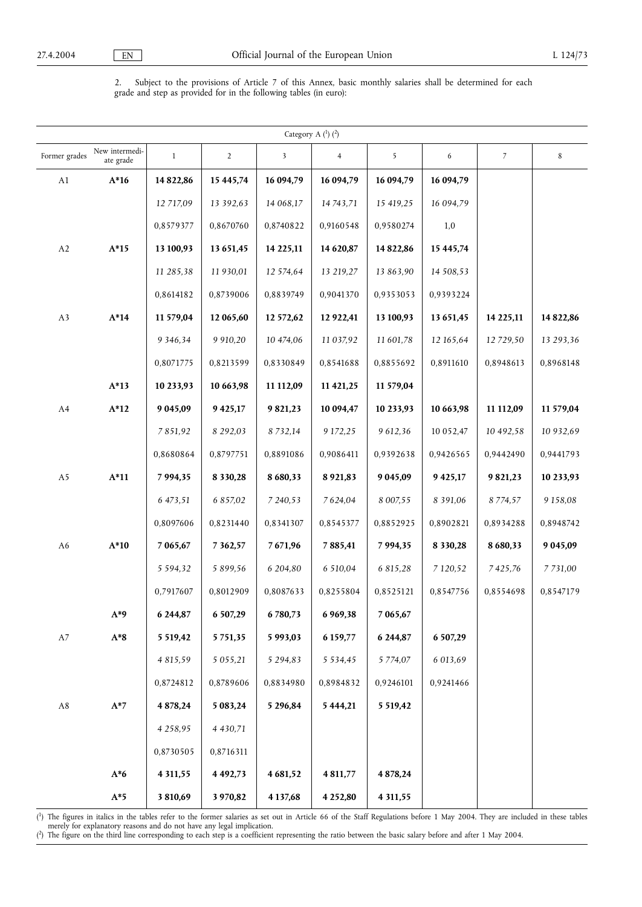2. Subject to the provisions of Article 7 of this Annex, basic monthly salaries shall be determined for each grade and step as provided for in the following tables (in euro):

|               |                             |               |                |                         | Category A $(^1)$ $(^2)$ |               |               |               |               |
|---------------|-----------------------------|---------------|----------------|-------------------------|--------------------------|---------------|---------------|---------------|---------------|
| Former grades | New intermedi-<br>ate grade | $\mathbf{1}$  | $\overline{2}$ | $\overline{\mathbf{3}}$ | $\overline{4}$           | 5             | 6             | 7             | $\,8\,$       |
| A1            | $A*16$                      | 14 822,86     | 15 445,74      | 16 094,79               | 16 094,79                | 16 094,79     | 16 094,79     |               |               |
|               |                             | 12 717.09     | 13 392,63      | 14 068,17               | 14 743,71                | 15 419,25     | 16 094,79     |               |               |
|               |                             | 0,8579377     | 0,8670760      | 0,8740822               | 0,9160548                | 0,9580274     | 1,0           |               |               |
| A2            | $A*15$                      | 13 100,93     | 13 651,45      | 14 225,11               | 14 620,87                | 14 822,86     | 15 445,74     |               |               |
|               |                             | 11 285,38     | 11 930,01      | 12 574,64               | 13 219,27                | 13 863,90     | 14 508,53     |               |               |
|               |                             | 0,8614182     | 0,8739006      | 0,8839749               | 0,9041370                | 0,9353053     | 0,9393224     |               |               |
| A3            | $A*14$                      | 11 579,04     | 12 065,60      | 12 572,62               | 12 922,41                | 13 100,93     | 13 651,45     | 14 225,11     | 14 822,86     |
|               |                             | 9 3 4 6 , 3 4 | 9 9 10, 20     | 10 474,06               | 11 037,92                | 11 601,78     | 12 165,64     | 12 729,50     | 13 293,36     |
|               |                             | 0,8071775     | 0,8213599      | 0,8330849               | 0,8541688                | 0,8855692     | 0,8911610     | 0,8948613     | 0,8968148     |
|               | $A*13$                      | 10 233,93     | 10 663,98      | 11 112,09               | 11 421,25                | 11 579,04     |               |               |               |
| A4            | $A*12$                      | 9 0 4 5 , 0 9 | 9 4 25, 17     | 9821,23                 | 10 094,47                | 10 233,93     | 10 663,98     | 11 112,09     | 11 579,04     |
|               |                             | 7851,92       | 8 292,03       | 8732,14                 | 9 172,25                 | 9 612,36      | 10 052,47     | 10 492,58     | 10 932,69     |
|               |                             | 0,8680864     | 0,8797751      | 0,8891086               | 0,9086411                | 0,9392638     | 0,9426565     | 0,9442490     | 0,9441793     |
| A5            | $A*11$                      | 7 9 9 4 , 3 5 | 8 3 3 0 , 2 8  | 8 6 8 0 , 3 3           | 8 9 21, 83               | 9 0 4 5 , 0 9 | 9 4 25, 17    | 9 821,23      | 10 233,93     |
|               |                             | 6 473,51      | 6 857,02       | 7 240,53                | 7624,04                  | 8 007,55      | 8 3 9 1 , 0 6 | 8 7 7 4 , 5 7 | 9 1 5 8 , 0 8 |
|               |                             | 0,8097606     | 0,8231440      | 0,8341307               | 0,8545377                | 0,8852925     | 0,8902821     | 0,8934288     | 0,8948742     |
| A6            | $A*10$                      | 7 065,67      | 7 3 6 2, 5 7   | 7671,96                 | 7 8 8 5 , 4 1            | 7 9 9 4 , 3 5 | 8 3 3 0 , 2 8 | 8 680,33      | 9 0 4 5 , 0 9 |
|               |                             | 5 5 9 4 , 3 2 | 5 899,56       | 6 204,80                | 6 510,04                 | 6 815,28      | 7 120,52      | 7425,76       | 7 731,00      |
|               |                             | 0,7917607     | 0,8012909      | 0,8087633               | 0,8255804                | 0,8525121     | 0,8547756     | 0,8554698     | 0,8547179     |
|               | $A*9$                       | 6 244,87      | 6 507,29       | 6780,73                 | 6 9 6 9, 38              | 7 065,67      |               |               |               |
| A7            | $\mathrm{A}^*\mathrm{8}$    | 5 5 19,42     | 5751,35        | 5 9 9 3 , 0 3           | 6 159,77                 | 6 244,87      | 6 507,29      |               |               |
|               |                             | 4 8 1 5 , 5 9 | 5 0 5 5 , 2 1  | 5 2 9 4 , 8 3           | 5 5 3 4 , 4 5            | 5 7 7 4 , 0 7 | 6 013,69      |               |               |
|               |                             | 0,8724812     | 0,8789606      | 0,8834980               | 0,8984832                | 0,9246101     | 0,9241466     |               |               |
| $\rm A8$      | $A*7$                       | 4 878,24      | 5 083,24       | 5 296,84                | 5 4 4 4 , 21             | 5 5 19,42     |               |               |               |
|               |                             | 4 2 5 8 , 9 5 | 4 4 3 0 , 7 1  |                         |                          |               |               |               |               |
|               |                             | 0,8730505     | 0,8716311      |                         |                          |               |               |               |               |
|               | $A*6$                       | 4 3 1 1 , 5 5 | 4 4 9 2, 7 3   | 4 681,52                | 4811,77                  | 4 878,24      |               |               |               |
|               | $A*5$                       | 3 8 10, 69    | 3 970,82       | 4 137,68                | 4 25 2,80                | 4 3 1 1,55    |               |               |               |

( 1) The figures in italics in the tables refer to the former salaries as set out in Article 66 of the Staff Regulations before 1 May 2004. They are included in these tables merely for explanatory reasons and do not have any legal implication.

( 2) The figure on the third line corresponding to each step is a coefficient representing the ratio between the basic salary before and after 1 May 2004.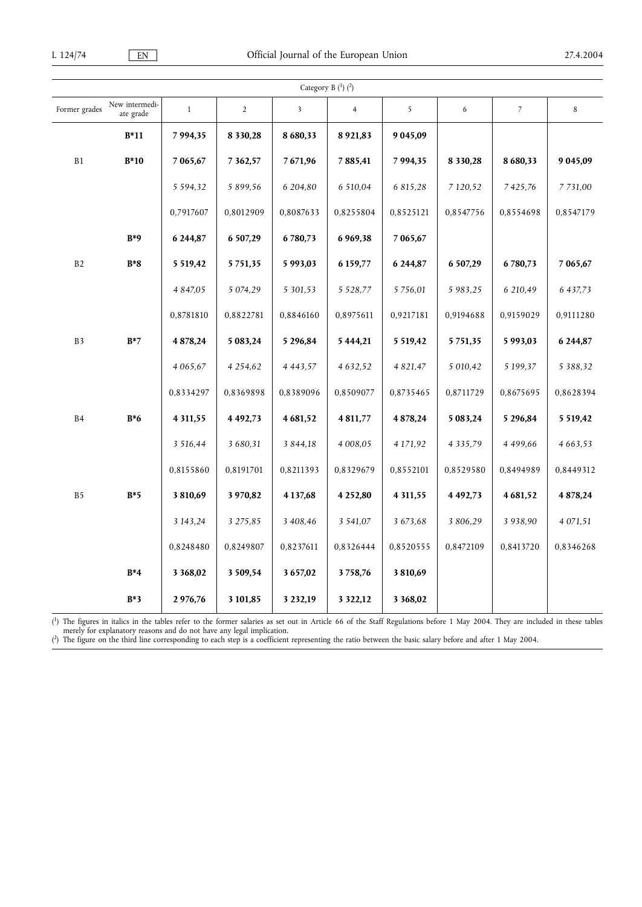|                |                             |               |                | Category B (1) (2)      |                |             |               |                |               |
|----------------|-----------------------------|---------------|----------------|-------------------------|----------------|-------------|---------------|----------------|---------------|
| Former grades  | New intermedi-<br>ate grade | $\mathbf{1}$  | $\overline{2}$ | $\overline{\mathbf{3}}$ | $\overline{4}$ | 5           | 6             | $\overline{7}$ | 8             |
|                | $B*11$                      | 7 9 9 4 , 3 5 | 8 3 3 0 , 2 8  | 8 680,33                | 8921,83        | 9 0 45,09   |               |                |               |
| B1             | $B*10$                      | 7 065,67      | 7 3 6 2, 5 7   | 7671,96                 | 7885,41        | 7994,35     | 8 3 3 0 , 2 8 | 8 680,33       | 9 0 4 5, 0 9  |
|                |                             | 5 5 9 4 , 3 2 | 5 8 9 9 , 5 6  | 6 204,80                | 6 510,04       | 6 815,28    | 7 120,52      | 7425,76        | 7 7 3 1,00    |
|                |                             | 0,7917607     | 0,8012909      | 0,8087633               | 0,8255804      | 0,8525121   | 0,8547756     | 0,8554698      | 0,8547179     |
|                | $B*9$                       | 6 244,87      | 6 507,29       | 6780,73                 | 6 9 69, 38     | 7 065,67    |               |                |               |
| B2             | $B*8$                       | 5 5 19,42     | 5751,35        | 5 9 9 3 , 0 3           | 6 159,77       | 6 244,87    | 6 507,29      | 6780,73        | 7 065,67      |
|                |                             | 4 8 4 7,05    | 5 0 74, 29     | 5 301,53                | 5 5 28, 77     | 5 7 5 6,01  | 5 983,25      | 6 210,49       | 6 437,73      |
|                |                             | 0,8781810     | 0,8822781      | 0,8846160               | 0,8975611      | 0,9217181   | 0,9194688     | 0,9159029      | 0,9111280     |
| B <sub>3</sub> | $B*7$                       | 4878,24       | 5 083,24       | 5 296,84                | 5 4 4 4 , 21   | 5 5 19,42   | 5751,35       | 5 9 9 3 , 0 3  | 6 244,87      |
|                |                             | 4 0 6 5 , 6 7 | 4 2 5 4 , 6 2  | 4 4 4 3 , 5 7           | 4 6 3 2 , 5 2  | 4 8 2 1, 47 | 5 010,42      | 5 199,37       | 5 3 8 8 , 3 2 |
|                |                             | 0,8334297     | 0,8369898      | 0,8389096               | 0,8509077      | 0,8735465   | 0,8711729     | 0,8675695      | 0,8628394     |
| <b>B4</b>      | $B*6$                       | 4 3 1 1,55    | 4 4 9 2, 7 3   | 4681,52                 | 4 8 1 1,77     | 4878,24     | 5 083,24      | 5 296,84       | 5 5 19,42     |
|                |                             | 3 516,44      | 3 680,31       | 3 844,18                | 4 008,05       | 4 171,92    | 4 3 3 5 , 7 9 | 4 499,66       | 4 6 6 3 , 5 3 |
|                |                             | 0,8155860     | 0,8191701      | 0,8211393               | 0,8329679      | 0,8552101   | 0,8529580     | 0,8494989      | 0,8449312     |
| $_{\rm B5}$    | $B*5$                       | 3810,69       | 3 970,82       | 4 137,68                | 4 252,80       | 4 3 1 1,55  | 4 4 9 2, 7 3  | 4681,52        | 4878,24       |
|                |                             | 3 143,24      | 3 275,85       | 3 408,46                | 3 541,07       | 3 673,68    | 3 806,29      | 3 938,90       | 4 0 7 1 , 5 1 |
|                |                             | 0,8248480     | 0,8249807      | 0,8237611               | 0,8326444      | 0,8520555   | 0,8472109     | 0,8413720      | 0,8346268     |
|                | $B^*4$                      | 3 3 68,02     | 3 509,54       | 3657,02                 | 3758,76        | 3810,69     |               |                |               |
|                | $B*3$                       | 2976,76       | 3 101,85       | 3 232,19                | 3 3 2 2, 1 2   | 3 3 68,02   |               |                |               |

( 1) The figures in italics in the tables refer to the former salaries as set out in Article 66 of the Staff Regulations before 1 May 2004. They are included in these tables merely for explanatory reasons and do not have any legal implication.

( 2) The figure on the third line corresponding to each step is a coefficient representing the ratio between the basic salary before and after 1 May 2004.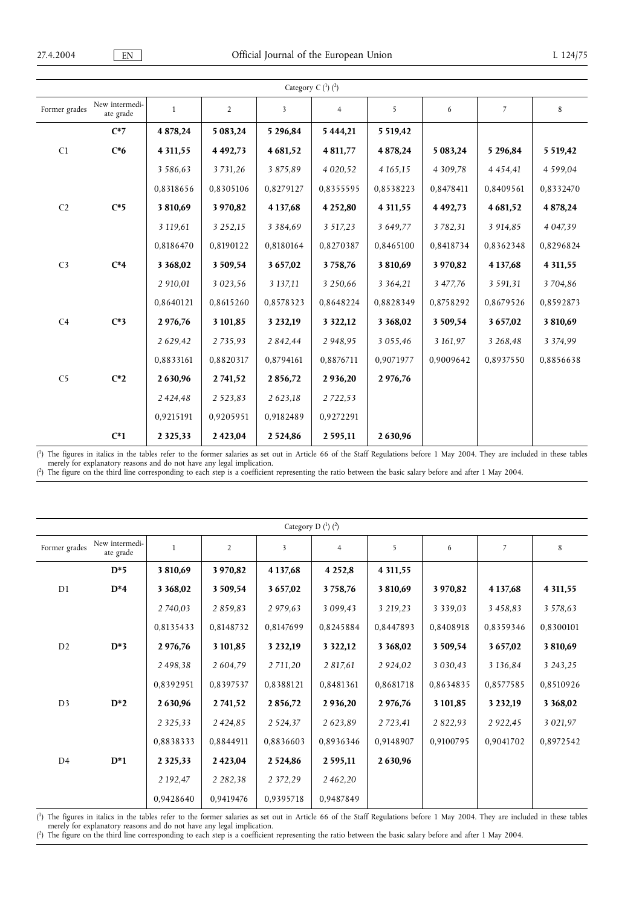| Category C $(^1)$ $(^2)$ |                             |               |                |               |                |               |              |               |               |
|--------------------------|-----------------------------|---------------|----------------|---------------|----------------|---------------|--------------|---------------|---------------|
| Former grades            | New intermedi-<br>ate grade | $\mathbf{1}$  | $\overline{2}$ | 3             | $\overline{4}$ | 5             | 6            | 7             | 8             |
|                          | $C^*7$                      | 4 878,24      | 5 083,24       | 5 296,84      | 5 444,21       | 5 5 19,42     |              |               |               |
| C1                       | $C*6$                       | 4 3 1 1,55    | 4 4 9 2, 7 3   | 4 681,52      | 4 8 1 1,77     | 4878,24       | 5 083,24     | 5 296,84      | 5 5 19,42     |
|                          |                             | 3 5 8 6 , 6 3 | 3731,26        | 3 875,89      | 4 0 20, 52     | 4 1 6 5 , 1 5 | 4 3 0 9 .78  | 4 4 5 4 , 4 1 | 4 5 9 9 .04   |
|                          |                             | 0,8318656     | 0.8305106      | 0.8279127     | 0,8355595      | 0,8538223     | 0.8478411    | 0.8409561     | 0,8332470     |
| C <sub>2</sub>           | $C*5$                       | 3810,69       | 3 970,82       | 4 137,68      | 4 252,80       | 4 3 1 1,55    | 4 4 9 2, 7 3 | 4 681,52      | 4 878,24      |
|                          |                             | 3 119,61      | 3 2 5 2 , 1 5  | 3 3 8 4 . 6 9 | 3 517,23       | 3 649,77      | 3782,31      | 3 914,85      | 4 0 4 7, 3 9  |
|                          |                             | 0,8186470     | 0,8190122      | 0,8180164     | 0,8270387      | 0,8465100     | 0,8418734    | 0,8362348     | 0,8296824     |
| C <sub>3</sub>           | $C^*4$                      | 3 3 68,02     | 3 509,54       | 3 657,02      | 3758,76        | 3810,69       | 3 970,82     | 4 137,68      | 4 3 1 1 , 5 5 |
|                          |                             | 2 910,01      | 3 0 2 3 , 5 6  | 3 137,11      | 3 250,66       | 3 3 6 4 , 2 1 | 3 477,76     | 3 5 9 1 , 3 1 | 3704,86       |
|                          |                             | 0,8640121     | 0,8615260      | 0,8578323     | 0,8648224      | 0,8828349     | 0,8758292    | 0,8679526     | 0,8592873     |
| C <sub>4</sub>           | $C*3$                       | 2 976,76      | 3 101,85       | 3 2 3 2, 19   | 3 3 2 2, 1 2   | 3 3 68,02     | 3 509,54     | 3657,02       | 3810,69       |
|                          |                             | 2 6 2 9 , 4 2 | 2735,93        | 2 842,44      | 2 948,95       | 3 0 5 5 , 4 6 | 3 161,97     | 3 268,48      | 3 3 7 4 9 9   |
|                          |                             | 0,8833161     | 0.8820317      | 0,8794161     | 0.8876711      | 0,9071977     | 0.9009642    | 0,8937550     | 0,8856638     |
| C <sub>5</sub>           | $C^*2$                      | 2630,96       | 2741,52        | 2856,72       | 2936,20        | 2976,76       |              |               |               |
|                          |                             | 2 4 2 4 , 4 8 | 2 5 2 3 , 8 3  | 2 623,18      | 2 7 2 2 , 5 3  |               |              |               |               |
|                          |                             | 0,9215191     | 0,9205951      | 0.9182489     | 0,9272291      |               |              |               |               |
|                          | $C^*1$                      | 2 3 2 5 , 3 3 | 2423,04        | 2 5 2 4 8 6   | 2 5 9 5 , 1 1  | 2630,96       |              |               |               |

( 1) The figures in italics in the tables refer to the former salaries as set out in Article 66 of the Staff Regulations before 1 May 2004. They are included in these tables merely for explanatory reasons and do not have any legal implication.

( 2) The figure on the third line corresponding to each step is a coefficient representing the ratio between the basic salary before and after 1 May 2004.

| Category D $(1)$ $(2)$ |                             |               |                |               |                |               |               |               |               |
|------------------------|-----------------------------|---------------|----------------|---------------|----------------|---------------|---------------|---------------|---------------|
| Former grades          | New intermedi-<br>ate grade | 1             | $\overline{2}$ | 3             | $\overline{4}$ | 5             | 6             | 7             | 8             |
|                        | $D*5$                       | 3 810,69      | 3970,82        | 4 137,68      | 4 2 5 2,8      | 4 3 1 1 , 5 5 |               |               |               |
| D <sub>1</sub>         | $D^*4$                      | 3 3 6 8 , 0 2 | 3 509,54       | 3 657,02      | 3758,76        | 3 810,69      | 3 970,82      | 4 137,68      | 4 3 1 1,55    |
|                        |                             | 2 740,03      | 2859,83        | 2 979,63      | 3 0 9 9 , 4 3  | 3 219,23      | 3 3 3 9 , 0 3 | 3 4 5 8 , 8 3 | 3 578,63      |
|                        |                             | 0,8135433     | 0,8148732      | 0,8147699     | 0,8245884      | 0,8447893     | 0.8408918     | 0,8359346     | 0.8300101     |
| D <sub>2</sub>         | $D*3$                       | 2 976,76      | 3 101,85       | 3 232,19      | 3 3 2 2, 1 2   | 3 3 6 8 , 0 2 | 3 509,54      | 3657,02       | 3 810,69      |
|                        |                             | 2498,38       | 2 604,79       | 2 711,20      | 2 817,61       | 2 9 24,02     | 3 0 3 0 , 4 3 | 3 1 3 6 , 8 4 | 3 243,25      |
|                        |                             | 0,8392951     | 0,8397537      | 0,8388121     | 0,8481361      | 0,8681718     | 0,8634835     | 0,8577585     | 0,8510926     |
| D <sub>3</sub>         | $D^*2$                      | 2630,96       | 2741,52        | 2856,72       | 2 9 3 6, 20    | 2 976,76      | 3 101,85      | 3 2 3 2, 19   | 3 3 6 8 , 0 2 |
|                        |                             | 2 3 2 5 , 3 3 | 2424,85        | 2 5 2 4 , 3 7 | 2623,89        | 2 7 2 3 , 4 1 | 2 8 2 2 , 9 3 | 2 9 2 2,45    | 3 0 2 1, 9 7  |
|                        |                             | 0,8838333     | 0.8844911      | 0,8836603     | 0,8936346      | 0,9148907     | 0,9100795     | 0,9041702     | 0,8972542     |
| D <sub>4</sub>         | $D^*1$                      | 2 3 2 5 , 3 3 | 2423,04        | 2 5 2 4, 8 6  | 2 5 9 5 , 1 1  | 2 630,96      |               |               |               |
|                        |                             | 2 192,47      | 2 2 8 2 , 3 8  | 2 3 7 2 , 2 9 | 2462,20        |               |               |               |               |
|                        |                             | 0,9428640     | 0,9419476      | 0,9395718     | 0,9487849      |               |               |               |               |

( 1) The figures in italics in the tables refer to the former salaries as set out in Article 66 of the Staff Regulations before 1 May 2004. They are included in these tables merely for explanatory reasons and do not have any legal implication.

( 2) The figure on the third line corresponding to each step is a coefficient representing the ratio between the basic salary before and after 1 May 2004.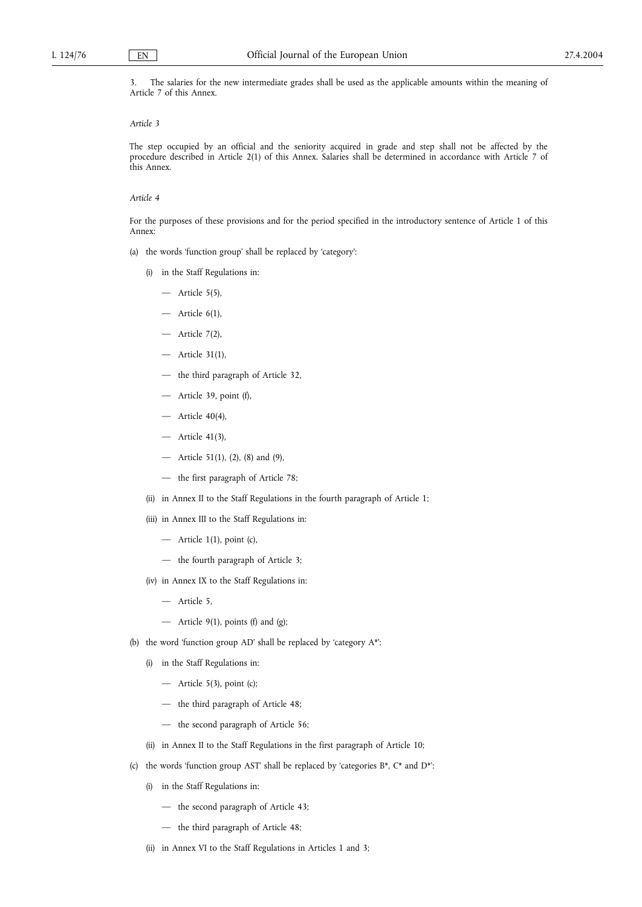3. The salaries for the new intermediate grades shall be used as the applicable amounts within the meaning of Article 7 of this Annex.

## *Article 3*

The step occupied by an official and the seniority acquired in grade and step shall not be affected by the procedure described in Article 2(1) of this Annex. Salaries shall be determined in accordance with Article 7 of this Annex.

## *Article 4*

For the purposes of these provisions and for the period specified in the introductory sentence of Article 1 of this Annex:

(a) the words 'function group' shall be replaced by 'category':

- (i) in the Staff Regulations in:
	- $-$  Article 5(5),
	- $-$  Article  $6(1)$ ,
	- Article 7(2),
	- Article 31(1),
	- the third paragraph of Article 32,
	- Article 39, point (f),
	- Article 40(4),
	- Article 41(3),
	- Article 51(1), (2), (8) and (9),
	- the first paragraph of Article 78;
- (ii) in Annex II to the Staff Regulations in the fourth paragraph of Article 1;
- (iii) in Annex III to the Staff Regulations in:
	- Article 1(1), point (c),
	- the fourth paragraph of Article 3;
- (iv) in Annex IX to the Staff Regulations in:
	- Article 5,
	- Article 9(1), points (f) and (g);
- (b) the word 'function group AD' shall be replaced by 'category A\*':
	- (i) in the Staff Regulations in:
		- $-$  Article 5(3), point (c);
		- the third paragraph of Article 48;
		- the second paragraph of Article 56;
	- (ii) in Annex II to the Staff Regulations in the first paragraph of Article 10;
- (c) the words 'function group AST' shall be replaced by 'categories  $B^*$ ,  $C^*$  and  $D^*$ ':
	- (i) in the Staff Regulations in:
		- the second paragraph of Article 43;
		- the third paragraph of Article 48;
	- (ii) in Annex VI to the Staff Regulations in Articles 1 and 3;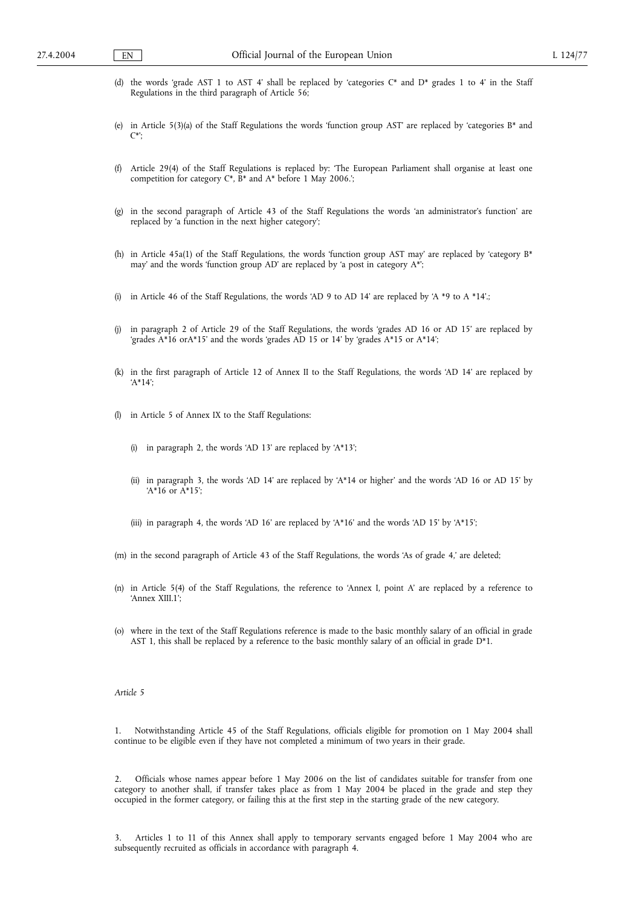- (d) the words 'grade AST 1 to AST 4' shall be replaced by 'categories  $C^*$  and  $D^*$  grades 1 to 4' in the Staff Regulations in the third paragraph of Article 56;
- (e) in Article 5(3)(a) of the Staff Regulations the words 'function group AST' are replaced by 'categories B\* and C\*';
- (f) Article 29(4) of the Staff Regulations is replaced by: 'The European Parliament shall organise at least one competition for category  $C^*$ ,  $B^*$  and  $A^*$  before 1 May 2006.';
- (g) in the second paragraph of Article 43 of the Staff Regulations the words 'an administrator's function' are replaced by 'a function in the next higher category';
- (h) in Article 45a(1) of the Staff Regulations, the words 'function group AST may' are replaced by 'category  $B^*$ may' and the words 'function group AD' are replaced by 'a post in category A\*';
- (i) in Article 46 of the Staff Regulations, the words 'AD 9 to AD 14' are replaced by 'A \*9 to A \*14'.;
- (j) in paragraph 2 of Article 29 of the Staff Regulations, the words 'grades AD 16 or AD 15' are replaced by 'grades A\*16 orA\*15' and the words 'grades AD 15 or 14' by 'grades A\*15 or A\*14';
- (k) in the first paragraph of Article 12 of Annex II to the Staff Regulations, the words 'AD 14' are replaced by 'A\*14';
- (l) in Article 5 of Annex IX to the Staff Regulations:
	- (i) in paragraph 2, the words 'AD 13' are replaced by 'A\*13';
	- (ii) in paragraph 3, the words 'AD 14' are replaced by 'A\*14 or higher' and the words 'AD 16 or AD 15' by  $A*16$  or  $A*15$ ;
	- (iii) in paragraph 4, the words 'AD 16' are replaced by 'A\*16' and the words 'AD 15' by 'A\*15';
- (m) in the second paragraph of Article 43 of the Staff Regulations, the words 'As of grade 4,' are deleted;
- (n) in Article 5(4) of the Staff Regulations, the reference to 'Annex I, point A' are replaced by a reference to 'Annex XIII.1';
- (o) where in the text of the Staff Regulations reference is made to the basic monthly salary of an official in grade AST 1, this shall be replaced by a reference to the basic monthly salary of an official in grade D\*1.

### *Article 5*

1. Notwithstanding Article 45 of the Staff Regulations, officials eligible for promotion on 1 May 2004 shall continue to be eligible even if they have not completed a minimum of two years in their grade.

Officials whose names appear before 1 May 2006 on the list of candidates suitable for transfer from one category to another shall, if transfer takes place as from 1 May 2004 be placed in the grade and step they occupied in the former category, or failing this at the first step in the starting grade of the new category.

3. Articles 1 to 11 of this Annex shall apply to temporary servants engaged before 1 May 2004 who are subsequently recruited as officials in accordance with paragraph 4.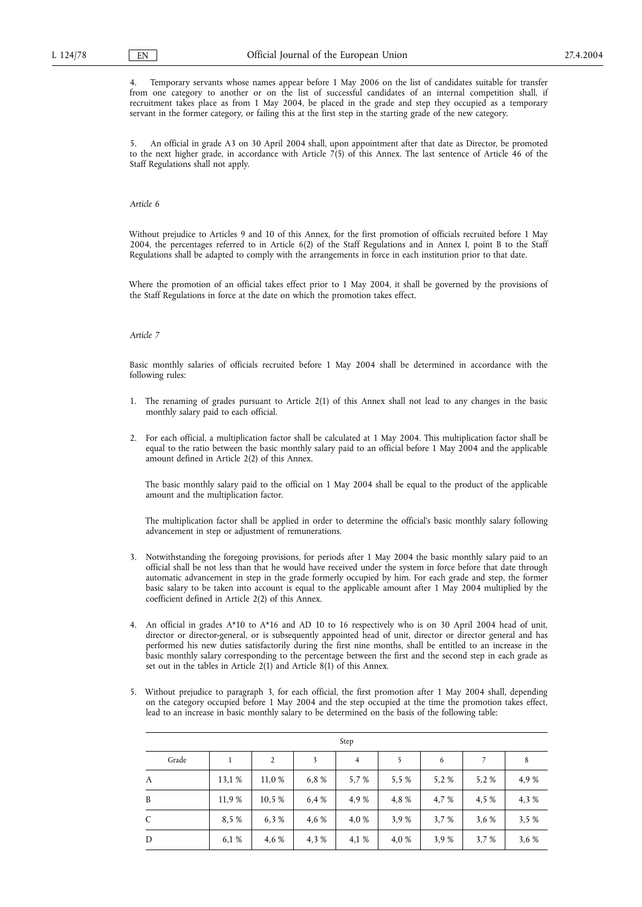Temporary servants whose names appear before 1 May 2006 on the list of candidates suitable for transfer from one category to another or on the list of successful candidates of an internal competition shall, if recruitment takes place as from 1 May 2004, be placed in the grade and step they occupied as a temporary servant in the former category, or failing this at the first step in the starting grade of the new category.

5. An official in grade A3 on 30 April 2004 shall, upon appointment after that date as Director, be promoted to the next higher grade, in accordance with Article 7(5) of this Annex. The last sentence of Article 46 of the Staff Regulations shall not apply.

### *Article 6*

Without prejudice to Articles 9 and 10 of this Annex, for the first promotion of officials recruited before 1 May 2004, the percentages referred to in Article 6(2) of the Staff Regulations and in Annex I, point B to the Staff Regulations shall be adapted to comply with the arrangements in force in each institution prior to that date.

Where the promotion of an official takes effect prior to 1 May 2004, it shall be governed by the provisions of the Staff Regulations in force at the date on which the promotion takes effect.

### *Article 7*

Basic monthly salaries of officials recruited before 1 May 2004 shall be determined in accordance with the following rules:

- 1. The renaming of grades pursuant to Article 2(1) of this Annex shall not lead to any changes in the basic monthly salary paid to each official.
- 2. For each official, a multiplication factor shall be calculated at 1 May 2004. This multiplication factor shall be equal to the ratio between the basic monthly salary paid to an official before 1 May 2004 and the applicable amount defined in Article 2(2) of this Annex.

The basic monthly salary paid to the official on 1 May 2004 shall be equal to the product of the applicable amount and the multiplication factor.

The multiplication factor shall be applied in order to determine the official's basic monthly salary following advancement in step or adjustment of remunerations.

- 3. Notwithstanding the foregoing provisions, for periods after 1 May 2004 the basic monthly salary paid to an official shall be not less than that he would have received under the system in force before that date through automatic advancement in step in the grade formerly occupied by him. For each grade and step, the former basic salary to be taken into account is equal to the applicable amount after 1 May 2004 multiplied by the coefficient defined in Article 2(2) of this Annex.
- 4. An official in grades A\*10 to A\*16 and AD 10 to 16 respectively who is on 30 April 2004 head of unit, director or director-general, or is subsequently appointed head of unit, director or director general and has performed his new duties satisfactorily during the first nine months, shall be entitled to an increase in the basic monthly salary corresponding to the percentage between the first and the second step in each grade as set out in the tables in Article 2(1) and Article 8(1) of this Annex.
- 5. Without prejudice to paragraph 3, for each official, the first promotion after 1 May 2004 shall, depending on the category occupied before 1 May 2004 and the step occupied at the time the promotion takes effect, lead to an increase in basic monthly salary to be determined on the basis of the following table:

| Step  |        |        |       |                |       |       |       |       |  |
|-------|--------|--------|-------|----------------|-------|-------|-------|-------|--|
| Grade |        | 2      | 3     | $\overline{4}$ | 5     | 6     | 7     | 8     |  |
| A     | 13,1 % | 11,0 % | 6.8%  | 5,7 %          | 5.5 % | 5,2%  | 5,2%  | 4,9 % |  |
| B     | 11,9 % | 10.5 % | 6,4 % | 4,9 %          | 4,8%  | 4,7 % | 4,5 % | 4,3 % |  |
| C     | 8.5%   | 6.3%   | 4,6 % | 4,0 %          | 3.9%  | 3,7%  | 3.6 % | 3,5%  |  |
| D     | 6.1 %  | 4,6 %  | 4,3%  | 4,1 %          | 4,0 % | 3,9%  | 3,7 % | 3,6 % |  |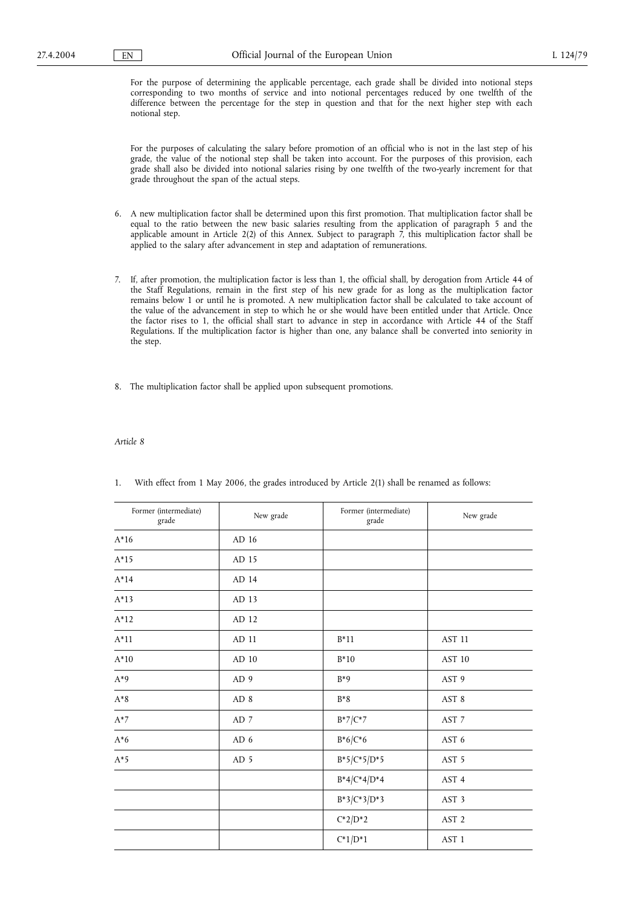For the purpose of determining the applicable percentage, each grade shall be divided into notional steps corresponding to two months of service and into notional percentages reduced by one twelfth of the difference between the percentage for the step in question and that for the next higher step with each notional step.

For the purposes of calculating the salary before promotion of an official who is not in the last step of his grade, the value of the notional step shall be taken into account. For the purposes of this provision, each grade shall also be divided into notional salaries rising by one twelfth of the two-yearly increment for that grade throughout the span of the actual steps.

- 6. A new multiplication factor shall be determined upon this first promotion. That multiplication factor shall be equal to the ratio between the new basic salaries resulting from the application of paragraph 5 and the applicable amount in Article 2(2) of this Annex. Subject to paragraph 7, this multiplication factor shall be applied to the salary after advancement in step and adaptation of remunerations.
- 7. If, after promotion, the multiplication factor is less than 1, the official shall, by derogation from Article 44 of the Staff Regulations, remain in the first step of his new grade for as long as the multiplication factor remains below 1 or until he is promoted. A new multiplication factor shall be calculated to take account of the value of the advancement in step to which he or she would have been entitled under that Article. Once the factor rises to 1, the official shall start to advance in step in accordance with Article 44 of the Staff Regulations. If the multiplication factor is higher than one, any balance shall be converted into seniority in the step.
- 8. The multiplication factor shall be applied upon subsequent promotions.

### *Article 8*

| Former (intermediate)<br>grade | New grade       | Former (intermediate)<br>grade | New grade        |
|--------------------------------|-----------------|--------------------------------|------------------|
| $A*16$                         | AD 16           |                                |                  |
| $A*15$                         | AD 15           |                                |                  |
| $A*14$                         | AD 14           |                                |                  |
| $A*13$                         | AD 13           |                                |                  |
| $A*12$                         | AD 12           |                                |                  |
| $A*11$                         | AD 11           | $B*11$                         | AST 11           |
| $A*10$                         | AD 10           | $B*10$                         | AST 10           |
| $A^*9$                         | AD <sub>9</sub> | $B*9$                          | AST 9            |
| $\mathrm{A}^*8$                | AD <sub>8</sub> | $B*8$                          | AST 8            |
| $A^*7$                         | AD 7            | $B*7/C*7$                      | AST 7            |
| $A*6$                          | AD 6            | $B*6/C*6$                      | AST 6            |
| $A*5$                          | AD <sub>5</sub> | $B*5/C*5/D*5$                  | AST 5            |
|                                |                 | $B^*4/C^*4/D^*4$               | AST 4            |
|                                |                 | $B*3/C*3/D*3$                  | AST <sub>3</sub> |
|                                |                 | $C^*2/D^*2$                    | AST <sub>2</sub> |
|                                |                 | $C^*1/D^*1$                    | AST <sub>1</sub> |

1. With effect from 1 May 2006, the grades introduced by Article 2(1) shall be renamed as follows: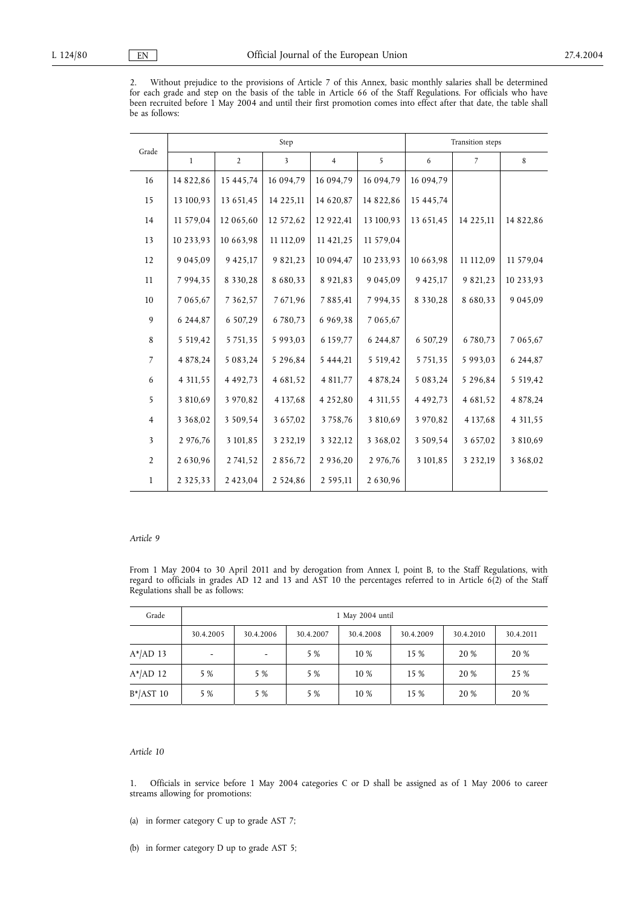2. Without prejudice to the provisions of Article 7 of this Annex, basic monthly salaries shall be determined for each grade and step on the basis of the table in Article 66 of the Staff Regulations. For officials who have been recruited before 1 May 2004 and until their first promotion comes into effect after that date, the table shall be as follows:

|                |               |                | Step          | Transition steps |               |               |                |               |
|----------------|---------------|----------------|---------------|------------------|---------------|---------------|----------------|---------------|
| Grade          | $\mathbf{1}$  | $\overline{2}$ | 3             | $\overline{4}$   | 5             | 6             | $\overline{7}$ | 8             |
| 16             | 14 822,86     | 15 445,74      | 16 094,79     | 16 094,79        | 16 094,79     | 16 094,79     |                |               |
| 15             | 13 100,93     | 13 651,45      | 14 225,11     | 14 620,87        | 14 822,86     | 15 445,74     |                |               |
| 14             | 11 579,04     | 12 065,60      | 12 572,62     | 12 922,41        | 13 100,93     | 13 651,45     | 14 225,11      | 14 822,86     |
| 13             | 10 233,93     | 10 663,98      | 11 112,09     | 11 421,25        | 11 579,04     |               |                |               |
| 12             | 9 0 4 5 , 0 9 | 9 4 2 5 , 1 7  | 9 821,23      | 10 094,47        | 10 233,93     | 10 663,98     | 11 112,09      | 11 579,04     |
| 11             | 7 9 9 4 , 3 5 | 8 3 3 0 , 2 8  | 8 6 8 0 , 3 3 | 8 9 2 1, 8 3     | 9 0 4 5 , 0 9 | 9 4 2 5 , 1 7 | 9 821,23       | 10 233,93     |
| 10             | 7 065,67      | 7 3 6 2, 5 7   | 7671,96       | 7885,41          | 7 9 9 4 , 3 5 | 8 3 3 0 , 2 8 | 8 680,33       | 9 0 4 5 , 0 9 |
| 9              | 6 244,87      | 6 507,29       | 6 780,73      | 6 9 6 9 , 3 8    | 7 065,67      |               |                |               |
| 8              | 5 5 19,42     | 5 7 5 1 , 3 5  | 5 9 9 3 . 0 3 | 6 159,77         | 6 244,87      | 6 507,29      | 6780,73        | 7 065,67      |
| $\overline{7}$ | 4 878,24      | 5 083,24       | 5 296,84      | 5 444,21         | 5 5 19,42     | 5 7 5 1 , 3 5 | 5 9 9 3 , 0 3  | 6 244,87      |
| 6              | 4 3 1 1 , 5 5 | 4 4 9 2 , 7 3  | 4 681,52      | 4 811,77         | 4 878,24      | 5 083,24      | 5 296,84       | 5 5 19,42     |
| 5              | 3 810,69      | 3 970,82       | 4 1 3 7 . 6 8 | 4 2 5 2 , 8 0    | 4 3 1 1 , 5 5 | 4 4 9 2 , 7 3 | 4 681,52       | 4 878,24      |
| $\overline{4}$ | 3 3 6 8 , 0 2 | 3 509,54       | 3 6 5 7, 0 2  | 3758,76          | 3 810,69      | 3 970,82      | 4 137,68       | 4 3 1 1 , 5 5 |
| 3              | 2 976,76      | 3 101,85       | 3 2 3 2 , 19  | 3 3 2 2 , 1 2    | 3 3 6 8 , 0 2 | 3 509,54      | 3 657,02       | 3 810,69      |
| $\overline{2}$ | 2 630,96      | 2 741,52       | 2856,72       | 2 9 3 6, 20      | 2 976,76      | 3 101,85      | 3 2 3 2, 19    | 3 3 6 8 , 0 2 |
| $\mathbf{1}$   | 2 3 2 5 , 3 3 | 2423,04        | 2 5 2 4 .86   | 2 5 9 5 , 1 1    | 2 630,96      |               |                |               |

### *Article 9*

From 1 May 2004 to 30 April 2011 and by derogation from Annex I, point B, to the Staff Regulations, with regard to officials in grades AD 12 and 13 and AST 10 the percentages referred to in Article 6(2) of the Staff Regulations shall be as follows:

| Grade         |           | 1 May 2004 until  |           |           |           |           |           |  |  |  |
|---------------|-----------|-------------------|-----------|-----------|-----------|-----------|-----------|--|--|--|
|               | 30.4.2005 | 30.4.2006         | 30.4.2007 | 30.4.2008 | 30.4.2009 | 30.4.2010 | 30.4.2011 |  |  |  |
| $A^*$ $AD$ 13 |           | $\qquad \qquad -$ | 5 %       | 10 %      | 15 %      | 20 %      | 20 %      |  |  |  |
| $A^*$ AD 12   | 5 %       | 5 %               | 5 %       | 10 %      | 15 %      | 20 %      | 25 %      |  |  |  |
| $B^*$ AST 10  | 5 %       | 5 %               | 5 %       | 10 %      | 15 %      | 20 %      | 20 %      |  |  |  |

# *Article 10*

1. Officials in service before 1 May 2004 categories C or D shall be assigned as of 1 May 2006 to career streams allowing for promotions:

(a) in former category C up to grade AST 7;

(b) in former category D up to grade AST 5;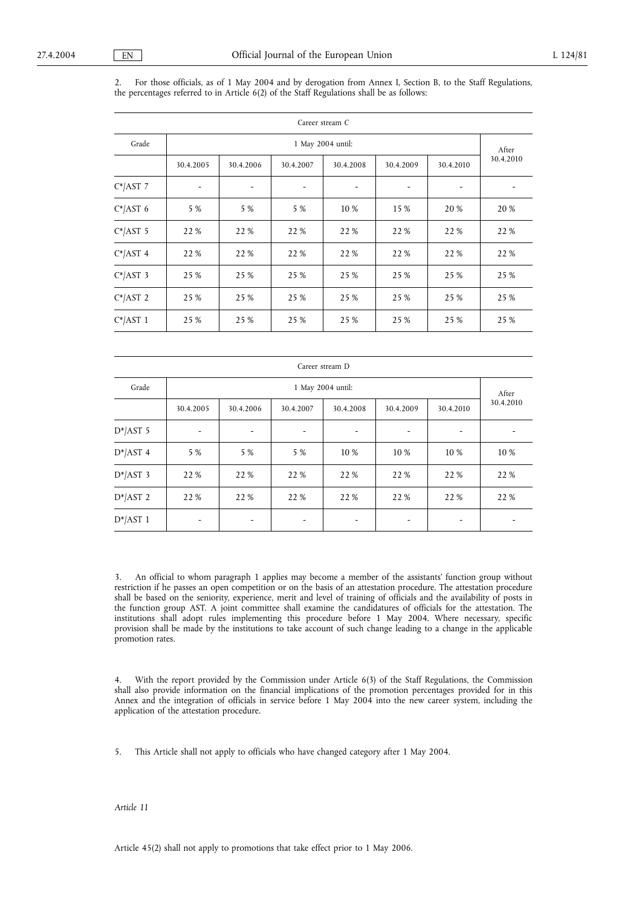2. For those officials, as of 1 May 2004 and by derogation from Annex I, Section B, to the Staff Regulations, the percentages referred to in Article 6(2) of the Staff Regulations shall be as follows:

|             | Career stream C |           |           |           |           |           |           |  |  |  |
|-------------|-----------------|-----------|-----------|-----------|-----------|-----------|-----------|--|--|--|
| Grade       |                 |           | After     |           |           |           |           |  |  |  |
|             | 30.4.2005       | 30.4.2006 | 30.4.2007 | 30.4.2008 | 30.4.2009 | 30.4.2010 | 30.4.2010 |  |  |  |
| $C^*$ AST 7 |                 |           |           |           |           |           |           |  |  |  |
| $C^*$ AST 6 | 5 %             | 5 %       | 5 %       | 10 %      | 15 %      | 20 %      | 20 %      |  |  |  |
| $C^*$ AST 5 | 22 %            | 22 %      | 22 %      | 22 %      | 22 %      | 22 %      | 22 %      |  |  |  |
| $C^*$ AST 4 | 22 %            | 22 %      | 22 %      | 22 %      | 22 %      | 22 %      | 22 %      |  |  |  |
| $C^*$ AST 3 | 25 %            | 25 %      | 25 %      | 25 %      | 25 %      | 25 %      | 25 %      |  |  |  |
| $C^*$ AST 2 | 25 %            | 25 %      | 25 %      | 25 %      | 25 %      | 25 %      | 25 %      |  |  |  |
| $C^*$ AST 1 | 25 %            | 25 %      | 25 %      | 25 %      | 25 %      | 25 %      | 25 %      |  |  |  |

| Career stream D            |           |           |           |           |                          |           |           |  |
|----------------------------|-----------|-----------|-----------|-----------|--------------------------|-----------|-----------|--|
| Grade<br>1 May 2004 until: |           |           |           |           |                          |           |           |  |
|                            | 30.4.2005 | 30.4.2006 | 30.4.2007 | 30.4.2008 | 30.4.2009                | 30.4.2010 | 30.4.2010 |  |
| $D^*$ AST 5                | ۰         |           |           |           | $\overline{\phantom{a}}$ |           |           |  |
| $D^*$ AST 4                | 5 %       | 5 %       | 5 %       | 10 %      | 10 %                     | 10 %      | 10 %      |  |
| $D^*$ AST 3                | 22 %      | 22 %      | 22 %      | 22 %      | 22 %                     | 22 %      | 22 %      |  |
| $D^*$ AST 2                | 22 %      | 22 %      | 22 %      | 22 %      | 22 %                     | 22 %      | 22 %      |  |
| $D^*$ AST 1                |           |           |           |           |                          |           |           |  |

3. An official to whom paragraph 1 applies may become a member of the assistants' function group without restriction if he passes an open competition or on the basis of an attestation procedure. The attestation procedure shall be based on the seniority, experience, merit and level of training of officials and the availability of posts in the function group AST. A joint committee shall examine the candidatures of officials for the attestation. The institutions shall adopt rules implementing this procedure before 1 May 2004. Where necessary, specific provision shall be made by the institutions to take account of such change leading to a change in the applicable promotion rates.

4. With the report provided by the Commission under Article 6(3) of the Staff Regulations, the Commission shall also provide information on the financial implications of the promotion percentages provided for in this Annex and the integration of officials in service before 1 May 2004 into the new career system, including the application of the attestation procedure.

5. This Article shall not apply to officials who have changed category after 1 May 2004.

*Article 11*

Article 45(2) shall not apply to promotions that take effect prior to 1 May 2006.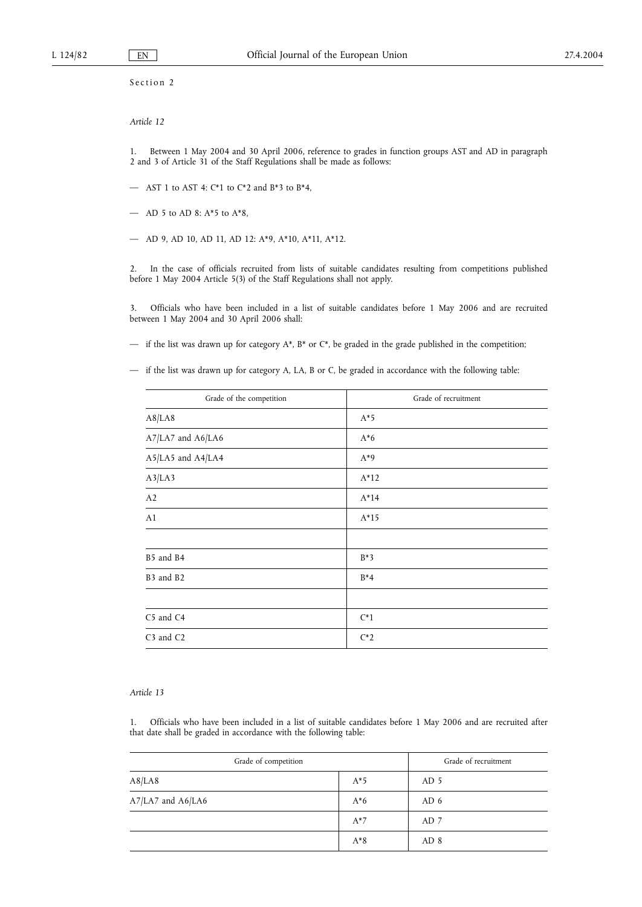Section 2

## *Article 12*

1. Between 1 May 2004 and 30 April 2006, reference to grades in function groups AST and AD in paragraph 2 and 3 of Article 31 of the Staff Regulations shall be made as follows:

- AST 1 to AST 4:  $C*1$  to  $C*2$  and  $B*3$  to  $B*4$ ,
- AD 5 to AD 8: A\*5 to A\*8,
- AD 9, AD 10, AD 11, AD 12: A\*9, A\*10, A\*11, A\*12.

2. In the case of officials recruited from lists of suitable candidates resulting from competitions published before 1 May 2004 Article 5(3) of the Staff Regulations shall not apply.

3. Officials who have been included in a list of suitable candidates before 1 May 2006 and are recruited between 1 May 2004 and 30 April 2006 shall:

- if the list was drawn up for category  $A^*$ ,  $B^*$  or  $C^*$ , be graded in the grade published in the competition;
- if the list was drawn up for category A, LA, B or C, be graded in accordance with the following table:

| Grade of recruitment |  |  |  |  |
|----------------------|--|--|--|--|
| $A*5$                |  |  |  |  |
| $A*6$                |  |  |  |  |
| $A^*9$               |  |  |  |  |
| $A*12$               |  |  |  |  |
| $A*14$               |  |  |  |  |
| $A*15$               |  |  |  |  |
|                      |  |  |  |  |
| $B*3$                |  |  |  |  |
| $B^*4$               |  |  |  |  |
|                      |  |  |  |  |
| $C^*1$               |  |  |  |  |
| $C^*2$               |  |  |  |  |
|                      |  |  |  |  |

### *Article 13*

1. Officials who have been included in a list of suitable candidates before 1 May 2006 and are recruited after that date shall be graded in accordance with the following table:

| Grade of competition | Grade of recruitment |                 |  |
|----------------------|----------------------|-----------------|--|
| A8/LA8               | $A*5$                | AD 5            |  |
| A7/LA7 and A6/LA6    | $A*6$                | AD 6            |  |
|                      | $A^*7$               | AD 7            |  |
|                      | $A^*8$               | AD <sub>8</sub> |  |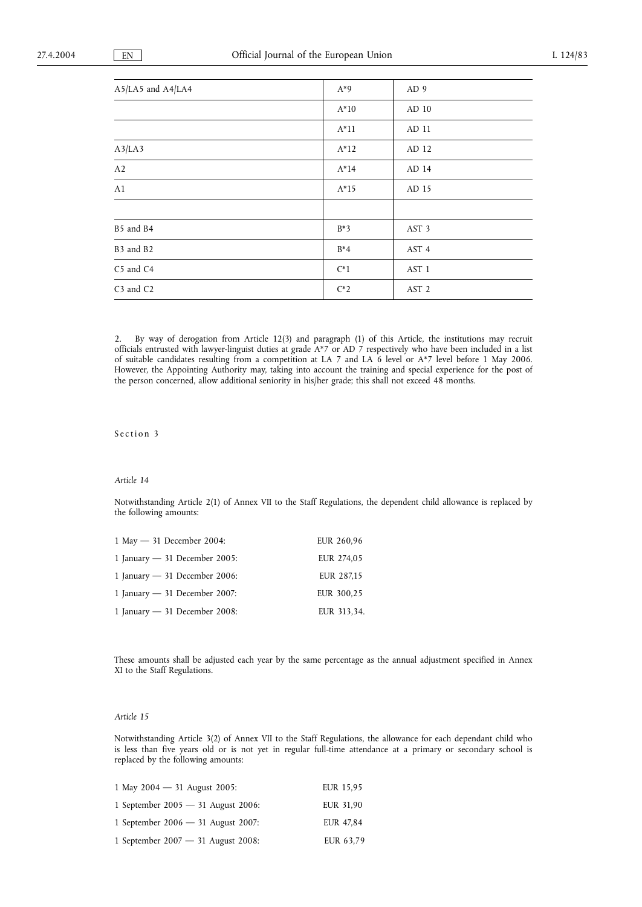| A5/LA5 and A4/LA4                 | $A^*9$ | AD 9             |
|-----------------------------------|--------|------------------|
|                                   | $A*10$ | AD 10            |
|                                   | $A*11$ | AD 11            |
| A3/LA3                            | $A*12$ | AD 12            |
| A2                                | $A*14$ | AD 14            |
| A1                                | $A*15$ | AD 15            |
|                                   |        |                  |
| B5 and B4                         | $B*3$  | AST <sub>3</sub> |
| B3 and B2                         | $B^*4$ | AST 4            |
| C5 and C4                         | $C^*1$ | AST <sub>1</sub> |
| C <sub>3</sub> and C <sub>2</sub> | $C^*2$ | AST <sub>2</sub> |

2. By way of derogation from Article 12(3) and paragraph (1) of this Article, the institutions may recruit officials entrusted with lawyer-linguist duties at grade A\*7 or AD 7 respectively who have been included in a list of suitable candidates resulting from a competition at LA 7 and LA 6 level or A\*7 level before 1 May 2006. However, the Appointing Authority may, taking into account the training and special experience for the post of the person concerned, allow additional seniority in his/her grade; this shall not exceed 48 months.

# Section 3

### *Article 14*

Notwithstanding Article 2(1) of Annex VII to the Staff Regulations, the dependent child allowance is replaced by the following amounts:

| 1 May $-$ 31 December 2004:     | EUR 260,96  |
|---------------------------------|-------------|
| 1 January $-$ 31 December 2005: | EUR 274,05  |
| 1 January $-$ 31 December 2006: | EUR 287,15  |
| 1 January $-$ 31 December 2007: | EUR 300,25  |
| 1 January $-$ 31 December 2008: | EUR 313,34. |

These amounts shall be adjusted each year by the same percentage as the annual adjustment specified in Annex XI to the Staff Regulations.

# *Article 15*

Notwithstanding Article 3(2) of Annex VII to the Staff Regulations, the allowance for each dependant child who is less than five years old or is not yet in regular full-time attendance at a primary or secondary school is replaced by the following amounts:

| 1 May 2004 - 31 August 2005:         | <b>EUR 15.95</b> |
|--------------------------------------|------------------|
| 1 September 2005 $-$ 31 August 2006: | EUR 31.90        |
| 1 September 2006 $-$ 31 August 2007: | EUR 47.84        |
| 1 September 2007 $-$ 31 August 2008: | EUR 63,79        |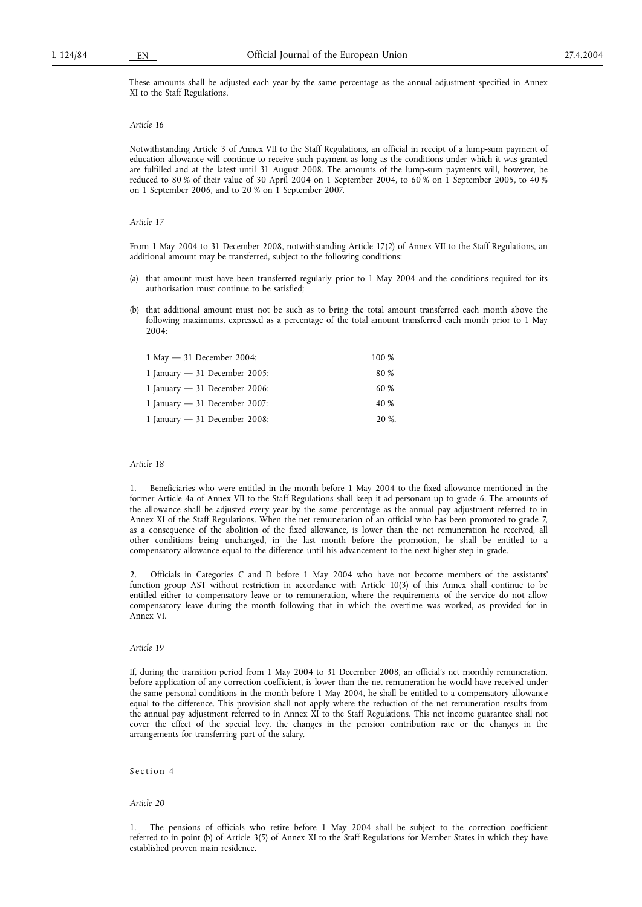These amounts shall be adjusted each year by the same percentage as the annual adjustment specified in Annex XI to the Staff Regulations.

### *Article 16*

Notwithstanding Article 3 of Annex VII to the Staff Regulations, an official in receipt of a lump-sum payment of education allowance will continue to receive such payment as long as the conditions under which it was granted are fulfilled and at the latest until 31 August 2008. The amounts of the lump-sum payments will, however, be reduced to 80 % of their value of 30 April 2004 on 1 September 2004, to 60 % on 1 September 2005, to 40 % on 1 September 2006, and to 20 % on 1 September 2007.

### *Article 17*

From 1 May 2004 to 31 December 2008, notwithstanding Article 17(2) of Annex VII to the Staff Regulations, an additional amount may be transferred, subject to the following conditions:

- (a) that amount must have been transferred regularly prior to 1 May 2004 and the conditions required for its authorisation must continue to be satisfied;
- that additional amount must not be such as to bring the total amount transferred each month above the following maximums, expressed as a percentage of the total amount transferred each month prior to 1 May  $2004$

| 1 May $-$ 31 December 2004:     | 100 % |
|---------------------------------|-------|
| 1 January $-$ 31 December 2005: | 80 %  |
| 1 January $-$ 31 December 2006: | 60 %  |
| 1 January $-$ 31 December 2007: | 40 %  |
| 1 January $-$ 31 December 2008: | 20 %. |

### *Article 18*

1. Beneficiaries who were entitled in the month before 1 May 2004 to the fixed allowance mentioned in the former Article 4a of Annex VII to the Staff Regulations shall keep it ad personam up to grade 6. The amounts of the allowance shall be adjusted every year by the same percentage as the annual pay adjustment referred to in Annex XI of the Staff Regulations. When the net remuneration of an official who has been promoted to grade 7, as a consequence of the abolition of the fixed allowance, is lower than the net remuneration he received, all other conditions being unchanged, in the last month before the promotion, he shall be entitled to a compensatory allowance equal to the difference until his advancement to the next higher step in grade.

2. Officials in Categories C and D before 1 May 2004 who have not become members of the assistants' function group AST without restriction in accordance with Article 10(3) of this Annex shall continue to be entitled either to compensatory leave or to remuneration, where the requirements of the service do not allow compensatory leave during the month following that in which the overtime was worked, as provided for in Annex VI.

### *Article 19*

If, during the transition period from 1 May 2004 to 31 December 2008, an official's net monthly remuneration, before application of any correction coefficient, is lower than the net remuneration he would have received under the same personal conditions in the month before 1 May 2004, he shall be entitled to a compensatory allowance equal to the difference. This provision shall not apply where the reduction of the net remuneration results from the annual pay adjustment referred to in Annex XI to the Staff Regulations. This net income guarantee shall not cover the effect of the special levy, the changes in the pension contribution rate or the changes in the arrangements for transferring part of the salary.

## Section 4

### *Article 20*

1. The pensions of officials who retire before 1 May 2004 shall be subject to the correction coefficient referred to in point (b) of Article 3(5) of Annex XI to the Staff Regulations for Member States in which they have established proven main residence.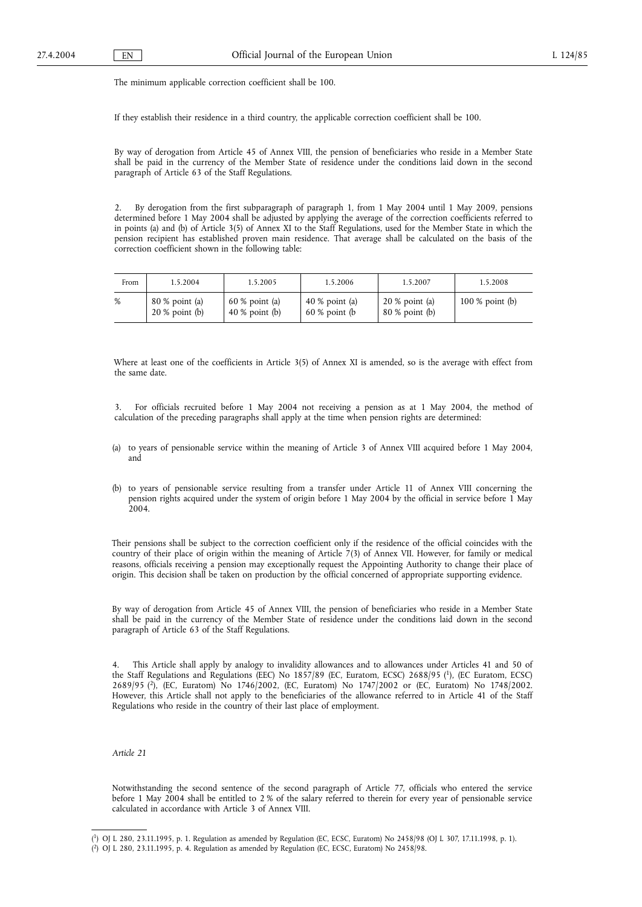The minimum applicable correction coefficient shall be 100.

If they establish their residence in a third country, the applicable correction coefficient shall be 100.

By way of derogation from Article 45 of Annex VIII, the pension of beneficiaries who reside in a Member State shall be paid in the currency of the Member State of residence under the conditions laid down in the second paragraph of Article 63 of the Staff Regulations.

2. By derogation from the first subparagraph of paragraph 1, from 1 May 2004 until 1 May 2009, pensions determined before 1 May 2004 shall be adjusted by applying the average of the correction coefficients referred to in points (a) and (b) of Article 3(5) of Annex XI to the Staff Regulations, used for the Member State in which the pension recipient has established proven main residence. That average shall be calculated on the basis of the correction coefficient shown in the following table:

| From | 1.5.2004                             | 1.5.2005                             | 1.5.2006                              | 1.5.2007                           | 1.5.2008          |
|------|--------------------------------------|--------------------------------------|---------------------------------------|------------------------------------|-------------------|
| %    | $80\%$ point (a)<br>$20\%$ point (b) | $60\%$ point (a)<br>$40\%$ point (b) | 40 $\%$ point (a)<br>$60\%$ point (b) | $20\%$ point (a)<br>80 % point (b) | $100\%$ point (b) |

Where at least one of the coefficients in Article 3(5) of Annex XI is amended, so is the average with effect from the same date.

3. For officials recruited before 1 May 2004 not receiving a pension as at 1 May 2004, the method of calculation of the preceding paragraphs shall apply at the time when pension rights are determined:

- (a) to years of pensionable service within the meaning of Article 3 of Annex VIII acquired before 1 May 2004, and
- (b) to years of pensionable service resulting from a transfer under Article 11 of Annex VIII concerning the pension rights acquired under the system of origin before 1 May 2004 by the official in service before 1 May 2004.

Their pensions shall be subject to the correction coefficient only if the residence of the official coincides with the country of their place of origin within the meaning of Article  $7(3)$  of Annex VII. However, for family or medical reasons, officials receiving a pension may exceptionally request the Appointing Authority to change their place of origin. This decision shall be taken on production by the official concerned of appropriate supporting evidence.

By way of derogation from Article 45 of Annex VIII, the pension of beneficiaries who reside in a Member State shall be paid in the currency of the Member State of residence under the conditions laid down in the second paragraph of Article 63 of the Staff Regulations.

4. This Article shall apply by analogy to invalidity allowances and to allowances under Articles 41 and 50 of the Staff Regulations and Regulations (EEC) No 1857/89 (EC, Euratom, ECSC) 2688/95 (1), (EC Euratom, ECSC) 2689/95 (2), (EC, Euratom) No 1746/2002, (EC, Euratom) No 1747/2002 or (EC, Euratom) No 1748/2002. However, this Article shall not apply to the beneficiaries of the allowance referred to in Article 41 of the Staff Regulations who reside in the country of their last place of employment.

### *Article 21*

Notwithstanding the second sentence of the second paragraph of Article 77, officials who entered the service before 1 May 2004 shall be entitled to 2 % of the salary referred to therein for every year of pensionable service calculated in accordance with Article 3 of Annex VIII.

<sup>(</sup> 1) OJ L 280, 23.11.1995, p. 1. Regulation as amended by Regulation (EC, ECSC, Euratom) No 2458/98 (OJ L 307, 17.11.1998, p. 1).

<sup>(</sup> 2) OJ L 280, 23.11.1995, p. 4. Regulation as amended by Regulation (EC, ECSC, Euratom) No 2458/98.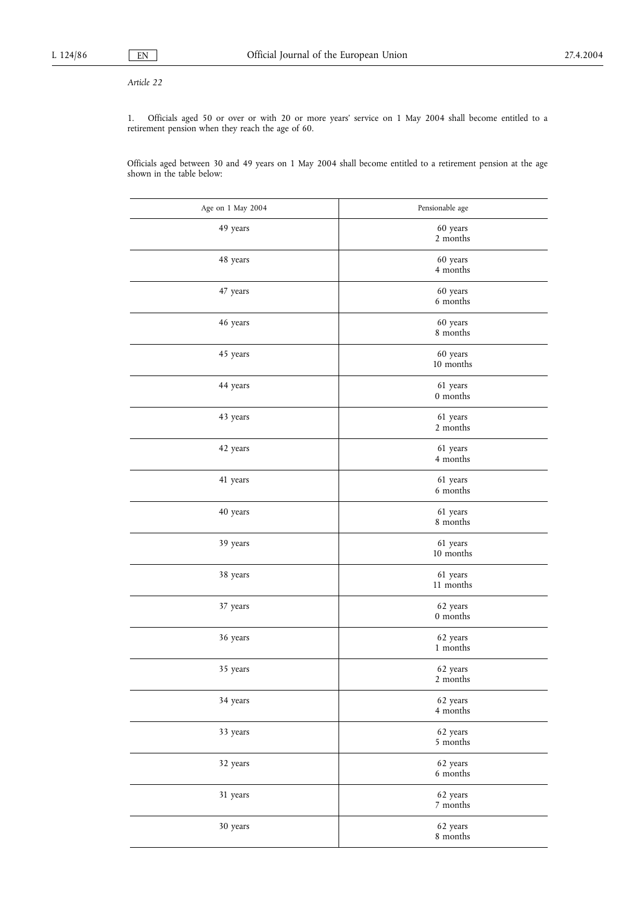# *Article 22*

1. Officials aged 50 or over or with 20 or more years' service on 1 May 2004 shall become entitled to a retirement pension when they reach the age of 60.

Officials aged between 30 and 49 years on 1 May 2004 shall become entitled to a retirement pension at the age shown in the table below:

| Age on 1 May 2004 | Pensionable age       |
|-------------------|-----------------------|
| 49 years          | 60 years<br>2 months  |
| 48 years          | 60 years<br>4 months  |
| 47 years          | 60 years<br>6 months  |
| 46 years          | 60 years<br>8 months  |
| 45 years          | 60 years<br>10 months |
| 44 years          | 61 years<br>0 months  |
| 43 years          | 61 years<br>2 months  |
| 42 years          | 61 years<br>4 months  |
| 41 years          | 61 years<br>6 months  |
| 40 years          | 61 years<br>8 months  |
| 39 years          | 61 years<br>10 months |
| 38 years          | 61 years<br>11 months |
| 37 years          | 62 years<br>0 months  |
| 36 years          | 62 years<br>1 months  |
| 35 years          | 62 years<br>2 months  |
| 34 years          | 62 years<br>4 months  |
| 33 years          | 62 years<br>5 months  |
| 32 years          | 62 years<br>6 months  |
| 31 years          | 62 years<br>7 months  |
| 30 years          | 62 years<br>8 months  |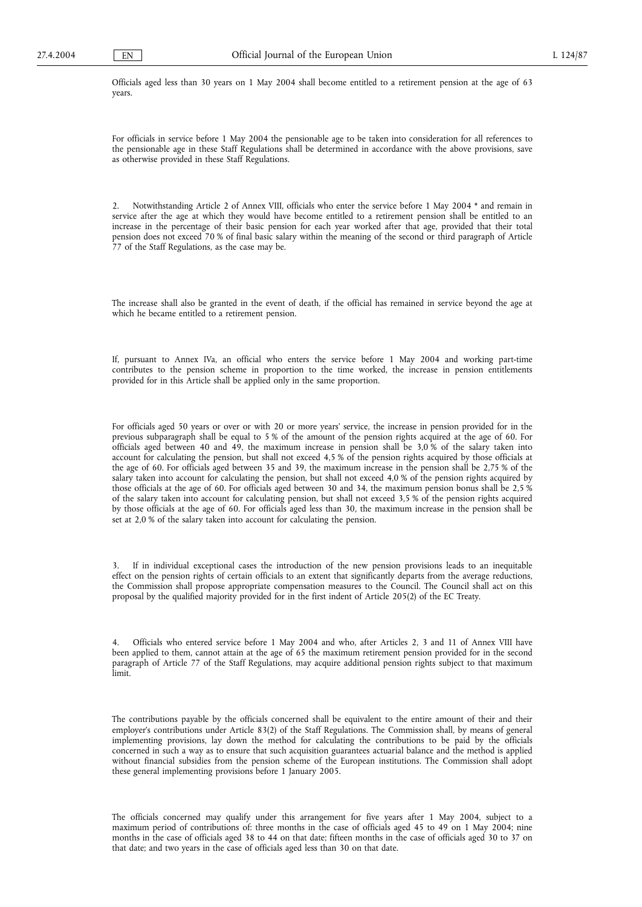Officials aged less than 30 years on 1 May 2004 shall become entitled to a retirement pension at the age of 63 years.

For officials in service before 1 May 2004 the pensionable age to be taken into consideration for all references to the pensionable age in these Staff Regulations shall be determined in accordance with the above provisions, save as otherwise provided in these Staff Regulations.

2. Notwithstanding Article 2 of Annex VIII, officials who enter the service before 1 May 2004 \* and remain in service after the age at which they would have become entitled to a retirement pension shall be entitled to an increase in the percentage of their basic pension for each year worked after that age, provided that their total pension does not exceed 70 % of final basic salary within the meaning of the second or third paragraph of Article 77 of the Staff Regulations, as the case may be.

The increase shall also be granted in the event of death, if the official has remained in service beyond the age at which he became entitled to a retirement pension.

If, pursuant to Annex IVa, an official who enters the service before 1 May 2004 and working part-time contributes to the pension scheme in proportion to the time worked, the increase in pension entitlements provided for in this Article shall be applied only in the same proportion.

For officials aged 50 years or over or with 20 or more years' service, the increase in pension provided for in the previous subparagraph shall be equal to 5 % of the amount of the pension rights acquired at the age of 60. For officials aged between 40 and 49, the maximum increase in pension shall be 3,0 % of the salary taken into account for calculating the pension, but shall not exceed 4,5 % of the pension rights acquired by those officials at the age of 60. For officials aged between 35 and 39, the maximum increase in the pension shall be 2,75 % of the salary taken into account for calculating the pension, but shall not exceed 4,0 % of the pension rights acquired by those officials at the age of 60. For officials aged between 30 and 34, the maximum pension bonus shall be 2,5 % of the salary taken into account for calculating pension, but shall not exceed 3,5 % of the pension rights acquired by those officials at the age of 60. For officials aged less than 30, the maximum increase in the pension shall be set at 2,0 % of the salary taken into account for calculating the pension.

3. If in individual exceptional cases the introduction of the new pension provisions leads to an inequitable effect on the pension rights of certain officials to an extent that significantly departs from the average reductions, the Commission shall propose appropriate compensation measures to the Council. The Council shall act on this proposal by the qualified majority provided for in the first indent of Article 205(2) of the EC Treaty.

4. Officials who entered service before 1 May 2004 and who, after Articles 2, 3 and 11 of Annex VIII have been applied to them, cannot attain at the age of 65 the maximum retirement pension provided for in the second paragraph of Article 77 of the Staff Regulations, may acquire additional pension rights subject to that maximum limit.

The contributions payable by the officials concerned shall be equivalent to the entire amount of their and their employer's contributions under Article 83(2) of the Staff Regulations. The Commission shall, by means of general implementing provisions, lay down the method for calculating the contributions to be paid by the officials concerned in such a way as to ensure that such acquisition guarantees actuarial balance and the method is applied without financial subsidies from the pension scheme of the European institutions. The Commission shall adopt these general implementing provisions before 1 January 2005.

The officials concerned may qualify under this arrangement for five years after 1 May 2004, subject to a maximum period of contributions of: three months in the case of officials aged 45 to 49 on 1 May 2004; nine months in the case of officials aged 38 to 44 on that date; fifteen months in the case of officials aged 30 to 37 on that date; and two years in the case of officials aged less than 30 on that date.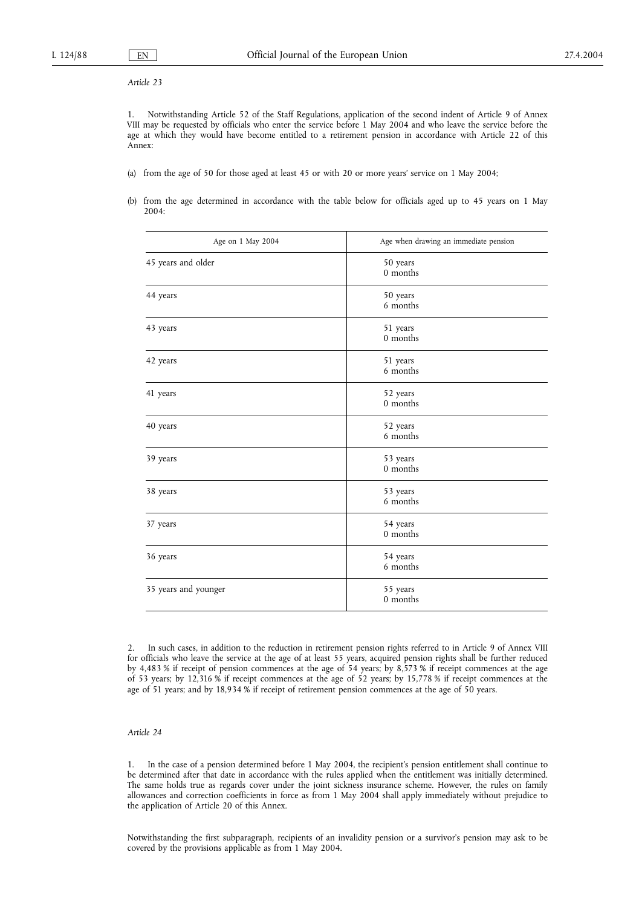# *Article 23*

1. Notwithstanding Article 52 of the Staff Regulations, application of the second indent of Article 9 of Annex VIII may be requested by officials who enter the service before 1 May 2004 and who leave the service before the age at which they would have become entitled to a retirement pension in accordance with Article 22 of this Annex:

- (a) from the age of 50 for those aged at least 45 or with 20 or more years' service on 1 May 2004;
- (b) from the age determined in accordance with the table below for officials aged up to 45 years on 1 May 2004:

| Age on 1 May 2004    | Age when drawing an immediate pension |  |  |
|----------------------|---------------------------------------|--|--|
| 45 years and older   | 50 years<br>0 months                  |  |  |
| 44 years             | 50 years<br>6 months                  |  |  |
| 43 years             | 51 years<br>0 months                  |  |  |
| 42 years             | 51 years<br>6 months                  |  |  |
| 41 years             | 52 years<br>0 months                  |  |  |
| 40 years             | 52 years<br>6 months                  |  |  |
| 39 years             | 53 years<br>0 months                  |  |  |
| 38 years             | 53 years<br>6 months                  |  |  |
| 37 years             | 54 years<br>0 months                  |  |  |
| 36 years             | 54 years<br>6 months                  |  |  |
| 35 years and younger | 55 years<br>0 months                  |  |  |

<sup>2.</sup> In such cases, in addition to the reduction in retirement pension rights referred to in Article 9 of Annex VIII for officials who leave the service at the age of at least 55 years, acquired pension rights shall be further reduced by 4,483 % if receipt of pension commences at the age of 54 years; by 8,573 % if receipt commences at the age of 53 years; by 12,316 % if receipt commences at the age of 52 years; by 15,778 % if receipt commences at the age of 51 years; and by 18,934 % if receipt of retirement pension commences at the age of 50 years.

### *Article 24*

1. In the case of a pension determined before 1 May 2004, the recipient's pension entitlement shall continue to be determined after that date in accordance with the rules applied when the entitlement was initially determined. The same holds true as regards cover under the joint sickness insurance scheme. However, the rules on family allowances and correction coefficients in force as from 1 May 2004 shall apply immediately without prejudice to the application of Article 20 of this Annex.

Notwithstanding the first subparagraph, recipients of an invalidity pension or a survivor's pension may ask to be covered by the provisions applicable as from 1 May 2004.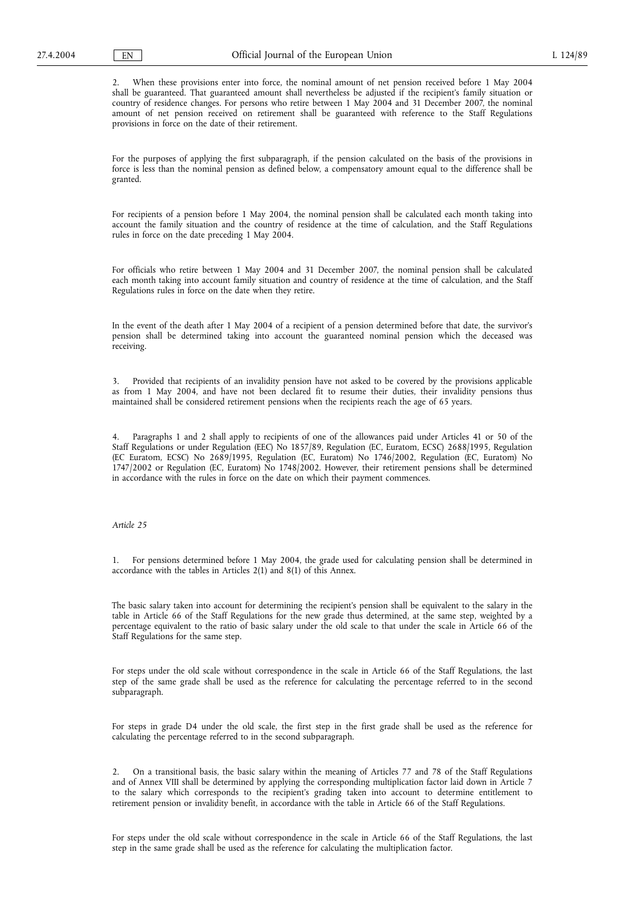2. When these provisions enter into force, the nominal amount of net pension received before 1 May 2004 shall be guaranteed. That guaranteed amount shall nevertheless be adjusted if the recipient's family situation or country of residence changes. For persons who retire between 1 May 2004 and 31 December 2007, the nominal amount of net pension received on retirement shall be guaranteed with reference to the Staff Regulations provisions in force on the date of their retirement.

For the purposes of applying the first subparagraph, if the pension calculated on the basis of the provisions in force is less than the nominal pension as defined below, a compensatory amount equal to the difference shall be granted.

For recipients of a pension before 1 May 2004, the nominal pension shall be calculated each month taking into account the family situation and the country of residence at the time of calculation, and the Staff Regulations rules in force on the date preceding 1 May 2004.

For officials who retire between 1 May 2004 and 31 December 2007, the nominal pension shall be calculated each month taking into account family situation and country of residence at the time of calculation, and the Staff Regulations rules in force on the date when they retire.

In the event of the death after 1 May 2004 of a recipient of a pension determined before that date, the survivor's pension shall be determined taking into account the guaranteed nominal pension which the deceased was receiving.

3. Provided that recipients of an invalidity pension have not asked to be covered by the provisions applicable as from 1 May 2004, and have not been declared fit to resume their duties, their invalidity pensions thus maintained shall be considered retirement pensions when the recipients reach the age of 65 years.

4. Paragraphs 1 and 2 shall apply to recipients of one of the allowances paid under Articles 41 or 50 of the Staff Regulations or under Regulation (EEC) No 1857/89, Regulation (EC, Euratom, ECSC) 2688/1995, Regulation (EC Euratom, ECSC) No 2689/1995, Regulation (EC, Euratom) No 1746/2002, Regulation (EC, Euratom) No 1747/2002 or Regulation (EC, Euratom) No 1748/2002. However, their retirement pensions shall be determined in accordance with the rules in force on the date on which their payment commences.

### *Article 25*

1. For pensions determined before 1 May 2004, the grade used for calculating pension shall be determined in accordance with the tables in Articles 2(1) and 8(1) of this Annex.

The basic salary taken into account for determining the recipient's pension shall be equivalent to the salary in the table in Article 66 of the Staff Regulations for the new grade thus determined, at the same step, weighted by a percentage equivalent to the ratio of basic salary under the old scale to that under the scale in Article 66 of the Staff Regulations for the same step.

For steps under the old scale without correspondence in the scale in Article 66 of the Staff Regulations, the last step of the same grade shall be used as the reference for calculating the percentage referred to in the second subparagraph.

For steps in grade D4 under the old scale, the first step in the first grade shall be used as the reference for calculating the percentage referred to in the second subparagraph.

2. On a transitional basis, the basic salary within the meaning of Articles 77 and 78 of the Staff Regulations and of Annex VIII shall be determined by applying the corresponding multiplication factor laid down in Article 7 to the salary which corresponds to the recipient's grading taken into account to determine entitlement to retirement pension or invalidity benefit, in accordance with the table in Article 66 of the Staff Regulations.

For steps under the old scale without correspondence in the scale in Article 66 of the Staff Regulations, the last step in the same grade shall be used as the reference for calculating the multiplication factor.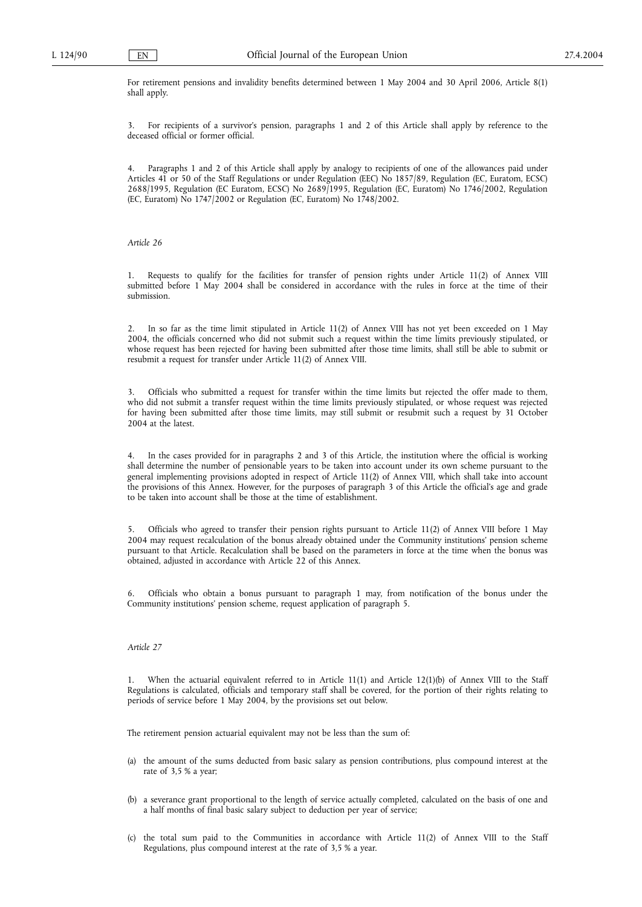For retirement pensions and invalidity benefits determined between 1 May 2004 and 30 April 2006, Article 8(1) shall apply.

3. For recipients of a survivor's pension, paragraphs 1 and 2 of this Article shall apply by reference to the deceased official or former official.

Paragraphs 1 and 2 of this Article shall apply by analogy to recipients of one of the allowances paid under Articles 41 or 50 of the Staff Regulations or under Regulation (EEC) No 1857/89, Regulation (EC, Euratom, ECSC) 2688/1995, Regulation (EC Euratom, ECSC) No 2689/1995, Regulation (EC, Euratom) No 1746/2002, Regulation (EC, Euratom) No 1747/2002 or Regulation (EC, Euratom) No 1748/2002.

### *Article 26*

1. Requests to qualify for the facilities for transfer of pension rights under Article 11(2) of Annex VIII submitted before 1 May 2004 shall be considered in accordance with the rules in force at the time of their submission.

2. In so far as the time limit stipulated in Article 11(2) of Annex VIII has not yet been exceeded on 1 May 2004, the officials concerned who did not submit such a request within the time limits previously stipulated, or whose request has been rejected for having been submitted after those time limits, shall still be able to submit or resubmit a request for transfer under Article 11(2) of Annex VIII.

3. Officials who submitted a request for transfer within the time limits but rejected the offer made to them, who did not submit a transfer request within the time limits previously stipulated, or whose request was rejected for having been submitted after those time limits, may still submit or resubmit such a request by 31 October 2004 at the latest.

4. In the cases provided for in paragraphs 2 and 3 of this Article, the institution where the official is working shall determine the number of pensionable years to be taken into account under its own scheme pursuant to the general implementing provisions adopted in respect of Article 11(2) of Annex VIII, which shall take into account the provisions of this Annex. However, for the purposes of paragraph 3 of this Article the official's age and grade to be taken into account shall be those at the time of establishment.

5. Officials who agreed to transfer their pension rights pursuant to Article 11(2) of Annex VIII before 1 May 2004 may request recalculation of the bonus already obtained under the Community institutions' pension scheme pursuant to that Article. Recalculation shall be based on the parameters in force at the time when the bonus was obtained, adjusted in accordance with Article 22 of this Annex.

6. Officials who obtain a bonus pursuant to paragraph 1 may, from notification of the bonus under the Community institutions' pension scheme, request application of paragraph 5.

## *Article 27*

1. When the actuarial equivalent referred to in Article 11(1) and Article 12(1)(b) of Annex VIII to the Staff Regulations is calculated, officials and temporary staff shall be covered, for the portion of their rights relating to periods of service before 1 May 2004, by the provisions set out below.

The retirement pension actuarial equivalent may not be less than the sum of:

- (a) the amount of the sums deducted from basic salary as pension contributions, plus compound interest at the rate of 3,5 % a year;
- (b) a severance grant proportional to the length of service actually completed, calculated on the basis of one and a half months of final basic salary subject to deduction per year of service;
- (c) the total sum paid to the Communities in accordance with Article 11(2) of Annex VIII to the Staff Regulations, plus compound interest at the rate of 3,5 % a year.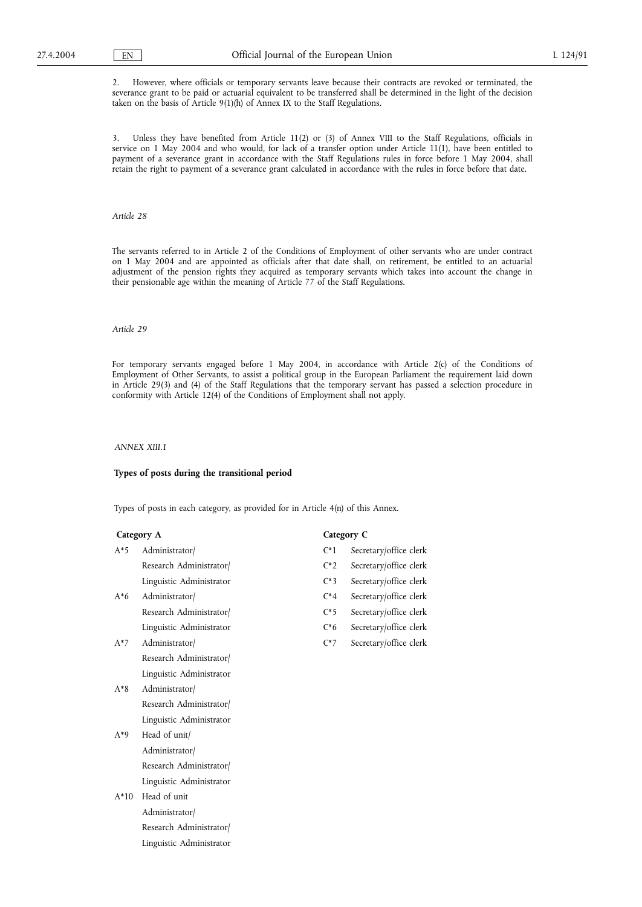2. However, where officials or temporary servants leave because their contracts are revoked or terminated, the severance grant to be paid or actuarial equivalent to be transferred shall be determined in the light of the decision taken on the basis of Article 9(1)(h) of Annex IX to the Staff Regulations.

3. Unless they have benefited from Article 11(2) or (3) of Annex VIII to the Staff Regulations, officials in service on 1 May 2004 and who would, for lack of a transfer option under Article 11(1), have been entitled to payment of a severance grant in accordance with the Staff Regulations rules in force before 1 May 2004, shall retain the right to payment of a severance grant calculated in accordance with the rules in force before that date.

### *Article 28*

The servants referred to in Article 2 of the Conditions of Employment of other servants who are under contract on 1 May 2004 and are appointed as officials after that date shall, on retirement, be entitled to an actuarial adjustment of the pension rights they acquired as temporary servants which takes into account the change in their pensionable age within the meaning of Article 77 of the Staff Regulations.

### *Article 29*

For temporary servants engaged before 1 May 2004, in accordance with Article 2(c) of the Conditions of Employment of Other Servants, to assist a political group in the European Parliament the requirement laid down in Article 29(3) and (4) of the Staff Regulations that the temporary servant has passed a selection procedure in conformity with Article 12(4) of the Conditions of Employment shall not apply.

### *ANNEX XIII.1*

### **Types of posts during the transitional period**

Types of posts in each category, as provided for in Article 4(n) of this Annex.

- Research Administrator/ C\*2 Secretary/office clerk Linguistic Administrator C\*3 Secretary/office clerk
- A\*6 Administrator/ C\*4 Secretary/office clerk Research Administrator/  $C*5$  Secretary/office clerk Linguistic Administrator C\*6 Secretary/office clerk
- A\*7 Administrator/ C\*7 Secretary/office clerk Research Administrator/ Linguistic Administrator
- A\*8 Administrator/ Research Administrator/ Linguistic Administrator
- A\*9 Head of unit/ Administrator/ Research Administrator/ Linguistic Administrator
- A\*10 Head of unit Administrator/ Research Administrator/ Linguistic Administrator

### **Category A Category C**

- A\*5 Administrator/ C\*1 Secretary/office clerk
	-
	-
	-
	-
	-
	-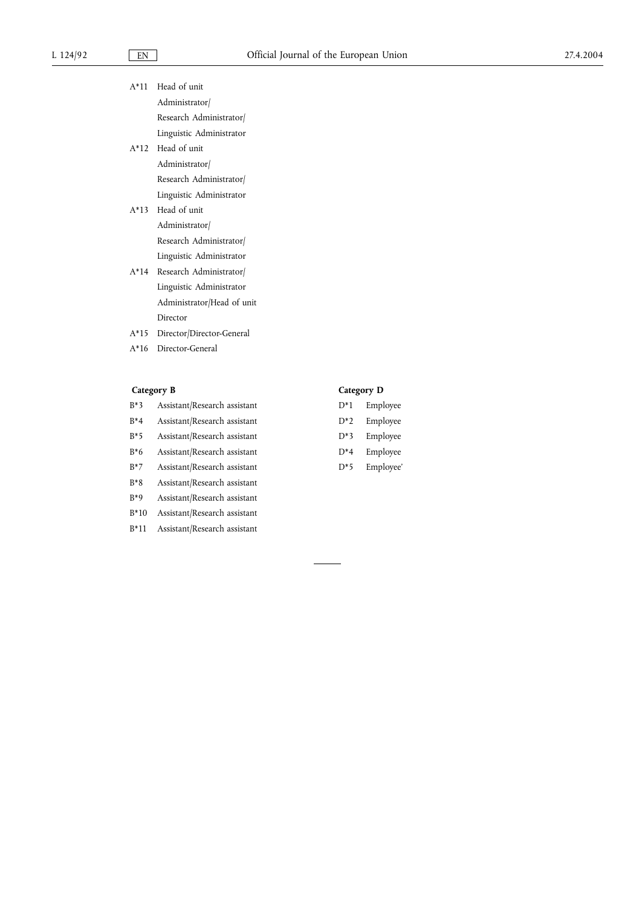| A*11 Head of unit           |
|-----------------------------|
| Administrator/              |
| Research Administrator/     |
| Linguistic Administrator    |
| A*12 Head of unit           |
| Administrator/              |
| Research Administrator/     |
| Linguistic Administrator    |
| A*13 Head of unit           |
| Administrator/              |
| Research Administrator      |
| Linguistic Administrator    |
| A*14 Research Administrator |

- Linguistic Administrator Administrator/Head of unit Director
- A\*15 Director/Director-General
- A\*16 Director-General

# **Category B Category D**

| B*3    | Assistant/Research assistant |
|--------|------------------------------|
| $R^*4$ | Assistant/Research assistant |
| $B*5$  | Assistant/Research assistant |
| $B*6$  | Assistant/Research assistant |
| $B*7$  | Assistant/Research assistant |
| $B*8$  | Assistant/Research assistant |
| $B*9$  | Assistant/Research assistant |
| $B*10$ | Assistant/Research assistant |
| $B*11$ | Assistant/Research assistant |

- ch assistant  $D^*1$  Employee
	- D\*2 Employee
	- D\*3 Employee
	- D\*4 Employee
	- D\*5 Employee'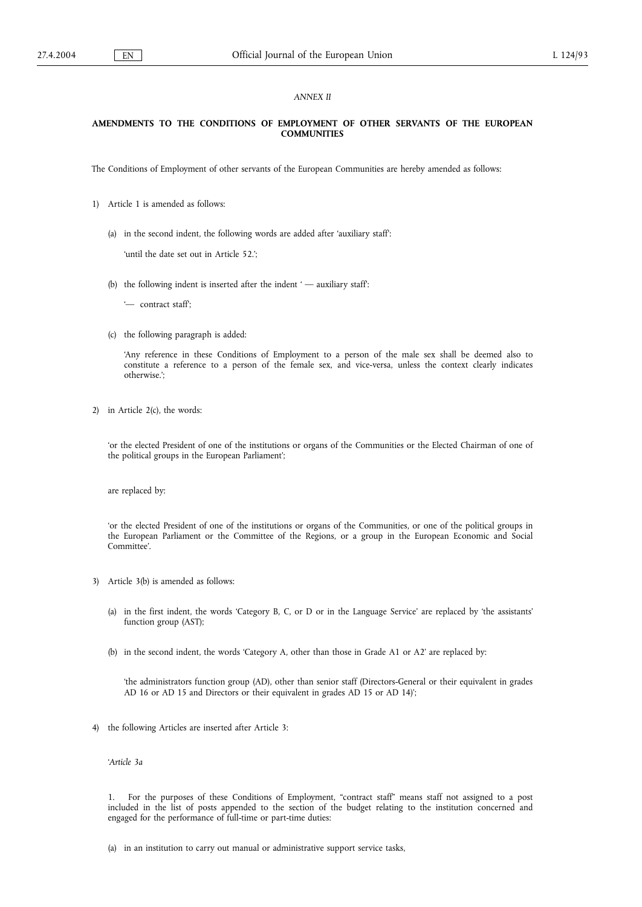### *ANNEX II*

### **AMENDMENTS TO THE CONDITIONS OF EMPLOYMENT OF OTHER SERVANTS OF THE EUROPEAN COMMUNITIES**

The Conditions of Employment of other servants of the European Communities are hereby amended as follows:

- 1) Article 1 is amended as follows:
	- (a) in the second indent, the following words are added after 'auxiliary staff':

'until the date set out in Article 52.';

(b) the following indent is inserted after the indent  $-$  auxiliary staff:

'— contract staff';

(c) the following paragraph is added:

'Any reference in these Conditions of Employment to a person of the male sex shall be deemed also to constitute a reference to a person of the female sex, and vice-versa, unless the context clearly indicates otherwise.';

2) in Article 2(c), the words:

'or the elected President of one of the institutions or organs of the Communities or the Elected Chairman of one of the political groups in the European Parliament';

are replaced by:

'or the elected President of one of the institutions or organs of the Communities, or one of the political groups in the European Parliament or the Committee of the Regions, or a group in the European Economic and Social Committee'.

- 3) Article 3(b) is amended as follows:
	- (a) in the first indent, the words 'Category B, C, or D or in the Language Service' are replaced by 'the assistants' function group (AST);
	- (b) in the second indent, the words 'Category A, other than those in Grade A1 or A2' are replaced by:

'the administrators function group (AD), other than senior staff (Directors-General or their equivalent in grades AD 16 or AD 15 and Directors or their equivalent in grades AD 15 or AD 14)';

4) the following Articles are inserted after Article 3:

'*Article 3a*

1. For the purposes of these Conditions of Employment, "contract staff" means staff not assigned to a post included in the list of posts appended to the section of the budget relating to the institution concerned and engaged for the performance of full-time or part-time duties:

(a) in an institution to carry out manual or administrative support service tasks,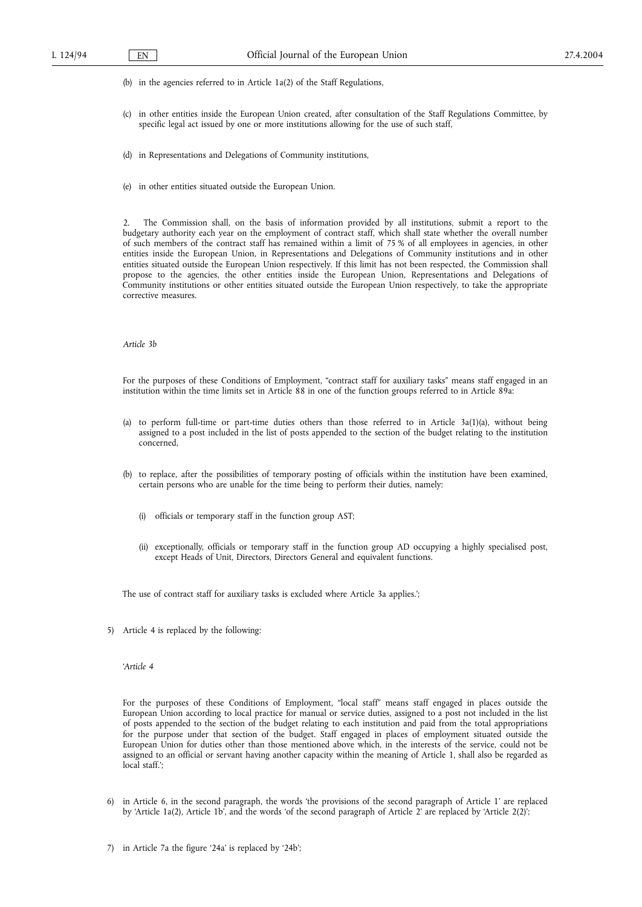(b) in the agencies referred to in Article 1a(2) of the Staff Regulations,

- (c) in other entities inside the European Union created, after consultation of the Staff Regulations Committee, by specific legal act issued by one or more institutions allowing for the use of such staff,
- (d) in Representations and Delegations of Community institutions,
- (e) in other entities situated outside the European Union.

2. The Commission shall, on the basis of information provided by all institutions, submit a report to the budgetary authority each year on the employment of contract staff, which shall state whether the overall number of such members of the contract staff has remained within a limit of 75 % of all employees in agencies, in other entities inside the European Union, in Representations and Delegations of Community institutions and in other entities situated outside the European Union respectively. If this limit has not been respected, the Commission shall propose to the agencies, the other entities inside the European Union, Representations and Delegations of Community institutions or other entities situated outside the European Union respectively, to take the appropriate corrective measures.

### *Article 3b*

For the purposes of these Conditions of Employment, "contract staff for auxiliary tasks" means staff engaged in an institution within the time limits set in Article 88 in one of the function groups referred to in Article 89a:

- (a) to perform full-time or part-time duties others than those referred to in Article  $3a(1)(a)$ , without being assigned to a post included in the list of posts appended to the section of the budget relating to the institution concerned,
- (b) to replace, after the possibilities of temporary posting of officials within the institution have been examined, certain persons who are unable for the time being to perform their duties, namely:
	- (i) officials or temporary staff in the function group AST;
	- (ii) exceptionally, officials or temporary staff in the function group AD occupying a highly specialised post, except Heads of Unit, Directors, Directors General and equivalent functions.

The use of contract staff for auxiliary tasks is excluded where Article 3a applies.';

5) Article 4 is replaced by the following:

### '*Article 4*

For the purposes of these Conditions of Employment, "local staff" means staff engaged in places outside the European Union according to local practice for manual or service duties, assigned to a post not included in the list of posts appended to the section of the budget relating to each institution and paid from the total appropriations for the purpose under that section of the budget. Staff engaged in places of employment situated outside the European Union for duties other than those mentioned above which, in the interests of the service, could not be assigned to an official or servant having another capacity within the meaning of Article 1, shall also be regarded as local staff.';

- 6) in Article 6, in the second paragraph, the words 'the provisions of the second paragraph of Article 1' are replaced by 'Article 1a(2), Article 1b', and the words 'of the second paragraph of Article 2' are replaced by 'Article 2(2)';
- 7) in Article 7a the figure '24a' is replaced by '24b';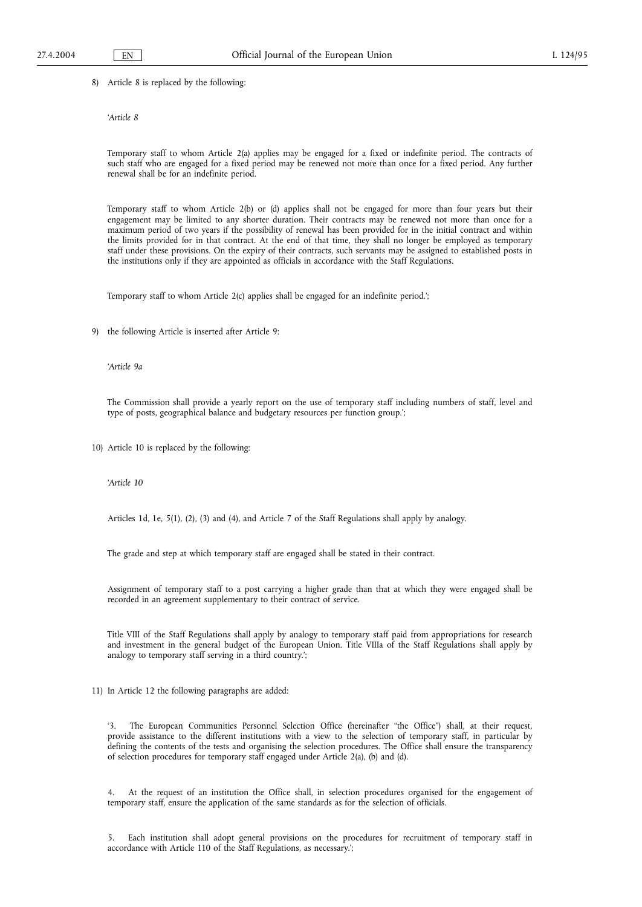8) Article 8 is replaced by the following:

### '*Article 8*

Temporary staff to whom Article 2(a) applies may be engaged for a fixed or indefinite period. The contracts of such staff who are engaged for a fixed period may be renewed not more than once for a fixed period. Any further renewal shall be for an indefinite period.

Temporary staff to whom Article 2(b) or (d) applies shall not be engaged for more than four years but their engagement may be limited to any shorter duration. Their contracts may be renewed not more than once for a maximum period of two years if the possibility of renewal has been provided for in the initial contract and within the limits provided for in that contract. At the end of that time, they shall no longer be employed as temporary staff under these provisions. On the expiry of their contracts, such servants may be assigned to established posts in the institutions only if they are appointed as officials in accordance with the Staff Regulations.

Temporary staff to whom Article 2(c) applies shall be engaged for an indefinite period.';

9) the following Article is inserted after Article 9:

'*Article 9a*

The Commission shall provide a yearly report on the use of temporary staff including numbers of staff, level and type of posts, geographical balance and budgetary resources per function group.';

10) Article 10 is replaced by the following:

'*Article 10*

Articles 1d, 1e, 5(1), (2), (3) and (4), and Article 7 of the Staff Regulations shall apply by analogy.

The grade and step at which temporary staff are engaged shall be stated in their contract.

Assignment of temporary staff to a post carrying a higher grade than that at which they were engaged shall be recorded in an agreement supplementary to their contract of service.

Title VIII of the Staff Regulations shall apply by analogy to temporary staff paid from appropriations for research and investment in the general budget of the European Union. Title VIIIa of the Staff Regulations shall apply by analogy to temporary staff serving in a third country.';

11) In Article 12 the following paragraphs are added:

'3. The European Communities Personnel Selection Office (hereinafter "the Office") shall, at their request, provide assistance to the different institutions with a view to the selection of temporary staff, in particular by defining the contents of the tests and organising the selection procedures. The Office shall ensure the transparency of selection procedures for temporary staff engaged under Article 2(a), (b) and (d).

4. At the request of an institution the Office shall, in selection procedures organised for the engagement of temporary staff, ensure the application of the same standards as for the selection of officials.

5. Each institution shall adopt general provisions on the procedures for recruitment of temporary staff in accordance with Article 110 of the Staff Regulations, as necessary.';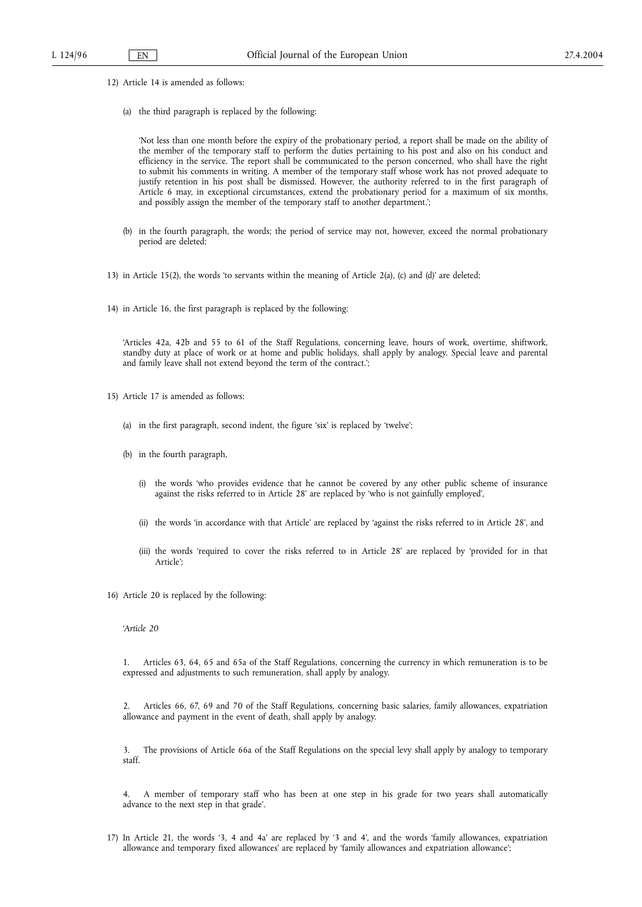- 12) Article 14 is amended as follows:
	- (a) the third paragraph is replaced by the following:

'Not less than one month before the expiry of the probationary period, a report shall be made on the ability of the member of the temporary staff to perform the duties pertaining to his post and also on his conduct and efficiency in the service. The report shall be communicated to the person concerned, who shall have the right to submit his comments in writing. A member of the temporary staff whose work has not proved adequate to justify retention in his post shall be dismissed. However, the authority referred to in the first paragraph of Article 6 may, in exceptional circumstances, extend the probationary period for a maximum of six months, and possibly assign the member of the temporary staff to another department.';

- (b) in the fourth paragraph, the words; the period of service may not, however, exceed the normal probationary period are deleted;
- 13) in Article 15(2), the words 'to servants within the meaning of Article 2(a), (c) and (d)' are deleted;
- 14) in Article 16, the first paragraph is replaced by the following:

'Articles 42a, 42b and 55 to 61 of the Staff Regulations, concerning leave, hours of work, overtime, shiftwork, standby duty at place of work or at home and public holidays, shall apply by analogy. Special leave and parental and family leave shall not extend beyond the term of the contract.';

- 15) Article 17 is amended as follows:
	- (a) in the first paragraph, second indent, the figure 'six' is replaced by 'twelve';
	- (b) in the fourth paragraph,
		- (i) the words 'who provides evidence that he cannot be covered by any other public scheme of insurance against the risks referred to in Article 28' are replaced by 'who is not gainfully employed',
		- (ii) the words 'in accordance with that Article' are replaced by 'against the risks referred to in Article 28', and
		- (iii) the words 'required to cover the risks referred to in Article 28' are replaced by 'provided for in that Article';
- 16) Article 20 is replaced by the following:

'*Article 20*

1. Articles 63, 64, 65 and 65a of the Staff Regulations, concerning the currency in which remuneration is to be expressed and adjustments to such remuneration, shall apply by analogy.

2. Articles 66, 67, 69 and 70 of the Staff Regulations, concerning basic salaries, family allowances, expatriation allowance and payment in the event of death, shall apply by analogy.

3. The provisions of Article 66a of the Staff Regulations on the special levy shall apply by analogy to temporary staff.

4. A member of temporary staff who has been at one step in his grade for two years shall automatically advance to the next step in that grade'.

17) In Article 21, the words '3, 4 and 4a' are replaced by '3 and 4', and the words 'family allowances, expatriation allowance and temporary fixed allowances' are replaced by 'family allowances and expatriation allowance';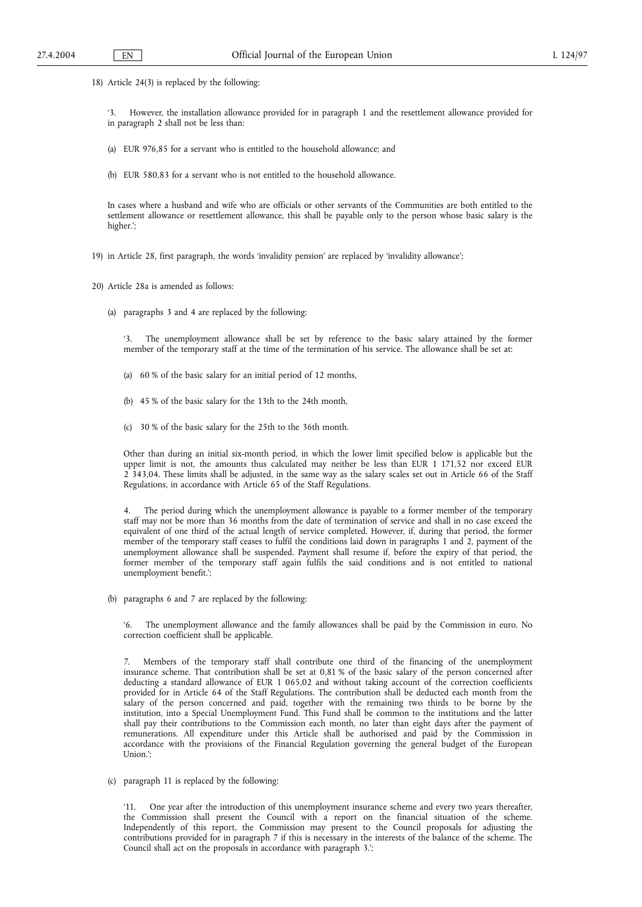18) Article 24(3) is replaced by the following:

'3. However, the installation allowance provided for in paragraph 1 and the resettlement allowance provided for in paragraph 2 shall not be less than:

- (a) EUR 976,85 for a servant who is entitled to the household allowance; and
- (b) EUR 580,83 for a servant who is not entitled to the household allowance.

In cases where a husband and wife who are officials or other servants of the Communities are both entitled to the settlement allowance or resettlement allowance, this shall be payable only to the person whose basic salary is the higher.';

- 19) in Article 28, first paragraph, the words 'invalidity pension' are replaced by 'invalidity allowance';
- 20) Article 28a is amended as follows:
	- (a) paragraphs 3 and 4 are replaced by the following:

'3. The unemployment allowance shall be set by reference to the basic salary attained by the former member of the temporary staff at the time of the termination of his service. The allowance shall be set at:

- (a) 60 % of the basic salary for an initial period of 12 months,
- (b) 45 % of the basic salary for the 13th to the 24th month,
- (c) 30 % of the basic salary for the 25th to the 36th month.

Other than during an initial six-month period, in which the lower limit specified below is applicable but the upper limit is not, the amounts thus calculated may neither be less than EUR 1 171,52 nor exceed EUR 2 343,04. These limits shall be adjusted, in the same way as the salary scales set out in Article 66 of the Staff Regulations, in accordance with Article 65 of the Staff Regulations.

The period during which the unemployment allowance is payable to a former member of the temporary staff may not be more than 36 months from the date of termination of service and shall in no case exceed the equivalent of one third of the actual length of service completed. However, if, during that period, the former member of the temporary staff ceases to fulfil the conditions laid down in paragraphs 1 and 2, payment of the unemployment allowance shall be suspended. Payment shall resume if, before the expiry of that period, the former member of the temporary staff again fulfils the said conditions and is not entitled to national unemployment benefit.';

(b) paragraphs 6 and 7 are replaced by the following:

The unemployment allowance and the family allowances shall be paid by the Commission in euro. No correction coefficient shall be applicable.

7. Members of the temporary staff shall contribute one third of the financing of the unemployment insurance scheme. That contribution shall be set at 0,81 % of the basic salary of the person concerned after deducting a standard allowance of EUR 1 065,02 and without taking account of the correction coefficients provided for in Article 64 of the Staff Regulations. The contribution shall be deducted each month from the salary of the person concerned and paid, together with the remaining two thirds to be borne by the institution, into a Special Unemployment Fund. This Fund shall be common to the institutions and the latter shall pay their contributions to the Commission each month, no later than eight days after the payment of remunerations. All expenditure under this Article shall be authorised and paid by the Commission in accordance with the provisions of the Financial Regulation governing the general budget of the European Union.';

(c) paragraph 11 is replaced by the following:

'11. One year after the introduction of this unemployment insurance scheme and every two years thereafter, the Commission shall present the Council with a report on the financial situation of the scheme. Independently of this report, the Commission may present to the Council proposals for adjusting the contributions provided for in paragraph 7 if this is necessary in the interests of the balance of the scheme. The Council shall act on the proposals in accordance with paragraph 3.';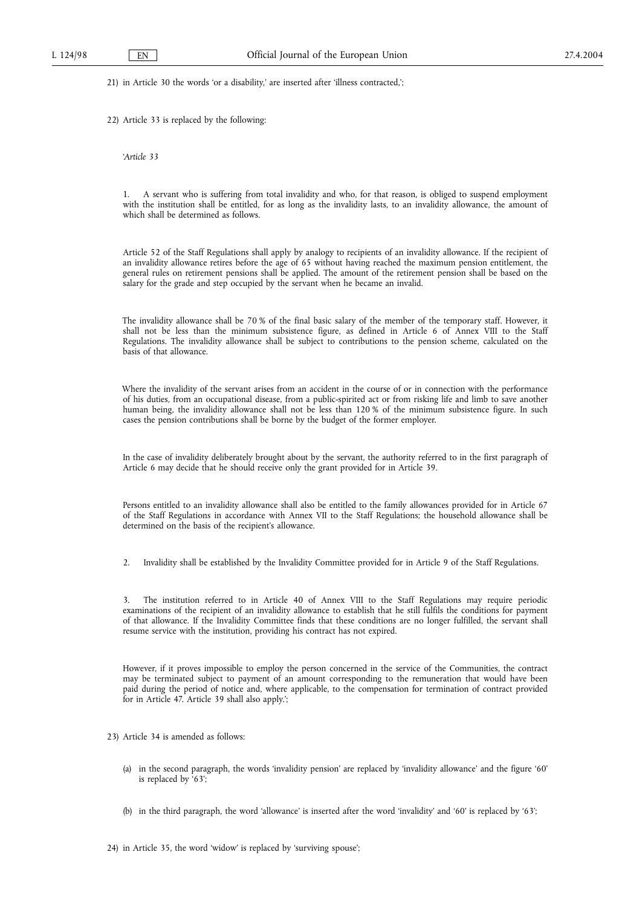21) in Article 30 the words 'or a disability,' are inserted after 'illness contracted,';

22) Article 33 is replaced by the following:

'*Article 33*

1. A servant who is suffering from total invalidity and who, for that reason, is obliged to suspend employment with the institution shall be entitled, for as long as the invalidity lasts, to an invalidity allowance, the amount of which shall be determined as follows.

Article 52 of the Staff Regulations shall apply by analogy to recipients of an invalidity allowance. If the recipient of an invalidity allowance retires before the age of 65 without having reached the maximum pension entitlement, the general rules on retirement pensions shall be applied. The amount of the retirement pension shall be based on the salary for the grade and step occupied by the servant when he became an invalid.

The invalidity allowance shall be 70 % of the final basic salary of the member of the temporary staff. However, it shall not be less than the minimum subsistence figure, as defined in Article 6 of Annex VIII to the Staff Regulations. The invalidity allowance shall be subject to contributions to the pension scheme, calculated on the basis of that allowance.

Where the invalidity of the servant arises from an accident in the course of or in connection with the performance of his duties, from an occupational disease, from a public-spirited act or from risking life and limb to save another human being, the invalidity allowance shall not be less than 120 % of the minimum subsistence figure. In such cases the pension contributions shall be borne by the budget of the former employer.

In the case of invalidity deliberately brought about by the servant, the authority referred to in the first paragraph of Article 6 may decide that he should receive only the grant provided for in Article 39.

Persons entitled to an invalidity allowance shall also be entitled to the family allowances provided for in Article 67 of the Staff Regulations in accordance with Annex VII to the Staff Regulations; the household allowance shall be determined on the basis of the recipient's allowance.

2. Invalidity shall be established by the Invalidity Committee provided for in Article 9 of the Staff Regulations.

3. The institution referred to in Article 40 of Annex VIII to the Staff Regulations may require periodic examinations of the recipient of an invalidity allowance to establish that he still fulfils the conditions for payment of that allowance. If the Invalidity Committee finds that these conditions are no longer fulfilled, the servant shall resume service with the institution, providing his contract has not expired.

However, if it proves impossible to employ the person concerned in the service of the Communities, the contract may be terminated subject to payment of an amount corresponding to the remuneration that would have been paid during the period of notice and, where applicable, to the compensation for termination of contract provided for in Article 47. Article 39 shall also apply.';

23) Article 34 is amended as follows:

- (a) in the second paragraph, the words 'invalidity pension' are replaced by 'invalidity allowance' and the figure '60' is replaced by '63';
- (b) in the third paragraph, the word 'allowance' is inserted after the word 'invalidity' and '60' is replaced by '63';

24) in Article 35, the word 'widow' is replaced by 'surviving spouse';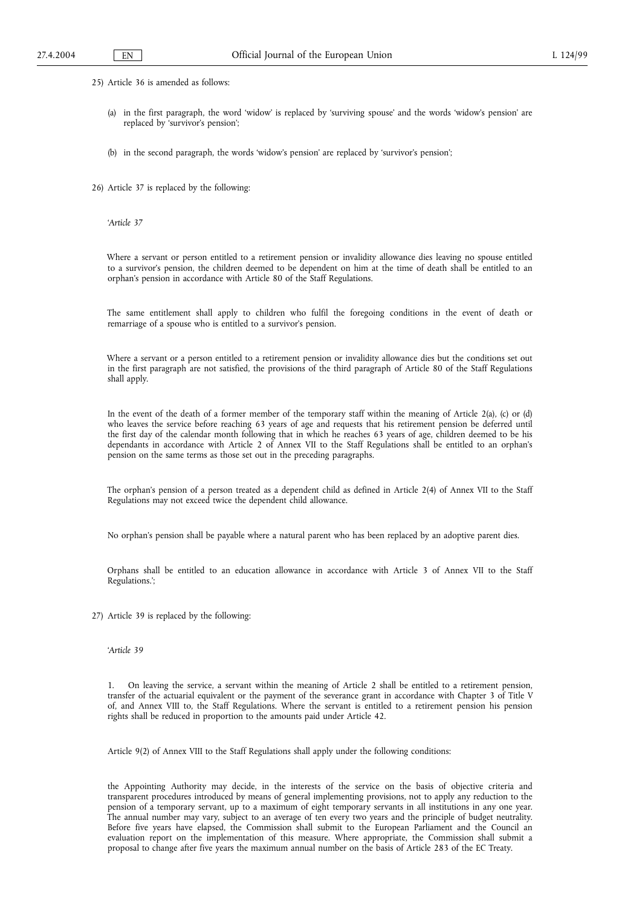25) Article 36 is amended as follows:

- (a) in the first paragraph, the word 'widow' is replaced by 'surviving spouse' and the words 'widow's pension' are replaced by 'survivor's pension';
- (b) in the second paragraph, the words 'widow's pension' are replaced by 'survivor's pension';

26) Article 37 is replaced by the following:

'*Article 37*

Where a servant or person entitled to a retirement pension or invalidity allowance dies leaving no spouse entitled to a survivor's pension, the children deemed to be dependent on him at the time of death shall be entitled to an orphan's pension in accordance with Article 80 of the Staff Regulations.

The same entitlement shall apply to children who fulfil the foregoing conditions in the event of death or remarriage of a spouse who is entitled to a survivor's pension.

Where a servant or a person entitled to a retirement pension or invalidity allowance dies but the conditions set out in the first paragraph are not satisfied, the provisions of the third paragraph of Article 80 of the Staff Regulations shall apply.

In the event of the death of a former member of the temporary staff within the meaning of Article 2(a), (c) or (d) who leaves the service before reaching 63 years of age and requests that his retirement pension be deferred until the first day of the calendar month following that in which he reaches 63 years of age, children deemed to be his dependants in accordance with Article 2 of Annex VII to the Staff Regulations shall be entitled to an orphan's pension on the same terms as those set out in the preceding paragraphs.

The orphan's pension of a person treated as a dependent child as defined in Article 2(4) of Annex VII to the Staff Regulations may not exceed twice the dependent child allowance.

No orphan's pension shall be payable where a natural parent who has been replaced by an adoptive parent dies.

Orphans shall be entitled to an education allowance in accordance with Article 3 of Annex VII to the Staff Regulations.';

27) Article 39 is replaced by the following:

'*Article 39*

1. On leaving the service, a servant within the meaning of Article 2 shall be entitled to a retirement pension, transfer of the actuarial equivalent or the payment of the severance grant in accordance with Chapter 3 of Title V of, and Annex VIII to, the Staff Regulations. Where the servant is entitled to a retirement pension his pension rights shall be reduced in proportion to the amounts paid under Article 42.

Article 9(2) of Annex VIII to the Staff Regulations shall apply under the following conditions:

the Appointing Authority may decide, in the interests of the service on the basis of objective criteria and transparent procedures introduced by means of general implementing provisions, not to apply any reduction to the pension of a temporary servant, up to a maximum of eight temporary servants in all institutions in any one year. The annual number may vary, subject to an average of ten every two years and the principle of budget neutrality. Before five years have elapsed, the Commission shall submit to the European Parliament and the Council an evaluation report on the implementation of this measure. Where appropriate, the Commission shall submit a proposal to change after five years the maximum annual number on the basis of Article 283 of the EC Treaty.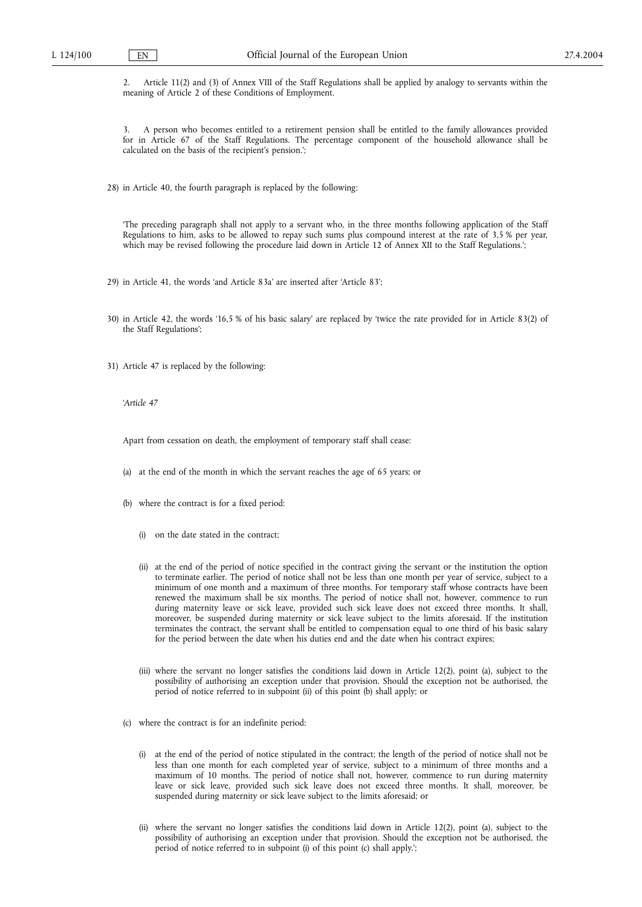2. Article 11(2) and (3) of Annex VIII of the Staff Regulations shall be applied by analogy to servants within the meaning of Article 2 of these Conditions of Employment.

3. A person who becomes entitled to a retirement pension shall be entitled to the family allowances provided for in Article 67 of the Staff Regulations. The percentage component of the household allowance shall be calculated on the basis of the recipient's pension.';

28) in Article 40, the fourth paragraph is replaced by the following:

'The preceding paragraph shall not apply to a servant who, in the three months following application of the Staff Regulations to him, asks to be allowed to repay such sums plus compound interest at the rate of 3,5 % per year, which may be revised following the procedure laid down in Article 12 of Annex XII to the Staff Regulations.';

29) in Article 41, the words 'and Article 83a' are inserted after 'Article 83';

- 30) in Article 42, the words '16,5 % of his basic salary' are replaced by 'twice the rate provided for in Article 83(2) of the Staff Regulations';
- 31) Article 47 is replaced by the following:

'*Article 47*

Apart from cessation on death, the employment of temporary staff shall cease:

- (a) at the end of the month in which the servant reaches the age of 65 years; or
- (b) where the contract is for a fixed period:
	- (i) on the date stated in the contract;
	- (ii) at the end of the period of notice specified in the contract giving the servant or the institution the option to terminate earlier. The period of notice shall not be less than one month per year of service, subject to a minimum of one month and a maximum of three months. For temporary staff whose contracts have been renewed the maximum shall be six months. The period of notice shall not, however, commence to run during maternity leave or sick leave, provided such sick leave does not exceed three months. It shall, moreover, be suspended during maternity or sick leave subject to the limits aforesaid. If the institution terminates the contract, the servant shall be entitled to compensation equal to one third of his basic salary for the period between the date when his duties end and the date when his contract expires;
	- (iii) where the servant no longer satisfies the conditions laid down in Article 12(2), point (a), subject to the possibility of authorising an exception under that provision. Should the exception not be authorised, the period of notice referred to in subpoint (ii) of this point (b) shall apply; or
- (c) where the contract is for an indefinite period:
	- (i) at the end of the period of notice stipulated in the contract; the length of the period of notice shall not be less than one month for each completed year of service, subject to a minimum of three months and a maximum of 10 months. The period of notice shall not, however, commence to run during maternity leave or sick leave, provided such sick leave does not exceed three months. It shall, moreover, be suspended during maternity or sick leave subject to the limits aforesaid; or
	- (ii) where the servant no longer satisfies the conditions laid down in Article 12(2), point (a), subject to the possibility of authorising an exception under that provision. Should the exception not be authorised, the period of notice referred to in subpoint (i) of this point (c) shall apply.';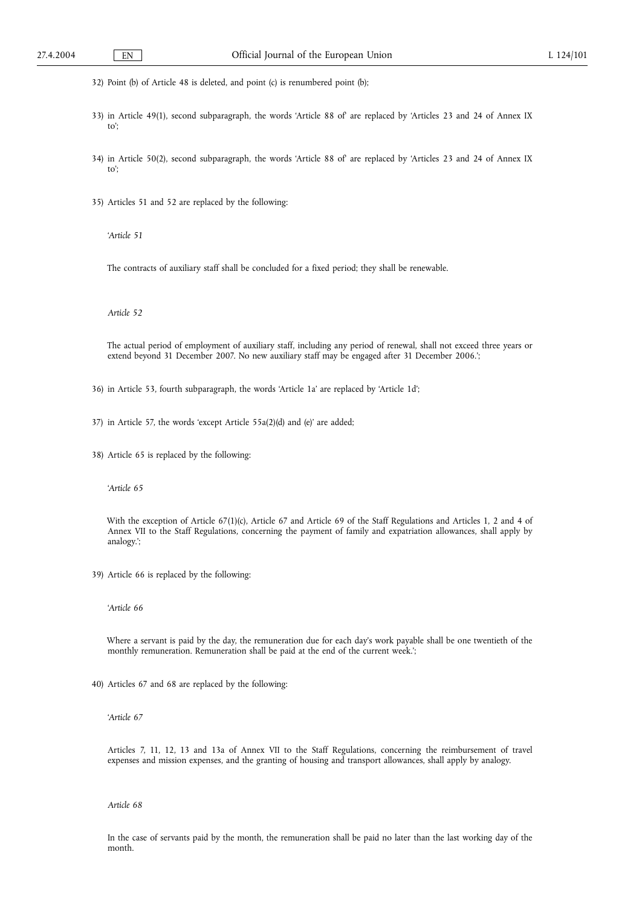32) Point (b) of Article 48 is deleted, and point (c) is renumbered point (b);

- 33) in Article 49(1), second subparagraph, the words 'Article 88 of' are replaced by 'Articles 23 and 24 of Annex IX to';
- 34) in Article 50(2), second subparagraph, the words 'Article 88 of' are replaced by 'Articles 23 and 24 of Annex IX to';
- 35) Articles 51 and 52 are replaced by the following:

'*Article 51*

The contracts of auxiliary staff shall be concluded for a fixed period; they shall be renewable.

*Article 52*

The actual period of employment of auxiliary staff, including any period of renewal, shall not exceed three years or extend beyond 31 December 2007. No new auxiliary staff may be engaged after 31 December 2006.';

36) in Article 53, fourth subparagraph, the words 'Article 1a' are replaced by 'Article 1d';

37) in Article 57, the words 'except Article 55a(2)(d) and (e)' are added;

38) Article 65 is replaced by the following:

'*Article 65*

With the exception of Article 67(1)(c), Article 67 and Article 69 of the Staff Regulations and Articles 1, 2 and 4 of Annex VII to the Staff Regulations, concerning the payment of family and expatriation allowances, shall apply by analogy.';

39) Article 66 is replaced by the following:

'*Article 66*

Where a servant is paid by the day, the remuneration due for each day's work payable shall be one twentieth of the monthly remuneration. Remuneration shall be paid at the end of the current week.';

40) Articles 67 and 68 are replaced by the following:

'*Article 67*

Articles 7, 11, 12, 13 and 13a of Annex VII to the Staff Regulations, concerning the reimbursement of travel expenses and mission expenses, and the granting of housing and transport allowances, shall apply by analogy.

*Article 68*

In the case of servants paid by the month, the remuneration shall be paid no later than the last working day of the month.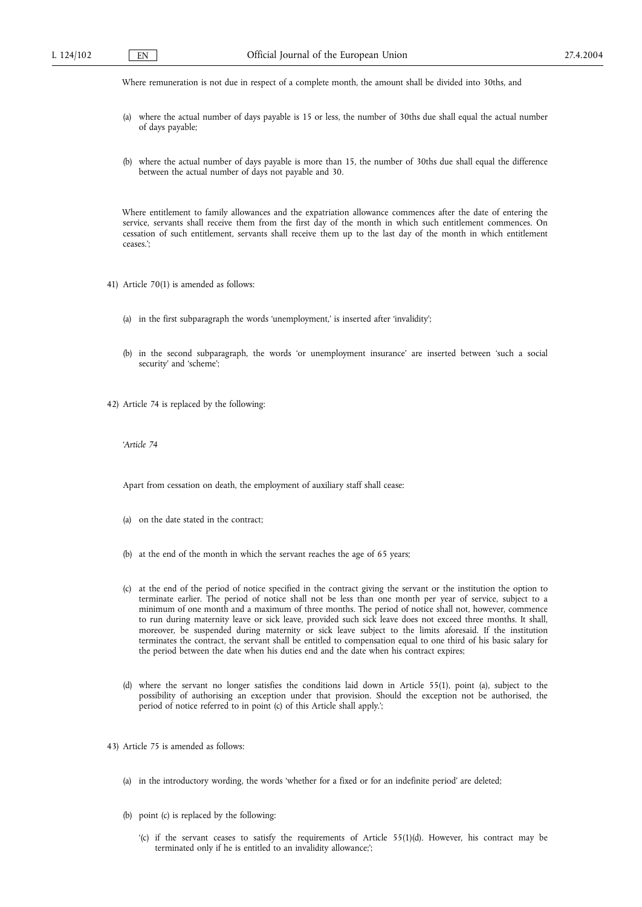Where remuneration is not due in respect of a complete month, the amount shall be divided into 30ths, and

- (a) where the actual number of days payable is 15 or less, the number of 30ths due shall equal the actual number of days payable;
- (b) where the actual number of days payable is more than 15, the number of 30ths due shall equal the difference between the actual number of days not payable and 30.

Where entitlement to family allowances and the expatriation allowance commences after the date of entering the service, servants shall receive them from the first day of the month in which such entitlement commences. On cessation of such entitlement, servants shall receive them up to the last day of the month in which entitlement ceases.';

- 41) Article 70(1) is amended as follows:
	- (a) in the first subparagraph the words 'unemployment,' is inserted after 'invalidity';
	- (b) in the second subparagraph, the words 'or unemployment insurance' are inserted between 'such a social security' and 'scheme';

42) Article 74 is replaced by the following:

'*Article 74*

Apart from cessation on death, the employment of auxiliary staff shall cease:

- (a) on the date stated in the contract;
- (b) at the end of the month in which the servant reaches the age of 65 years;
- (c) at the end of the period of notice specified in the contract giving the servant or the institution the option to terminate earlier. The period of notice shall not be less than one month per year of service, subject to a minimum of one month and a maximum of three months. The period of notice shall not, however, commence to run during maternity leave or sick leave, provided such sick leave does not exceed three months. It shall, moreover, be suspended during maternity or sick leave subject to the limits aforesaid. If the institution terminates the contract, the servant shall be entitled to compensation equal to one third of his basic salary for the period between the date when his duties end and the date when his contract expires;
- (d) where the servant no longer satisfies the conditions laid down in Article 55(1), point (a), subject to the possibility of authorising an exception under that provision. Should the exception not be authorised, the period of notice referred to in point (c) of this Article shall apply.';

43) Article 75 is amended as follows:

- (a) in the introductory wording, the words 'whether for a fixed or for an indefinite period' are deleted;
- (b) point (c) is replaced by the following:
	- '(c) if the servant ceases to satisfy the requirements of Article 55(1)(d). However, his contract may be terminated only if he is entitled to an invalidity allowance;';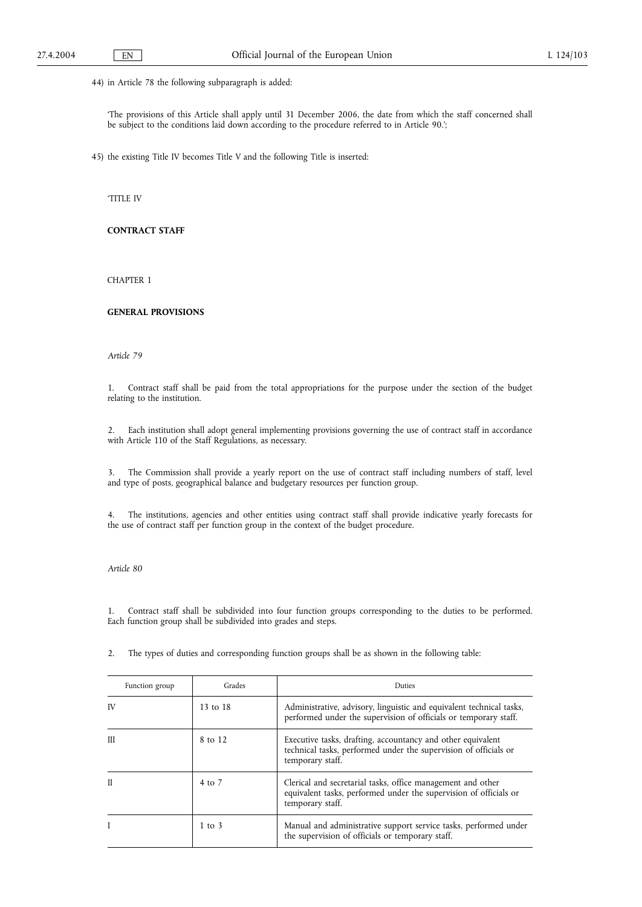44) in Article 78 the following subparagraph is added:

'The provisions of this Article shall apply until 31 December 2006, the date from which the staff concerned shall be subject to the conditions laid down according to the procedure referred to in Article 90.';

45) the existing Title IV becomes Title V and the following Title is inserted:

'TITLE IV

# **CONTRACT STAFF**

CHAPTER 1

# **GENERAL PROVISIONS**

*Article 79*

1. Contract staff shall be paid from the total appropriations for the purpose under the section of the budget relating to the institution.

2. Each institution shall adopt general implementing provisions governing the use of contract staff in accordance with Article 110 of the Staff Regulations, as necessary.

3. The Commission shall provide a yearly report on the use of contract staff including numbers of staff, level and type of posts, geographical balance and budgetary resources per function group.

4. The institutions, agencies and other entities using contract staff shall provide indicative yearly forecasts for the use of contract staff per function group in the context of the budget procedure.

*Article 80*

1. Contract staff shall be subdivided into four function groups corresponding to the duties to be performed. Each function group shall be subdivided into grades and steps.

2. The types of duties and corresponding function groups shall be as shown in the following table:

| Function group | Grades     | Duties                                                                                                                                               |
|----------------|------------|------------------------------------------------------------------------------------------------------------------------------------------------------|
| IV             | 13 to 18   | Administrative, advisory, linguistic and equivalent technical tasks,<br>performed under the supervision of officials or temporary staff.             |
| Ш              | 8 to 12    | Executive tasks, drafting, accountancy and other equivalent<br>technical tasks, performed under the supervision of officials or<br>temporary staff.  |
| $\mathbf{I}$   | 4 to 7     | Clerical and secretarial tasks, office management and other<br>equivalent tasks, performed under the supervision of officials or<br>temporary staff. |
|                | $1$ to $3$ | Manual and administrative support service tasks, performed under<br>the supervision of officials or temporary staff.                                 |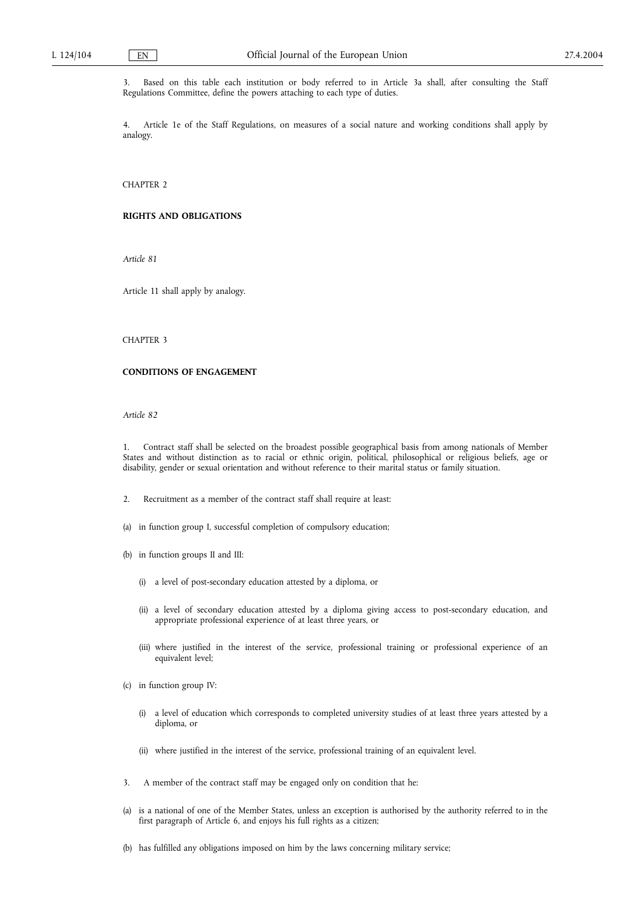3. Based on this table each institution or body referred to in Article 3a shall, after consulting the Staff Regulations Committee, define the powers attaching to each type of duties.

4. Article 1e of the Staff Regulations, on measures of a social nature and working conditions shall apply by analogy.

CHAPTER 2

## **RIGHTS AND OBLIGATIONS**

*Article 81*

Article 11 shall apply by analogy.

# CHAPTER 3

# **CONDITIONS OF ENGAGEMENT**

*Article 82*

1. Contract staff shall be selected on the broadest possible geographical basis from among nationals of Member States and without distinction as to racial or ethnic origin, political, philosophical or religious beliefs, age or disability, gender or sexual orientation and without reference to their marital status or family situation.

- 2. Recruitment as a member of the contract staff shall require at least:
- (a) in function group I, successful completion of compulsory education;
- (b) in function groups II and III:
	- (i) a level of post-secondary education attested by a diploma, or
	- (ii) a level of secondary education attested by a diploma giving access to post-secondary education, and appropriate professional experience of at least three years, or
	- (iii) where justified in the interest of the service, professional training or professional experience of an equivalent level;
- (c) in function group IV:
	- (i) a level of education which corresponds to completed university studies of at least three years attested by a diploma, or
	- (ii) where justified in the interest of the service, professional training of an equivalent level.
- 3. A member of the contract staff may be engaged only on condition that he:
- (a) is a national of one of the Member States, unless an exception is authorised by the authority referred to in the first paragraph of Article 6, and enjoys his full rights as a citizen;
- (b) has fulfilled any obligations imposed on him by the laws concerning military service;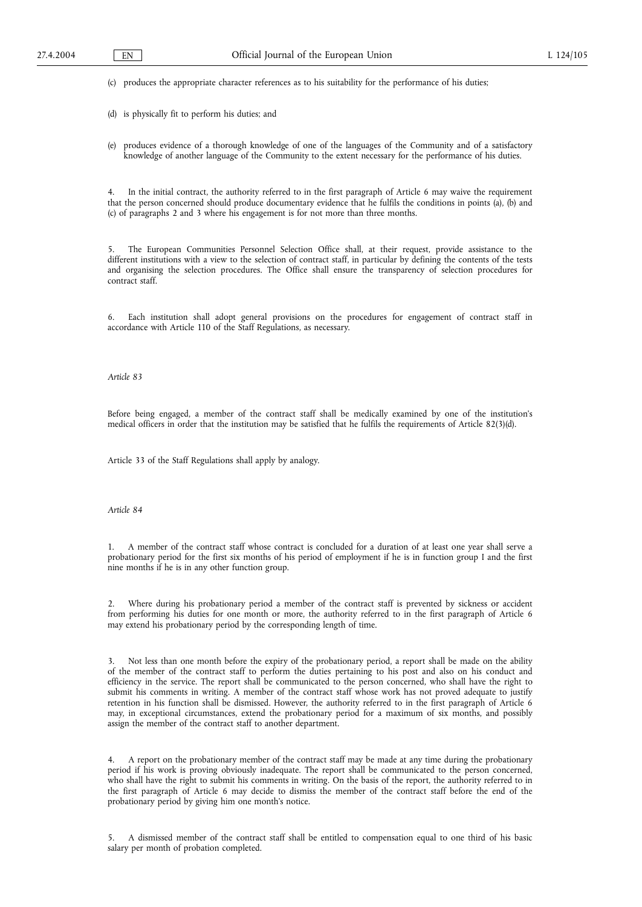(c) produces the appropriate character references as to his suitability for the performance of his duties;

(d) is physically fit to perform his duties; and

(e) produces evidence of a thorough knowledge of one of the languages of the Community and of a satisfactory knowledge of another language of the Community to the extent necessary for the performance of his duties.

4. In the initial contract, the authority referred to in the first paragraph of Article 6 may waive the requirement that the person concerned should produce documentary evidence that he fulfils the conditions in points (a), (b) and (c) of paragraphs 2 and 3 where his engagement is for not more than three months.

5. The European Communities Personnel Selection Office shall, at their request, provide assistance to the different institutions with a view to the selection of contract staff, in particular by defining the contents of the tests and organising the selection procedures. The Office shall ensure the transparency of selection procedures for contract staff.

6. Each institution shall adopt general provisions on the procedures for engagement of contract staff in accordance with Article 110 of the Staff Regulations, as necessary.

*Article 83*

Before being engaged, a member of the contract staff shall be medically examined by one of the institution's medical officers in order that the institution may be satisfied that he fulfils the requirements of Article 82(3)(d).

Article 33 of the Staff Regulations shall apply by analogy.

*Article 84*

1. A member of the contract staff whose contract is concluded for a duration of at least one year shall serve a probationary period for the first six months of his period of employment if he is in function group I and the first nine months if he is in any other function group.

2. Where during his probationary period a member of the contract staff is prevented by sickness or accident from performing his duties for one month or more, the authority referred to in the first paragraph of Article 6 may extend his probationary period by the corresponding length of time.

Not less than one month before the expiry of the probationary period, a report shall be made on the ability of the member of the contract staff to perform the duties pertaining to his post and also on his conduct and efficiency in the service. The report shall be communicated to the person concerned, who shall have the right to submit his comments in writing. A member of the contract staff whose work has not proved adequate to justify retention in his function shall be dismissed. However, the authority referred to in the first paragraph of Article 6 may, in exceptional circumstances, extend the probationary period for a maximum of six months, and possibly assign the member of the contract staff to another department.

4. A report on the probationary member of the contract staff may be made at any time during the probationary period if his work is proving obviously inadequate. The report shall be communicated to the person concerned, who shall have the right to submit his comments in writing. On the basis of the report, the authority referred to in the first paragraph of Article 6 may decide to dismiss the member of the contract staff before the end of the probationary period by giving him one month's notice.

5. A dismissed member of the contract staff shall be entitled to compensation equal to one third of his basic salary per month of probation completed.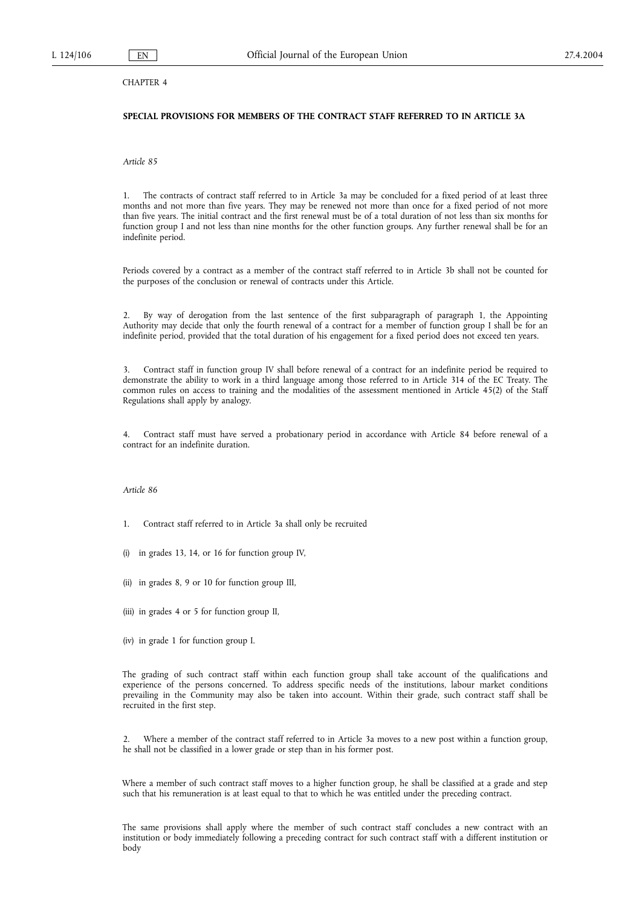# CHAPTER 4

# **SPECIAL PROVISIONS FOR MEMBERS OF THE CONTRACT STAFF REFERRED TO IN ARTICLE 3A**

*Article 85*

1. The contracts of contract staff referred to in Article 3a may be concluded for a fixed period of at least three months and not more than five years. They may be renewed not more than once for a fixed period of not more than five years. The initial contract and the first renewal must be of a total duration of not less than six months for function group I and not less than nine months for the other function groups. Any further renewal shall be for an indefinite period.

Periods covered by a contract as a member of the contract staff referred to in Article 3b shall not be counted for the purposes of the conclusion or renewal of contracts under this Article.

2. By way of derogation from the last sentence of the first subparagraph of paragraph 1, the Appointing Authority may decide that only the fourth renewal of a contract for a member of function group I shall be for an indefinite period, provided that the total duration of his engagement for a fixed period does not exceed ten years.

3. Contract staff in function group IV shall before renewal of a contract for an indefinite period be required to demonstrate the ability to work in a third language among those referred to in Article 314 of the EC Treaty. The common rules on access to training and the modalities of the assessment mentioned in Article 45(2) of the Staff Regulations shall apply by analogy.

Contract staff must have served a probationary period in accordance with Article 84 before renewal of a contract for an indefinite duration.

## *Article 86*

- 1. Contract staff referred to in Article 3a shall only be recruited
- (i) in grades 13, 14, or 16 for function group IV,
- (ii) in grades 8, 9 or 10 for function group III,
- (iii) in grades 4 or 5 for function group II,
- (iv) in grade 1 for function group I.

The grading of such contract staff within each function group shall take account of the qualifications and experience of the persons concerned. To address specific needs of the institutions, labour market conditions prevailing in the Community may also be taken into account. Within their grade, such contract staff shall be recruited in the first step.

2. Where a member of the contract staff referred to in Article 3a moves to a new post within a function group, he shall not be classified in a lower grade or step than in his former post.

Where a member of such contract staff moves to a higher function group, he shall be classified at a grade and step such that his remuneration is at least equal to that to which he was entitled under the preceding contract.

The same provisions shall apply where the member of such contract staff concludes a new contract with an institution or body immediately following a preceding contract for such contract staff with a different institution or body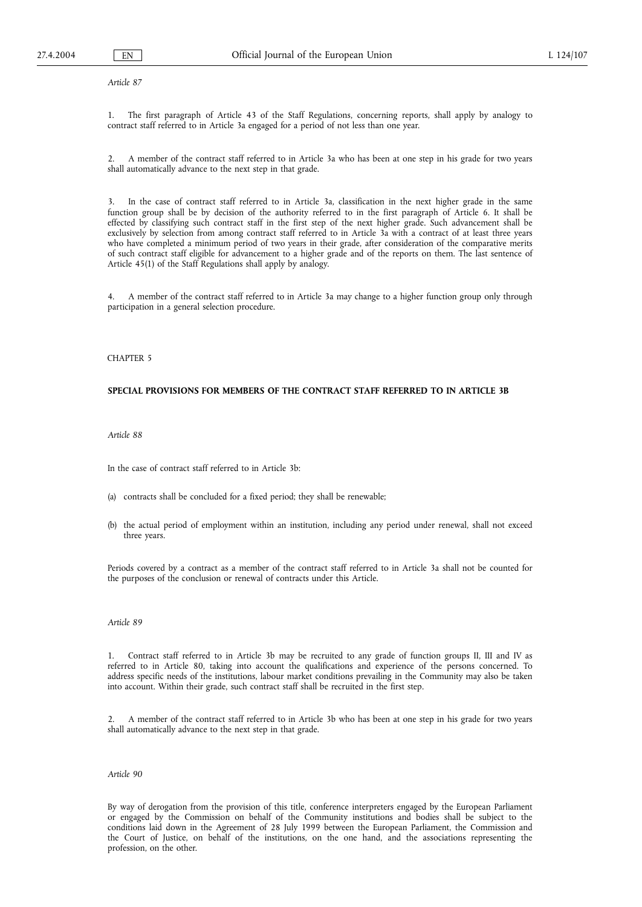*Article 87*

1. The first paragraph of Article 43 of the Staff Regulations, concerning reports, shall apply by analogy to contract staff referred to in Article 3a engaged for a period of not less than one year.

2. A member of the contract staff referred to in Article 3a who has been at one step in his grade for two years shall automatically advance to the next step in that grade.

3. In the case of contract staff referred to in Article 3a, classification in the next higher grade in the same function group shall be by decision of the authority referred to in the first paragraph of Article 6. It shall be effected by classifying such contract staff in the first step of the next higher grade. Such advancement shall be exclusively by selection from among contract staff referred to in Article 3a with a contract of at least three years who have completed a minimum period of two years in their grade, after consideration of the comparative merits of such contract staff eligible for advancement to a higher grade and of the reports on them. The last sentence of Article 45(1) of the Staff Regulations shall apply by analogy.

4. A member of the contract staff referred to in Article 3a may change to a higher function group only through participation in a general selection procedure.

### CHAPTER 5

## **SPECIAL PROVISIONS FOR MEMBERS OF THE CONTRACT STAFF REFERRED TO IN ARTICLE 3B**

### *Article 88*

In the case of contract staff referred to in Article 3b:

- (a) contracts shall be concluded for a fixed period; they shall be renewable;
- (b) the actual period of employment within an institution, including any period under renewal, shall not exceed three years.

Periods covered by a contract as a member of the contract staff referred to in Article 3a shall not be counted for the purposes of the conclusion or renewal of contracts under this Article.

## *Article 89*

1. Contract staff referred to in Article 3b may be recruited to any grade of function groups II, III and IV as referred to in Article 80, taking into account the qualifications and experience of the persons concerned. To address specific needs of the institutions, labour market conditions prevailing in the Community may also be taken into account. Within their grade, such contract staff shall be recruited in the first step.

2. A member of the contract staff referred to in Article 3b who has been at one step in his grade for two years shall automatically advance to the next step in that grade.

### *Article 90*

By way of derogation from the provision of this title, conference interpreters engaged by the European Parliament or engaged by the Commission on behalf of the Community institutions and bodies shall be subject to the conditions laid down in the Agreement of 28 July 1999 between the European Parliament, the Commission and the Court of Justice, on behalf of the institutions, on the one hand, and the associations representing the profession, on the other.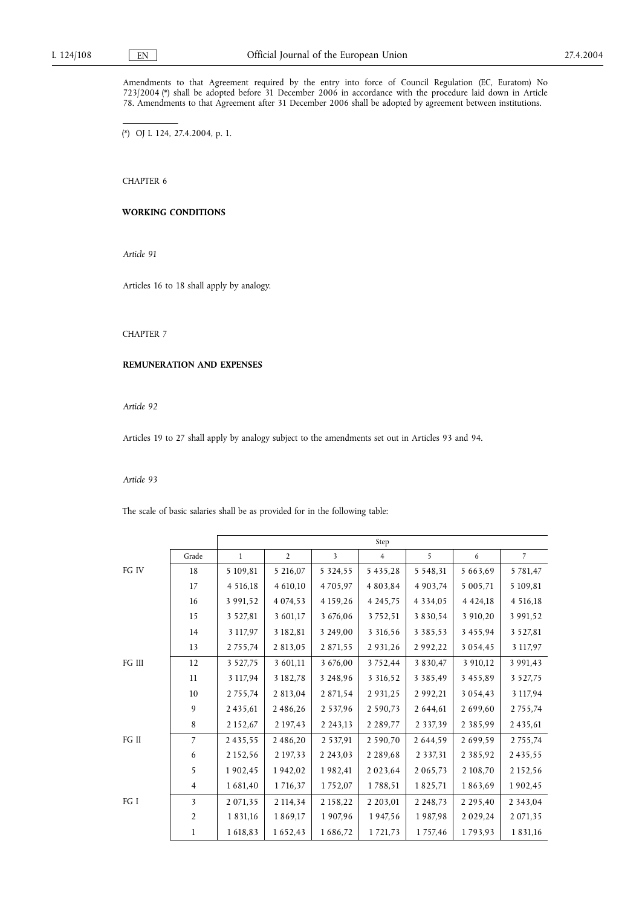Amendments to that Agreement required by the entry into force of Council Regulation (EC, Euratom) No 723/2004 (\*) shall be adopted before 31 December 2006 in accordance with the procedure laid down in Article 78. Amendments to that Agreement after 31 December 2006 shall be adopted by agreement between institutions.

(\*) OJ L 124, 27.4.2004, p. 1.

CHAPTER 6

# **WORKING CONDITIONS**

*Article 91*

Articles 16 to 18 shall apply by analogy.

# CHAPTER 7

### **REMUNERATION AND EXPENSES**

*Article 92*

Articles 19 to 27 shall apply by analogy subject to the amendments set out in Articles 93 and 94.

### *Article 93*

The scale of basic salaries shall be as provided for in the following table:

|        |                | Step          |                |                         |                |               |               |                |
|--------|----------------|---------------|----------------|-------------------------|----------------|---------------|---------------|----------------|
|        | Grade          | $\mathbf{1}$  | $\overline{2}$ | $\overline{\mathbf{3}}$ | $\overline{4}$ | 5             | 6             | $\overline{7}$ |
| FG IV  | 18             | 5 109,81      | 5 216,07       | 5 3 2 4 , 5 5           | 5 4 3 5 , 2 8  | 5 5 4 8 , 3 1 | 5 663,69      | 5 7 8 1, 4 7   |
|        | 17             | 4 516,18      | 4 610,10       | 4705,97                 | 4 8 0 3 , 8 4  | 4 9 0 3 , 74  | 5 005,71      | 5 109,81       |
|        | 16             | 3 991,52      | 4 0 74, 53     | 4 1 5 9 , 2 6           | 4 2 4 5 , 7 5  | 4 3 3 4 , 0 5 | 4 4 2 4 , 18  | 4 516,18       |
|        | 15             | 3 5 2 7, 8 1  | 3 601,17       | 3 676,06                | 3752,51        | 3 8 3 0 , 5 4 | 3 910,20      | 3 991,52       |
|        | 14             | 3 117,97      | 3 182,81       | 3 249,00                | 3 3 16, 5 6    | 3 3 8 5 , 5 3 | 3 4 5 5 , 9 4 | 3 5 2 7, 8 1   |
|        | 13             | 2 7 5 5 , 7 4 | 2 813,05       | 2 871,55                | 2 9 3 1 , 2 6  | 2992,22       | 3 0 5 4 , 4 5 | 3 117,97       |
| FG III | 12             | 3 5 2 7 , 7 5 | 3 601,11       | 3 676,00                | 3752,44        | 3 8 3 0 . 4 7 | 3 910,12      | 3 9 9 1 , 4 3  |
|        | 11             | 3 117,94      | 3 182,78       | 3 248,96                | 3 3 16, 5 2    | 3 3 8 5 , 4 9 | 3 4 5 5 , 8 9 | 3 5 2 7 , 7 5  |
|        | 10             | 2 7 5 5 , 7 4 | 2 813,04       | 2 871,54                | 2 9 3 1 , 2 5  | 2 9 9 2 , 2 1 | 3 0 5 4 , 4 3 | 3 117,94       |
|        | 9              | 2435,61       | 2486,26        | 2 5 3 7, 9 6            | 2 590,73       | 2 644,61      | 2 699,60      | 2 7 5 5 , 7 4  |
|        | 8              | 2 152,67      | 2 197,43       | 2 2 4 3 , 1 3           | 2 2 8 9 , 7 7  | 2 3 3 7 , 3 9 | 2 3 8 5 , 9 9 | 2 4 3 5 , 6 1  |
| FG II  | $\overline{7}$ | 2435,55       | 2486,20        | 2 5 3 7 9 1             | 2 590,70       | 2 644,59      | 2699,59       | 2 7 5 5 , 7 4  |
|        | 6              | 2 1 5 2 , 5 6 | 2 197,33       | 2 2 4 3 , 0 3           | 2 2 8 9 , 6 8  | 2 3 3 7 , 3 1 | 2 3 8 5 , 9 2 | 2435,55        |
|        | 5              | 1902,45       | 1942,02        | 1982,41                 | 2023,64        | 2 0 6 5 , 7 3 | 2 108,70      | 2 1 5 2 , 5 6  |
|        | 4              | 1681,40       | 1716,37        | 1752,07                 | 1788,51        | 1825,71       | 1863,69       | 1902,45        |
| FG I   | 3              | 2 071,35      | 2 114,34       | 2 1 5 8 , 2 2           | 2 2 0 3 , 0 1  | 2 2 4 8 , 7 3 | 2 2 9 5 , 4 0 | 2 3 4 3 , 0 4  |
|        | $\overline{2}$ | 1 8 3 1 , 1 6 | 1869,17        | 1907,96                 | 1947,56        | 1987,98       | 2 0 2 9 , 2 4 | 2 0 7 1 , 3 5  |
|        | 1              | 1618,83       | 1652,43        | 1686,72                 | 1 7 2 1 , 7 3  | 1757,46       | 1793,93       | 1831,16        |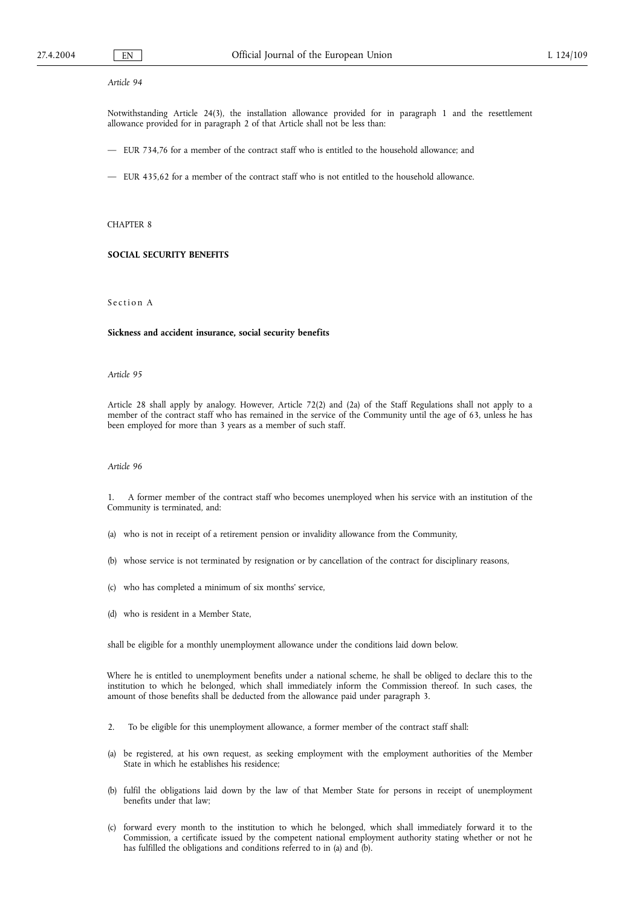## *Article 94*

Notwithstanding Article 24(3), the installation allowance provided for in paragraph 1 and the resettlement allowance provided for in paragraph 2 of that Article shall not be less than:

- EUR 734,76 for a member of the contract staff who is entitled to the household allowance; and
- EUR 435,62 for a member of the contract staff who is not entitled to the household allowance.

## CHAPTER 8

# **SOCIAL SECURITY BENEFITS**

# Section A

#### **Sickness and accident insurance, social security benefits**

#### *Article 95*

Article 28 shall apply by analogy. However, Article 72(2) and (2a) of the Staff Regulations shall not apply to a member of the contract staff who has remained in the service of the Community until the age of 63, unless he has been employed for more than 3 years as a member of such staff.

## *Article 96*

1. A former member of the contract staff who becomes unemployed when his service with an institution of the Community is terminated, and:

- (a) who is not in receipt of a retirement pension or invalidity allowance from the Community,
- (b) whose service is not terminated by resignation or by cancellation of the contract for disciplinary reasons,
- (c) who has completed a minimum of six months' service,
- (d) who is resident in a Member State,

shall be eligible for a monthly unemployment allowance under the conditions laid down below.

Where he is entitled to unemployment benefits under a national scheme, he shall be obliged to declare this to the institution to which he belonged, which shall immediately inform the Commission thereof. In such cases, the amount of those benefits shall be deducted from the allowance paid under paragraph 3.

- 2. To be eligible for this unemployment allowance, a former member of the contract staff shall:
- (a) be registered, at his own request, as seeking employment with the employment authorities of the Member State in which he establishes his residence;
- (b) fulfil the obligations laid down by the law of that Member State for persons in receipt of unemployment benefits under that law;
- (c) forward every month to the institution to which he belonged, which shall immediately forward it to the Commission, a certificate issued by the competent national employment authority stating whether or not he has fulfilled the obligations and conditions referred to in (a) and (b).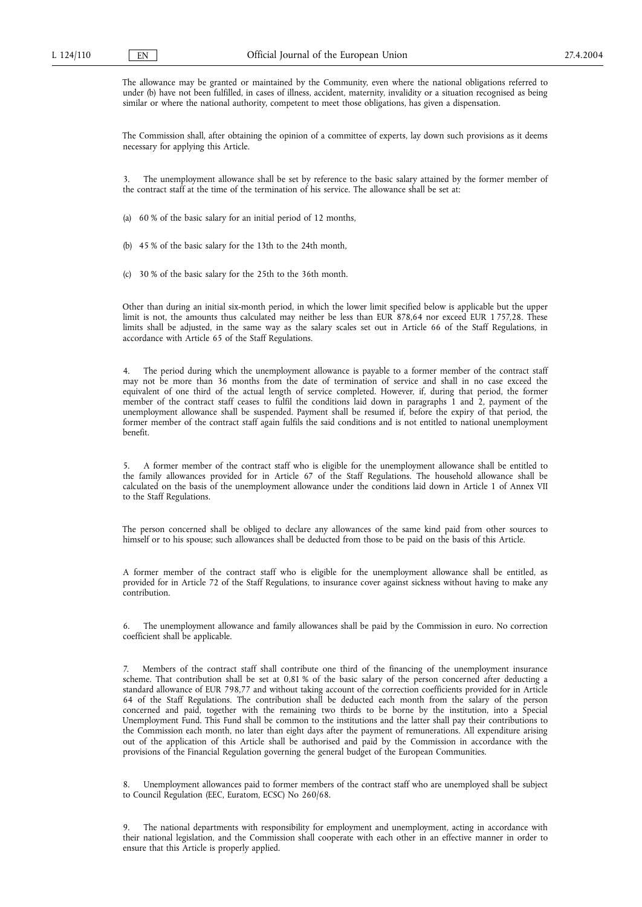The allowance may be granted or maintained by the Community, even where the national obligations referred to under (b) have not been fulfilled, in cases of illness, accident, maternity, invalidity or a situation recognised as being similar or where the national authority, competent to meet those obligations, has given a dispensation.

The Commission shall, after obtaining the opinion of a committee of experts, lay down such provisions as it deems necessary for applying this Article.

3. The unemployment allowance shall be set by reference to the basic salary attained by the former member of the contract staff at the time of the termination of his service. The allowance shall be set at:

(a) 60 % of the basic salary for an initial period of 12 months,

(b) 45 % of the basic salary for the 13th to the 24th month,

(c) 30 % of the basic salary for the 25th to the 36th month.

Other than during an initial six-month period, in which the lower limit specified below is applicable but the upper limit is not, the amounts thus calculated may neither be less than EUR 878,64 nor exceed EUR 1 757,28. These limits shall be adjusted, in the same way as the salary scales set out in Article 66 of the Staff Regulations, in accordance with Article 65 of the Staff Regulations.

4. The period during which the unemployment allowance is payable to a former member of the contract staff may not be more than 36 months from the date of termination of service and shall in no case exceed the equivalent of one third of the actual length of service completed. However, if, during that period, the former member of the contract staff ceases to fulfil the conditions laid down in paragraphs 1 and 2, payment of the unemployment allowance shall be suspended. Payment shall be resumed if, before the expiry of that period, the former member of the contract staff again fulfils the said conditions and is not entitled to national unemployment benefit.

5. A former member of the contract staff who is eligible for the unemployment allowance shall be entitled to the family allowances provided for in Article 67 of the Staff Regulations. The household allowance shall be calculated on the basis of the unemployment allowance under the conditions laid down in Article 1 of Annex VII to the Staff Regulations.

The person concerned shall be obliged to declare any allowances of the same kind paid from other sources to himself or to his spouse; such allowances shall be deducted from those to be paid on the basis of this Article.

A former member of the contract staff who is eligible for the unemployment allowance shall be entitled, as provided for in Article 72 of the Staff Regulations, to insurance cover against sickness without having to make any contribution.

6. The unemployment allowance and family allowances shall be paid by the Commission in euro. No correction coefficient shall be applicable.

7. Members of the contract staff shall contribute one third of the financing of the unemployment insurance scheme. That contribution shall be set at 0,81 % of the basic salary of the person concerned after deducting a standard allowance of EUR 798,77 and without taking account of the correction coefficients provided for in Article 64 of the Staff Regulations. The contribution shall be deducted each month from the salary of the person concerned and paid, together with the remaining two thirds to be borne by the institution, into a Special Unemployment Fund. This Fund shall be common to the institutions and the latter shall pay their contributions to the Commission each month, no later than eight days after the payment of remunerations. All expenditure arising out of the application of this Article shall be authorised and paid by the Commission in accordance with the provisions of the Financial Regulation governing the general budget of the European Communities.

Unemployment allowances paid to former members of the contract staff who are unemployed shall be subject to Council Regulation (EEC, Euratom, ECSC) No 260/68.

The national departments with responsibility for employment and unemployment, acting in accordance with their national legislation, and the Commission shall cooperate with each other in an effective manner in order to ensure that this Article is properly applied.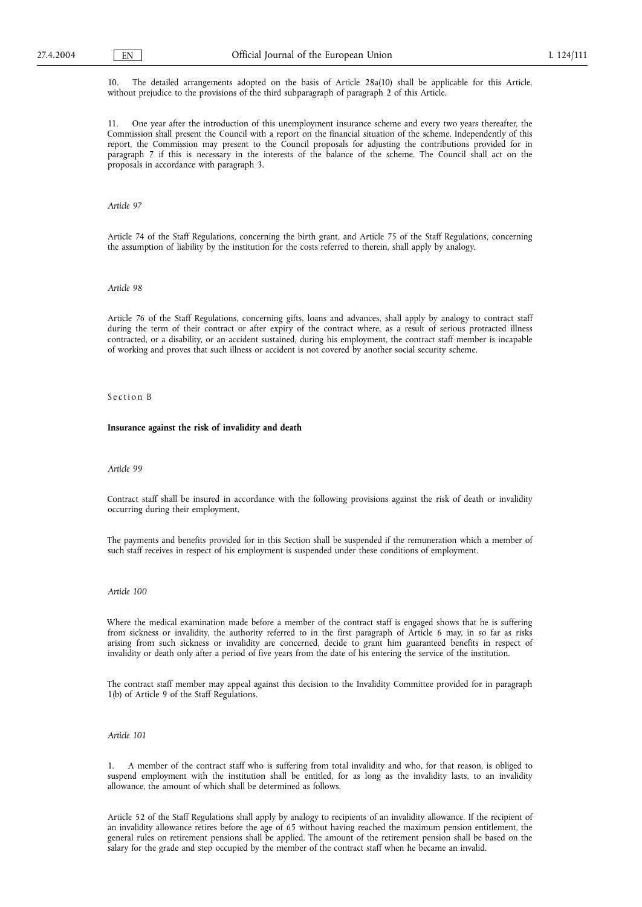10. The detailed arrangements adopted on the basis of Article 28a(10) shall be applicable for this Article, without prejudice to the provisions of the third subparagraph of paragraph 2 of this Article.

11. One year after the introduction of this unemployment insurance scheme and every two years thereafter, the Commission shall present the Council with a report on the financial situation of the scheme. Independently of this report, the Commission may present to the Council proposals for adjusting the contributions provided for in paragraph 7 if this is necessary in the interests of the balance of the scheme. The Council shall act on the proposals in accordance with paragraph 3.

*Article 97*

Article 74 of the Staff Regulations, concerning the birth grant, and Article 75 of the Staff Regulations, concerning the assumption of liability by the institution for the costs referred to therein, shall apply by analogy.

## *Article 98*

Article 76 of the Staff Regulations, concerning gifts, loans and advances, shall apply by analogy to contract staff during the term of their contract or after expiry of the contract where, as a result of serious protracted illness contracted, or a disability, or an accident sustained, during his employment, the contract staff member is incapable of working and proves that such illness or accident is not covered by another social security scheme.

# Section B

#### **Insurance against the risk of invalidity and death**

### *Article 99*

Contract staff shall be insured in accordance with the following provisions against the risk of death or invalidity occurring during their employment.

The payments and benefits provided for in this Section shall be suspended if the remuneration which a member of such staff receives in respect of his employment is suspended under these conditions of employment.

#### *Article 100*

Where the medical examination made before a member of the contract staff is engaged shows that he is suffering from sickness or invalidity, the authority referred to in the first paragraph of Article 6 may, in so far as risks arising from such sickness or invalidity are concerned, decide to grant him guaranteed benefits in respect of invalidity or death only after a period of five years from the date of his entering the service of the institution.

The contract staff member may appeal against this decision to the Invalidity Committee provided for in paragraph 1(b) of Article 9 of the Staff Regulations.

## *Article 101*

1. A member of the contract staff who is suffering from total invalidity and who, for that reason, is obliged to suspend employment with the institution shall be entitled, for as long as the invalidity lasts, to an invalidity allowance, the amount of which shall be determined as follows.

Article 52 of the Staff Regulations shall apply by analogy to recipients of an invalidity allowance. If the recipient of an invalidity allowance retires before the age of 65 without having reached the maximum pension entitlement, the general rules on retirement pensions shall be applied. The amount of the retirement pension shall be based on the salary for the grade and step occupied by the member of the contract staff when he became an invalid.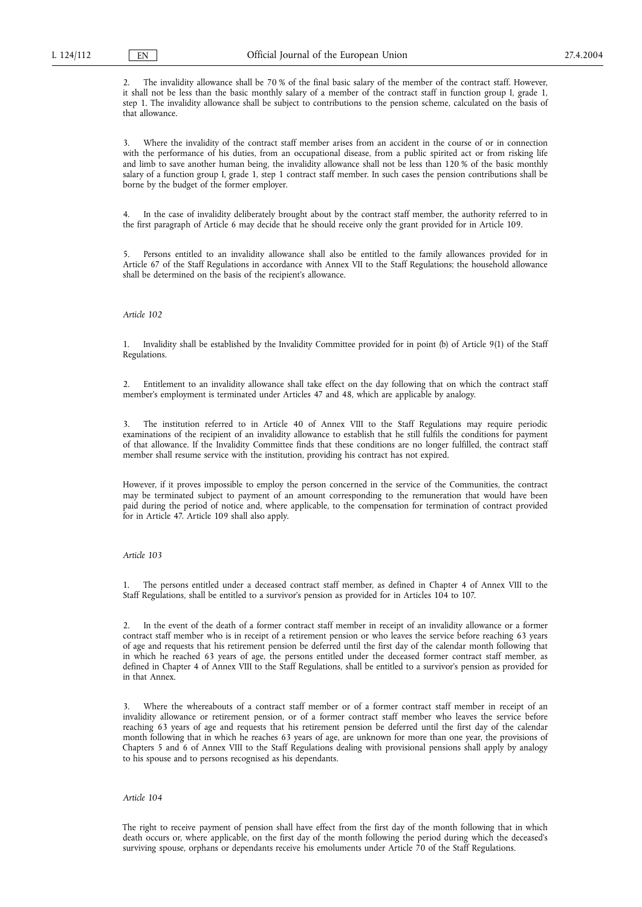The invalidity allowance shall be 70 % of the final basic salary of the member of the contract staff. However, it shall not be less than the basic monthly salary of a member of the contract staff in function group I, grade 1, step 1. The invalidity allowance shall be subject to contributions to the pension scheme, calculated on the basis of that allowance.

3. Where the invalidity of the contract staff member arises from an accident in the course of or in connection with the performance of his duties, from an occupational disease, from a public spirited act or from risking life and limb to save another human being, the invalidity allowance shall not be less than 120 % of the basic monthly salary of a function group I, grade 1, step 1 contract staff member. In such cases the pension contributions shall be borne by the budget of the former employer.

In the case of invalidity deliberately brought about by the contract staff member, the authority referred to in the first paragraph of Article 6 may decide that he should receive only the grant provided for in Article 109.

5. Persons entitled to an invalidity allowance shall also be entitled to the family allowances provided for in Article 67 of the Staff Regulations in accordance with Annex VII to the Staff Regulations; the household allowance shall be determined on the basis of the recipient's allowance.

# *Article 102*

1. Invalidity shall be established by the Invalidity Committee provided for in point (b) of Article 9(1) of the Staff Regulations.

2. Entitlement to an invalidity allowance shall take effect on the day following that on which the contract staff member's employment is terminated under Articles 47 and 48, which are applicable by analogy.

3. The institution referred to in Article 40 of Annex VIII to the Staff Regulations may require periodic examinations of the recipient of an invalidity allowance to establish that he still fulfils the conditions for payment of that allowance. If the Invalidity Committee finds that these conditions are no longer fulfilled, the contract staff member shall resume service with the institution, providing his contract has not expired.

However, if it proves impossible to employ the person concerned in the service of the Communities, the contract may be terminated subject to payment of an amount corresponding to the remuneration that would have been paid during the period of notice and, where applicable, to the compensation for termination of contract provided for in Article 47. Article 109 shall also apply.

#### *Article 103*

1. The persons entitled under a deceased contract staff member, as defined in Chapter 4 of Annex VIII to the Staff Regulations, shall be entitled to a survivor's pension as provided for in Articles 104 to 107.

2. In the event of the death of a former contract staff member in receipt of an invalidity allowance or a former contract staff member who is in receipt of a retirement pension or who leaves the service before reaching 63 years of age and requests that his retirement pension be deferred until the first day of the calendar month following that in which he reached 63 years of age, the persons entitled under the deceased former contract staff member, as defined in Chapter 4 of Annex VIII to the Staff Regulations, shall be entitled to a survivor's pension as provided for in that Annex.

Where the whereabouts of a contract staff member or of a former contract staff member in receipt of an invalidity allowance or retirement pension, or of a former contract staff member who leaves the service before reaching 63 years of age and requests that his retirement pension be deferred until the first day of the calendar month following that in which he reaches 63 years of age, are unknown for more than one year, the provisions of Chapters 5 and 6 of Annex VIII to the Staff Regulations dealing with provisional pensions shall apply by analogy to his spouse and to persons recognised as his dependants.

## *Article 104*

The right to receive payment of pension shall have effect from the first day of the month following that in which death occurs or, where applicable, on the first day of the month following the period during which the deceased's surviving spouse, orphans or dependants receive his emoluments under Article 70 of the Staff Regulations.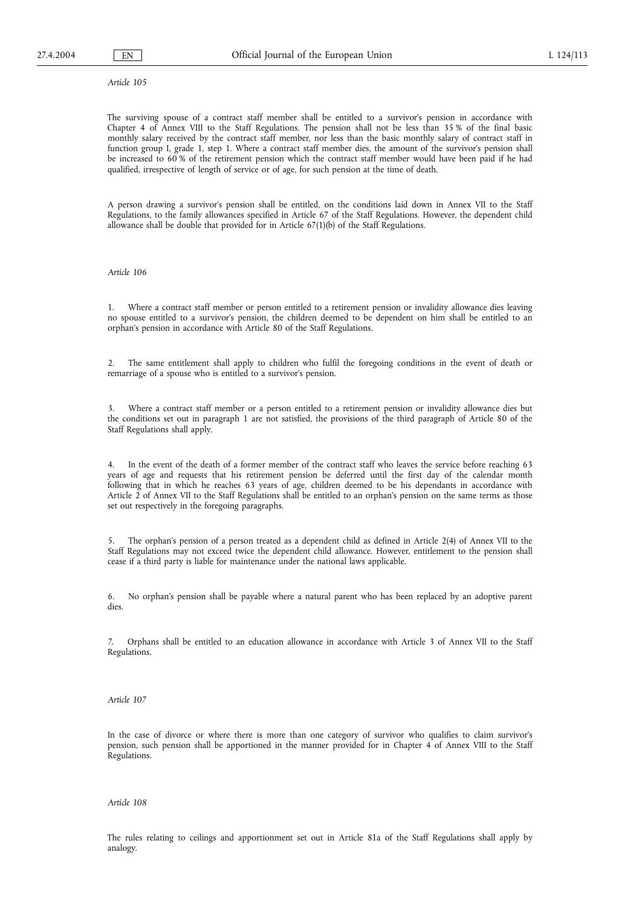*Article 105*

The surviving spouse of a contract staff member shall be entitled to a survivor's pension in accordance with Chapter 4 of Annex VIII to the Staff Regulations. The pension shall not be less than 35 % of the final basic monthly salary received by the contract staff member, nor less than the basic monthly salary of contract staff in function group I, grade 1, step 1. Where a contract staff member dies, the amount of the survivor's pension shall be increased to 60 % of the retirement pension which the contract staff member would have been paid if he had qualified, irrespective of length of service or of age, for such pension at the time of death.

A person drawing a survivor's pension shall be entitled, on the conditions laid down in Annex VII to the Staff Regulations, to the family allowances specified in Article 67 of the Staff Regulations. However, the dependent child allowance shall be double that provided for in Article 67(1)(b) of the Staff Regulations.

## *Article 106*

Where a contract staff member or person entitled to a retirement pension or invalidity allowance dies leaving no spouse entitled to a survivor's pension, the children deemed to be dependent on him shall be entitled to an orphan's pension in accordance with Article 80 of the Staff Regulations.

2. The same entitlement shall apply to children who fulfil the foregoing conditions in the event of death or remarriage of a spouse who is entitled to a survivor's pension.

3. Where a contract staff member or a person entitled to a retirement pension or invalidity allowance dies but the conditions set out in paragraph 1 are not satisfied, the provisions of the third paragraph of Article 80 of the Staff Regulations shall apply.

4. In the event of the death of a former member of the contract staff who leaves the service before reaching 63 years of age and requests that his retirement pension be deferred until the first day of the calendar month following that in which he reaches 63 years of age, children deemed to be his dependants in accordance with Article 2 of Annex VII to the Staff Regulations shall be entitled to an orphan's pension on the same terms as those set out respectively in the foregoing paragraphs.

5. The orphan's pension of a person treated as a dependent child as defined in Article 2(4) of Annex VII to the Staff Regulations may not exceed twice the dependent child allowance. However, entitlement to the pension shall cease if a third party is liable for maintenance under the national laws applicable.

6. No orphan's pension shall be payable where a natural parent who has been replaced by an adoptive parent dies.

7. Orphans shall be entitled to an education allowance in accordance with Article 3 of Annex VII to the Staff Regulations.

*Article 107*

In the case of divorce or where there is more than one category of survivor who qualifies to claim survivor's pension, such pension shall be apportioned in the manner provided for in Chapter 4 of Annex VIII to the Staff Regulations.

*Article 108*

The rules relating to ceilings and apportionment set out in Article 81a of the Staff Regulations shall apply by analogy.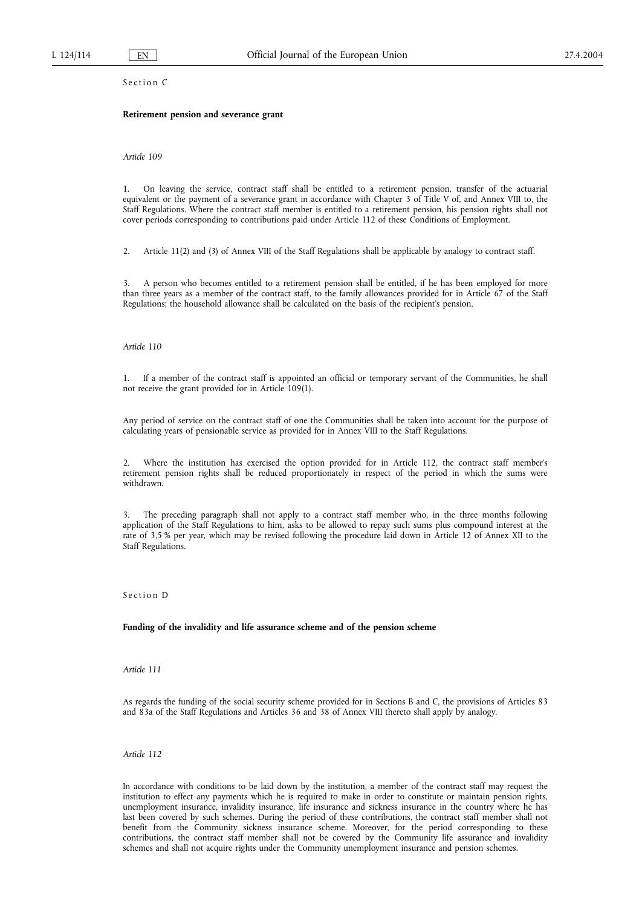Section C

### **Retirement pension and severance grant**

*Article 109*

1. On leaving the service, contract staff shall be entitled to a retirement pension, transfer of the actuarial equivalent or the payment of a severance grant in accordance with Chapter 3 of Title V of, and Annex VIII to, the Staff Regulations. Where the contract staff member is entitled to a retirement pension, his pension rights shall not cover periods corresponding to contributions paid under Article 112 of these Conditions of Employment.

2. Article 11(2) and (3) of Annex VIII of the Staff Regulations shall be applicable by analogy to contract staff.

3. A person who becomes entitled to a retirement pension shall be entitled, if he has been employed for more than three years as a member of the contract staff, to the family allowances provided for in Article 67 of the Staff Regulations; the household allowance shall be calculated on the basis of the recipient's pension.

*Article 110*

1. If a member of the contract staff is appointed an official or temporary servant of the Communities, he shall not receive the grant provided for in Article 109(1).

Any period of service on the contract staff of one the Communities shall be taken into account for the purpose of calculating years of pensionable service as provided for in Annex VIII to the Staff Regulations.

2. Where the institution has exercised the option provided for in Article 112, the contract staff member's retirement pension rights shall be reduced proportionately in respect of the period in which the sums were withdrawn.

3. The preceding paragraph shall not apply to a contract staff member who, in the three months following application of the Staff Regulations to him, asks to be allowed to repay such sums plus compound interest at the rate of 3,5 % per year, which may be revised following the procedure laid down in Article 12 of Annex XII to the Staff Regulations.

Section D

**Funding of the invalidity and life assurance scheme and of the pension scheme**

*Article 111*

As regards the funding of the social security scheme provided for in Sections B and C, the provisions of Articles 83 and 83a of the Staff Regulations and Articles 36 and 38 of Annex VIII thereto shall apply by analogy.

*Article 112*

In accordance with conditions to be laid down by the institution, a member of the contract staff may request the institution to effect any payments which he is required to make in order to constitute or maintain pension rights, unemployment insurance, invalidity insurance, life insurance and sickness insurance in the country where he has last been covered by such schemes. During the period of these contributions, the contract staff member shall not benefit from the Community sickness insurance scheme. Moreover, for the period corresponding to these contributions, the contract staff member shall not be covered by the Community life assurance and invalidity schemes and shall not acquire rights under the Community unemployment insurance and pension schemes.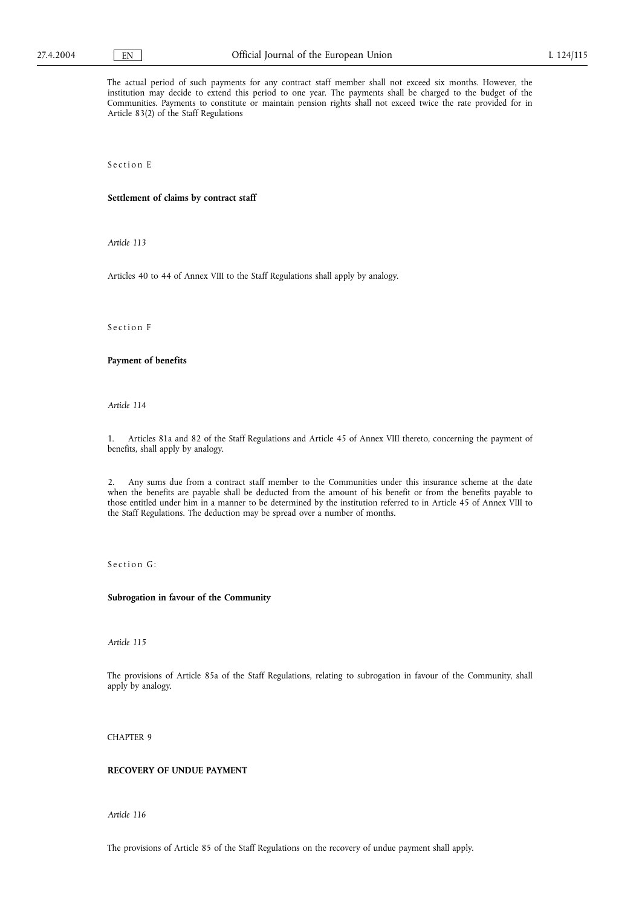The actual period of such payments for any contract staff member shall not exceed six months. However, the institution may decide to extend this period to one year. The payments shall be charged to the budget of the Communities. Payments to constitute or maintain pension rights shall not exceed twice the rate provided for in Article 83(2) of the Staff Regulations

Section E

### **Settlement of claims by contract staff**

*Article 113*

Articles 40 to 44 of Annex VIII to the Staff Regulations shall apply by analogy.

Section F

# **Payment of benefits**

*Article 114*

1. Articles 81a and 82 of the Staff Regulations and Article 45 of Annex VIII thereto, concerning the payment of benefits, shall apply by analogy.

2. Any sums due from a contract staff member to the Communities under this insurance scheme at the date when the benefits are payable shall be deducted from the amount of his benefit or from the benefits payable to those entitled under him in a manner to be determined by the institution referred to in Article 45 of Annex VIII to the Staff Regulations. The deduction may be spread over a number of months.

Section G:

### **Subrogation in favour of the Community**

*Article 115*

The provisions of Article 85a of the Staff Regulations, relating to subrogation in favour of the Community, shall apply by analogy.

CHAPTER 9

## **RECOVERY OF UNDUE PAYMENT**

*Article 116*

The provisions of Article 85 of the Staff Regulations on the recovery of undue payment shall apply.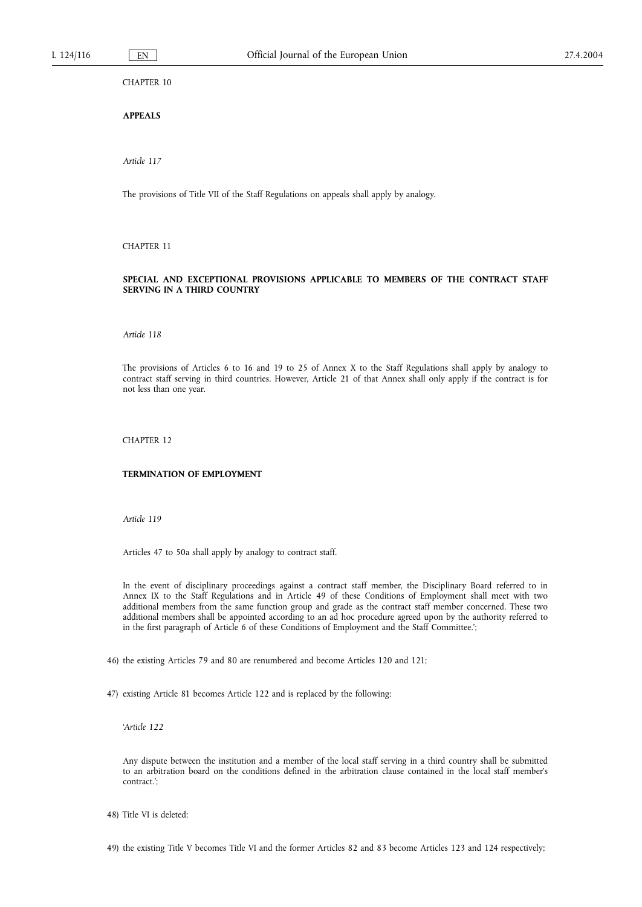CHAPTER 10

**APPEALS**

*Article 117*

The provisions of Title VII of the Staff Regulations on appeals shall apply by analogy.

CHAPTER 11

# **SPECIAL AND EXCEPTIONAL PROVISIONS APPLICABLE TO MEMBERS OF THE CONTRACT STAFF SERVING IN A THIRD COUNTRY**

*Article 118*

The provisions of Articles 6 to 16 and 19 to 25 of Annex X to the Staff Regulations shall apply by analogy to contract staff serving in third countries. However, Article 21 of that Annex shall only apply if the contract is for not less than one year.

CHAPTER 12

#### **TERMINATION OF EMPLOYMENT**

*Article 119*

Articles 47 to 50a shall apply by analogy to contract staff.

In the event of disciplinary proceedings against a contract staff member, the Disciplinary Board referred to in Annex IX to the Staff Regulations and in Article 49 of these Conditions of Employment shall meet with two additional members from the same function group and grade as the contract staff member concerned. These two additional members shall be appointed according to an ad hoc procedure agreed upon by the authority referred to in the first paragraph of Article 6 of these Conditions of Employment and the Staff Committee.';

46) the existing Articles 79 and 80 are renumbered and become Articles 120 and 121;

47) existing Article 81 becomes Article 122 and is replaced by the following:

'*Article 122*

Any dispute between the institution and a member of the local staff serving in a third country shall be submitted to an arbitration board on the conditions defined in the arbitration clause contained in the local staff member's contract.';

48) Title VI is deleted;

49) the existing Title V becomes Title VI and the former Articles 82 and 83 become Articles 123 and 124 respectively;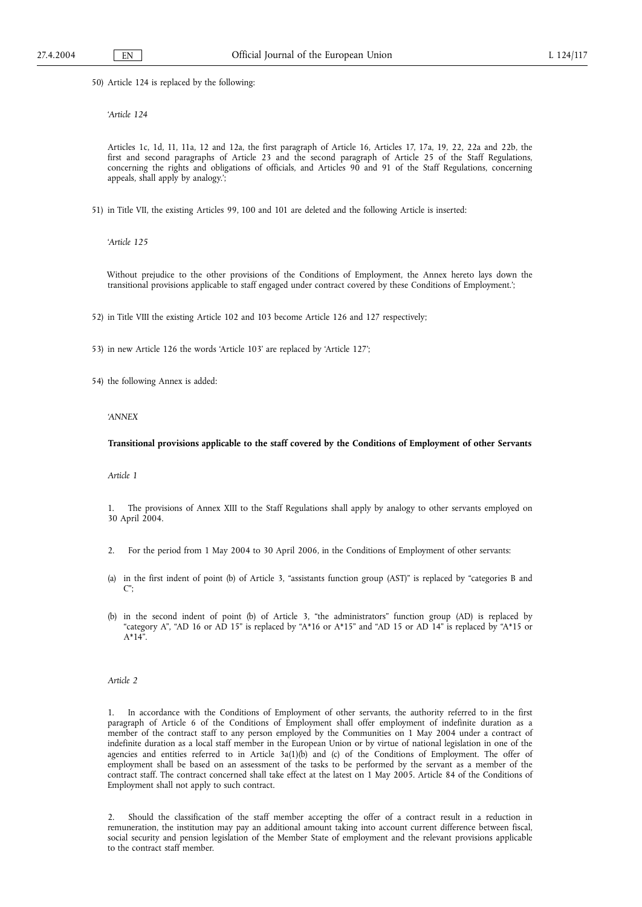50) Article 124 is replaced by the following:

'*Article 124*

Articles 1c, 1d, 11, 11a, 12 and 12a, the first paragraph of Article 16, Articles 17, 17a, 19, 22, 22a and 22b, the first and second paragraphs of Article 23 and the second paragraph of Article 25 of the Staff Regulations, concerning the rights and obligations of officials, and Articles 90 and 91 of the Staff Regulations, concerning appeals, shall apply by analogy.';

51) in Title VII, the existing Articles 99, 100 and 101 are deleted and the following Article is inserted:

'*Article 125*

Without prejudice to the other provisions of the Conditions of Employment, the Annex hereto lays down the transitional provisions applicable to staff engaged under contract covered by these Conditions of Employment.';

52) in Title VIII the existing Article 102 and 103 become Article 126 and 127 respectively;

53) in new Article 126 the words 'Article 103' are replaced by 'Article 127';

54) the following Annex is added:

*'ANNEX*

### **Transitional provisions applicable to the staff covered by the Conditions of Employment of other Servants**

*Article 1*

1. The provisions of Annex XIII to the Staff Regulations shall apply by analogy to other servants employed on 30 April 2004.

- 2. For the period from 1 May 2004 to 30 April 2006, in the Conditions of Employment of other servants:
- (a) in the first indent of point (b) of Article 3, "assistants function group (AST)" is replaced by "categories B and C";
- (b) in the second indent of point (b) of Article 3, "the administrators" function group (AD) is replaced by "category A", "AD 16 or AD 15" is replaced by "A\*16 or A\*15" and "AD 15 or AD 14" is replaced by "A\*15 or A\*14".

*Article 2*

1. In accordance with the Conditions of Employment of other servants, the authority referred to in the first paragraph of Article 6 of the Conditions of Employment shall offer employment of indefinite duration as a member of the contract staff to any person employed by the Communities on 1 May 2004 under a contract of indefinite duration as a local staff member in the European Union or by virtue of national legislation in one of the agencies and entities referred to in Article 3a(1)(b) and (c) of the Conditions of Employment. The offer of employment shall be based on an assessment of the tasks to be performed by the servant as a member of the contract staff. The contract concerned shall take effect at the latest on 1 May 2005. Article 84 of the Conditions of Employment shall not apply to such contract.

2. Should the classification of the staff member accepting the offer of a contract result in a reduction in remuneration, the institution may pay an additional amount taking into account current difference between fiscal, social security and pension legislation of the Member State of employment and the relevant provisions applicable to the contract staff member.